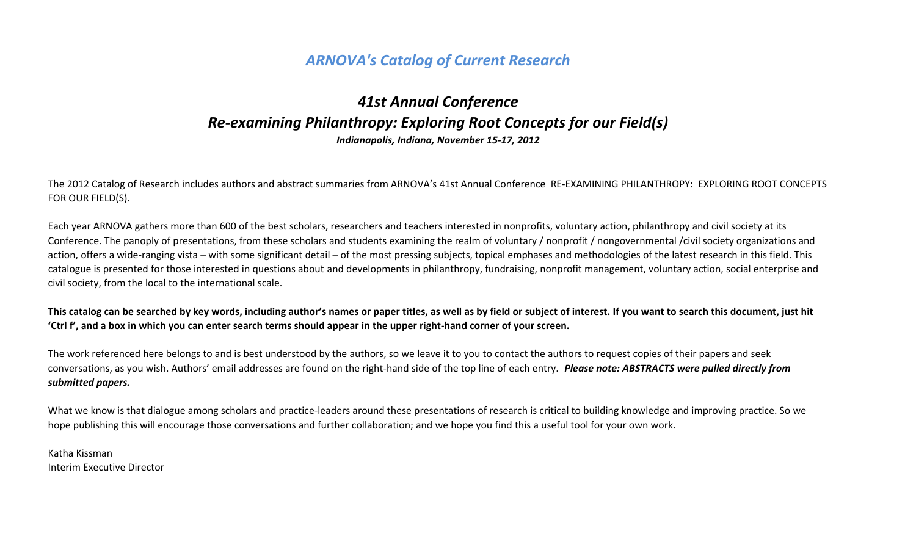# *ARNOVA's Catalog of Current Research*

# *41st Annual Conference Re-examining Philanthropy: Exploring Root Concepts for our Field(s) Indianapolis, Indiana, November 15-17, 2012*

The 2012 Catalog of Research includes authors and abstract summaries from ARNOVA's 41st Annual Conference RE-EXAMINING PHILANTHROPY: EXPLORING ROOT CONCEPTS FOR OUR FIELD(S).

Each year ARNOVA gathers more than 600 of the best scholars, researchers and teachers interested in nonprofits, voluntary action, philanthropy and civil society at its Conference. The panoply of presentations, from these scholars and students examining the realm of voluntary / nonprofit / nongovernmental /civil society organizations and action, offers a wide-ranging vista – with some significant detail – of the most pressing subjects, topical emphases and methodologies of the latest research in this field. This catalogue is presented for those interested in questions about and developments in philanthropy, fundraising, nonprofit management, voluntary action, social enterprise and civil society, from the local to the international scale.

**This catalog can be searched by key words, including author's names or paper titles, as well as by field or subject of interest. If you want to search this document, just hit 'Ctrl f', and a box in which you can enter search terms should appear in the upper right-hand corner of your screen.** 

The work referenced here belongs to and is best understood by the authors, so we leave it to you to contact the authors to request copies of their papers and seek conversations, as you wish. Authors' email addresses are found on the right-hand side of the top line of each entry. *Please note: ABSTRACTS were pulled directly from submitted papers.* 

What we know is that dialogue among scholars and practice-leaders around these presentations of research is critical to building knowledge and improving practice. So we hope publishing this will encourage those conversations and further collaboration; and we hope you find this a useful tool for your own work.

Katha Kissman Interim Executive Director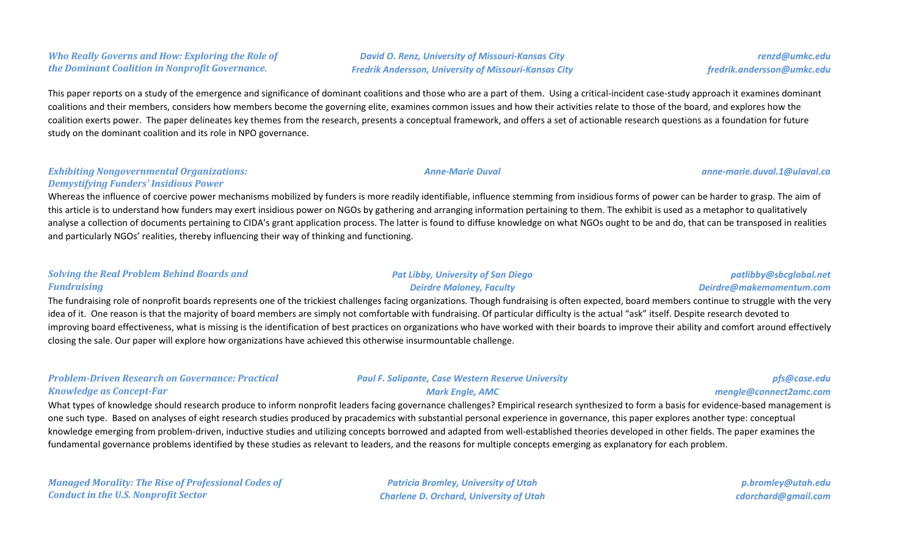#### *Who Really Governs and How: Exploring the Role of the Dominant Coalition in Nonprofit Governance.*

*David O. Renz, University of Missouri-Kansas City Fredrik Andersson, University of Missouri-Kansas City*

This paper reports on a study of the emergence and significance of dominant coalitions and those who are a part of them. Using a critical-incident case-study approach it examines dominant coalitions and their members, considers how members become the governing elite, examines common issues and how their activities relate to those of the board, and explores how the coalition exerts power. The paper delineates key themes from the research, presents a conceptual framework, and offers a set of actionable research questions as a foundation for future study on the dominant coalition and its role in NPO governance.

#### *Exhibiting Nongovernmental Organizations: Demystifying Funders' Insidious Power*

Whereas the influence of coercive power mechanisms mobilized by funders is more readily identifiable, influence stemming from insidious forms of power can be harder to grasp. The aim of this article is to understand how funders may exert insidious power on NGOs by gathering and arranging information pertaining to them. The exhibit is used as a metaphor to qualitatively analyse a collection of documents pertaining to CIDA's grant application process. The latter is found to diffuse knowledge on what NGOs ought to be and do, that can be transposed in realities and particularly NGOs' realities, thereby influencing their way of thinking and functioning.

#### *Solving the Real Problem Behind Boards and Fundraising*

#### *Pat Libby, University of San Diego Deirdre Maloney, Faculty*

#### *patlibby@sbcglobal.net Deirdre@makemomentum.com*

The fundraising role of nonprofit boards represents one of the trickiest challenges facing organizations. Though fundraising is often expected, board members continue to struggle with the very idea of it. One reason is that the majority of board members are simply not comfortable with fundraising. Of particular difficulty is the actual "ask" itself. Despite research devoted to improving board effectiveness, what is missing is the identification of best practices on organizations who have worked with their boards to improve their ability and comfort around effectively closing the sale. Our paper will explore how organizations have achieved this otherwise insurmountable challenge.

#### *Problem-Driven Research on Governance: Practical Knowledge as Concept-Far*

#### *Paul F. Salipante, Case Western Reserve University Mark Engle, AMC*

#### *pfs@case.edu mengle@connect2amc.com*

What types of knowledge should research produce to inform nonprofit leaders facing governance challenges? Empirical research synthesized to form a basis for evidence-based management is one such type. Based on analyses of eight research studies produced by pracademics with substantial personal experience in governance, this paper explores another type: conceptual knowledge emerging from problem-driven, inductive studies and utilizing concepts borrowed and adapted from well-established theories developed in other fields. The paper examines the fundamental governance problems identified by these studies as relevant to leaders, and the reasons for multiple concepts emerging as explanatory for each problem.

*Managed Morality: The Rise of Professional Codes of Conduct in the U.S. Nonprofit Sector*

*Patricia Bromley, University of Utah Charlene D. Orchard, University of Utah*

*p.bromley@utah.edu cdorchard@gmail.com*

#### *renzd@umkc.edu fredrik.andersson@umkc.edu*

*Anne-Marie Duval anne-marie.duval.1@ulaval.ca*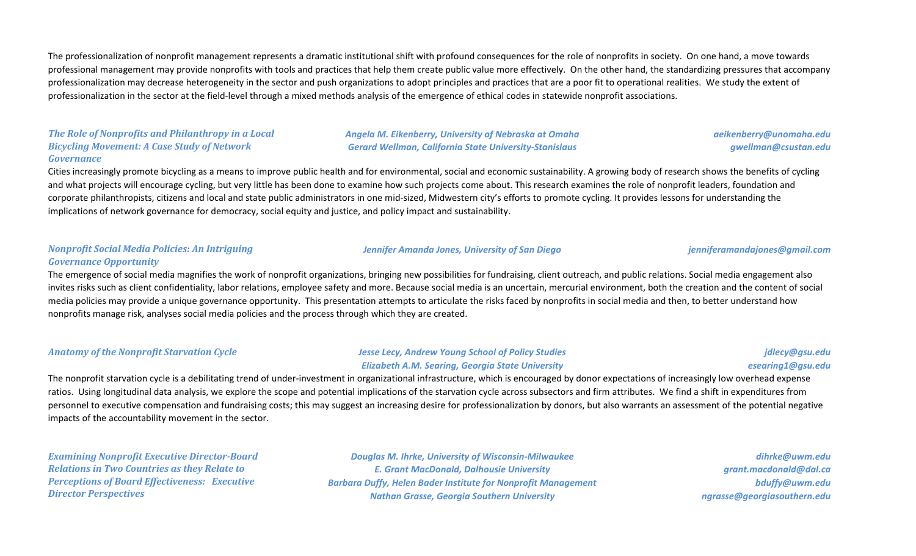The professionalization of nonprofit management represents a dramatic institutional shift with profound consequences for the role of nonprofits in society. On one hand, a move towards professional management may provide nonprofits with tools and practices that help them create public value more effectively. On the other hand, the standardizing pressures that accompany professionalization may decrease heterogeneity in the sector and push organizations to adopt principles and practices that are a poor fit to operational realities. We study the extent of professionalization in the sector at the field-level through a mixed methods analysis of the emergence of ethical codes in statewide nonprofit associations.

#### *The Role of Nonprofits and Philanthropy in a Local Bicycling Movement: A Case Study of Network Governance*

*Angela M. Eikenberry, University of Nebraska at Omaha Gerard Wellman, California State University-Stanislaus*

*aeikenberry@unomaha.edu gwellman@csustan.edu*

Cities increasingly promote bicycling as a means to improve public health and for environmental, social and economic sustainability. A growing body of research shows the benefits of cycling and what projects will encourage cycling, but very little has been done to examine how such projects come about. This research examines the role of nonprofit leaders, foundation and corporate philanthropists, citizens and local and state public administrators in one mid-sized, Midwestern city's efforts to promote cycling. It provides lessons for understanding the implications of network governance for democracy, social equity and justice, and policy impact and sustainability.

#### *Nonprofit Social Media Policies: An Intriguing Governance Opportunity*

The emergence of social media magnifies the work of nonprofit organizations, bringing new possibilities for fundraising, client outreach, and public relations. Social media engagement also invites risks such as client confidentiality, labor relations, employee safety and more. Because social media is an uncertain, mercurial environment, both the creation and the content of social media policies may provide a unique governance opportunity. This presentation attempts to articulate the risks faced by nonprofits in social media and then, to better understand how nonprofits manage risk, analyses social media policies and the process through which they are created.

#### *Anatomy of the Nonprofit Starvation Cycle Jesse Lecy, Andrew Young School of Policy Studies Elizabeth A.M. Searing, Georgia State University*

*jdlecy@gsu.edu esearing1@gsu.edu*

The nonprofit starvation cycle is a debilitating trend of under-investment in organizational infrastructure, which is encouraged by donor expectations of increasingly low overhead expense ratios. Using longitudinal data analysis, we explore the scope and potential implications of the starvation cycle across subsectors and firm attributes. We find a shift in expenditures from personnel to executive compensation and fundraising costs; this may suggest an increasing desire for professionalization by donors, but also warrants an assessment of the potential negative impacts of the accountability movement in the sector.

*Examining Nonprofit Executive Director-Board Relations in Two Countries as they Relate to Perceptions of Board Effectiveness: Executive Director Perspectives*

*Douglas M. Ihrke, University of Wisconsin-Milwaukee E. Grant MacDonald, Dalhousie University Barbara Duffy, Helen Bader Institute for Nonprofit Management Nathan Grasse, Georgia Southern University*

*dihrke@uwm.edu grant.macdonald@dal.ca bduffy@uwm.edu ngrasse@georgiasouthern.edu*

#### *Jennifer Amanda Jones, University of San Diego jenniferamandajones@gmail.com*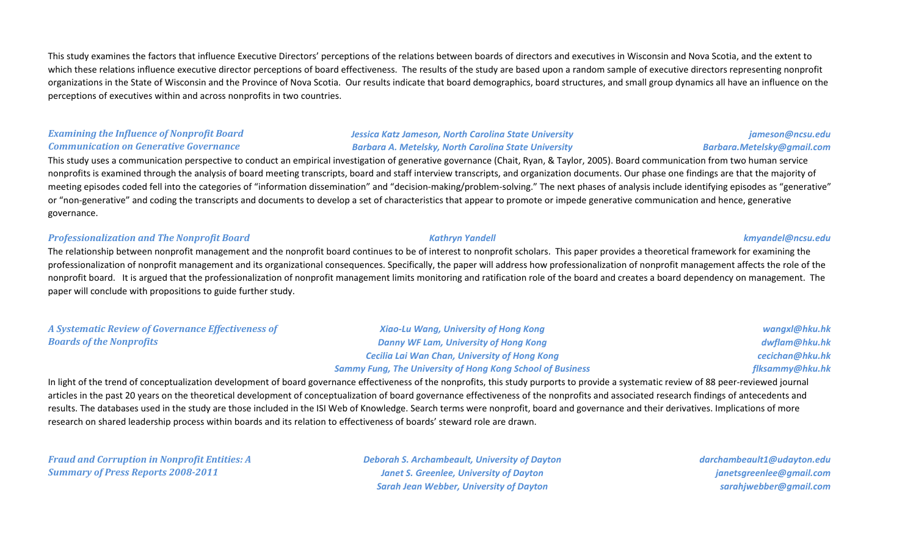This study examines the factors that influence Executive Directors' perceptions of the relations between boards of directors and executives in Wisconsin and Nova Scotia, and the extent to which these relations influence executive director perceptions of board effectiveness. The results of the study are based upon a random sample of executive directors representing nonprofit organizations in the State of Wisconsin and the Province of Nova Scotia. Our results indicate that board demographics, board structures, and small group dynamics all have an influence on the perceptions of executives within and across nonprofits in two countries.

### *Examining the Influence of Nonprofit Board Communication on Generative Governance*

### *Jessica Katz Jameson, North Carolina State University Barbara A. Metelsky, North Carolina State University*

### This study uses a communication perspective to conduct an empirical investigation of generative governance (Chait, Ryan, & Taylor, 2005). Board communication from two human service nonprofits is examined through the analysis of board meeting transcripts, board and staff interview transcripts, and organization documents. Our phase one findings are that the majority of meeting episodes coded fell into the categories of "information dissemination" and "decision-making/problem-solving." The next phases of analysis include identifying episodes as "generative" or "non-generative" and coding the transcripts and documents to develop a set of characteristics that appear to promote or impede generative communication and hence, generative governance.

#### *Professionalization and The Nonprofit Board Kathryn Yandell kmyandel@ncsu.edu*

The relationship between nonprofit management and the nonprofit board continues to be of interest to nonprofit scholars. This paper provides a theoretical framework for examining the professionalization of nonprofit management and its organizational consequences. Specifically, the paper will address how professionalization of nonprofit management affects the role of the nonprofit board. It is argued that the professionalization of nonprofit management limits monitoring and ratification role of the board and creates a board dependency on management. The paper will conclude with propositions to guide further study.

| A Systematic Review of Governance Effectiveness of | <b>Xiao-Lu Wang, University of Hong Kong</b>                      | wangxl@hku.hk   |
|----------------------------------------------------|-------------------------------------------------------------------|-----------------|
| <b>Boards of the Nonprofits</b>                    | Danny WF Lam, University of Hong Kong                             | dwflam@hku.hk   |
|                                                    | <b>Cecilia Lai Wan Chan, University of Hong Kong</b>              | cecichan@hku.hk |
|                                                    | <b>Sammy Fung, The University of Hong Kong School of Business</b> | flksammy@hku.hk |

In light of the trend of conceptualization development of board governance effectiveness of the nonprofits, this study purports to provide a systematic review of 88 peer-reviewed journal articles in the past 20 years on the theoretical development of conceptualization of board governance effectiveness of the nonprofits and associated research findings of antecedents and results. The databases used in the study are those included in the ISI Web of Knowledge. Search terms were nonprofit, board and governance and their derivatives. Implications of more research on shared leadership process within boards and its relation to effectiveness of boards' steward role are drawn.

*Fraud and Corruption in Nonprofit Entities: A Summary of Press Reports 2008-2011*

*Deborah S. Archambeault, University of Dayton Janet S. Greenlee, University of Dayton Sarah Jean Webber, University of Dayton*

*darchambeault1@udayton.edu janetsgreenlee@gmail.com sarahjwebber@gmail.com*

*jameson@ncsu.edu*

*Barbara.Metelsky@gmail.com*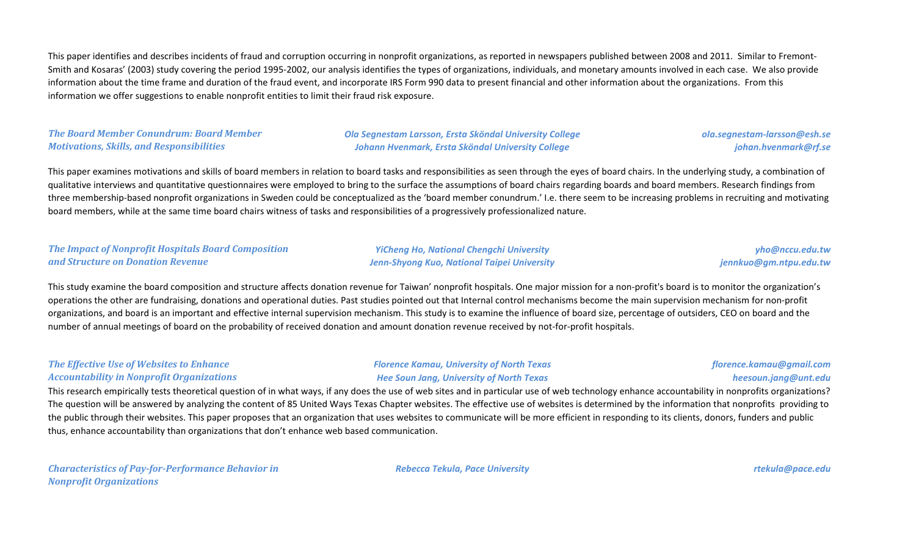This paper identifies and describes incidents of fraud and corruption occurring in nonprofit organizations, as reported in newspapers published between 2008 and 2011. Similar to Fremont-Smith and Kosaras' (2003) study covering the period 1995-2002, our analysis identifies the types of organizations, individuals, and monetary amounts involved in each case. We also provide information about the time frame and duration of the fraud event, and incorporate IRS Form 990 data to present financial and other information about the organizations. From this information we offer suggestions to enable nonprofit entities to limit their fraud risk exposure.

#### *The Board Member Conundrum: Board Member Motivations, Skills, and Responsibilities*

*Ola Segnestam Larsson, Ersta Sköndal University College Johann Hvenmark, Ersta Sköndal University College*

#### *ola.segnestam-larsson@esh.se johan.hvenmark@rf.se*

This paper examines motivations and skills of board members in relation to board tasks and responsibilities as seen through the eyes of board chairs. In the underlying study, a combination of qualitative interviews and quantitative questionnaires were employed to bring to the surface the assumptions of board chairs regarding boards and board members. Research findings from three membership-based nonprofit organizations in Sweden could be conceptualized as the 'board member conundrum.' I.e. there seem to be increasing problems in recruiting and motivating board members, while at the same time board chairs witness of tasks and responsibilities of a progressively professionalized nature.

#### *The Impact of Nonprofit Hospitals Board Composition and Structure on Donation Revenue*

*YiCheng Ho, National Chengchi University Jenn-Shyong Kuo, National Taipei University*

*yho@nccu.edu.tw jennkuo@gm.ntpu.edu.tw*

This study examine the board composition and structure affects donation revenue for Taiwan' nonprofit hospitals. One major mission for a non-profit's board is to monitor the organization's operations the other are fundraising, donations and operational duties. Past studies pointed out that Internal control mechanisms become the main supervision mechanism for non-profit organizations, and board is an important and effective internal supervision mechanism. This study is to examine the influence of board size, percentage of outsiders, CEO on board and the number of annual meetings of board on the probability of received donation and amount donation revenue received by not-for-profit hospitals.

#### *The Effective Use of Websites to Enhance Accountability in Nonprofit Organizations*

#### *Florence Kamau, University of North Texas Hee Soun Jang, University of North Texas*

#### *florence.kamau@gmail.com heesoun.jang@unt.edu*

This research empirically tests theoretical question of in what ways, if any does the use of web sites and in particular use of web technology enhance accountability in nonprofits organizations? The question will be answered by analyzing the content of 85 United Ways Texas Chapter websites. The effective use of websites is determined by the information that nonprofits providing to the public through their websites. This paper proposes that an organization that uses websites to communicate will be more efficient in responding to its clients, donors, funders and public thus, enhance accountability than organizations that don't enhance web based communication.

*Characteristics of Pay-for-Performance Behavior in Nonprofit Organizations*

*Rebecca Tekula, Pace University rtekula@pace.edu*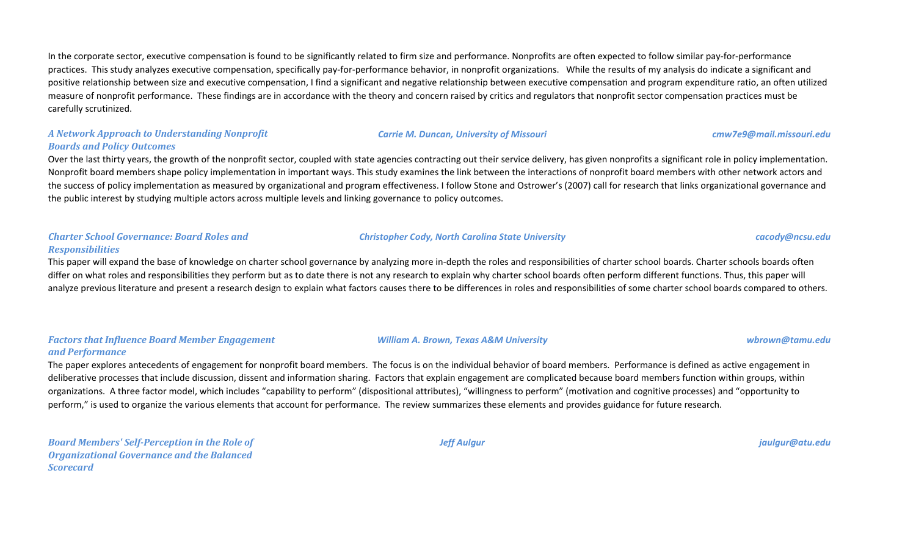In the corporate sector, executive compensation is found to be significantly related to firm size and performance. Nonprofits are often expected to follow similar pay-for-performance practices. This study analyzes executive compensation, specifically pay-for-performance behavior, in nonprofit organizations. While the results of my analysis do indicate a significant and positive relationship between size and executive compensation, I find a significant and negative relationship between executive compensation and program expenditure ratio, an often utilized measure of nonprofit performance. These findings are in accordance with the theory and concern raised by critics and regulators that nonprofit sector compensation practices must be carefully scrutinized.

### *A Network Approach to Understanding Nonprofit Boards and Policy Outcomes*

Over the last thirty years, the growth of the nonprofit sector, coupled with state agencies contracting out their service delivery, has given nonprofits a significant role in policy implementation. Nonprofit board members shape policy implementation in important ways. This study examines the link between the interactions of nonprofit board members with other network actors and the success of policy implementation as measured by organizational and program effectiveness. I follow Stone and Ostrower's (2007) call for research that links organizational governance and the public interest by studying multiple actors across multiple levels and linking governance to policy outcomes.

#### *Charter School Governance: Board Roles and Responsibilities*

This paper will expand the base of knowledge on charter school governance by analyzing more in-depth the roles and responsibilities of charter school boards. Charter schools boards often differ on what roles and responsibilities they perform but as to date there is not any research to explain why charter school boards often perform different functions. Thus, this paper will analyze previous literature and present a research design to explain what factors causes there to be differences in roles and responsibilities of some charter school boards compared to others.

#### *Factors that Influence Board Member Engagement and Performance*

The paper explores antecedents of engagement for nonprofit board members. The focus is on the individual behavior of board members. Performance is defined as active engagement in deliberative processes that include discussion, dissent and information sharing. Factors that explain engagement are complicated because board members function within groups, within organizations. A three factor model, which includes "capability to perform" (dispositional attributes), "willingness to perform" (motivation and cognitive processes) and "opportunity to perform," is used to organize the various elements that account for performance. The review summarizes these elements and provides guidance for future research.

*Board Members' Self-Perception in the Role of Organizational Governance and the Balanced Scorecard*

#### *Jeff Aulgur jaulgur@atu.edu*

## *William A. Brown, Texas A&M University wbrown@tamu.edu*

## *Christopher Cody, North Carolina State University cacody@ncsu.edu*

*Carrie M. Duncan, University of Missouri cmw7e9@mail.missouri.edu*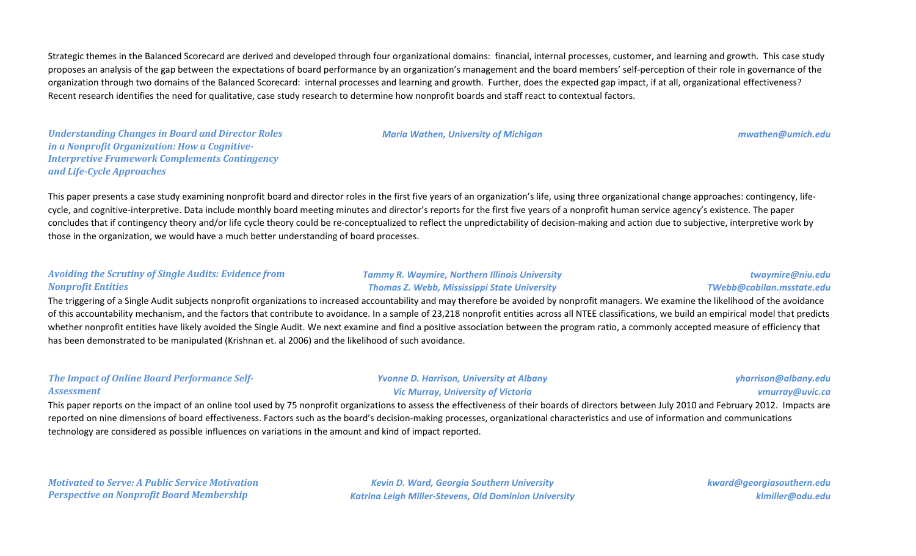Strategic themes in the Balanced Scorecard are derived and developed through four organizational domains: financial, internal processes, customer, and learning and growth. This case study proposes an analysis of the gap between the expectations of board performance by an organization's management and the board members' self-perception of their role in governance of the organization through two domains of the Balanced Scorecard: internal processes and learning and growth. Further, does the expected gap impact, if at all, organizational effectiveness? Recent research identifies the need for qualitative, case study research to determine how nonprofit boards and staff react to contextual factors.

*Understanding Changes in Board and Director Roles in a Nonprofit Organization: How a Cognitive-Interpretive Framework Complements Contingency and Life-Cycle Approaches*

*Maria Wathen, University of Michigan mwathen@umich.edu*

This paper presents a case study examining nonprofit board and director roles in the first five years of an organization's life, using three organizational change approaches: contingency, lifecycle, and cognitive-interpretive. Data include monthly board meeting minutes and director's reports for the first five years of a nonprofit human service agency's existence. The paper concludes that if contingency theory and/or life cycle theory could be re-conceptualized to reflect the unpredictability of decision-making and action due to subjective, interpretive work by those in the organization, we would have a much better understanding of board processes.

#### *Avoiding the Scrutiny of Single Audits: Evidence from Nonprofit Entities*

#### *Tammy R. Waymire, Northern Illinois University Thomas Z. Webb, Mississippi State University*

#### *twaymire@niu.edu TWebb@cobilan.msstate.edu*

The triggering of a Single Audit subjects nonprofit organizations to increased accountability and may therefore be avoided by nonprofit managers. We examine the likelihood of the avoidance of this accountability mechanism, and the factors that contribute to avoidance. In a sample of 23,218 nonprofit entities across all NTEE classifications, we build an empirical model that predicts whether nonprofit entities have likely avoided the Single Audit. We next examine and find a positive association between the program ratio, a commonly accepted measure of efficiency that has been demonstrated to be manipulated (Krishnan et. al 2006) and the likelihood of such avoidance.

### *The Impact of Online Board Performance Self-Assessment*

#### *Yvonne D. Harrison, University at Albany Vic Murray, University of Victoria*

#### *yharrison@albany.edu vmurray@uvic.ca*

This paper reports on the impact of an online tool used by 75 nonprofit organizations to assess the effectiveness of their boards of directors between July 2010 and February 2012. Impacts are reported on nine dimensions of board effectiveness. Factors such as the board's decision-making processes, organizational characteristics and use of information and communications technology are considered as possible influences on variations in the amount and kind of impact reported.

*Motivated to Serve: A Public Service Motivation Perspective on Nonprofit Board Membership*

*Kevin D. Ward, Georgia Southern University Katrina Leigh Miller-Stevens, Old Dominion University* *kward@georgiasouthern.edu klmiller@odu.edu*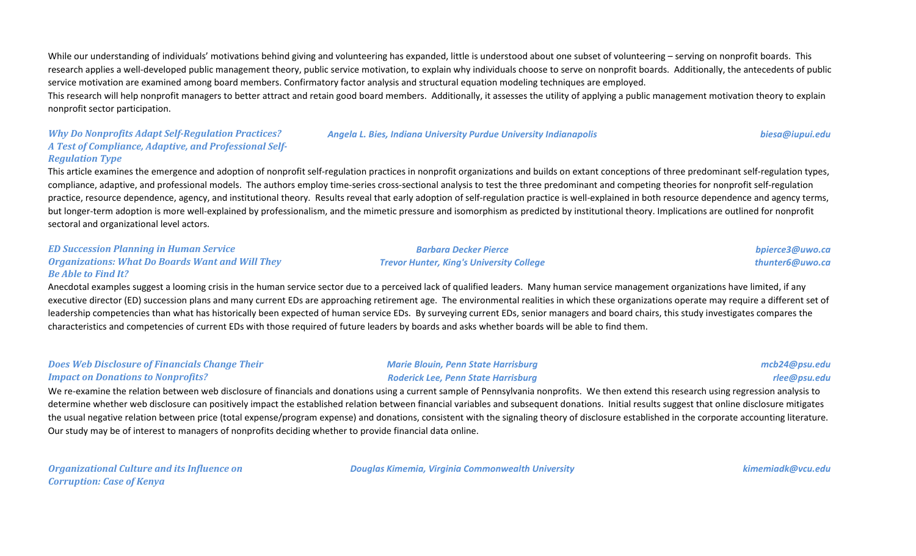While our understanding of individuals' motivations behind giving and volunteering has expanded, little is understood about one subset of volunteering – serving on nonprofit boards. This research applies a well-developed public management theory, public service motivation, to explain why individuals choose to serve on nonprofit boards. Additionally, the antecedents of public service motivation are examined among board members. Confirmatory factor analysis and structural equation modeling techniques are employed.

This research will help nonprofit managers to better attract and retain good board members. Additionally, it assesses the utility of applying a public management motivation theory to explain nonprofit sector participation.

#### *Why Do Nonprofits Adapt Self-Regulation Practices? A Test of Compliance, Adaptive, and Professional Self-Regulation Type*

#### *Angela L. Bies, Indiana University Purdue University Indianapolis biesa@iupui.edu*

*bpierce3@uwo.ca thunter6@uwo.ca*

This article examines the emergence and adoption of nonprofit self-regulation practices in nonprofit organizations and builds on extant conceptions of three predominant self-regulation types, compliance, adaptive, and professional models. The authors employ time-series cross-sectional analysis to test the three predominant and competing theories for nonprofit self-regulation practice, resource dependence, agency, and institutional theory. Results reveal that early adoption of self-regulation practice is well-explained in both resource dependence and agency terms, but longer-term adoption is more well-explained by professionalism, and the mimetic pressure and isomorphism as predicted by institutional theory. Implications are outlined for nonprofit sectoral and organizational level actors.

#### *ED Succession Planning in Human Service Organizations: What Do Boards Want and Will They Be Able to Find It?*

Anecdotal examples suggest a looming crisis in the human service sector due to a perceived lack of qualified leaders. Many human service management organizations have limited, if any executive director (ED) succession plans and many current EDs are approaching retirement age. The environmental realities in which these organizations operate may require a different set of leadership competencies than what has historically been expected of human service EDs. By surveying current EDs, senior managers and board chairs, this study investigates compares the characteristics and competencies of current EDs with those required of future leaders by boards and asks whether boards will be able to find them.

#### *Does Web Disclosure of Financials Change Their Impact on Donations to Nonprofits?*

#### *Marie Blouin, Penn State Harrisburg Roderick Lee, Penn State Harrisburg*

*Barbara Decker Pierce Trevor Hunter, King's University College*

*mcb24@psu.edu*

*rlee@psu.edu*

We re-examine the relation between web disclosure of financials and donations using a current sample of Pennsylvania nonprofits. We then extend this research using regression analysis to determine whether web disclosure can positively impact the established relation between financial variables and subsequent donations. Initial results suggest that online disclosure mitigates the usual negative relation between price (total expense/program expense) and donations, consistent with the signaling theory of disclosure established in the corporate accounting literature. Our study may be of interest to managers of nonprofits deciding whether to provide financial data online.

*Organizational Culture and its Influence on Corruption: Case of Kenya*

*Douglas Kimemia, Virginia Commonwealth University kimemiadk@vcu.edu*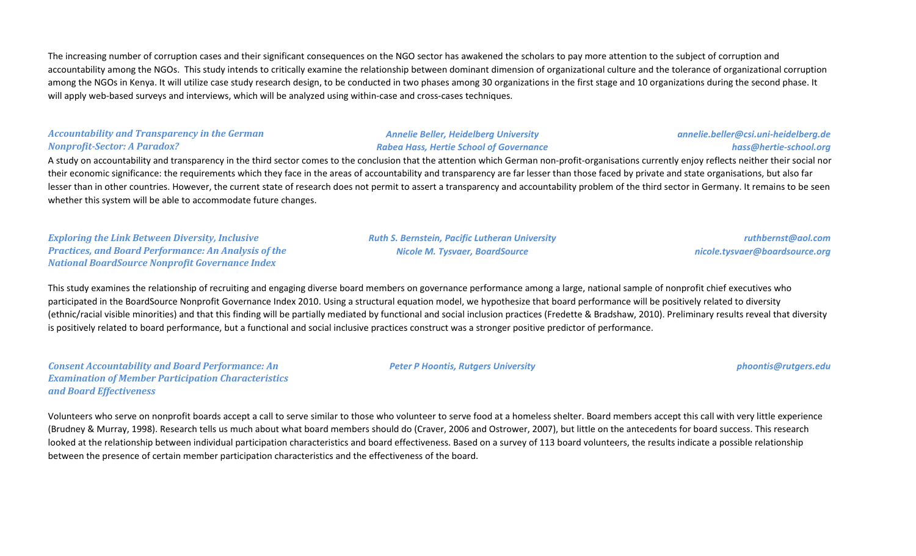The increasing number of corruption cases and their significant consequences on the NGO sector has awakened the scholars to pay more attention to the subject of corruption and accountability among the NGOs. This study intends to critically examine the relationship between dominant dimension of organizational culture and the tolerance of organizational corruption among the NGOs in Kenya. It will utilize case study research design, to be conducted in two phases among 30 organizations in the first stage and 10 organizations during the second phase. It will apply web-based surveys and interviews, which will be analyzed using within-case and cross-cases techniques.

#### *Accountability and Transparency in the German Nonprofit-Sector: A Paradox?*

#### *Annelie Beller, Heidelberg University Rabea Hass, Hertie School of Governance*

### *annelie.beller@csi.uni-heidelberg.de hass@hertie-school.org*

A study on accountability and transparency in the third sector comes to the conclusion that the attention which German non-profit-organisations currently enjoy reflects neither their social nor their economic significance: the requirements which they face in the areas of accountability and transparency are far lesser than those faced by private and state organisations, but also far lesser than in other countries. However, the current state of research does not permit to assert a transparency and accountability problem of the third sector in Germany. It remains to be seen whether this system will be able to accommodate future changes.

*Exploring the Link Between Diversity, Inclusive Practices, and Board Performance: An Analysis of the National BoardSource Nonprofit Governance Index*

*Ruth S. Bernstein, Pacific Lutheran University Nicole M. Tysvaer, BoardSource*

*ruthbernst@aol.com nicole.tysvaer@boardsource.org*

This study examines the relationship of recruiting and engaging diverse board members on governance performance among a large, national sample of nonprofit chief executives who participated in the BoardSource Nonprofit Governance Index 2010. Using a structural equation model, we hypothesize that board performance will be positively related to diversity (ethnic/racial visible minorities) and that this finding will be partially mediated by functional and social inclusion practices (Fredette & Bradshaw, 2010). Preliminary results reveal that diversity is positively related to board performance, but a functional and social inclusive practices construct was a stronger positive predictor of performance.

*Consent Accountability and Board Performance: An Examination of Member Participation Characteristics and Board Effectiveness*

*Peter P Hoontis, Rutgers University phoontis@rutgers.edu*

Volunteers who serve on nonprofit boards accept a call to serve similar to those who volunteer to serve food at a homeless shelter. Board members accept this call with very little experience (Brudney & Murray, 1998). Research tells us much about what board members should do (Craver, 2006 and Ostrower, 2007), but little on the antecedents for board success. This research looked at the relationship between individual participation characteristics and board effectiveness. Based on a survey of 113 board volunteers, the results indicate a possible relationship between the presence of certain member participation characteristics and the effectiveness of the board.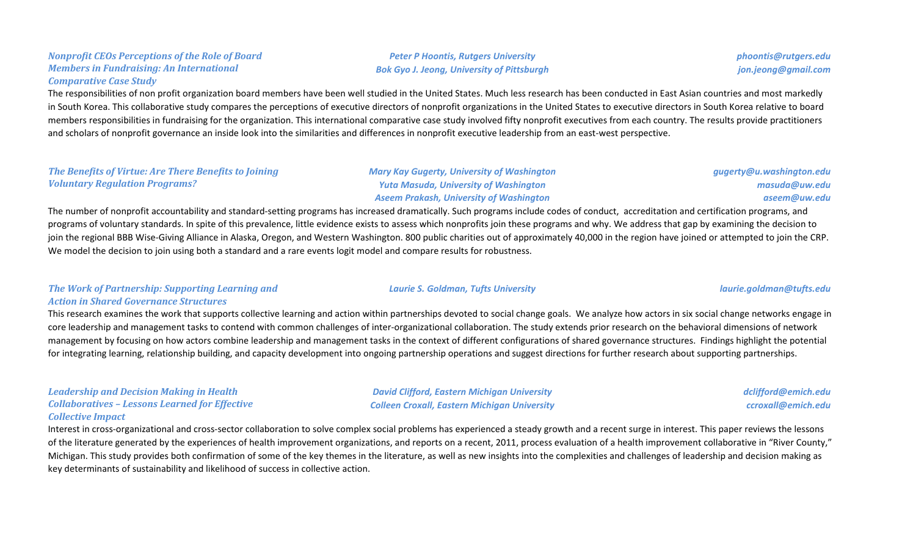#### *Nonprofit CEOs Perceptions of the Role of Board Members in Fundraising: An International Comparative Case Study*

The responsibilities of non profit organization board members have been well studied in the United States. Much less research has been conducted in East Asian countries and most markedly in South Korea. This collaborative study compares the perceptions of executive directors of nonprofit organizations in the United States to executive directors in South Korea relative to board members responsibilities in fundraising for the organization. This international comparative case study involved fifty nonprofit executives from each country. The results provide practitioners and scholars of nonprofit governance an inside look into the similarities and differences in nonprofit executive leadership from an east-west perspective.

#### *The Benefits of Virtue: Are There Benefits to Joining Voluntary Regulation Programs?*

*Mary Kay Gugerty, University of Washington Yuta Masuda, University of Washington Aseem Prakash, University of Washington*

*Peter P Hoontis, Rutgers University Bok Gyo J. Jeong, University of Pittsburgh*

The number of nonprofit accountability and standard-setting programs has increased dramatically. Such programs include codes of conduct, accreditation and certification programs, and programs of voluntary standards. In spite of this prevalence, little evidence exists to assess which nonprofits join these programs and why. We address that gap by examining the decision to join the regional BBB Wise-Giving Alliance in Alaska, Oregon, and Western Washington. 800 public charities out of approximately 40,000 in the region have joined or attempted to join the CRP. We model the decision to join using both a standard and a rare events logit model and compare results for robustness.

### *The Work of Partnership: Supporting Learning and Action in Shared Governance Structures*

This research examines the work that supports collective learning and action within partnerships devoted to social change goals. We analyze how actors in six social change networks engage in core leadership and management tasks to contend with common challenges of inter-organizational collaboration. The study extends prior research on the behavioral dimensions of network management by focusing on how actors combine leadership and management tasks in the context of different configurations of shared governance structures. Findings highlight the potential for integrating learning, relationship building, and capacity development into ongoing partnership operations and suggest directions for further research about supporting partnerships.

#### *Leadership and Decision Making in Health Collaboratives – Lessons Learned for Effective Collective Impact*

Interest in cross-organizational and cross-sector collaboration to solve complex social problems has experienced a steady growth and a recent surge in interest. This paper reviews the lessons of the literature generated by the experiences of health improvement organizations, and reports on a recent, 2011, process evaluation of a health improvement collaborative in "River County," Michigan. This study provides both confirmation of some of the key themes in the literature, as well as new insights into the complexities and challenges of leadership and decision making as key determinants of sustainability and likelihood of success in collective action.

*Laurie S. Goldman, Tufts University laurie.goldman@tufts.edu*

*masuda@uw.edu aseem@uw.edu*

*gugerty@u.washington.edu*

*phoontis@rutgers.edu jon.jeong@gmail.com*

*David Clifford, Eastern Michigan University*

*Colleen Croxall, Eastern Michigan University*

*dclifford@emich.edu ccroxall@emich.edu*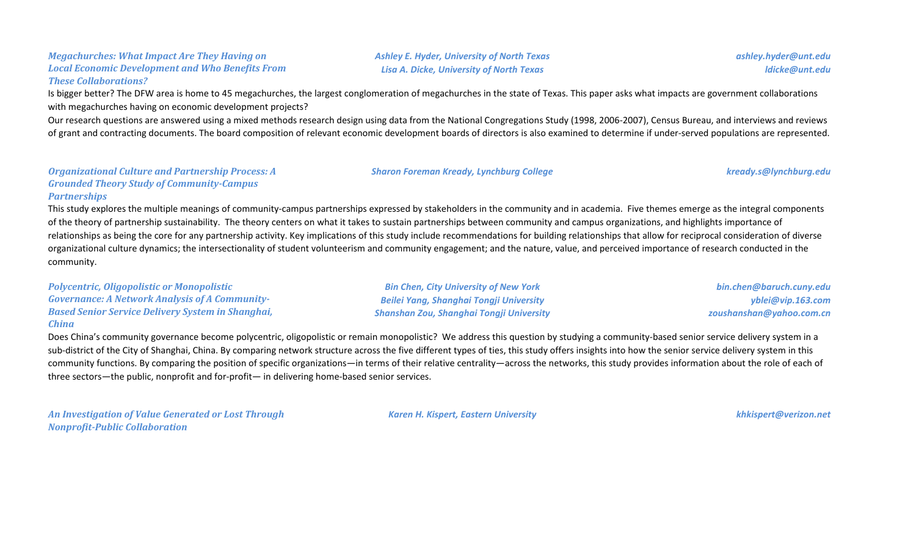#### *Megachurches: What Impact Are They Having on Local Economic Development and Who Benefits From These Collaborations?*

Is bigger better? The DFW area is home to 45 megachurches, the largest conglomeration of megachurches in the state of Texas. This paper asks what impacts are government collaborations with megachurches having on economic development projects?

Our research questions are answered using a mixed methods research design using data from the National Congregations Study (1998, 2006-2007), Census Bureau, and interviews and reviews of grant and contracting documents. The board composition of relevant economic development boards of directors is also examined to determine if under-served populations are represented.

#### *Organizational Culture and Partnership Process: A Grounded Theory Study of Community-Campus Partnerships*

This study explores the multiple meanings of community-campus partnerships expressed by stakeholders in the community and in academia. Five themes emerge as the integral components of the theory of partnership sustainability. The theory centers on what it takes to sustain partnerships between community and campus organizations, and highlights importance of relationships as being the core for any partnership activity. Key implications of this study include recommendations for building relationships that allow for reciprocal consideration of diverse organizational culture dynamics; the intersectionality of student volunteerism and community engagement; and the nature, value, and perceived importance of research conducted in the community.

| <b>Polycentric, Oligopolistic or Monopolistic</b>        | <b>Bin Chen, City University of New York</b>    | bin.chen@baruch.cuny.edu |
|----------------------------------------------------------|-------------------------------------------------|--------------------------|
| <b>Governance: A Network Analysis of A Community-</b>    | Beilei Yang, Shanghai Tongji University         | yblei@vip.163.com        |
| <b>Based Senior Service Delivery System in Shanghai,</b> | <b>Shanshan Zou, Shanghai Tongji University</b> | zoushanshan@yahoo.com.cn |
| China                                                    |                                                 |                          |

Does China's community governance become polycentric, oligopolistic or remain monopolistic? We address this question by studying a community-based senior service delivery system in a sub-district of the City of Shanghai, China. By comparing network structure across the five different types of ties, this study offers insights into how the senior service delivery system in this community functions. By comparing the position of specific organizations—in terms of their relative centrality—across the networks, this study provides information about the role of each of three sectors—the public, nonprofit and for-profit— in delivering home-based senior services.

*An Investigation of Value Generated or Lost Through Nonprofit-Public Collaboration*

*Karen H. Kispert, Eastern University khkispert@verizon.net*

*ashley.hyder@unt.edu ldicke@unt.edu*

*Sharon Foreman Kready, Lynchburg College kready.s@lynchburg.edu*

*Ashley E. Hyder, University of North Texas Lisa A. Dicke, University of North Texas*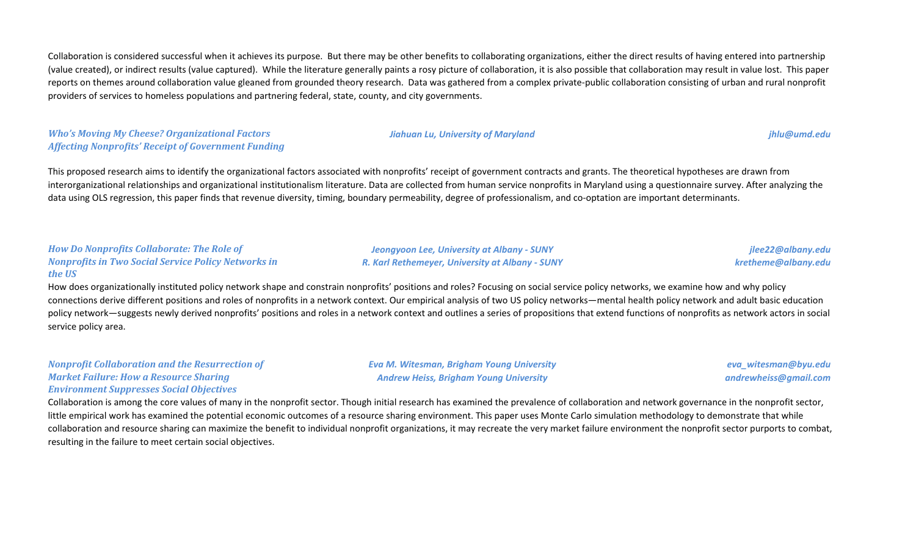Collaboration is considered successful when it achieves its purpose. But there may be other benefits to collaborating organizations, either the direct results of having entered into partnership (value created), or indirect results (value captured). While the literature generally paints a rosy picture of collaboration, it is also possible that collaboration may result in value lost. This paper reports on themes around collaboration value gleaned from grounded theory research. Data was gathered from a complex private-public collaboration consisting of urban and rural nonprofit providers of services to homeless populations and partnering federal, state, county, and city governments.

*Who's Moving My Cheese? Organizational Factors Affecting Nonprofits' Receipt of Government Funding*

This proposed research aims to identify the organizational factors associated with nonprofits' receipt of government contracts and grants. The theoretical hypotheses are drawn from interorganizational relationships and organizational institutionalism literature. Data are collected from human service nonprofits in Maryland using a questionnaire survey. After analyzing the data using OLS regression, this paper finds that revenue diversity, timing, boundary permeability, degree of professionalism, and co-optation are important determinants.

#### *How Do Nonprofits Collaborate: The Role of Nonprofits in Two Social Service Policy Networks in the US*

How does organizationally instituted policy network shape and constrain nonprofits' positions and roles? Focusing on social service policy networks, we examine how and why policy connections derive different positions and roles of nonprofits in a network context. Our empirical analysis of two US policy networks—mental health policy network and adult basic education policy network—suggests newly derived nonprofits' positions and roles in a network context and outlines a series of propositions that extend functions of nonprofits as network actors in social service policy area.

#### *Nonprofit Collaboration and the Resurrection of Market Failure: How a Resource Sharing Environment Suppresses Social Objectives*

*Eva M. Witesman, Brigham Young University Andrew Heiss, Brigham Young University*

*eva\_witesman@byu.edu andrewheiss@gmail.com*

Collaboration is among the core values of many in the nonprofit sector. Though initial research has examined the prevalence of collaboration and network governance in the nonprofit sector, little empirical work has examined the potential economic outcomes of a resource sharing environment. This paper uses Monte Carlo simulation methodology to demonstrate that while collaboration and resource sharing can maximize the benefit to individual nonprofit organizations, it may recreate the very market failure environment the nonprofit sector purports to combat, resulting in the failure to meet certain social objectives.

#### *Jiahuan Lu, University of Maryland jhlu@umd.edu*

*Jeongyoon Lee, University at Albany - SUNY R. Karl Rethemeyer, University at Albany - SUNY*

*jlee22@albany.edu kretheme@albany.edu*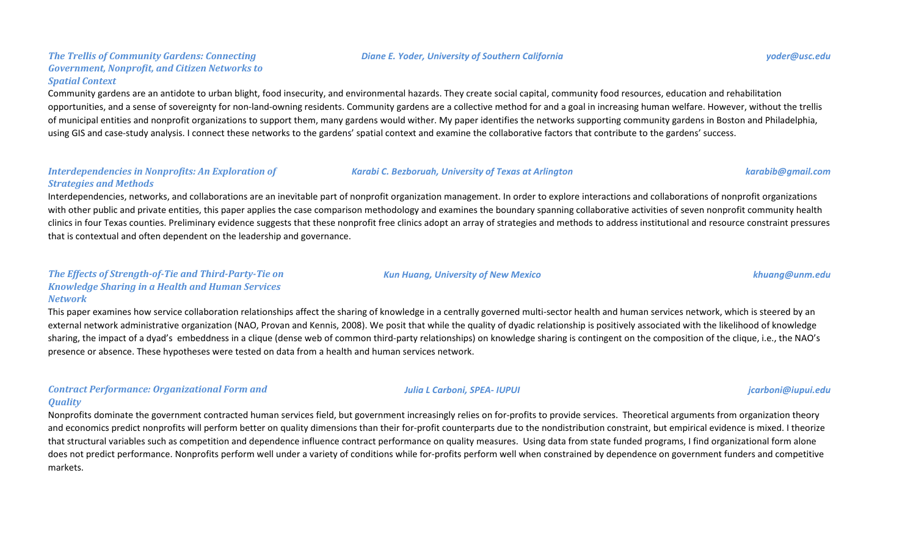#### *The Trellis of Community Gardens: Connecting Government, Nonprofit, and Citizen Networks to Spatial Context*

Community gardens are an antidote to urban blight, food insecurity, and environmental hazards. They create social capital, community food resources, education and rehabilitation opportunities, and a sense of sovereignty for non-land-owning residents. Community gardens are a collective method for and a goal in increasing human welfare. However, without the trellis of municipal entities and nonprofit organizations to support them, many gardens would wither. My paper identifies the networks supporting community gardens in Boston and Philadelphia, using GIS and case-study analysis. I connect these networks to the gardens' spatial context and examine the collaborative factors that contribute to the gardens' success.

#### *Interdependencies in Nonprofits: An Exploration of Strategies and Methods*

Interdependencies, networks, and collaborations are an inevitable part of nonprofit organization management. In order to explore interactions and collaborations of nonprofit organizations with other public and private entities, this paper applies the case comparison methodology and examines the boundary spanning collaborative activities of seven nonprofit community health clinics in four Texas counties. Preliminary evidence suggests that these nonprofit free clinics adopt an array of strategies and methods to address institutional and resource constraint pressures that is contextual and often dependent on the leadership and governance.

#### *The Effects of Strength-of-Tie and Third-Party-Tie on Knowledge Sharing in a Health and Human Services Network*

This paper examines how service collaboration relationships affect the sharing of knowledge in a centrally governed multi-sector health and human services network, which is steered by an external network administrative organization (NAO, Provan and Kennis, 2008). We posit that while the quality of dyadic relationship is positively associated with the likelihood of knowledge sharing, the impact of a dyad's embeddness in a clique (dense web of common third-party relationships) on knowledge sharing is contingent on the composition of the clique, i.e., the NAO's presence or absence. These hypotheses were tested on data from a health and human services network.

### *Contract Performance: Organizational Form and Quality*

Nonprofits dominate the government contracted human services field, but government increasingly relies on for-profits to provide services. Theoretical arguments from organization theory and economics predict nonprofits will perform better on quality dimensions than their for-profit counterparts due to the nondistribution constraint, but empirical evidence is mixed. I theorize that structural variables such as competition and dependence influence contract performance on quality measures. Using data from state funded programs, I find organizational form alone does not predict performance. Nonprofits perform well under a variety of conditions while for-profits perform well when constrained by dependence on government funders and competitive markets.

*Karabi C. Bezboruah, University of Texas at Arlington karabib@gmail.com*

*Kun Huang, University of New Mexico khuang@unm.edu*

#### *Julia L Carboni, SPEA- IUPUI jcarboni@iupui.edu*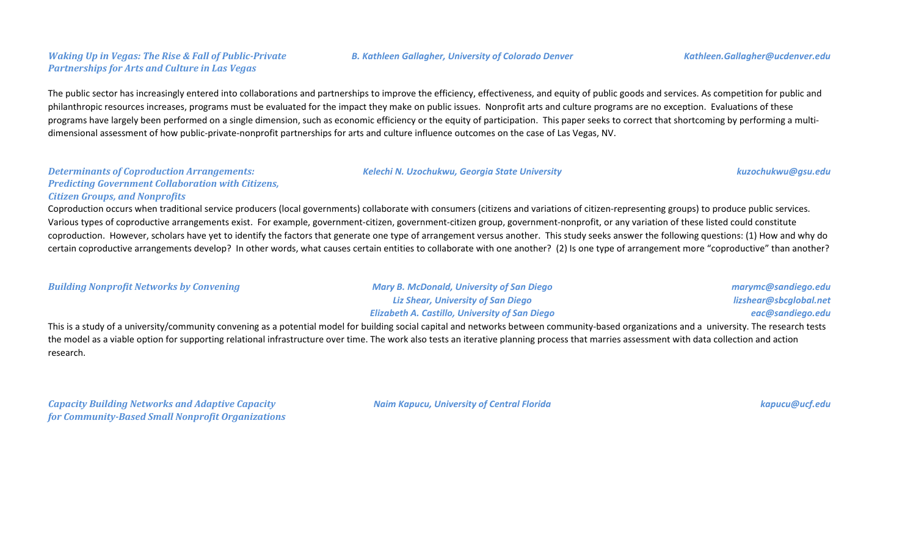### *Waking Up in Vegas: The Rise & Fall of Public-Private Partnerships for Arts and Culture in Las Vegas*

The public sector has increasingly entered into collaborations and partnerships to improve the efficiency, effectiveness, and equity of public goods and services. As competition for public and philanthropic resources increases, programs must be evaluated for the impact they make on public issues. Nonprofit arts and culture programs are no exception. Evaluations of these programs have largely been performed on a single dimension, such as economic efficiency or the equity of participation. This paper seeks to correct that shortcoming by performing a multidimensional assessment of how public-private-nonprofit partnerships for arts and culture influence outcomes on the case of Las Vegas, NV.

#### *Determinants of Coproduction Arrangements: Predicting Government Collaboration with Citizens, Citizen Groups, and Nonprofits*

Coproduction occurs when traditional service producers (local governments) collaborate with consumers (citizens and variations of citizen-representing groups) to produce public services. Various types of coproductive arrangements exist. For example, government-citizen, government-citizen group, government-nonprofit, or any variation of these listed could constitute coproduction. However, scholars have yet to identify the factors that generate one type of arrangement versus another. This study seeks answer the following questions: (1) How and why do certain coproductive arrangements develop? In other words, what causes certain entities to collaborate with one another? (2) Is one type of arrangement more "coproductive" than another?

*Building Nonprofit Networks by Convening Mary B. McDonald, University of San Diego*

*Liz Shear, University of San Diego Elizabeth A. Castillo, University of San Diego*

*Kelechi N. Uzochukwu, Georgia State University kuzochukwu@gsu.edu*

*marymc@sandiego.edu lizshear@sbcglobal.net eac@sandiego.edu*

This is a study of a university/community convening as a potential model for building social capital and networks between community-based organizations and a university. The research tests the model as a viable option for supporting relational infrastructure over time. The work also tests an iterative planning process that marries assessment with data collection and action research.

*Capacity Building Networks and Adaptive Capacity for Community-Based Small Nonprofit Organizations* *Naim Kapucu, University of Central Florida kapucu@ucf.edu*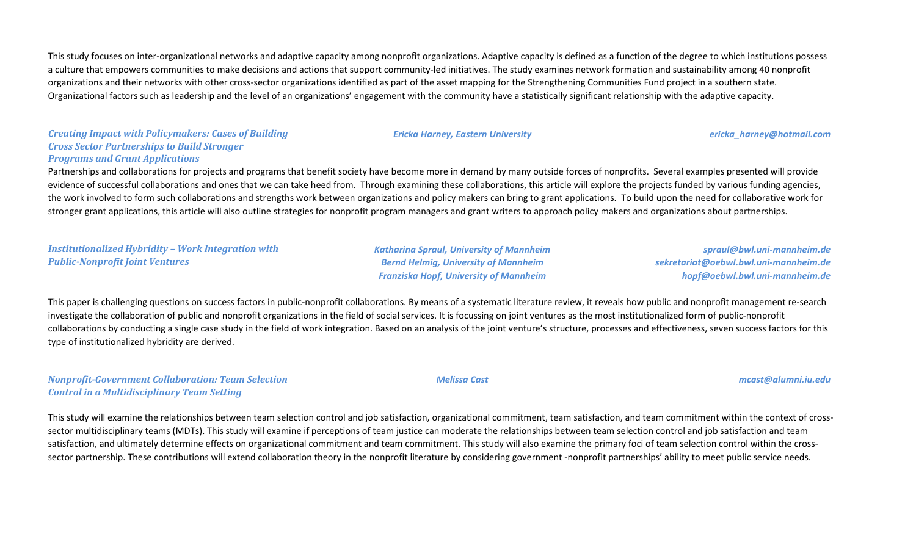This study focuses on inter-organizational networks and adaptive capacity among nonprofit organizations. Adaptive capacity is defined as a function of the degree to which institutions possess a culture that empowers communities to make decisions and actions that support community-led initiatives. The study examines network formation and sustainability among 40 nonprofit organizations and their networks with other cross-sector organizations identified as part of the asset mapping for the Strengthening Communities Fund project in a southern state. Organizational factors such as leadership and the level of an organizations' engagement with the community have a statistically significant relationship with the adaptive capacity.

### *Creating Impact with Policymakers: Cases of Building Cross Sector Partnerships to Build Stronger Programs and Grant Applications*

Partnerships and collaborations for projects and programs that benefit society have become more in demand by many outside forces of nonprofits. Several examples presented will provide evidence of successful collaborations and ones that we can take heed from. Through examining these collaborations, this article will explore the projects funded by various funding agencies, the work involved to form such collaborations and strengths work between organizations and policy makers can bring to grant applications. To build upon the need for collaborative work for stronger grant applications, this article will also outline strategies for nonprofit program managers and grant writers to approach policy makers and organizations about partnerships.

*Institutionalized Hybridity – Work Integration with Public-Nonprofit Joint Ventures*

*Katharina Spraul, University of Mannheim Bernd Helmig, University of Mannheim Franziska Hopf, University of Mannheim*

*spraul@bwl.uni-mannheim.de sekretariat@oebwl.bwl.uni-mannheim.de hopf@oebwl.bwl.uni-mannheim.de*

This paper is challenging questions on success factors in public-nonprofit collaborations. By means of a systematic literature review, it reveals how public and nonprofit management re-search investigate the collaboration of public and nonprofit organizations in the field of social services. It is focussing on joint ventures as the most institutionalized form of public-nonprofit collaborations by conducting a single case study in the field of work integration. Based on an analysis of the joint venture's structure, processes and effectiveness, seven success factors for this type of institutionalized hybridity are derived.

### *Nonprofit-Government Collaboration: Team Selection Control in a Multidisciplinary Team Setting*

This study will examine the relationships between team selection control and job satisfaction, organizational commitment, team satisfaction, and team commitment within the context of crosssector multidisciplinary teams (MDTs). This study will examine if perceptions of team justice can moderate the relationships between team selection control and job satisfaction and team satisfaction, and ultimately determine effects on organizational commitment and team commitment. This study will also examine the primary foci of team selection control within the crosssector partnership. These contributions will extend collaboration theory in the nonprofit literature by considering government -nonprofit partnerships' ability to meet public service needs.

#### *Ericka Harney, Eastern University ericka\_harney@hotmail.com*

#### *Melissa Cast mcast@alumni.iu.edu*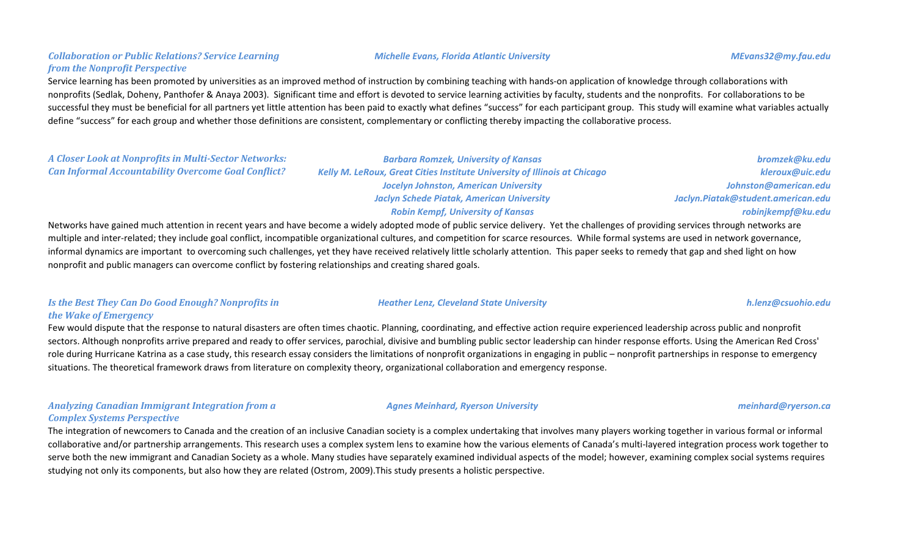### *Collaboration or Public Relations? Service Learning from the Nonprofit Perspective*

Service learning has been promoted by universities as an improved method of instruction by combining teaching with hands-on application of knowledge through collaborations with nonprofits (Sedlak, Doheny, Panthofer & Anaya 2003). Significant time and effort is devoted to service learning activities by faculty, students and the nonprofits. For collaborations to be successful they must be beneficial for all partners yet little attention has been paid to exactly what defines "success" for each participant group. This study will examine what variables actually define "success" for each group and whether those definitions are consistent, complementary or conflicting thereby impacting the collaborative process.

### *A Closer Look at Nonprofits in Multi-Sector Networks: Can Informal Accountability Overcome Goal Conflict?*

*Barbara Romzek, University of Kansas Kelly M. LeRoux, Great Cities Institute University of Illinois at Chicago Jocelyn Johnston, American University Jaclyn Schede Piatak, American University Robin Kempf, University of Kansas*

Networks have gained much attention in recent years and have become a widely adopted mode of public service delivery. Yet the challenges of providing services through networks are multiple and inter-related; they include goal conflict, incompatible organizational cultures, and competition for scarce resources. While formal systems are used in network governance, informal dynamics are important to overcoming such challenges, yet they have received relatively little scholarly attention. This paper seeks to remedy that gap and shed light on how nonprofit and public managers can overcome conflict by fostering relationships and creating shared goals.

### *Is the Best They Can Do Good Enough? Nonprofits in the Wake of Emergency*

Few would dispute that the response to natural disasters are often times chaotic. Planning, coordinating, and effective action require experienced leadership across public and nonprofit sectors. Although nonprofits arrive prepared and ready to offer services, parochial, divisive and bumbling public sector leadership can hinder response efforts. Using the American Red Cross' role during Hurricane Katrina as a case study, this research essay considers the limitations of nonprofit organizations in engaging in public – nonprofit partnerships in response to emergency situations. The theoretical framework draws from literature on complexity theory, organizational collaboration and emergency response.

#### *Analyzing Canadian Immigrant Integration from a Complex Systems Perspective*

The integration of newcomers to Canada and the creation of an inclusive Canadian society is a complex undertaking that involves many players working together in various formal or informal collaborative and/or partnership arrangements. This research uses a complex system lens to examine how the various elements of Canada's multi-layered integration process work together to serve both the new immigrant and Canadian Society as a whole. Many studies have separately examined individual aspects of the model; however, examining complex social systems requires studying not only its components, but also how they are related (Ostrom, 2009).This study presents a holistic perspective.

*Heather Lenz, Cleveland State University h.lenz@csuohio.edu*

#### *Agnes Meinhard, Ryerson University meinhard@ryerson.ca*

#### *Michelle Evans, Florida Atlantic University MEvans32@my.fau.edu*

*bromzek@ku.edu kleroux@uic.edu Johnston@american.edu Jaclyn.Piatak@student.american.edu robinjkempf@ku.edu*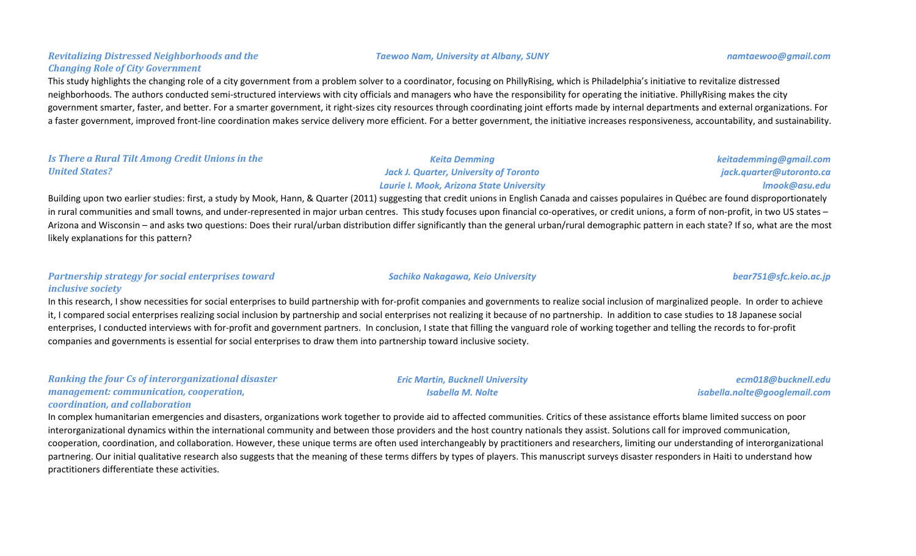#### *Taewoo Nam, University at Albany, SUNY namtaewoo@gmail.com*

#### *Revitalizing Distressed Neighborhoods and the Changing Role of City Government*

This study highlights the changing role of a city government from a problem solver to a coordinator, focusing on PhillyRising, which is Philadelphia's initiative to revitalize distressed neighborhoods. The authors conducted semi-structured interviews with city officials and managers who have the responsibility for operating the initiative. PhillyRising makes the city government smarter, faster, and better. For a smarter government, it right-sizes city resources through coordinating joint efforts made by internal departments and external organizations. For a faster government, improved front-line coordination makes service delivery more efficient. For a better government, the initiative increases responsiveness, accountability, and sustainability.

#### *Is There a Rural Tilt Among Credit Unions in the United States?*

### *Jack J. Quarter, University of Toronto Laurie I. Mook, Arizona State University*

*Keita Demming*

Building upon two earlier studies: first, a study by Mook, Hann, & Quarter (2011) suggesting that credit unions in English Canada and caisses populaires in Québec are found disproportionately in rural communities and small towns, and under-represented in major urban centres. This study focuses upon financial co-operatives, or credit unions, a form of non-profit, in two US states – Arizona and Wisconsin – and asks two questions: Does their rural/urban distribution differ significantly than the general urban/rural demographic pattern in each state? If so, what are the most likely explanations for this pattern?

#### *Partnership strategy for social enterprises toward inclusive society*

In this research, I show necessities for social enterprises to build partnership with for-profit companies and governments to realize social inclusion of marginalized people. In order to achieve it, I compared social enterprises realizing social inclusion by partnership and social enterprises not realizing it because of no partnership. In addition to case studies to 18 Japanese social enterprises, I conducted interviews with for-profit and government partners. In conclusion, I state that filling the vanguard role of working together and telling the records to for-profit companies and governments is essential for social enterprises to draw them into partnership toward inclusive society.

*Ranking the four Cs of interorganizational disaster management: communication, cooperation, coordination, and collaboration*

In complex humanitarian emergencies and disasters, organizations work together to provide aid to affected communities. Critics of these assistance efforts blame limited success on poor interorganizational dynamics within the international community and between those providers and the host country nationals they assist. Solutions call for improved communication, cooperation, coordination, and collaboration. However, these unique terms are often used interchangeably by practitioners and researchers, limiting our understanding of interorganizational partnering. Our initial qualitative research also suggests that the meaning of these terms differs by types of players. This manuscript surveys disaster responders in Haiti to understand how practitioners differentiate these activities.

*Isabella M. Nolte*

*keitademming@gmail.com jack.quarter@utoronto.ca lmook@asu.edu*

*Sachiko Nakagawa, Keio University bear751@sfc.keio.ac.jp*

# *Eric Martin, Bucknell University*

*ecm018@bucknell.edu isabella.nolte@googlemail.com*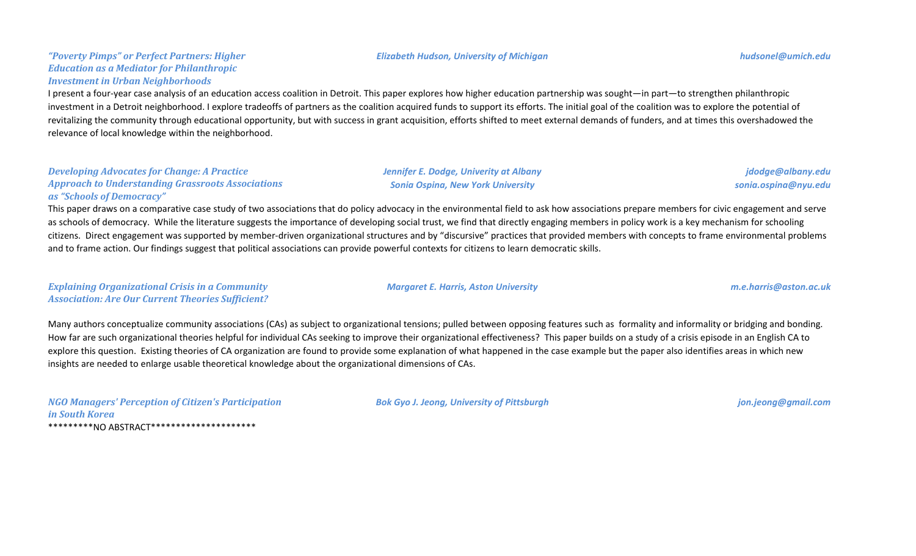#### *"Poverty Pimps" or Perfect Partners: Higher Education as a Mediator for Philanthropic Investment in Urban Neighborhoods*

### I present a four-year case analysis of an education access coalition in Detroit. This paper explores how higher education partnership was sought—in part—to strengthen philanthropic investment in a Detroit neighborhood. I explore tradeoffs of partners as the coalition acquired funds to support its efforts. The initial goal of the coalition was to explore the potential of revitalizing the community through educational opportunity, but with success in grant acquisition, efforts shifted to meet external demands of funders, and at times this overshadowed the relevance of local knowledge within the neighborhood.

#### *Developing Advocates for Change: A Practice Approach to Understanding Grassroots Associations as "Schools of Democracy"*

This paper draws on a comparative case study of two associations that do policy advocacy in the environmental field to ask how associations prepare members for civic engagement and serve as schools of democracy. While the literature suggests the importance of developing social trust, we find that directly engaging members in policy work is a key mechanism for schooling citizens. Direct engagement was supported by member-driven organizational structures and by "discursive" practices that provided members with concepts to frame environmental problems and to frame action. Our findings suggest that political associations can provide powerful contexts for citizens to learn democratic skills.

*Explaining Organizational Crisis in a Community Association: Are Our Current Theories Sufficient?*

Many authors conceptualize community associations (CAs) as subject to organizational tensions; pulled between opposing features such as formality and informality or bridging and bonding. How far are such organizational theories helpful for individual CAs seeking to improve their organizational effectiveness? This paper builds on a study of a crisis episode in an English CA to explore this question. Existing theories of CA organization are found to provide some explanation of what happened in the case example but the paper also identifies areas in which new insights are needed to enlarge usable theoretical knowledge about the organizational dimensions of CAs.

*NGO Managers' Perception of Citizen's Participation in South Korea* \*\*\*\*\*\*\*\*\*NO ABSTRACT\*\*\*\*\*\*\*\*\*\*\*\*\*\*\*\*\*\*\*\*\*

*Bok Gyo J. Jeong, University of Pittsburgh jon.jeong@gmail.com*

#### *Elizabeth Hudson, University of Michigan hudsonel@umich.edu*

*jdodge@albany.edu sonia.ospina@nyu.edu*

*Margaret E. Harris, Aston University m.e.harris@aston.ac.uk*

*Jennifer E. Dodge, Univerity at Albany Sonia Ospina, New York University*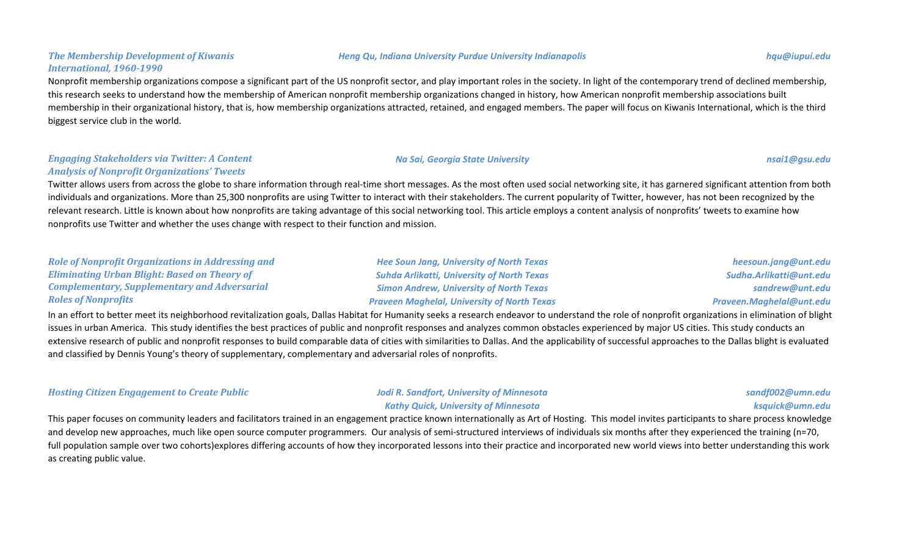### *The Membership Development of Kiwanis International, 1960-1990*

### Nonprofit membership organizations compose a significant part of the US nonprofit sector, and play important roles in the society. In light of the contemporary trend of declined membership, this research seeks to understand how the membership of American nonprofit membership organizations changed in history, how American nonprofit membership associations built membership in their organizational history, that is, how membership organizations attracted, retained, and engaged members. The paper will focus on Kiwanis International, which is the third biggest service club in the world.

#### *Engaging Stakeholders via Twitter: A Content Analysis of Nonprofit Organizations' Tweets*

Twitter allows users from across the globe to share information through real-time short messages. As the most often used social networking site, it has garnered significant attention from both individuals and organizations. More than 25,300 nonprofits are using Twitter to interact with their stakeholders. The current popularity of Twitter, however, has not been recognized by the relevant research. Little is known about how nonprofits are taking advantage of this social networking tool. This article employs a content analysis of nonprofits' tweets to examine how nonprofits use Twitter and whether the uses change with respect to their function and mission.

| <b>Role of Nonprofit Organizations in Addressing and</b>                                                                                                                                            | <b>Hee Soun Jang, University of North Texas</b>    | heesoun.jang@unt.edu     |  |
|-----------------------------------------------------------------------------------------------------------------------------------------------------------------------------------------------------|----------------------------------------------------|--------------------------|--|
| <b>Eliminating Urban Blight: Based on Theory of</b>                                                                                                                                                 | <b>Suhda Arlikatti, University of North Texas</b>  | Sudha.Arlikatti@unt.edu  |  |
| <b>Complementary, Supplementary and Adversarial</b>                                                                                                                                                 | <b>Simon Andrew, University of North Texas</b>     | sandrew@unt.edu          |  |
| <b>Roles of Nonprofits</b>                                                                                                                                                                          | <b>Praveen Maghelal, University of North Texas</b> | Praveen.Maghelal@unt.edu |  |
| In an effort to better meet its neighborhood revitalization goals, Dallas Habitat for Humanity seeks a research endeavor to understand the role of nonprofit organizations in elimination of blight |                                                    |                          |  |
| issues in urban America. This study identifies the best practices of public and nonprofit responses and analyzes common obstacles experienced by major US cities. This study conducts an            |                                                    |                          |  |

extensive research of public and nonprofit responses to build comparable data of cities with similarities to Dallas. And the applicability of successful approaches to the Dallas blight is evaluated and classified by Dennis Young's theory of supplementary, complementary and adversarial roles of nonprofits.

*Hosting Citizen Engagement to Create Public Jodi R. Sandfort, University of Minnesota*

*Kathy Quick, University of Minnesota*

*sandf002@umn.edu ksquick@umn.edu*

This paper focuses on community leaders and facilitators trained in an engagement practice known internationally as Art of Hosting. This model invites participants to share process knowledge and develop new approaches, much like open source computer programmers. Our analysis of semi-structured interviews of individuals six months after they experienced the training (n=70, full population sample over two cohorts)explores differing accounts of how they incorporated lessons into their practice and incorporated new world views into better understanding this work as creating public value.

#### *Heng Qu, Indiana University Purdue University Indianapolis hqu@iupui.edu*

*Na Sai, Georgia State University nsai1@gsu.edu*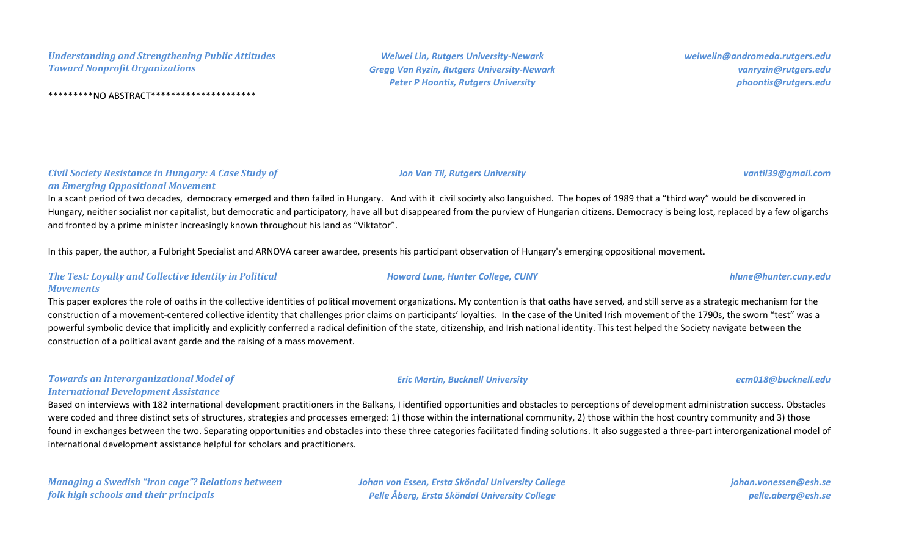*Understanding and Strengthening Public Attitudes Toward Nonprofit Organizations*

\*\*\*\*\*\*\*\*\*NO ABSTRACT\*\*\*\*\*\*\*\*\*\*\*\*\*\*\*\*\*\*\*\*\*

*Weiwei Lin, Rutgers University-Newark Gregg Van Ryzin, Rutgers University-Newark Peter P Hoontis, Rutgers University*

*weiwelin@andromeda.rutgers.edu vanryzin@rutgers.edu phoontis@rutgers.edu*

*Jon Van Til, Rutgers University vantil39@gmail.com*

*an Emerging Oppositional Movement*

*Civil Society Resistance in Hungary: A Case Study of* 

In a scant period of two decades, democracy emerged and then failed in Hungary. And with it civil society also languished. The hopes of 1989 that a "third way" would be discovered in Hungary, neither socialist nor capitalist, but democratic and participatory, have all but disappeared from the purview of Hungarian citizens. Democracy is being lost, replaced by a few oligarchs and fronted by a prime minister increasingly known throughout his land as "Viktator".

In this paper, the author, a Fulbright Specialist and ARNOVA career awardee, presents his participant observation of Hungary's emerging oppositional movement.

#### *The Test: Loyalty and Collective Identity in Political Movements*

This paper explores the role of oaths in the collective identities of political movement organizations. My contention is that oaths have served, and still serve as a strategic mechanism for the construction of a movement-centered collective identity that challenges prior claims on participants' loyalties. In the case of the United Irish movement of the 1790s, the sworn "test" was a powerful symbolic device that implicitly and explicitly conferred a radical definition of the state, citizenship, and Irish national identity. This test helped the Society navigate between the construction of a political avant garde and the raising of a mass movement.

#### *Towards an Interorganizational Model of International Development Assistance*

Based on interviews with 182 international development practitioners in the Balkans, I identified opportunities and obstacles to perceptions of development administration success. Obstacles were coded and three distinct sets of structures, strategies and processes emerged: 1) those within the international community, 2) those within the host country community and 3) those found in exchanges between the two. Separating opportunities and obstacles into these three categories facilitated finding solutions. It also suggested a three-part interorganizational model of international development assistance helpful for scholars and practitioners.

*Managing a Swedish "iron cage"? Relations between folk high schools and their principals*

*Johan von Essen, Ersta Sköndal University College Pelle Åberg, Ersta Sköndal University College*

*johan.vonessen@esh.se pelle.aberg@esh.se*

#### *Howard Lune, Hunter College, CUNY hlune@hunter.cuny.edu*

### *Eric Martin, Bucknell University ecm018@bucknell.edu*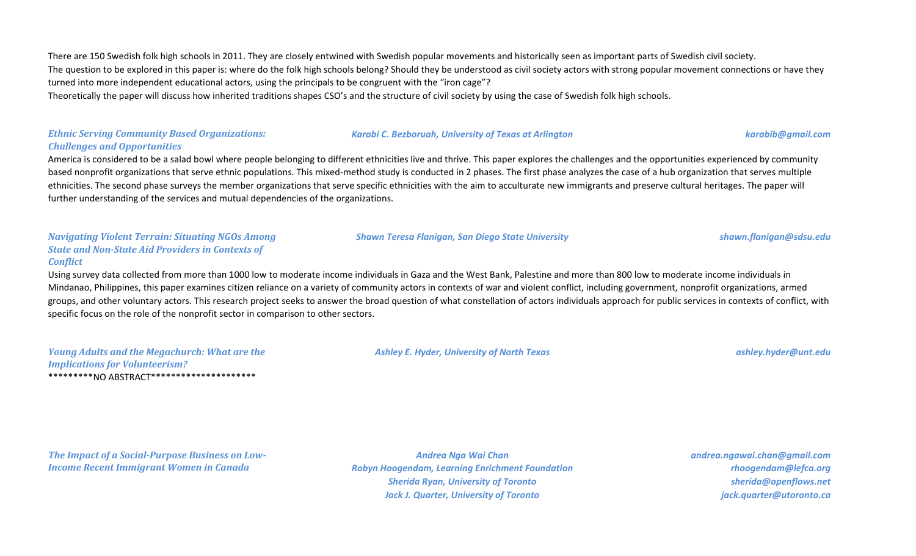There are 150 Swedish folk high schools in 2011. They are closely entwined with Swedish popular movements and historically seen as important parts of Swedish civil society. The question to be explored in this paper is: where do the folk high schools belong? Should they be understood as civil society actors with strong popular movement connections or have they turned into more independent educational actors, using the principals to be congruent with the "iron cage"?

Theoretically the paper will discuss how inherited traditions shapes CSO's and the structure of civil society by using the case of Swedish folk high schools.

#### *Ethnic Serving Community Based Organizations: Challenges and Opportunities*

America is considered to be a salad bowl where people belonging to different ethnicities live and thrive. This paper explores the challenges and the opportunities experienced by community based nonprofit organizations that serve ethnic populations. This mixed-method study is conducted in 2 phases. The first phase analyzes the case of a hub organization that serves multiple ethnicities. The second phase surveys the member organizations that serve specific ethnicities with the aim to acculturate new immigrants and preserve cultural heritages. The paper will further understanding of the services and mutual dependencies of the organizations.

#### *Navigating Violent Terrain: Situating NGOs Among State and Non-State Aid Providers in Contexts of Conflict*

Using survey data collected from more than 1000 low to moderate income individuals in Gaza and the West Bank, Palestine and more than 800 low to moderate income individuals in Mindanao, Philippines, this paper examines citizen reliance on a variety of community actors in contexts of war and violent conflict, including government, nonprofit organizations, armed groups, and other voluntary actors. This research project seeks to answer the broad question of what constellation of actors individuals approach for public services in contexts of conflict, with specific focus on the role of the nonprofit sector in comparison to other sectors.

| <b>Young Adults and the Megachurch: What are the</b> |  |
|------------------------------------------------------|--|
| <b>Implications for Volunteerism?</b>                |  |
|                                                      |  |

*Ashley E. Hyder, University of North Texas ashley.hyder@unt.edu*

*The Impact of a Social-Purpose Business on Low-Income Recent Immigrant Women in Canada*

*Andrea Nga Wai Chan Robyn Hoogendam, Learning Enrichment Foundation Sherida Ryan, University of Toronto Jack J. Quarter, University of Toronto*

*andrea.ngawai.chan@gmail.com rhoogendam@lefca.org sherida@openflows.net jack.quarter@utoronto.ca*

*Shawn Teresa Flanigan, San Diego State University shawn.flanigan@sdsu.edu*

*Karabi C. Bezboruah, University of Texas at Arlington karabib@gmail.com*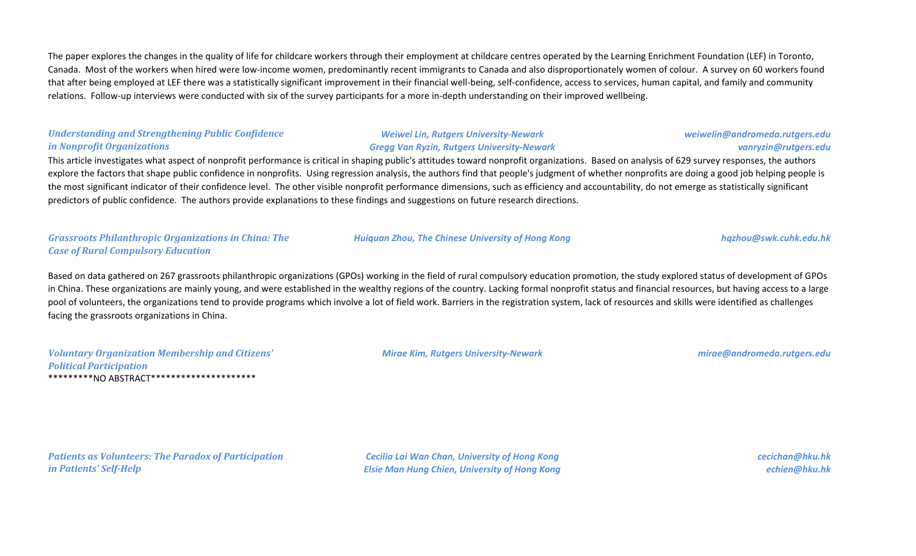The paper explores the changes in the quality of life for childcare workers through their employment at childcare centres operated by the Learning Enrichment Foundation (LEF) in Toronto, Canada. Most of the workers when hired were low-income women, predominantly recent immigrants to Canada and also disproportionately women of colour. A survey on 60 workers found that after being employed at LEF there was a statistically significant improvement in their financial well-being, self-confidence, access to services, human capital, and family and community relations. Follow-up interviews were conducted with six of the survey participants for a more in-depth understanding on their improved wellbeing.

#### *Understanding and Strengthening Public Confidence in Nonprofit Organizations*

#### *Weiwei Lin, Rutgers University-Newark Gregg Van Ryzin, Rutgers University-Newark*

## *weiwelin@andromeda.rutgers.edu vanryzin@rutgers.edu*

This article investigates what aspect of nonprofit performance is critical in shaping public's attitudes toward nonprofit organizations. Based on analysis of 629 survey responses, the authors explore the factors that shape public confidence in nonprofits. Using regression analysis, the authors find that people's judgment of whether nonprofits are doing a good job helping people is the most significant indicator of their confidence level. The other visible nonprofit performance dimensions, such as efficiency and accountability, do not emerge as statistically significant predictors of public confidence. The authors provide explanations to these findings and suggestions on future research directions.

### *Grassroots Philanthropic Organizations in China: The Case of Rural Compulsory Education*

#### *Huiquan Zhou, The Chinese University of Hong Kong hqzhou@swk.cuhk.edu.hk*

Based on data gathered on 267 grassroots philanthropic organizations (GPOs) working in the field of rural compulsory education promotion, the study explored status of development of GPOs in China. These organizations are mainly young, and were established in the wealthy regions of the country. Lacking formal nonprofit status and financial resources, but having access to a large pool of volunteers, the organizations tend to provide programs which involve a lot of field work. Barriers in the registration system, lack of resources and skills were identified as challenges facing the grassroots organizations in China.

| <b>Voluntary Organization Membership and Citizens'</b> |
|--------------------------------------------------------|
| <b>Political Participation</b>                         |
| **********NO ABSTRACT**********************            |

*Mirae Kim, Rutgers University-Newark mirae@andromeda.rutgers.edu*

*Patients as Volunteers: The Paradox of Participation in Patients' Self-Help*

*Cecilia Lai Wan Chan, University of Hong Kong Elsie Man Hung Chien, University of Hong Kong* *cecichan@hku.hk echien@hku.hk*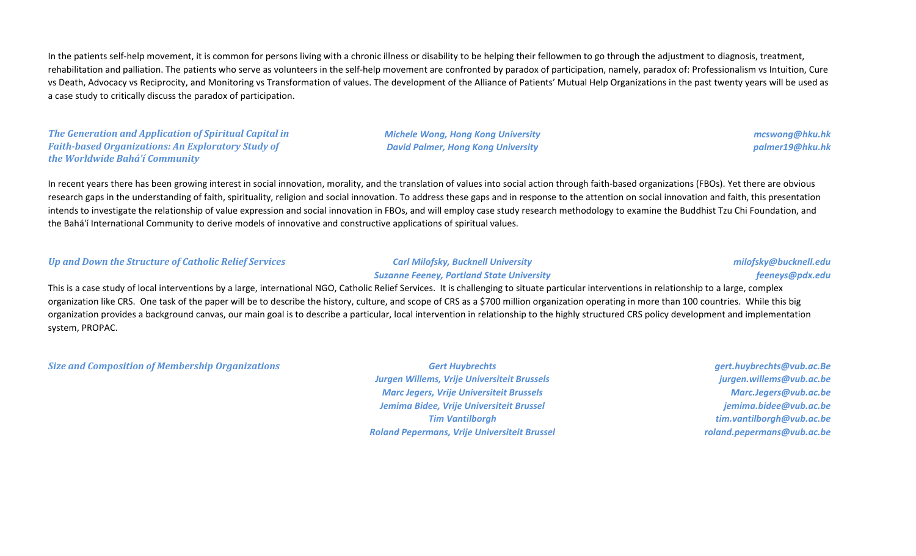In the patients self-help movement, it is common for persons living with a chronic illness or disability to be helping their fellowmen to go through the adjustment to diagnosis, treatment, rehabilitation and palliation. The patients who serve as volunteers in the self-help movement are confronted by paradox of participation, namely, paradox of: Professionalism vs Intuition, Cure vs Death, Advocacy vs Reciprocity, and Monitoring vs Transformation of values. The development of the Alliance of Patients' Mutual Help Organizations in the past twenty years will be used as a case study to critically discuss the paradox of participation.

*The Generation and Application of Spiritual Capital in Faith-based Organizations: An Exploratory Study of the Worldwide Bahá'í Community*

*Michele Wong, Hong Kong University David Palmer, Hong Kong University*

*mcswong@hku.hk palmer19@hku.hk*

In recent years there has been growing interest in social innovation, morality, and the translation of values into social action through faith-based organizations (FBOs). Yet there are obvious research gaps in the understanding of faith, spirituality, religion and social innovation. To address these gaps and in response to the attention on social innovation and faith, this presentation intends to investigate the relationship of value expression and social innovation in FBOs, and will employ case study research methodology to examine the Buddhist Tzu Chi Foundation, and the Bahá'í International Community to derive models of innovative and constructive applications of spiritual values.

#### *Up and Down the Structure of Catholic Relief Services Carl Milofsky, Bucknell University*

# *Suzanne Feeney, Portland State University*

*milofsky@bucknell.edu feeneys@pdx.edu*

This is a case study of local interventions by a large, international NGO, Catholic Relief Services. It is challenging to situate particular interventions in relationship to a large, complex organization like CRS. One task of the paper will be to describe the history, culture, and scope of CRS as a \$700 million organization operating in more than 100 countries. While this big organization provides a background canvas, our main goal is to describe a particular, local intervention in relationship to the highly structured CRS policy development and implementation system, PROPAC.

*Size and Composition of Membership Organizations Gert Huybrechts*

*Jurgen Willems, Vrije Universiteit Brussels Marc Jegers, Vrije Universiteit Brussels Jemima Bidee, Vrije Universiteit Brussel Tim Vantilborgh Roland Pepermans, Vrije Universiteit Brussel*

*gert.huybrechts@vub.ac.Be jurgen.willems@vub.ac.be Marc.Jegers@vub.ac.be jemima.bidee@vub.ac.be tim.vantilborgh@vub.ac.be roland.pepermans@vub.ac.be*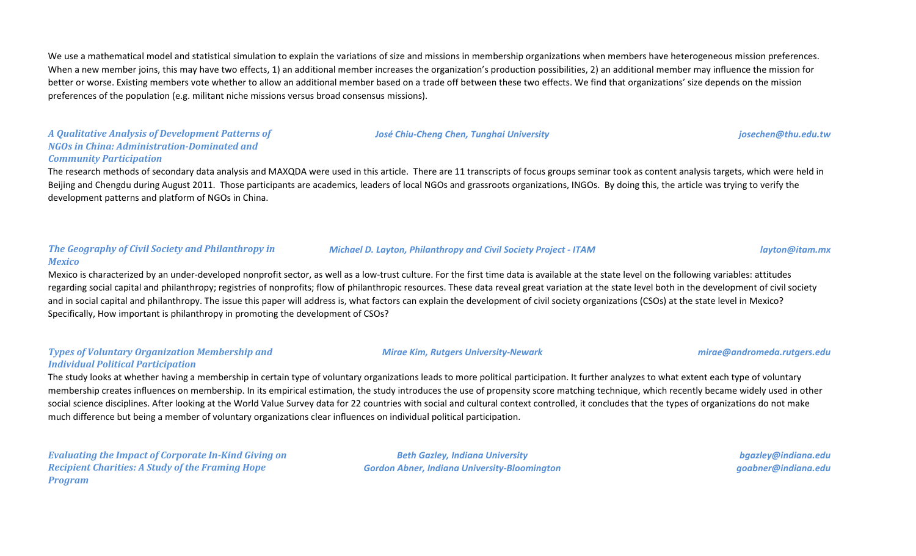We use a mathematical model and statistical simulation to explain the variations of size and missions in membership organizations when members have heterogeneous mission preferences. When a new member joins, this may have two effects, 1) an additional member increases the organization's production possibilities, 2) an additional member may influence the mission for better or worse. Existing members vote whether to allow an additional member based on a trade off between these two effects. We find that organizations' size depends on the mission preferences of the population (e.g. militant niche missions versus broad consensus missions).

### *A Qualitative Analysis of Development Patterns of NGOs in China: Administration-Dominated and Community Participation*

The research methods of secondary data analysis and MAXQDA were used in this article. There are 11 transcripts of focus groups seminar took as content analysis targets, which were held in Beijing and Chengdu during August 2011. Those participants are academics, leaders of local NGOs and grassroots organizations, INGOs. By doing this, the article was trying to verify the development patterns and platform of NGOs in China.

#### *The Geography of Civil Society and Philanthropy in Mexico*

Mexico is characterized by an under-developed nonprofit sector, as well as a low-trust culture. For the first time data is available at the state level on the following variables: attitudes regarding social capital and philanthropy; registries of nonprofits; flow of philanthropic resources. These data reveal great variation at the state level both in the development of civil society and in social capital and philanthropy. The issue this paper will address is, what factors can explain the development of civil society organizations (CSOs) at the state level in Mexico? Specifically, How important is philanthropy in promoting the development of CSOs?

### *Types of Voluntary Organization Membership and Individual Political Participation*

The study looks at whether having a membership in certain type of voluntary organizations leads to more political participation. It further analyzes to what extent each type of voluntary membership creates influences on membership. In its empirical estimation, the study introduces the use of propensity score matching technique, which recently became widely used in other social science disciplines. After looking at the World Value Survey data for 22 countries with social and cultural context controlled, it concludes that the types of organizations do not make much difference but being a member of voluntary organizations clear influences on individual political participation.

*Evaluating the Impact of Corporate In-Kind Giving on Recipient Charities: A Study of the Framing Hope Program*

*Beth Gazley, Indiana University Gordon Abner, Indiana University-Bloomington*

*bgazley@indiana.edu goabner@indiana.edu*

### *Michael D. Layton, Philanthropy and Civil Society Project - ITAM layton@itam.mx*

*Mirae Kim, Rutgers University-Newark mirae@andromeda.rutgers.edu*

*José Chiu-Cheng Chen, Tunghai University josechen@thu.edu.tw*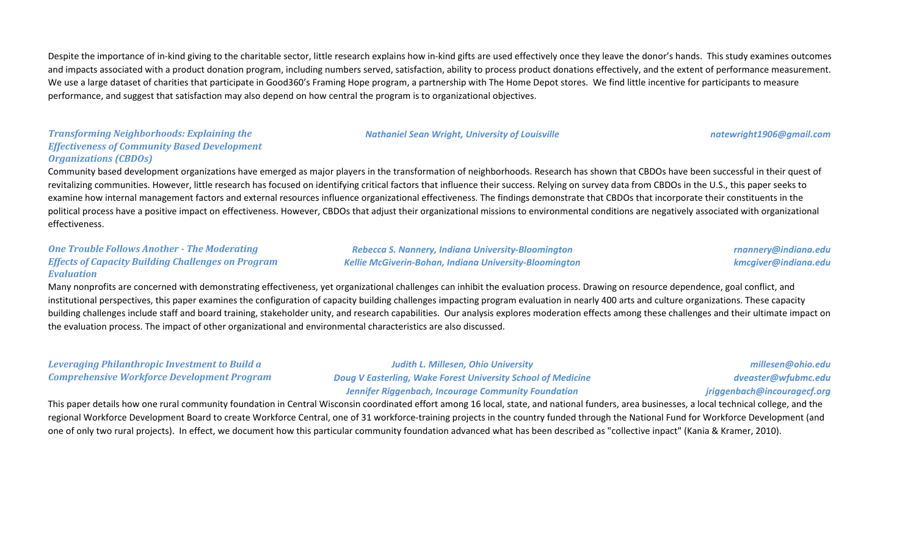Despite the importance of in-kind giving to the charitable sector, little research explains how in-kind gifts are used effectively once they leave the donor's hands. This study examines outcomes and impacts associated with a product donation program, including numbers served, satisfaction, ability to process product donations effectively, and the extent of performance measurement. We use a large dataset of charities that participate in Good360's Framing Hope program, a partnership with The Home Depot stores. We find little incentive for participants to measure performance, and suggest that satisfaction may also depend on how central the program is to organizational objectives.

### *Transforming Neighborhoods: Explaining the Effectiveness of Community Based Development Organizations (CBDOs)*

Community based development organizations have emerged as major players in the transformation of neighborhoods. Research has shown that CBDOs have been successful in their quest of revitalizing communities. However, little research has focused on identifying critical factors that influence their success. Relying on survey data from CBDOs in the U.S., this paper seeks to examine how internal management factors and external resources influence organizational effectiveness. The findings demonstrate that CBDOs that incorporate their constituents in the political process have a positive impact on effectiveness. However, CBDOs that adjust their organizational missions to environmental conditions are negatively associated with organizational effectiveness.

#### *One Trouble Follows Another - The Moderating Effects of Capacity Building Challenges on Program Evaluation*

*Rebecca S. Nannery, Indiana University-Bloomington Kellie McGiverin-Bohan, Indiana University-Bloomington*

*Nathaniel Sean Wright, University of Louisville natewright1906@gmail.com*

*rnannery@indiana.edu kmcgiver@indiana.edu*

Many nonprofits are concerned with demonstrating effectiveness, yet organizational challenges can inhibit the evaluation process. Drawing on resource dependence, goal conflict, and institutional perspectives, this paper examines the configuration of capacity building challenges impacting program evaluation in nearly 400 arts and culture organizations. These capacity building challenges include staff and board training, stakeholder unity, and research capabilities. Our analysis explores moderation effects among these challenges and their ultimate impact on the evaluation process. The impact of other organizational and environmental characteristics are also discussed.

*Leveraging Philanthropic Investment to Build a Comprehensive Workforce Development Program Judith L. Millesen, Ohio University Doug V Easterling, Wake Forest University School of Medicine Jennifer Riggenbach, Incourage Community Foundation millesen@ohio.edu dveaster@wfubmc.edu jriggenbach@incouragecf.org*

This paper details how one rural community foundation in Central Wisconsin coordinated effort among 16 local, state, and national funders, area businesses, a local technical college, and the regional Workforce Development Board to create Workforce Central, one of 31 workforce-training projects in the country funded through the National Fund for Workforce Development (and one of only two rural projects). In effect, we document how this particular community foundation advanced what has been described as "collective inpact" (Kania & Kramer, 2010).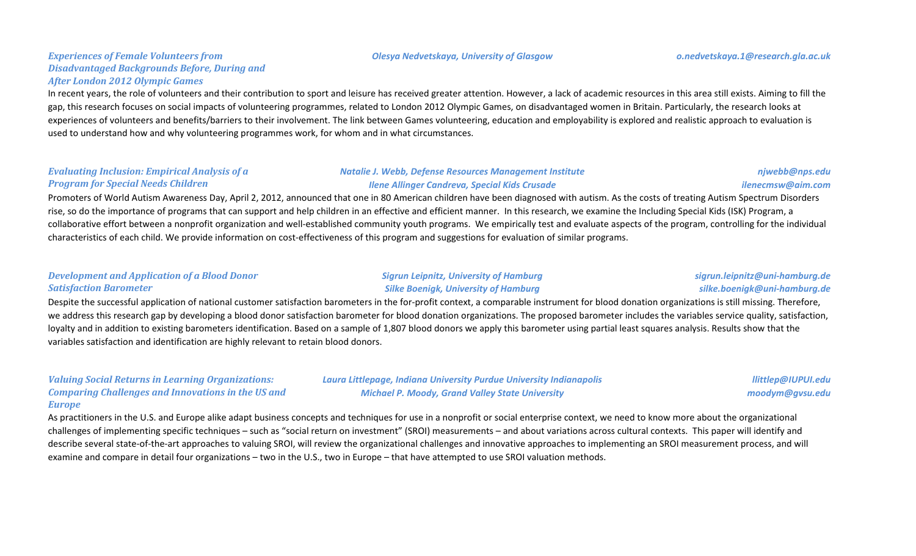#### *Olesya Nedvetskaya, University of Glasgow o.nedvetskaya.1@research.gla.ac.uk*

#### *Experiences of Female Volunteers from Disadvantaged Backgrounds Before, During and After London 2012 Olympic Games*

In recent years, the role of volunteers and their contribution to sport and leisure has received greater attention. However, a lack of academic resources in this area still exists. Aiming to fill the gap, this research focuses on social impacts of volunteering programmes, related to London 2012 Olympic Games, on disadvantaged women in Britain. Particularly, the research looks at experiences of volunteers and benefits/barriers to their involvement. The link between Games volunteering, education and employability is explored and realistic approach to evaluation is used to understand how and why volunteering programmes work, for whom and in what circumstances.

#### *Evaluating Inclusion: Empirical Analysis of a Program for Special Needs Children*

#### *Natalie J. Webb, Defense Resources Management Institute Ilene Allinger Candreva, Special Kids Crusade*

#### *njwebb@nps.edu ilenecmsw@aim.com*

Promoters of World Autism Awareness Day, April 2, 2012, announced that one in 80 American children have been diagnosed with autism. As the costs of treating Autism Spectrum Disorders rise, so do the importance of programs that can support and help children in an effective and efficient manner. In this research, we examine the Including Special Kids (ISK) Program, a collaborative effort between a nonprofit organization and well-established community youth programs. We empirically test and evaluate aspects of the program, controlling for the individual characteristics of each child. We provide information on cost-effectiveness of this program and suggestions for evaluation of similar programs.

#### *Development and Application of a Blood Donor Satisfaction Barometer*

### *Sigrun Leipnitz, University of Hamburg Silke Boenigk, University of Hamburg*

#### *sigrun.leipnitz@uni-hamburg.de silke.boenigk@uni-hamburg.de*

Despite the successful application of national customer satisfaction barometers in the for-profit context, a comparable instrument for blood donation organizations is still missing. Therefore, we address this research gap by developing a blood donor satisfaction barometer for blood donation organizations. The proposed barometer includes the variables service quality, satisfaction, loyalty and in addition to existing barometers identification. Based on a sample of 1,807 blood donors we apply this barometer using partial least squares analysis. Results show that the variables satisfaction and identification are highly relevant to retain blood donors.

#### *Valuing Social Returns in Learning Organizations: Comparing Challenges and Innovations in the US and Europe*

*Laura Littlepage, Indiana University Purdue University Indianapolis Michael P. Moody, Grand Valley State University*

*llittlep@IUPUI.edu moodym@gvsu.edu*

As practitioners in the U.S. and Europe alike adapt business concepts and techniques for use in a nonprofit or social enterprise context, we need to know more about the organizational challenges of implementing specific techniques – such as "social return on investment" (SROI) measurements – and about variations across cultural contexts. This paper will identify and describe several state-of-the-art approaches to valuing SROI, will review the organizational challenges and innovative approaches to implementing an SROI measurement process, and will examine and compare in detail four organizations – two in the U.S., two in Europe – that have attempted to use SROI valuation methods.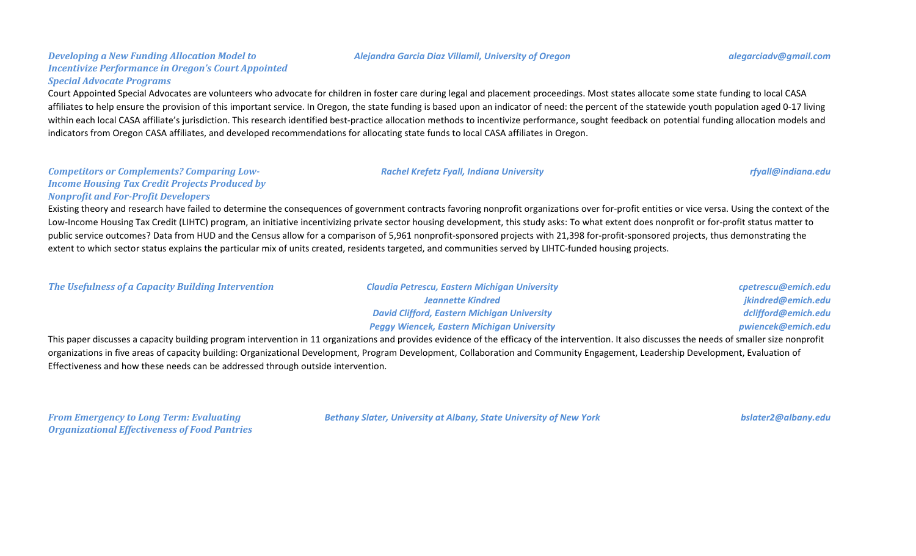#### *Alejandra Garcia Diaz Villamil, University of Oregon alegarciadv@gmail.com*

#### *Developing a New Funding Allocation Model to Incentivize Performance in Oregon's Court Appointed Special Advocate Programs*

Court Appointed Special Advocates are volunteers who advocate for children in foster care during legal and placement proceedings. Most states allocate some state funding to local CASA affiliates to help ensure the provision of this important service. In Oregon, the state funding is based upon an indicator of need: the percent of the statewide youth population aged 0-17 living within each local CASA affiliate's jurisdiction. This research identified best-practice allocation methods to incentivize performance, sought feedback on potential funding allocation models and indicators from Oregon CASA affiliates, and developed recommendations for allocating state funds to local CASA affiliates in Oregon.

#### *Competitors or Complements? Comparing Low-Income Housing Tax Credit Projects Produced by Nonprofit and For-Profit Developers*

Existing theory and research have failed to determine the consequences of government contracts favoring nonprofit organizations over for-profit entities or vice versa. Using the context of the Low-Income Housing Tax Credit (LIHTC) program, an initiative incentivizing private sector housing development, this study asks: To what extent does nonprofit or for-profit status matter to public service outcomes? Data from HUD and the Census allow for a comparison of 5,961 nonprofit-sponsored projects with 21,398 for-profit-sponsored projects, thus demonstrating the extent to which sector status explains the particular mix of units created, residents targeted, and communities served by LIHTC-funded housing projects.

*The Usefulness of a Capacity Building Intervention Claudia Petrescu, Eastern Michigan University*

*Jeannette Kindred David Clifford, Eastern Michigan University Peggy Wiencek, Eastern Michigan University* *cpetrescu@emich.edu jkindred@emich.edu dclifford@emich.edu pwiencek@emich.edu*

This paper discusses a capacity building program intervention in 11 organizations and provides evidence of the efficacy of the intervention. It also discusses the needs of smaller size nonprofit organizations in five areas of capacity building: Organizational Development, Program Development, Collaboration and Community Engagement, Leadership Development, Evaluation of Effectiveness and how these needs can be addressed through outside intervention.

*From Emergency to Long Term: Evaluating Organizational Effectiveness of Food Pantries* *Bethany Slater, University at Albany, State University of New York bslater2@albany.edu*

*Rachel Krefetz Fyall, Indiana University rfyall@indiana.edu*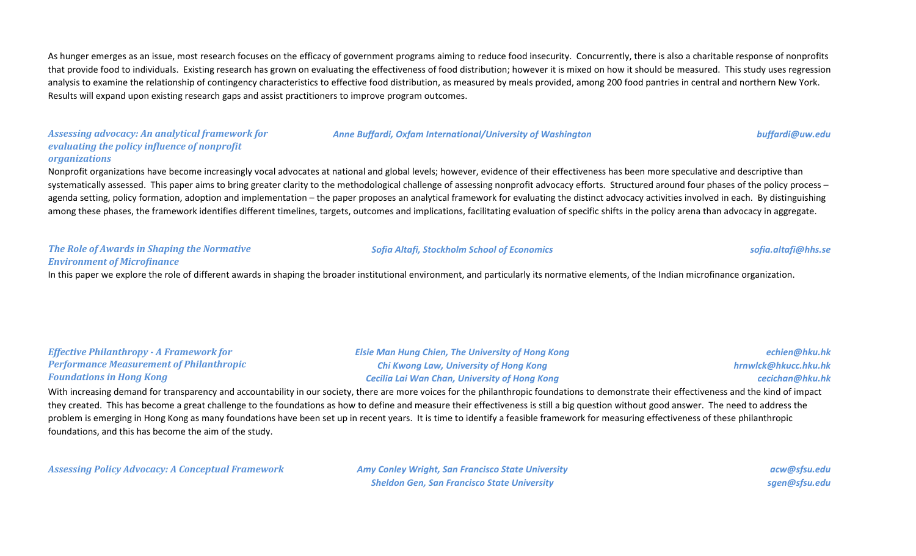As hunger emerges as an issue, most research focuses on the efficacy of government programs aiming to reduce food insecurity. Concurrently, there is also a charitable response of nonprofits that provide food to individuals. Existing research has grown on evaluating the effectiveness of food distribution; however it is mixed on how it should be measured. This study uses regression analysis to examine the relationship of contingency characteristics to effective food distribution, as measured by meals provided, among 200 food pantries in central and northern New York. Results will expand upon existing research gaps and assist practitioners to improve program outcomes.

#### *Assessing advocacy: An analytical framework for evaluating the policy influence of nonprofit organizations*

#### *Anne Buffardi, Oxfam International/University of Washington buffardi@uw.edu*

Nonprofit organizations have become increasingly vocal advocates at national and global levels; however, evidence of their effectiveness has been more speculative and descriptive than systematically assessed. This paper aims to bring greater clarity to the methodological challenge of assessing nonprofit advocacy efforts. Structured around four phases of the policy process agenda setting, policy formation, adoption and implementation – the paper proposes an analytical framework for evaluating the distinct advocacy activities involved in each. By distinguishing among these phases, the framework identifies different timelines, targets, outcomes and implications, facilitating evaluation of specific shifts in the policy arena than advocacy in aggregate.

#### *The Role of Awards in Shaping the Normative Environment of Microfinance*

#### *Sofia Altafi, Stockholm School of Economics sofia.altafi@hhs.se*

In this paper we explore the role of different awards in shaping the broader institutional environment, and particularly its normative elements, of the Indian microfinance organization.

| <b>Effective Philanthropy - A Framework for</b>                                                                                                                                              | <b>Elsie Man Hung Chien, The University of Hong Kong</b> | echien@hku.hk        |
|----------------------------------------------------------------------------------------------------------------------------------------------------------------------------------------------|----------------------------------------------------------|----------------------|
| <b>Performance Measurement of Philanthropic</b>                                                                                                                                              | <b>Chi Kwong Law, University of Hong Kong</b>            | hrnwlck@hkucc.hku.hk |
| <b>Foundations in Hong Kong</b>                                                                                                                                                              | <b>Cecilia Lai Wan Chan, University of Hong Kong</b>     | cecichan@hku.hk      |
| With increasing demand for transparency and accountability in our society, there are more voices for the philanthropic foundations to demonstrate their effectiveness and the kind of impact |                                                          |                      |

rency and accountability in our society, there are more voices for the philanthropic foundations to demonstrate their effectiveness and th they created. This has become a great challenge to the foundations as how to define and measure their effectiveness is still a big question without good answer. The need to address the problem is emerging in Hong Kong as many foundations have been set up in recent years. It is time to identify a feasible framework for measuring effectiveness of these philanthropic foundations, and this has become the aim of the study.

*Assessing Policy Advocacy: A Conceptual Framework Amy Conley Wright, San Francisco State University*

*Sheldon Gen, San Francisco State University*

*acw@sfsu.edu sgen@sfsu.edu*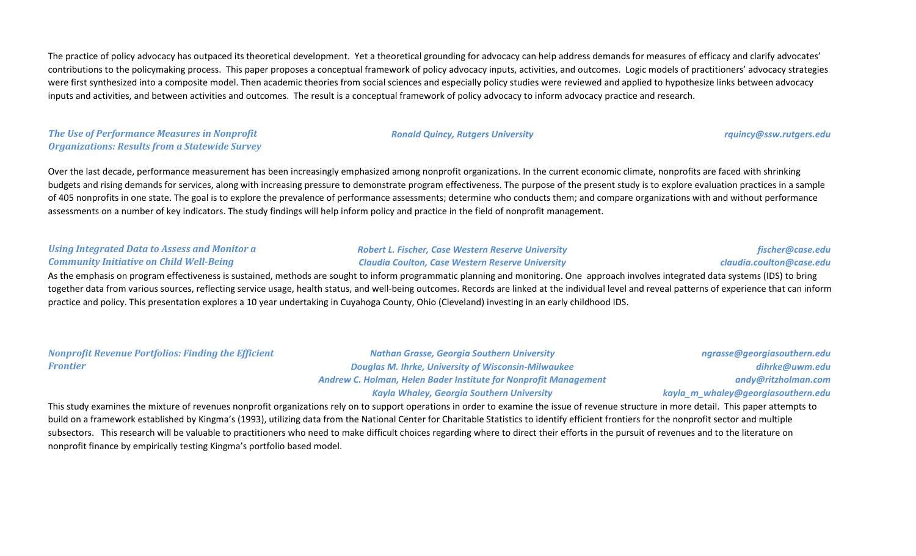The practice of policy advocacy has outpaced its theoretical development. Yet a theoretical grounding for advocacy can help address demands for measures of efficacy and clarify advocates' contributions to the policymaking process. This paper proposes a conceptual framework of policy advocacy inputs, activities, and outcomes. Logic models of practitioners' advocacy strategies were first synthesized into a composite model. Then academic theories from social sciences and especially policy studies were reviewed and applied to hypothesize links between advocacy inputs and activities, and between activities and outcomes. The result is a conceptual framework of policy advocacy to inform advocacy practice and research.

*The Use of Performance Measures in Nonprofit Organizations: Results from a Statewide Survey*

Over the last decade, performance measurement has been increasingly emphasized among nonprofit organizations. In the current economic climate, nonprofits are faced with shrinking budgets and rising demands for services, along with increasing pressure to demonstrate program effectiveness. The purpose of the present study is to explore evaluation practices in a sample of 405 nonprofits in one state. The goal is to explore the prevalence of performance assessments; determine who conducts them; and compare organizations with and without performance assessments on a number of key indicators. The study findings will help inform policy and practice in the field of nonprofit management.

#### *Using Integrated Data to Assess and Monitor a Community Initiative on Child Well-Being*

#### *Robert L. Fischer, Case Western Reserve University Claudia Coulton, Case Western Reserve University*

#### *fischer@case.edu claudia.coulton@case.edu*

As the emphasis on program effectiveness is sustained, methods are sought to inform programmatic planning and monitoring. One approach involves integrated data systems (IDS) to bring together data from various sources, reflecting service usage, health status, and well-being outcomes. Records are linked at the individual level and reveal patterns of experience that can inform practice and policy. This presentation explores a 10 year undertaking in Cuyahoga County, Ohio (Cleveland) investing in an early childhood IDS.

| <b>Nonprofit Revenue Portfolios: Finding the Efficient</b> | <b>Nathan Grasse, Georgia Southern University</b>                       | ngrasse@georgiasouthern.edu        |
|------------------------------------------------------------|-------------------------------------------------------------------------|------------------------------------|
| Frontier                                                   | <b>Douglas M. Ihrke, University of Wisconsin-Milwaukee</b>              | dihrke@uwm.edu                     |
|                                                            | <b>Andrew C. Holman, Helen Bader Institute for Nonprofit Management</b> | andy@ritzholman.com                |
|                                                            | <b>Kayla Whaley, Georgia Southern University</b>                        | kayla_m_whaley@georgiasouthern.edu |

This study examines the mixture of revenues nonprofit organizations rely on to support operations in order to examine the issue of revenue structure in more detail. This paper attempts to build on a framework established by Kingma's (1993), utilizing data from the National Center for Charitable Statistics to identify efficient frontiers for the nonprofit sector and multiple subsectors. This research will be valuable to practitioners who need to make difficult choices regarding where to direct their efforts in the pursuit of revenues and to the literature on nonprofit finance by empirically testing Kingma's portfolio based model.

#### *Ronald Quincy, Rutgers University rquincy@ssw.rutgers.edu*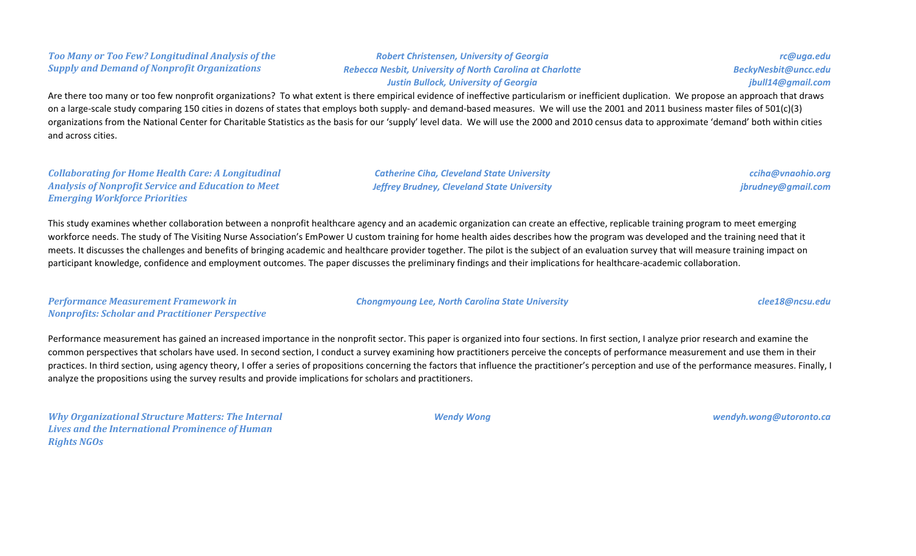### *Too Many or Too Few? Longitudinal Analysis of the Supply and Demand of Nonprofit Organizations*

*Robert Christensen, University of Georgia Rebecca Nesbit, University of North Carolina at Charlotte Justin Bullock, University of Georgia*

*rc@uga.edu BeckyNesbit@uncc.edu jbull14@gmail.com*

Are there too many or too few nonprofit organizations? To what extent is there empirical evidence of ineffective particularism or inefficient duplication. We propose an approach that draws on a large-scale study comparing 150 cities in dozens of states that employs both supply- and demand-based measures. We will use the 2001 and 2011 business master files of 501(c)(3) organizations from the National Center for Charitable Statistics as the basis for our 'supply' level data. We will use the 2000 and 2010 census data to approximate 'demand' both within cities and across cities.

#### *Collaborating for Home Health Care: A Longitudinal Analysis of Nonprofit Service and Education to Meet Emerging Workforce Priorities*

*Catherine Ciha, Cleveland State University Jeffrey Brudney, Cleveland State University*

*cciha@vnaohio.org jbrudney@gmail.com*

This study examines whether collaboration between a nonprofit healthcare agency and an academic organization can create an effective, replicable training program to meet emerging workforce needs. The study of The Visiting Nurse Association's EmPower U custom training for home health aides describes how the program was developed and the training need that it meets. It discusses the challenges and benefits of bringing academic and healthcare provider together. The pilot is the subject of an evaluation survey that will measure training impact on participant knowledge, confidence and employment outcomes. The paper discusses the preliminary findings and their implications for healthcare-academic collaboration.

*Performance Measurement Framework in Nonprofits: Scholar and Practitioner Perspective* *Chongmyoung Lee, North Carolina State University clee18@ncsu.edu*

Performance measurement has gained an increased importance in the nonprofit sector. This paper is organized into four sections. In first section, I analyze prior research and examine the common perspectives that scholars have used. In second section, I conduct a survey examining how practitioners perceive the concepts of performance measurement and use them in their practices. In third section, using agency theory, I offer a series of propositions concerning the factors that influence the practitioner's perception and use of the performance measures. Finally, I analyze the propositions using the survey results and provide implications for scholars and practitioners.

*Why Organizational Structure Matters: The Internal Lives and the International Prominence of Human Rights NGOs*

*Wendy Wong wendyh.wong@utoronto.ca*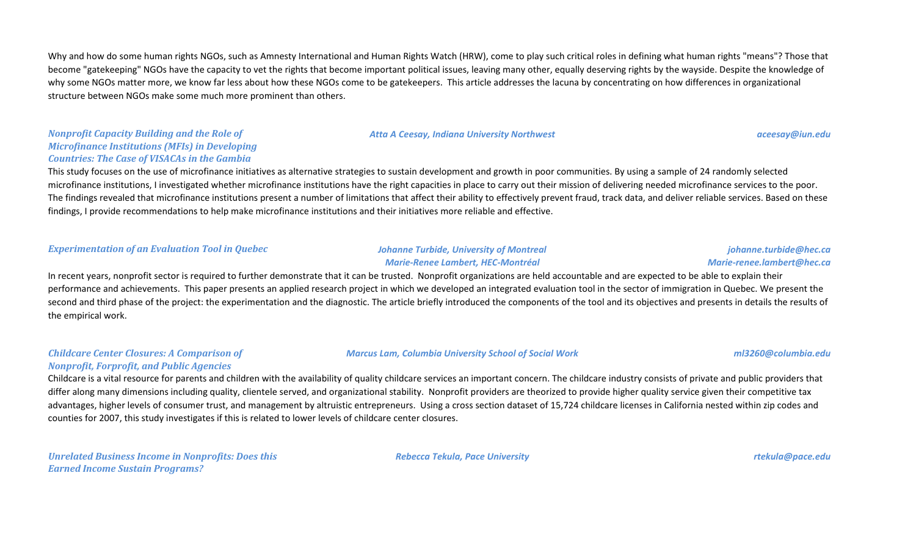Why and how do some human rights NGOs, such as Amnesty International and Human Rights Watch (HRW), come to play such critical roles in defining what human rights "means"? Those that become "gatekeeping" NGOs have the capacity to vet the rights that become important political issues, leaving many other, equally deserving rights by the wayside. Despite the knowledge of why some NGOs matter more, we know far less about how these NGOs come to be gatekeepers. This article addresses the lacuna by concentrating on how differences in organizational structure between NGOs make some much more prominent than others.

#### *Atta A Ceesay, Indiana University Northwest aceesay@iun.edu*

#### *Nonprofit Capacity Building and the Role of Microfinance Institutions (MFIs) in Developing Countries: The Case of VISACAs in the Gambia*

This study focuses on the use of microfinance initiatives as alternative strategies to sustain development and growth in poor communities. By using a sample of 24 randomly selected microfinance institutions, I investigated whether microfinance institutions have the right capacities in place to carry out their mission of delivering needed microfinance services to the poor. The findings revealed that microfinance institutions present a number of limitations that affect their ability to effectively prevent fraud, track data, and deliver reliable services. Based on these findings, I provide recommendations to help make microfinance institutions and their initiatives more reliable and effective.

#### *Experimentation of an Evaluation Tool in Quebec Johanne Turbide, University of Montreal*

*Childcare Center Closures: A Comparison of Nonprofit, Forprofit, and Public Agencies*

# *Marie-Renee Lambert, HEC-Montréal*

#### *johanne.turbide@hec.ca Marie-renee.lambert@hec.ca*

In recent years, nonprofit sector is required to further demonstrate that it can be trusted. Nonprofit organizations are held accountable and are expected to be able to explain their performance and achievements. This paper presents an applied research project in which we developed an integrated evaluation tool in the sector of immigration in Quebec. We present the second and third phase of the project: the experimentation and the diagnostic. The article briefly introduced the components of the tool and its objectives and presents in details the results of the empirical work.

#### *Marcus Lam, Columbia University School of Social Work ml3260@columbia.edu*

Childcare is a vital resource for parents and children with the availability of quality childcare services an important concern. The childcare industry consists of private and public providers that differ along many dimensions including quality, clientele served, and organizational stability. Nonprofit providers are theorized to provide higher quality service given their competitive tax advantages, higher levels of consumer trust, and management by altruistic entrepreneurs. Using a cross section dataset of 15,724 childcare licenses in California nested within zip codes and counties for 2007, this study investigates if this is related to lower levels of childcare center closures.

*Unrelated Business Income in Nonprofits: Does this Earned Income Sustain Programs?*

*Rebecca Tekula, Pace University rtekula@pace.edu*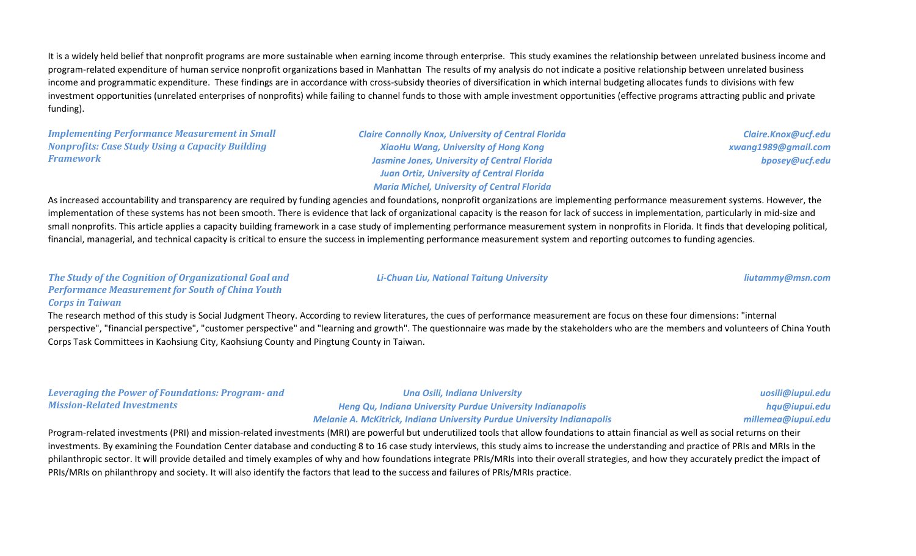It is a widely held belief that nonprofit programs are more sustainable when earning income through enterprise. This study examines the relationship between unrelated business income and program-related expenditure of human service nonprofit organizations based in Manhattan The results of my analysis do not indicate a positive relationship between unrelated business income and programmatic expenditure. These findings are in accordance with cross-subsidy theories of diversification in which internal budgeting allocates funds to divisions with few investment opportunities (unrelated enterprises of nonprofits) while failing to channel funds to those with ample investment opportunities (effective programs attracting public and private funding).

*Implementing Performance Measurement in Small Nonprofits: Case Study Using a Capacity Building Framework*

*Claire Connolly Knox, University of Central Florida XiaoHu Wang, University of Hong Kong Jasmine Jones, University of Central Florida Juan Ortiz, University of Central Florida Maria Michel, University of Central Florida*

*Li-Chuan Liu, National Taitung University liutammy@msn.com*

*Claire.Knox@ucf.edu xwang1989@gmail.com bposey@ucf.edu*

As increased accountability and transparency are required by funding agencies and foundations, nonprofit organizations are implementing performance measurement systems. However, the implementation of these systems has not been smooth. There is evidence that lack of organizational capacity is the reason for lack of success in implementation, particularly in mid-size and small nonprofits. This article applies a capacity building framework in a case study of implementing performance measurement system in nonprofits in Florida. It finds that developing political, financial, managerial, and technical capacity is critical to ensure the success in implementing performance measurement system and reporting outcomes to funding agencies.

#### *The Study of the Cognition of Organizational Goal and Performance Measurement for South of China Youth Corps in Taiwan*

The research method of this study is Social Judgment Theory. According to review literatures, the cues of performance measurement are focus on these four dimensions: "internal perspective", "financial perspective", "customer perspective" and "learning and growth". The questionnaire was made by the stakeholders who are the members and volunteers of China Youth Corps Task Committees in Kaohsiung City, Kaohsiung County and Pingtung County in Taiwan.

| <b>Leveraging the Power of Foundations: Program- and</b> | <b>Una Osili, Indiana University</b>                                           | uosili@iupui.edu   |
|----------------------------------------------------------|--------------------------------------------------------------------------------|--------------------|
| <b>Mission-Related Investments</b>                       | <b>Heng Qu, Indiana University Purdue University Indianapolis</b>              | hqu@iupui.edu      |
|                                                          | <b>Melanie A. McKitrick, Indiana University Purdue University Indianapolis</b> | millemea@iupui.edu |

Program-related investments (PRI) and mission-related investments (MRI) are powerful but underutilized tools that allow foundations to attain financial as well as social returns on their investments. By examining the Foundation Center database and conducting 8 to 16 case study interviews, this study aims to increase the understanding and practice of PRIs and MRIs in the philanthropic sector. It will provide detailed and timely examples of why and how foundations integrate PRIs/MRIs into their overall strategies, and how they accurately predict the impact of PRIs/MRIs on philanthropy and society. It will also identify the factors that lead to the success and failures of PRIs/MRIs practice.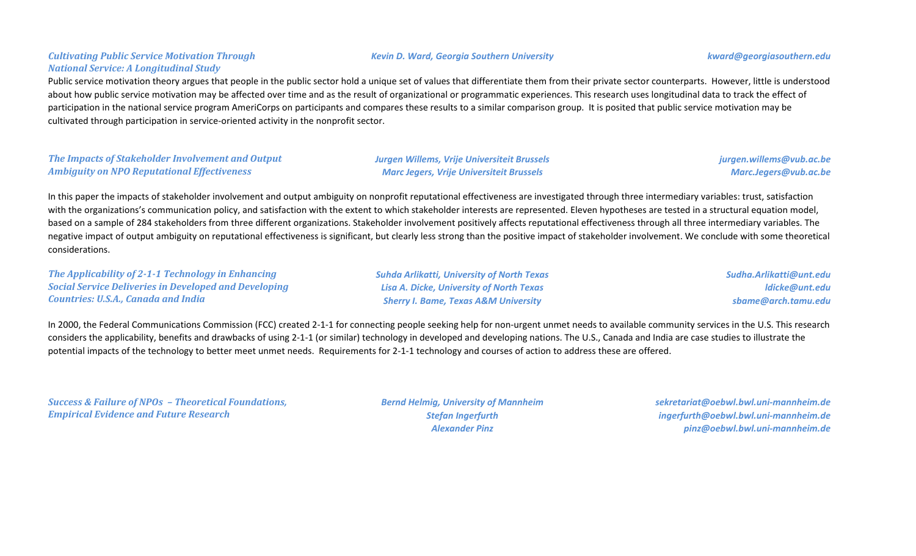### *Cultivating Public Service Motivation Through National Service: A Longitudinal Study*

Public service motivation theory argues that people in the public sector hold a unique set of values that differentiate them from their private sector counterparts. However, little is understood about how public service motivation may be affected over time and as the result of organizational or programmatic experiences. This research uses longitudinal data to track the effect of participation in the national service program AmeriCorps on participants and compares these results to a similar comparison group. It is posited that public service motivation may be cultivated through participation in service-oriented activity in the nonprofit sector.

#### *The Impacts of Stakeholder Involvement and Output Ambiguity on NPO Reputational Effectiveness*

*Jurgen Willems, Vrije Universiteit Brussels Marc Jegers, Vrije Universiteit Brussels*

*jurgen.willems@vub.ac.be Marc.Jegers@vub.ac.be*

In this paper the impacts of stakeholder involvement and output ambiguity on nonprofit reputational effectiveness are investigated through three intermediary variables: trust, satisfaction with the organizations's communication policy, and satisfaction with the extent to which stakeholder interests are represented. Eleven hypotheses are tested in a structural equation model, based on a sample of 284 stakeholders from three different organizations. Stakeholder involvement positively affects reputational effectiveness through all three intermediary variables. The negative impact of output ambiguity on reputational effectiveness is significant, but clearly less strong than the positive impact of stakeholder involvement. We conclude with some theoretical considerations.

*The Applicability of 2-1-1 Technology in Enhancing Social Service Deliveries in Developed and Developing Countries: U.S.A., Canada and India*

*Suhda Arlikatti, University of North Texas Lisa A. Dicke, University of North Texas Sherry I. Bame, Texas A&M University*

*Sudha.Arlikatti@unt.edu ldicke@unt.edu sbame@arch.tamu.edu*

In 2000, the Federal Communications Commission (FCC) created 2-1-1 for connecting people seeking help for non-urgent unmet needs to available community services in the U.S. This research considers the applicability, benefits and drawbacks of using 2-1-1 (or similar) technology in developed and developing nations. The U.S., Canada and India are case studies to illustrate the potential impacts of the technology to better meet unmet needs. Requirements for 2-1-1 technology and courses of action to address these are offered.

*Success & Failure of NPOs – Theoretical Foundations, Empirical Evidence and Future Research*

*Bernd Helmig, University of Mannheim Stefan Ingerfurth Alexander Pinz*

*sekretariat@oebwl.bwl.uni-mannheim.de ingerfurth@oebwl.bwl.uni-mannheim.de pinz@oebwl.bwl.uni-mannheim.de*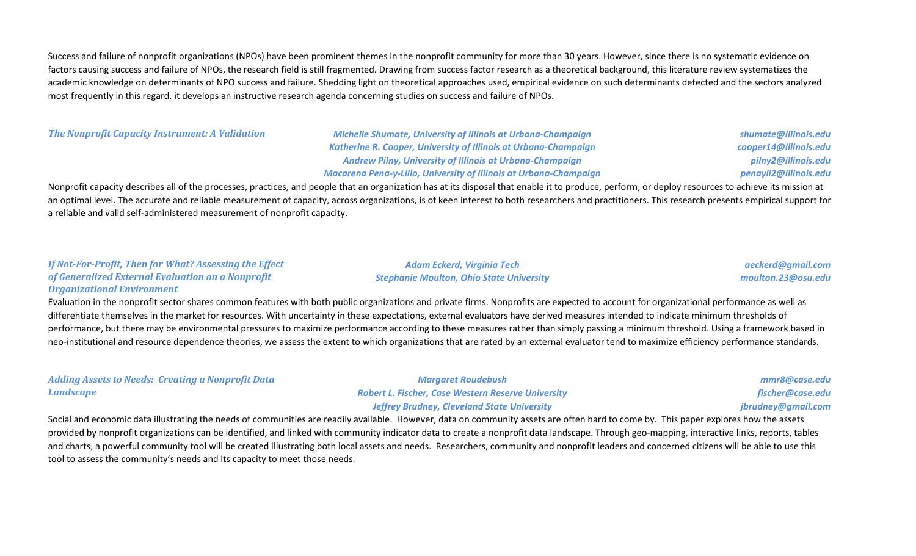Success and failure of nonprofit organizations (NPOs) have been prominent themes in the nonprofit community for more than 30 years. However, since there is no systematic evidence on factors causing success and failure of NPOs, the research field is still fragmented. Drawing from success factor research as a theoretical background, this literature review systematizes the academic knowledge on determinants of NPO success and failure. Shedding light on theoretical approaches used, empirical evidence on such determinants detected and the sectors analyzed most frequently in this regard, it develops an instructive research agenda concerning studies on success and failure of NPOs.

*The Nonprofit Capacity Instrument: A Validation Michelle Shumate, University of Illinois at Urbana-Champaign Katherine R. Cooper, University of Illinois at Urbana-Champaign Andrew Pilny, University of Illinois at Urbana-Champaign Macarena Pena-y-Lillo, University of Illinois at Urbana-Champaign*

> *Adam Eckerd, Virginia Tech Stephanie Moulton, Ohio State University*

*shumate@illinois.edu cooper14@illinois.edu pilny2@illinois.edu penayli2@illinois.edu*

*aeckerd@gmail.com moulton.23@osu.edu*

Nonprofit capacity describes all of the processes, practices, and people that an organization has at its disposal that enable it to produce, perform, or deploy resources to achieve its mission at an optimal level. The accurate and reliable measurement of capacity, across organizations, is of keen interest to both researchers and practitioners. This research presents empirical support for a reliable and valid self-administered measurement of nonprofit capacity.

#### *If Not-For-Profit, Then for What? Assessing the Effect of Generalized External Evaluation on a Nonprofit Organizational Environment*

Evaluation in the nonprofit sector shares common features with both public organizations and private firms. Nonprofits are expected to account for organizational performance as well as differentiate themselves in the market for resources. With uncertainty in these expectations, external evaluators have derived measures intended to indicate minimum thresholds of performance, but there may be environmental pressures to maximize performance according to these measures rather than simply passing a minimum threshold. Using a framework based in neo-institutional and resource dependence theories, we assess the extent to which organizations that are rated by an external evaluator tend to maximize efficiency performance standards.

| <b>Adding Assets to Needs: Creating a Nonprofit Data</b> | <b>Margaret Roudebush</b>                                 | mmr8@case.edu      |
|----------------------------------------------------------|-----------------------------------------------------------|--------------------|
| <b>Landscape</b>                                         | <b>Robert L. Fischer, Case Western Reserve University</b> | fischer@case.edu   |
|                                                          | <b>Jeffrey Brudney, Cleveland State University</b>        | jbrudney@gmail.com |

Social and economic data illustrating the needs of communities are readily available. However, data on community assets are often hard to come by. This paper explores how the assets provided by nonprofit organizations can be identified, and linked with community indicator data to create a nonprofit data landscape. Through geo-mapping, interactive links, reports, tables and charts, a powerful community tool will be created illustrating both local assets and needs. Researchers, community and nonprofit leaders and concerned citizens will be able to use this tool to assess the community's needs and its capacity to meet those needs.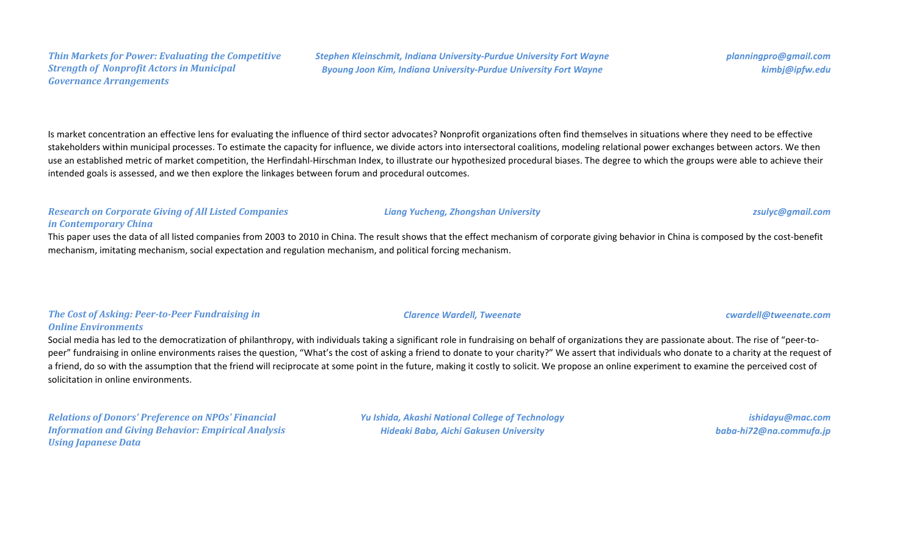Is market concentration an effective lens for evaluating the influence of third sector advocates? Nonprofit organizations often find themselves in situations where they need to be effective stakeholders within municipal processes. To estimate the capacity for influence, we divide actors into intersectoral coalitions, modeling relational power exchanges between actors. We then use an established metric of market competition, the Herfindahl-Hirschman Index, to illustrate our hypothesized procedural biases. The degree to which the groups were able to achieve their intended goals is assessed, and we then explore the linkages between forum and procedural outcomes.

### *Research on Corporate Giving of All Listed Companies in Contemporary China*

*Thin Markets for Power: Evaluating the Competitive* 

*Strength of Nonprofit Actors in Municipal* 

*Governance Arrangements*

This paper uses the data of all listed companies from 2003 to 2010 in China. The result shows that the effect mechanism of corporate giving behavior in China is composed by the cost-benefit mechanism, imitating mechanism, social expectation and regulation mechanism, and political forcing mechanism.

### *The Cost of Asking: Peer-to-Peer Fundraising in Online Environments*

Social media has led to the democratization of philanthropy, with individuals taking a significant role in fundraising on behalf of organizations they are passionate about. The rise of "peer-topeer" fundraising in online environments raises the question, "What's the cost of asking a friend to donate to your charity?" We assert that individuals who donate to a charity at the request of a friend, do so with the assumption that the friend will reciprocate at some point in the future, making it costly to solicit. We propose an online experiment to examine the perceived cost of solicitation in online environments.

*Relations of Donors' Preference on NPOs' Financial Information and Giving Behavior: Empirical Analysis Using Japanese Data*

*Yu Ishida, Akashi National College of Technology Hideaki Baba, Aichi Gakusen University*

*ishidayu@mac.com baba-hi72@na.commufa.jp*

#### *Clarence Wardell, Tweenate cwardell@tweenate.com*

### *Liang Yucheng, Zhongshan University zsulyc@gmail.com*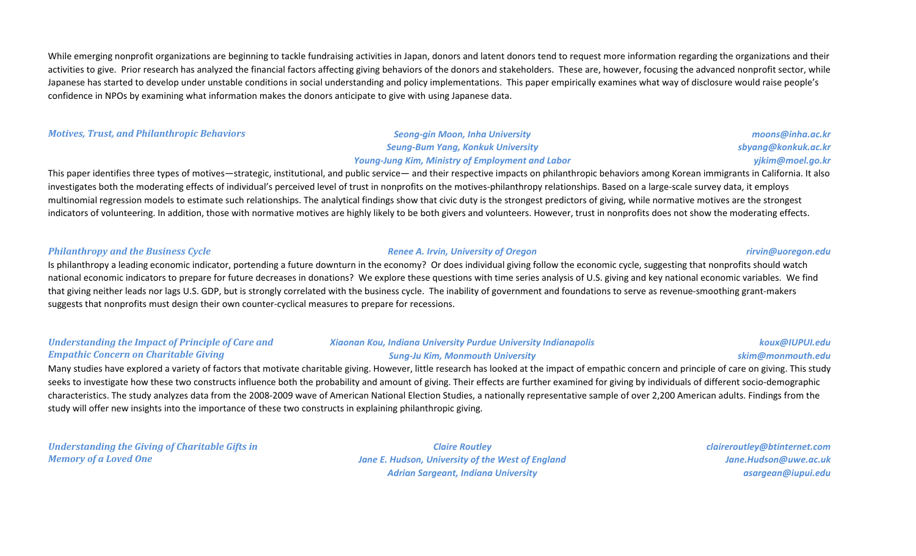While emerging nonprofit organizations are beginning to tackle fundraising activities in Japan, donors and latent donors tend to request more information regarding the organizations and their activities to give. Prior research has analyzed the financial factors affecting giving behaviors of the donors and stakeholders. These are, however, focusing the advanced nonprofit sector, while Japanese has started to develop under unstable conditions in social understanding and policy implementations. This paper empirically examines what way of disclosure would raise people's confidence in NPOs by examining what information makes the donors anticipate to give with using Japanese data.

*Motives, Trust, and Philanthropic Behaviors Seong-gin Moon, Inha University*

# *Seung-Bum Yang, Konkuk University Young-Jung Kim, Ministry of Employment and Labor*

This paper identifies three types of motives—strategic, institutional, and public service— and their respective impacts on philanthropic behaviors among Korean immigrants in California. It also investigates both the moderating effects of individual's perceived level of trust in nonprofits on the motives-philanthropy relationships. Based on a large-scale survey data, it employs multinomial regression models to estimate such relationships. The analytical findings show that civic duty is the strongest predictors of giving, while normative motives are the strongest indicators of volunteering. In addition, those with normative motives are highly likely to be both givers and volunteers. However, trust in nonprofits does not show the moderating effects.

#### *Philanthropy and the Business Cycle Renee A. Irvin, University of Oregon rirvin@uoregon.edu*

Is philanthropy a leading economic indicator, portending a future downturn in the economy? Or does individual giving follow the economic cycle, suggesting that nonprofits should watch national economic indicators to prepare for future decreases in donations? We explore these questions with time series analysis of U.S. giving and key national economic variables. We find that giving neither leads nor lags U.S. GDP, but is strongly correlated with the business cycle. The inability of government and foundations to serve as revenue-smoothing grant-makers suggests that nonprofits must design their own counter-cyclical measures to prepare for recessions.

#### *Understanding the Impact of Principle of Care and Empathic Concern on Charitable Giving*

### *Xiaonan Kou, Indiana University Purdue University Indianapolis Sung-Ju Kim, Monmouth University*

Many studies have explored a variety of factors that motivate charitable giving. However, little research has looked at the impact of empathic concern and principle of care on giving. This study seeks to investigate how these two constructs influence both the probability and amount of giving. Their effects are further examined for giving by individuals of different socio-demographic characteristics. The study analyzes data from the 2008-2009 wave of American National Election Studies, a nationally representative sample of over 2,200 American adults. Findings from the study will offer new insights into the importance of these two constructs in explaining philanthropic giving.

*Understanding the Giving of Charitable Gifts in Memory of a Loved One*

*Claire Routley Jane E. Hudson, University of the West of England Adrian Sargeant, Indiana University*

*claireroutley@btinternet.com Jane.Hudson@uwe.ac.uk asargean@iupui.edu*

*moons@inha.ac.kr sbyang@konkuk.ac.kr yjkim@moel.go.kr*

*koux@IUPUI.edu skim@monmouth.edu*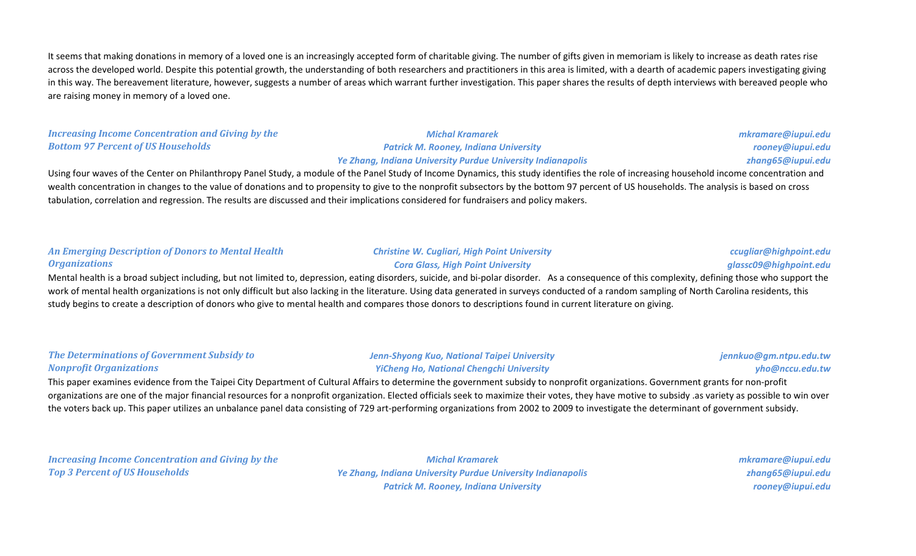It seems that making donations in memory of a loved one is an increasingly accepted form of charitable giving. The number of gifts given in memoriam is likely to increase as death rates rise across the developed world. Despite this potential growth, the understanding of both researchers and practitioners in this area is limited, with a dearth of academic papers investigating giving in this way. The bereavement literature, however, suggests a number of areas which warrant further investigation. This paper shares the results of depth interviews with bereaved people who are raising money in memory of a loved one.

### *Increasing Income Concentration and Giving by the Bottom 97 Percent of US Households*

### *Michal Kramarek Patrick M. Rooney, Indiana University Ye Zhang, Indiana University Purdue University Indianapolis*

*mkramare@iupui.edu rooney@iupui.edu zhang65@iupui.edu*

Using four waves of the Center on Philanthropy Panel Study, a module of the Panel Study of Income Dynamics, this study identifies the role of increasing household income concentration and wealth concentration in changes to the value of donations and to propensity to give to the nonprofit subsectors by the bottom 97 percent of US households. The analysis is based on cross tabulation, correlation and regression. The results are discussed and their implications considered for fundraisers and policy makers.

#### *An Emerging Description of Donors to Mental Health Organizations*

## *Christine W. Cugliari, High Point University Cora Glass, High Point University*

*ccugliar@highpoint.edu glassc09@highpoint.edu*

Mental health is a broad subject including, but not limited to, depression, eating disorders, suicide, and bi-polar disorder. As a consequence of this complexity, defining those who support the work of mental health organizations is not only difficult but also lacking in the literature. Using data generated in surveys conducted of a random sampling of North Carolina residents, this study begins to create a description of donors who give to mental health and compares those donors to descriptions found in current literature on giving.

#### *The Determinations of Government Subsidy to Nonprofit Organizations*

#### *Jenn-Shyong Kuo, National Taipei University YiCheng Ho, National Chengchi University*

*jennkuo@gm.ntpu.edu.tw yho@nccu.edu.tw*

This paper examines evidence from the Taipei City Department of Cultural Affairs to determine the government subsidy to nonprofit organizations. Government grants for non-profit organizations are one of the major financial resources for a nonprofit organization. Elected officials seek to maximize their votes, they have motive to subsidy .as variety as possible to win over the voters back up. This paper utilizes an unbalance panel data consisting of 729 art-performing organizations from 2002 to 2009 to investigate the determinant of government subsidy.

*Increasing Income Concentration and Giving by the Top 3 Percent of US Households*

*Michal Kramarek Ye Zhang, Indiana University Purdue University Indianapolis Patrick M. Rooney, Indiana University*

*mkramare@iupui.edu zhang65@iupui.edu rooney@iupui.edu*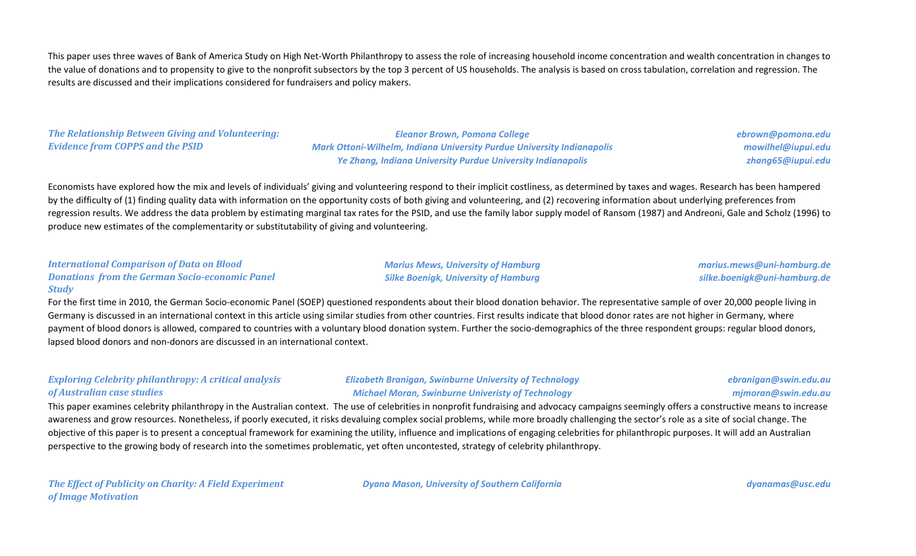This paper uses three waves of Bank of America Study on High Net-Worth Philanthropy to assess the role of increasing household income concentration and wealth concentration in changes to the value of donations and to propensity to give to the nonprofit subsectors by the top 3 percent of US households. The analysis is based on cross tabulation, correlation and regression. The results are discussed and their implications considered for fundraisers and policy makers.

## *The Relationship Between Giving and Volunteering: Evidence from COPPS and the PSID*

*Eleanor Brown, Pomona College Mark Ottoni-Wilhelm, Indiana University Purdue University Indianapolis Ye Zhang, Indiana University Purdue University Indianapolis*

*ebrown@pomona.edu mowilhel@iupui.edu zhang65@iupui.edu*

Economists have explored how the mix and levels of individuals' giving and volunteering respond to their implicit costliness, as determined by taxes and wages. Research has been hampered by the difficulty of (1) finding quality data with information on the opportunity costs of both giving and volunteering, and (2) recovering information about underlying preferences from regression results. We address the data problem by estimating marginal tax rates for the PSID, and use the family labor supply model of Ransom (1987) and Andreoni, Gale and Scholz (1996) to produce new estimates of the complementarity or substitutability of giving and volunteering.

#### *International Comparison of Data on Blood Donations from the German Socio-economic Panel Study*

*Marius Mews, University of Hamburg Silke Boenigk, University of Hamburg*

*marius.mews@uni-hamburg.de silke.boenigk@uni-hamburg.de*

For the first time in 2010, the German Socio-economic Panel (SOEP) questioned respondents about their blood donation behavior. The representative sample of over 20,000 people living in Germany is discussed in an international context in this article using similar studies from other countries. First results indicate that blood donor rates are not higher in Germany, where payment of blood donors is allowed, compared to countries with a voluntary blood donation system. Further the socio-demographics of the three respondent groups: regular blood donors, lapsed blood donors and non-donors are discussed in an international context.

## *Exploring Celebrity philanthropy: A critical analysis of Australian case studies*

*Elizabeth Branigan, Swinburne University of Technology Michael Moran, Swinburne Univeristy of Technology*

## *ebranigan@swin.edu.au mjmoran@swin.edu.au*

This paper examines celebrity philanthropy in the Australian context. The use of celebrities in nonprofit fundraising and advocacy campaigns seemingly offers a constructive means to increase awareness and grow resources. Nonetheless, if poorly executed, it risks devaluing complex social problems, while more broadly challenging the sector's role as a site of social change. The objective of this paper is to present a conceptual framework for examining the utility, influence and implications of engaging celebrities for philanthropic purposes. It will add an Australian perspective to the growing body of research into the sometimes problematic, yet often uncontested, strategy of celebrity philanthropy.

*The Effect of Publicity on Charity: A Field Experiment of Image Motivation*

*Dyana Mason, University of Southern California dyanamas@usc.edu*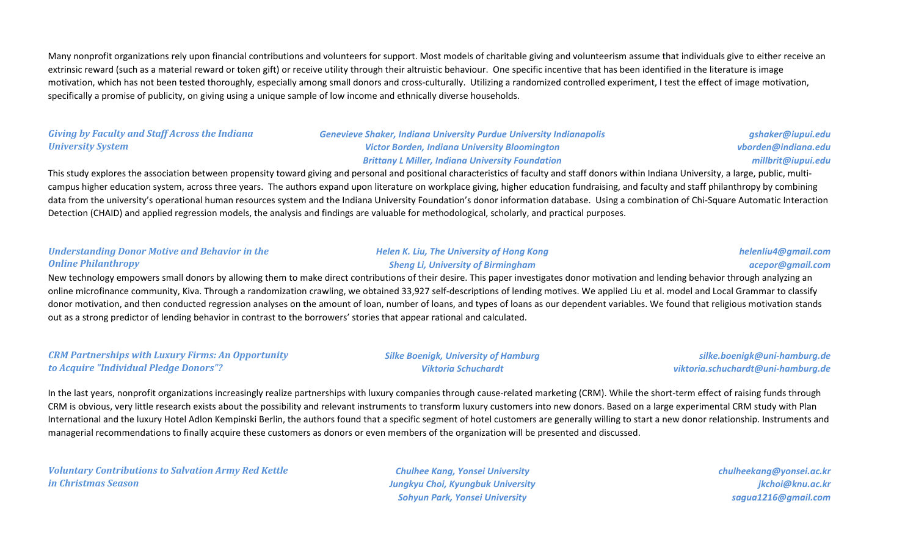Many nonprofit organizations rely upon financial contributions and volunteers for support. Most models of charitable giving and volunteerism assume that individuals give to either receive an extrinsic reward (such as a material reward or token gift) or receive utility through their altruistic behaviour. One specific incentive that has been identified in the literature is image motivation, which has not been tested thoroughly, especially among small donors and cross-culturally. Utilizing a randomized controlled experiment, I test the effect of image motivation, specifically a promise of publicity, on giving using a unique sample of low income and ethnically diverse households.

### *Giving by Faculty and Staff Across the Indiana University System*

*Genevieve Shaker, Indiana University Purdue University Indianapolis Victor Borden, Indiana University Bloomington Brittany L Miller, Indiana University Foundation*

*gshaker@iupui.edu vborden@indiana.edu millbrit@iupui.edu*

This study explores the association between propensity toward giving and personal and positional characteristics of faculty and staff donors within Indiana University, a large, public, multicampus higher education system, across three years. The authors expand upon literature on workplace giving, higher education fundraising, and faculty and staff philanthropy by combining data from the university's operational human resources system and the Indiana University Foundation's donor information database. Using a combination of Chi-Square Automatic Interaction Detection (CHAID) and applied regression models, the analysis and findings are valuable for methodological, scholarly, and practical purposes.

#### *Understanding Donor Motive and Behavior in the Online Philanthropy*

#### *Helen K. Liu, The University of Hong Kong Sheng Li, University of Birmingham*

*helenliu4@gmail.com acepor@gmail.com*

New technology empowers small donors by allowing them to make direct contributions of their desire. This paper investigates donor motivation and lending behavior through analyzing an online microfinance community, Kiva. Through a randomization crawling, we obtained 33,927 self-descriptions of lending motives. We applied Liu et al. model and Local Grammar to classify donor motivation, and then conducted regression analyses on the amount of loan, number of loans, and types of loans as our dependent variables. We found that religious motivation stands out as a strong predictor of lending behavior in contrast to the borrowers' stories that appear rational and calculated.

#### *CRM Partnerships with Luxury Firms: An Opportunity to Acquire "Individual Pledge Donors"?*

#### *Silke Boenigk, University of Hamburg Viktoria Schuchardt*

*silke.boenigk@uni-hamburg.de viktoria.schuchardt@uni-hamburg.de*

In the last years, nonprofit organizations increasingly realize partnerships with luxury companies through cause-related marketing (CRM). While the short-term effect of raising funds through CRM is obvious, very little research exists about the possibility and relevant instruments to transform luxury customers into new donors. Based on a large experimental CRM study with Plan International and the luxury Hotel Adlon Kempinski Berlin, the authors found that a specific segment of hotel customers are generally willing to start a new donor relationship. Instruments and managerial recommendations to finally acquire these customers as donors or even members of the organization will be presented and discussed.

*Voluntary Contributions to Salvation Army Red Kettle in Christmas Season*

*Chulhee Kang, Yonsei University Jungkyu Choi, Kyungbuk University Sohyun Park, Yonsei University*

*chulheekang@yonsei.ac.kr jkchoi@knu.ac.kr sagua1216@gmail.com*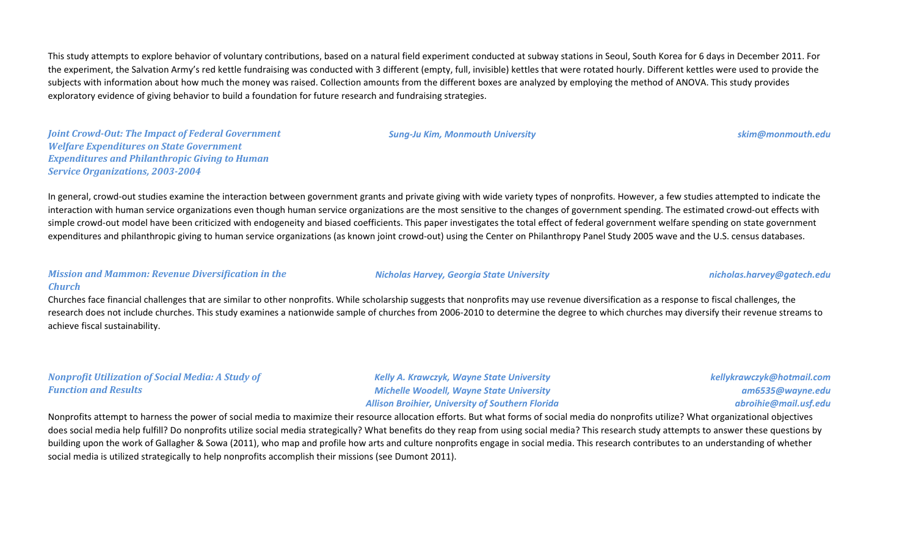This study attempts to explore behavior of voluntary contributions, based on a natural field experiment conducted at subway stations in Seoul, South Korea for 6 days in December 2011. For the experiment, the Salvation Army's red kettle fundraising was conducted with 3 different (empty, full, invisible) kettles that were rotated hourly. Different kettles were used to provide the subjects with information about how much the money was raised. Collection amounts from the different boxes are analyzed by employing the method of ANOVA. This study provides exploratory evidence of giving behavior to build a foundation for future research and fundraising strategies.

*Joint Crowd-Out: The Impact of Federal Government Welfare Expenditures on State Government Expenditures and Philanthropic Giving to Human Service Organizations, 2003-2004*

In general, crowd-out studies examine the interaction between government grants and private giving with wide variety types of nonprofits. However, a few studies attempted to indicate the interaction with human service organizations even though human service organizations are the most sensitive to the changes of government spending. The estimated crowd-out effects with simple crowd-out model have been criticized with endogeneity and biased coefficients. This paper investigates the total effect of federal government welfare spending on state government expenditures and philanthropic giving to human service organizations (as known joint crowd-out) using the Center on Philanthropy Panel Study 2005 wave and the U.S. census databases.

#### *Mission and Mammon: Revenue Diversification in the Church*

Churches face financial challenges that are similar to other nonprofits. While scholarship suggests that nonprofits may use revenue diversification as a response to fiscal challenges, the research does not include churches. This study examines a nationwide sample of churches from 2006-2010 to determine the degree to which churches may diversify their revenue streams to achieve fiscal sustainability.

*Nonprofit Utilization of Social Media: A Study of Function and Results*

*Kelly A. Krawczyk, Wayne State University Michelle Woodell, Wayne State University Allison Broihier, University of Southern Florida*

*Nicholas Harvey, Georgia State University nicholas.harvey@gatech.edu*

*kellykrawczyk@hotmail.com am6535@wayne.edu abroihie@mail.usf.edu*

Nonprofits attempt to harness the power of social media to maximize their resource allocation efforts. But what forms of social media do nonprofits utilize? What organizational objectives does social media help fulfill? Do nonprofits utilize social media strategically? What benefits do they reap from using social media? This research study attempts to answer these questions by building upon the work of Gallagher & Sowa (2011), who map and profile how arts and culture nonprofits engage in social media. This research contributes to an understanding of whether social media is utilized strategically to help nonprofits accomplish their missions (see Dumont 2011).

#### *Sung-Ju Kim, Monmouth University skim@monmouth.edu*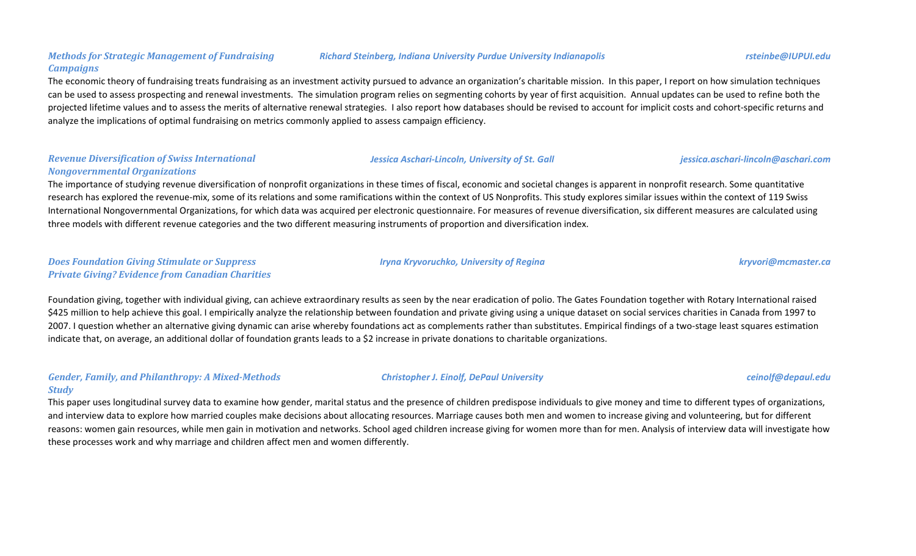#### *Richard Steinberg, Indiana University Purdue University Indianapolis rsteinbe@IUPUI.edu*

#### *Methods for Strategic Management of Fundraising Campaigns*

The economic theory of fundraising treats fundraising as an investment activity pursued to advance an organization's charitable mission. In this paper, I report on how simulation techniques can be used to assess prospecting and renewal investments. The simulation program relies on segmenting cohorts by year of first acquisition. Annual updates can be used to refine both the projected lifetime values and to assess the merits of alternative renewal strategies. I also report how databases should be revised to account for implicit costs and cohort-specific returns and analyze the implications of optimal fundraising on metrics commonly applied to assess campaign efficiency.

#### *Revenue Diversification of Swiss International Nongovernmental Organizations*

The importance of studying revenue diversification of nonprofit organizations in these times of fiscal, economic and societal changes is apparent in nonprofit research. Some quantitative research has explored the revenue-mix, some of its relations and some ramifications within the context of US Nonprofits. This study explores similar issues within the context of 119 Swiss International Nongovernmental Organizations, for which data was acquired per electronic questionnaire. For measures of revenue diversification, six different measures are calculated using three models with different revenue categories and the two different measuring instruments of proportion and diversification index.

#### *Does Foundation Giving Stimulate or Suppress Private Giving? Evidence from Canadian Charities*

Foundation giving, together with individual giving, can achieve extraordinary results as seen by the near eradication of polio. The Gates Foundation together with Rotary International raised \$425 million to help achieve this goal. I empirically analyze the relationship between foundation and private giving using a unique dataset on social services charities in Canada from 1997 to 2007. I question whether an alternative giving dynamic can arise whereby foundations act as complements rather than substitutes. Empirical findings of a two-stage least squares estimation indicate that, on average, an additional dollar of foundation grants leads to a \$2 increase in private donations to charitable organizations.

## *Gender, Family, and Philanthropy: A Mixed-Methods Study*

This paper uses longitudinal survey data to examine how gender, marital status and the presence of children predispose individuals to give money and time to different types of organizations, and interview data to explore how married couples make decisions about allocating resources. Marriage causes both men and women to increase giving and volunteering, but for different reasons: women gain resources, while men gain in motivation and networks. School aged children increase giving for women more than for men. Analysis of interview data will investigate how these processes work and why marriage and children affect men and women differently.

*Iryna Kryvoruchko, University of Regina kryvori@mcmaster.ca*

*Jessica Aschari-Lincoln, University of St. Gall jessica.aschari-lincoln@aschari.com*

*Christopher J. Einolf, DePaul University ceinolf@depaul.edu*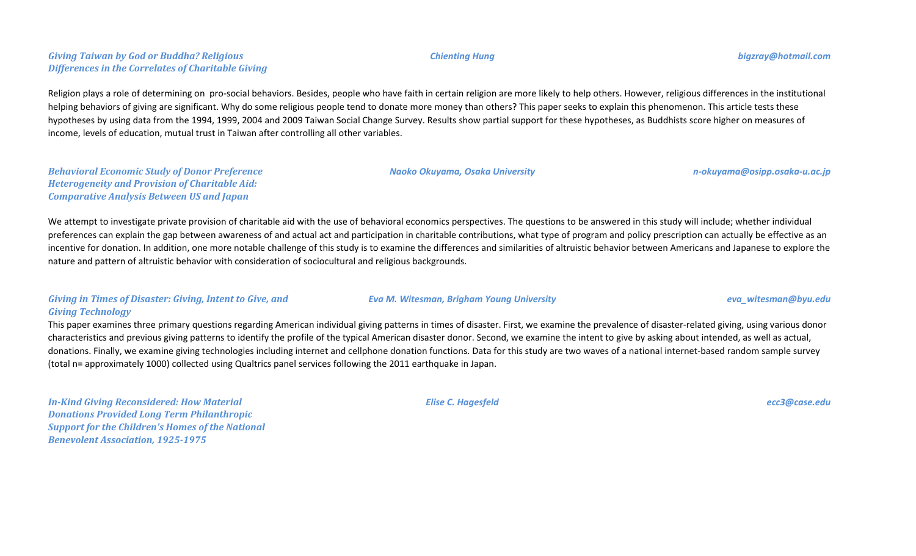## *Giving Taiwan by God or Buddha? Religious Differences in the Correlates of Charitable Giving*

Religion plays a role of determining on pro-social behaviors. Besides, people who have faith in certain religion are more likely to help others. However, religious differences in the institutional helping behaviors of giving are significant. Why do some religious people tend to donate more money than others? This paper seeks to explain this phenomenon. This article tests these hypotheses by using data from the 1994, 1999, 2004 and 2009 Taiwan Social Change Survey. Results show partial support for these hypotheses, as Buddhists score higher on measures of income, levels of education, mutual trust in Taiwan after controlling all other variables.

*Behavioral Economic Study of Donor Preference Heterogeneity and Provision of Charitable Aid: Comparative Analysis Between US and Japan*

We attempt to investigate private provision of charitable aid with the use of behavioral economics perspectives. The questions to be answered in this study will include; whether individual preferences can explain the gap between awareness of and actual act and participation in charitable contributions, what type of program and policy prescription can actually be effective as an incentive for donation. In addition, one more notable challenge of this study is to examine the differences and similarities of altruistic behavior between Americans and Japanese to explore the nature and pattern of altruistic behavior with consideration of sociocultural and religious backgrounds.

## *Giving in Times of Disaster: Giving, Intent to Give, and Giving Technology*

This paper examines three primary questions regarding American individual giving patterns in times of disaster. First, we examine the prevalence of disaster-related giving, using various donor characteristics and previous giving patterns to identify the profile of the typical American disaster donor. Second, we examine the intent to give by asking about intended, as well as actual, donations. Finally, we examine giving technologies including internet and cellphone donation functions. Data for this study are two waves of a national internet-based random sample survey (total n= approximately 1000) collected using Qualtrics panel services following the 2011 earthquake in Japan.

*In-Kind Giving Reconsidered: How Material Donations Provided Long Term Philanthropic Support for the Children's Homes of the National Benevolent Association, 1925-1975*

*Elise C. Hagesfeld ecc3@case.edu*

#### *Chienting Hung bigzray@hotmail.com*

*Naoko Okuyama, Osaka University n-okuyama@osipp.osaka-u.ac.jp*

*Eva M. Witesman, Brigham Young University eva\_witesman@byu.edu*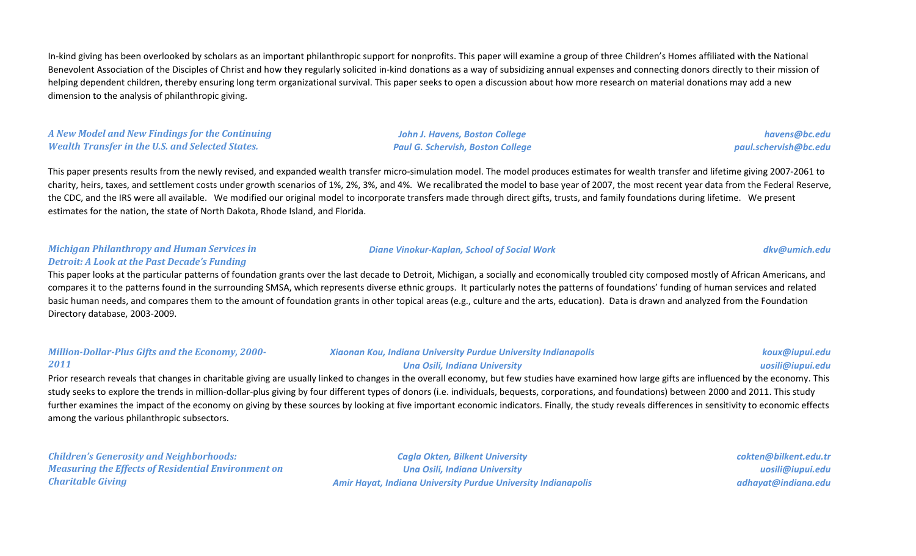In-kind giving has been overlooked by scholars as an important philanthropic support for nonprofits. This paper will examine a group of three Children's Homes affiliated with the National Benevolent Association of the Disciples of Christ and how they regularly solicited in-kind donations as a way of subsidizing annual expenses and connecting donors directly to their mission of helping dependent children, thereby ensuring long term organizational survival. This paper seeks to open a discussion about how more research on material donations may add a new dimension to the analysis of philanthropic giving.

*A New Model and New Findings for the Continuing Wealth Transfer in the U.S. and Selected States.*

*John J. Havens, Boston College Paul G. Schervish, Boston College*

*havens@bc.edu paul.schervish@bc.edu*

This paper presents results from the newly revised, and expanded wealth transfer micro-simulation model. The model produces estimates for wealth transfer and lifetime giving 2007-2061 to charity, heirs, taxes, and settlement costs under growth scenarios of 1%, 2%, 3%, and 4%. We recalibrated the model to base year of 2007, the most recent year data from the Federal Reserve, the CDC, and the IRS were all available. We modified our original model to incorporate transfers made through direct gifts, trusts, and family foundations during lifetime. We present estimates for the nation, the state of North Dakota, Rhode Island, and Florida.

#### *Michigan Philanthropy and Human Services in Detroit: A Look at the Past Decade's Funding*

# *Diane Vinokur-Kaplan, School of Social Work dkv@umich.edu*

This paper looks at the particular patterns of foundation grants over the last decade to Detroit, Michigan, a socially and economically troubled city composed mostly of African Americans, and compares it to the patterns found in the surrounding SMSA, which represents diverse ethnic groups. It particularly notes the patterns of foundations' funding of human services and related basic human needs, and compares them to the amount of foundation grants in other topical areas (e.g., culture and the arts, education). Data is drawn and analyzed from the Foundation Directory database, 2003-2009.

#### *Million-Dollar-Plus Gifts and the Economy, 2000- 2011 Xiaonan Kou, Indiana University Purdue University Indianapolis Una Osili, Indiana University koux@iupui.edu uosili@iupui.edu*

Prior research reveals that changes in charitable giving are usually linked to changes in the overall economy, but few studies have examined how large gifts are influenced by the economy. This study seeks to explore the trends in million-dollar-plus giving by four different types of donors (i.e. individuals, bequests, corporations, and foundations) between 2000 and 2011. This study further examines the impact of the economy on giving by these sources by looking at five important economic indicators. Finally, the study reveals differences in sensitivity to economic effects among the various philanthropic subsectors.

*Children's Generosity and Neighborhoods: Measuring the Effects of Residential Environment on Charitable Giving*

*Cagla Okten, Bilkent University Una Osili, Indiana University Amir Hayat, Indiana University Purdue University Indianapolis* *cokten@bilkent.edu.tr uosili@iupui.edu adhayat@indiana.edu*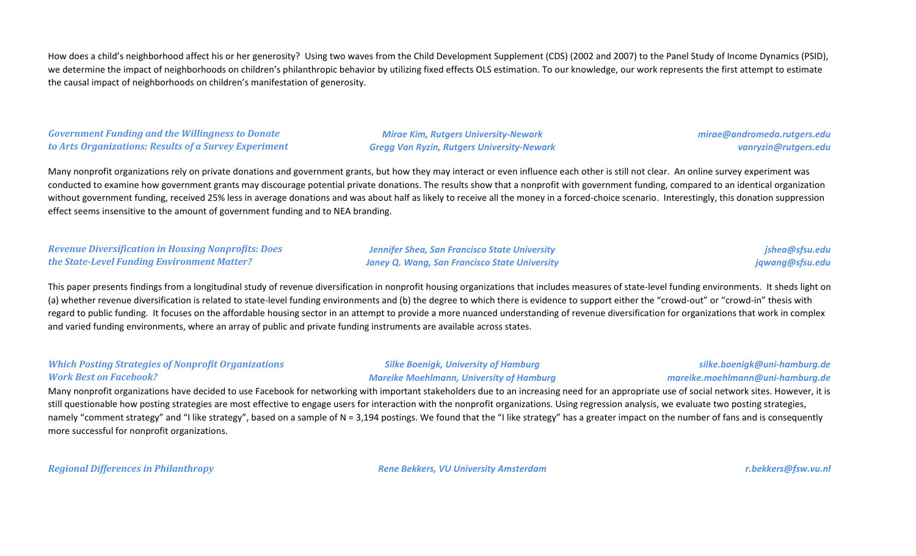How does a child's neighborhood affect his or her generosity? Using two waves from the Child Development Supplement (CDS) (2002 and 2007) to the Panel Study of Income Dynamics (PSID), we determine the impact of neighborhoods on children's philanthropic behavior by utilizing fixed effects OLS estimation. To our knowledge, our work represents the first attempt to estimate the causal impact of neighborhoods on children's manifestation of generosity.

*Government Funding and the Willingness to Donate to Arts Organizations: Results of a Survey Experiment*

*Mirae Kim, Rutgers University-Newark Gregg Van Ryzin, Rutgers University-Newark* *mirae@andromeda.rutgers.edu vanryzin@rutgers.edu*

Many nonprofit organizations rely on private donations and government grants, but how they may interact or even influence each other is still not clear. An online survey experiment was conducted to examine how government grants may discourage potential private donations. The results show that a nonprofit with government funding, compared to an identical organization without government funding, received 25% less in average donations and was about half as likely to receive all the money in a forced-choice scenario. Interestingly, this donation suppression effect seems insensitive to the amount of government funding and to NEA branding.

| Revenue Diversification in Housing Nonprofits: Does | <b>Jennifer Shea, San Francisco State University</b> | jshea@sfsu.edu  |
|-----------------------------------------------------|------------------------------------------------------|-----------------|
| the State-Level Funding Environment Matter?         | Janey Q. Wang, San Francisco State University        | jqwang@sfsu.edu |

This paper presents findings from a longitudinal study of revenue diversification in nonprofit housing organizations that includes measures of state-level funding environments. It sheds light on (a) whether revenue diversification is related to state-level funding environments and (b) the degree to which there is evidence to support either the "crowd-out" or "crowd-in" thesis with regard to public funding. It focuses on the affordable housing sector in an attempt to provide a more nuanced understanding of revenue diversification for organizations that work in complex and varied funding environments, where an array of public and private funding instruments are available across states.

#### *Which Posting Strategies of Nonprofit Organizations Work Best on Facebook?*

#### *Silke Boenigk, University of Hamburg Mareike Moehlmann, University of Hamburg*

#### *silke.boenigk@uni-hamburg.de mareike.moehlmann@uni-hamburg.de*

Many nonprofit organizations have decided to use Facebook for networking with important stakeholders due to an increasing need for an appropriate use of social network sites. However, it is still questionable how posting strategies are most effective to engage users for interaction with the nonprofit organizations. Using regression analysis, we evaluate two posting strategies, namely "comment strategy" and "I like strategy", based on a sample of N = 3,194 postings. We found that the "I like strategy" has a greater impact on the number of fans and is consequently more successful for nonprofit organizations.

*Regional Differences in Philanthropy Rene Bekkers, VU University Amsterdam r.bekkers@fsw.vu.nl*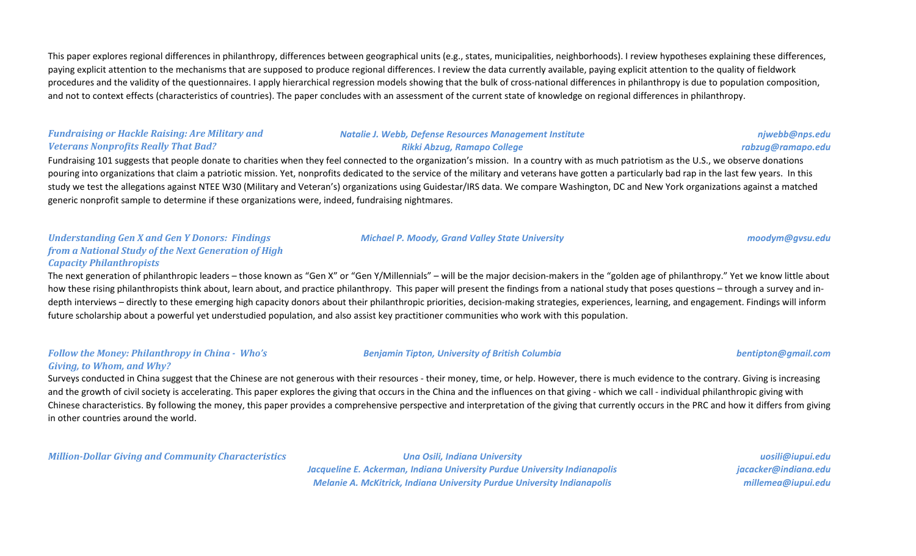This paper explores regional differences in philanthropy, differences between geographical units (e.g., states, municipalities, neighborhoods). I review hypotheses explaining these differences, paying explicit attention to the mechanisms that are supposed to produce regional differences. I review the data currently available, paying explicit attention to the quality of fieldwork procedures and the validity of the questionnaires. I apply hierarchical regression models showing that the bulk of cross-national differences in philanthropy is due to population composition, and not to context effects (characteristics of countries). The paper concludes with an assessment of the current state of knowledge on regional differences in philanthropy.

### *Fundraising or Hackle Raising: Are Military and Veterans Nonprofits Really That Bad?*

#### *Natalie J. Webb, Defense Resources Management Institute Rikki Abzug, Ramapo College*

Fundraising 101 suggests that people donate to charities when they feel connected to the organization's mission. In a country with as much patriotism as the U.S., we observe donations pouring into organizations that claim a patriotic mission. Yet, nonprofits dedicated to the service of the military and veterans have gotten a particularly bad rap in the last few years. In this study we test the allegations against NTEE W30 (Military and Veteran's) organizations using Guidestar/IRS data. We compare Washington, DC and New York organizations against a matched generic nonprofit sample to determine if these organizations were, indeed, fundraising nightmares.

#### *Understanding Gen X and Gen Y Donors: Findings from a National Study of the Next Generation of High Capacity Philanthropists*

The next generation of philanthropic leaders – those known as "Gen X" or "Gen Y/Millennials" – will be the major decision-makers in the "golden age of philanthropy." Yet we know little about how these rising philanthropists think about, learn about, and practice philanthropy. This paper will present the findings from a national study that poses questions – through a survey and indepth interviews – directly to these emerging high capacity donors about their philanthropic priorities, decision-making strategies, experiences, learning, and engagement. Findings will inform future scholarship about a powerful yet understudied population, and also assist key practitioner communities who work with this population.

#### *Follow the Money: Philanthropy in China - Who's Giving, to Whom, and Why?*

Surveys conducted in China suggest that the Chinese are not generous with their resources - their money, time, or help. However, there is much evidence to the contrary. Giving is increasing and the growth of civil society is accelerating. This paper explores the giving that occurs in the China and the influences on that giving - which we call - individual philanthropic giving with Chinese characteristics. By following the money, this paper provides a comprehensive perspective and interpretation of the giving that currently occurs in the PRC and how it differs from giving in other countries around the world.

*Million-Dollar Giving and Community Characteristics Una Osili, Indiana University*

*Jacqueline E. Ackerman, Indiana University Purdue University Indianapolis Melanie A. McKitrick, Indiana University Purdue University Indianapolis*

*uosili@iupui.edu jacacker@indiana.edu millemea@iupui.edu*

*Michael P. Moody, Grand Valley State University moodym@gvsu.edu*

*Benjamin Tipton, University of British Columbia bentipton@gmail.com*

#### *njwebb@nps.edu rabzug@ramapo.edu*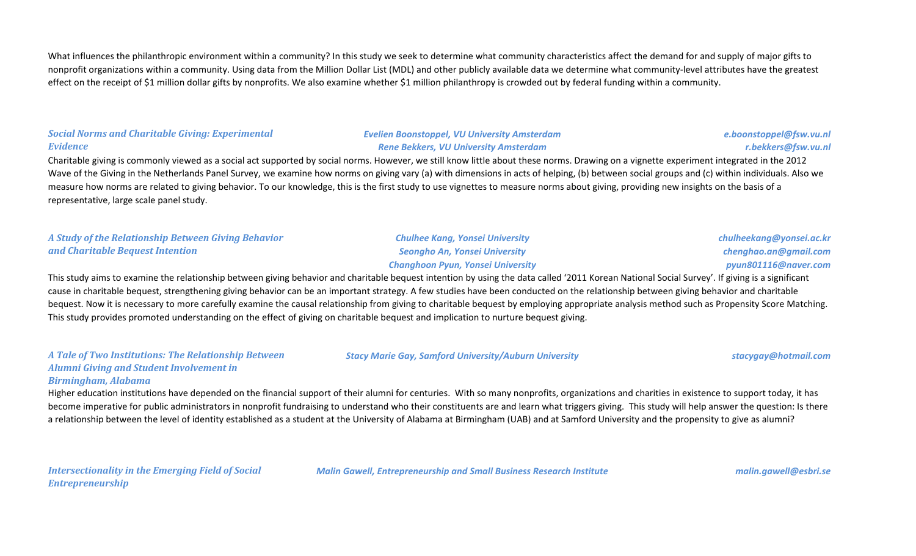What influences the philanthropic environment within a community? In this study we seek to determine what community characteristics affect the demand for and supply of major gifts to nonprofit organizations within a community. Using data from the Million Dollar List (MDL) and other publicly available data we determine what community-level attributes have the greatest effect on the receipt of \$1 million dollar gifts by nonprofits. We also examine whether \$1 million philanthropy is crowded out by federal funding within a community.

### *Social Norms and Charitable Giving: Experimental Evidence*

*Evelien Boonstoppel, VU University Amsterdam Rene Bekkers, VU University Amsterdam*

*e.boonstoppel@fsw.vu.nl r.bekkers@fsw.vu.nl*

Charitable giving is commonly viewed as a social act supported by social norms. However, we still know little about these norms. Drawing on a vignette experiment integrated in the 2012 Wave of the Giving in the Netherlands Panel Survey, we examine how norms on giving vary (a) with dimensions in acts of helping, (b) between social groups and (c) within individuals. Also we measure how norms are related to giving behavior. To our knowledge, this is the first study to use vignettes to measure norms about giving, providing new insights on the basis of a representative, large scale panel study.

*A Study of the Relationship Between Giving Behavior and Charitable Bequest Intention*

*Chulhee Kang, Yonsei University Seongho An, Yonsei University Changhoon Pyun, Yonsei University*

*Stacy Marie Gay, Samford University/Auburn University stacygay@hotmail.com*

*chulheekang@yonsei.ac.kr chenghao.an@gmail.com pyun801116@naver.com*

This study aims to examine the relationship between giving behavior and charitable bequest intention by using the data called '2011 Korean National Social Survey'. If giving is a significant cause in charitable bequest, strengthening giving behavior can be an important strategy. A few studies have been conducted on the relationship between giving behavior and charitable bequest. Now it is necessary to more carefully examine the causal relationship from giving to charitable bequest by employing appropriate analysis method such as Propensity Score Matching. This study provides promoted understanding on the effect of giving on charitable bequest and implication to nurture bequest giving.

*A Tale of Two Institutions: The Relationship Between Alumni Giving and Student Involvement in* 

*Birmingham, Alabama*

Higher education institutions have depended on the financial support of their alumni for centuries. With so many nonprofits, organizations and charities in existence to support today, it has become imperative for public administrators in nonprofit fundraising to understand who their constituents are and learn what triggers giving. This study will help answer the question: Is there a relationship between the level of identity established as a student at the University of Alabama at Birmingham (UAB) and at Samford University and the propensity to give as alumni?

*Intersectionality in the Emerging Field of Social Entrepreneurship*

*Malin Gawell, Entrepreneurship and Small Business Research Institute malin.gawell@esbri.se*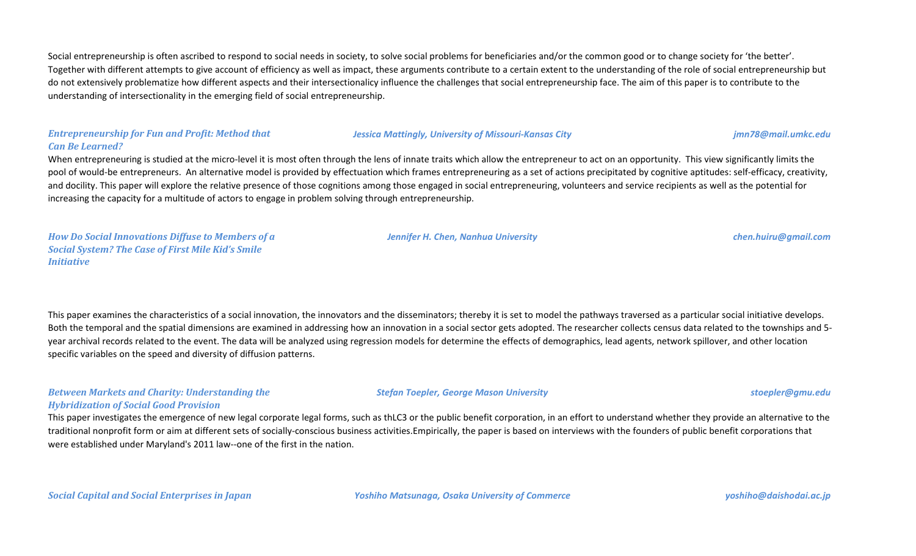Social entrepreneurship is often ascribed to respond to social needs in society, to solve social problems for beneficiaries and/or the common good or to change society for 'the better'. Together with different attempts to give account of efficiency as well as impact, these arguments contribute to a certain extent to the understanding of the role of social entrepreneurship but do not extensively problematize how different aspects and their intersectionalicy influence the challenges that social entrepreneurship face. The aim of this paper is to contribute to the understanding of intersectionality in the emerging field of social entrepreneurship.

#### *Entrepreneurship for Fun and Profit: Method that Can Be Learned?*

*Jessica Mattingly, University of Missouri-Kansas City jmn78@mail.umkc.edu*

When entrepreneuring is studied at the micro-level it is most often through the lens of innate traits which allow the entrepreneur to act on an opportunity. This view significantly limits the pool of would-be entrepreneurs. An alternative model is provided by effectuation which frames entrepreneuring as a set of actions precipitated by cognitive aptitudes: self-efficacy, creativity, and docility. This paper will explore the relative presence of those cognitions among those engaged in social entrepreneuring, volunteers and service recipients as well as the potential for increasing the capacity for a multitude of actors to engage in problem solving through entrepreneurship.

*How Do Social Innovations Diffuse to Members of a Social System? The Case of First Mile Kid's Smile Initiative*

This paper examines the characteristics of a social innovation, the innovators and the disseminators; thereby it is set to model the pathways traversed as a particular social initiative develops. Both the temporal and the spatial dimensions are examined in addressing how an innovation in a social sector gets adopted. The researcher collects census data related to the townships and 5year archival records related to the event. The data will be analyzed using regression models for determine the effects of demographics, lead agents, network spillover, and other location specific variables on the speed and diversity of diffusion patterns.

## *Between Markets and Charity: Understanding the Hybridization of Social Good Provision*

This paper investigates the emergence of new legal corporate legal forms, such as thLC3 or the public benefit corporation, in an effort to understand whether they provide an alternative to the traditional nonprofit form or aim at different sets of socially-conscious business activities.Empirically, the paper is based on interviews with the founders of public benefit corporations that were established under Maryland's 2011 law--one of the first in the nation.

## *Jennifer H. Chen, Nanhua University chen.huiru@gmail.com*

*Stefan Toepler, George Mason University stoepler@gmu.edu*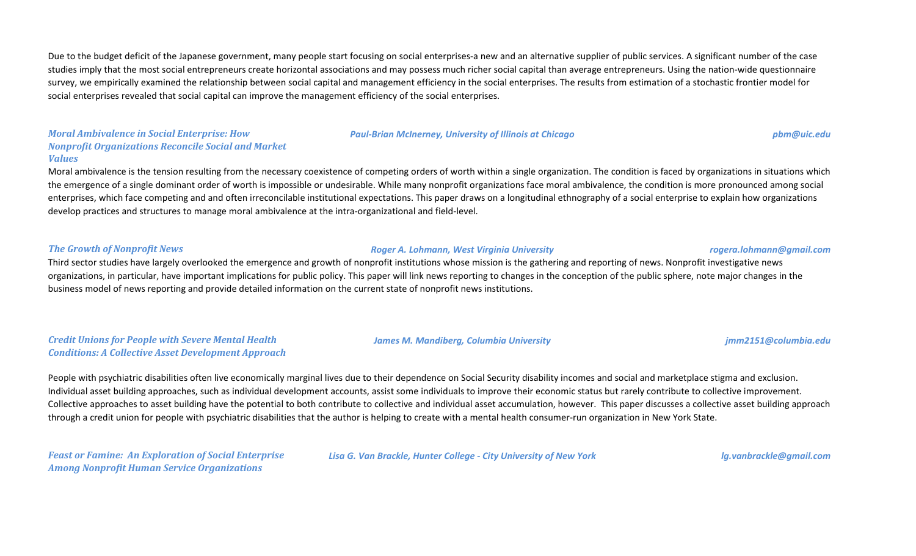Due to the budget deficit of the Japanese government, many people start focusing on social enterprises-a new and an alternative supplier of public services. A significant number of the case studies imply that the most social entrepreneurs create horizontal associations and may possess much richer social capital than average entrepreneurs. Using the nation-wide questionnaire survey, we empirically examined the relationship between social capital and management efficiency in the social enterprises. The results from estimation of a stochastic frontier model for social enterprises revealed that social capital can improve the management efficiency of the social enterprises.

#### *Moral Ambivalence in Social Enterprise: How Nonprofit Organizations Reconcile Social and Market Values*

Moral ambivalence is the tension resulting from the necessary coexistence of competing orders of worth within a single organization. The condition is faced by organizations in situations which the emergence of a single dominant order of worth is impossible or undesirable. While many nonprofit organizations face moral ambivalence, the condition is more pronounced among social enterprises, which face competing and and often irreconcilable institutional expectations. This paper draws on a longitudinal ethnography of a social enterprise to explain how organizations develop practices and structures to manage moral ambivalence at the intra-organizational and field-level.

#### *The Growth of Nonprofit News Roger A. Lohmann, West Virginia University rogera.lohmann@gmail.com*

Third sector studies have largely overlooked the emergence and growth of nonprofit institutions whose mission is the gathering and reporting of news. Nonprofit investigative news organizations, in particular, have important implications for public policy. This paper will link news reporting to changes in the conception of the public sphere, note major changes in the business model of news reporting and provide detailed information on the current state of nonprofit news institutions.

### *Credit Unions for People with Severe Mental Health Conditions: A Collective Asset Development Approach*

People with psychiatric disabilities often live economically marginal lives due to their dependence on Social Security disability incomes and social and marketplace stigma and exclusion. Individual asset building approaches, such as individual development accounts, assist some individuals to improve their economic status but rarely contribute to collective improvement. Collective approaches to asset building have the potential to both contribute to collective and individual asset accumulation, however. This paper discusses a collective asset building approach through a credit union for people with psychiatric disabilities that the author is helping to create with a mental health consumer-run organization in New York State.

*Feast or Famine: An Exploration of Social Enterprise Among Nonprofit Human Service Organizations*

*Lisa G. Van Brackle, Hunter College - City University of New York lg.vanbrackle@gmail.com*

*Paul-Brian McInerney, University of Illinois at Chicago pbm@uic.edu*

*James M. Mandiberg, Columbia University jmm2151@columbia.edu*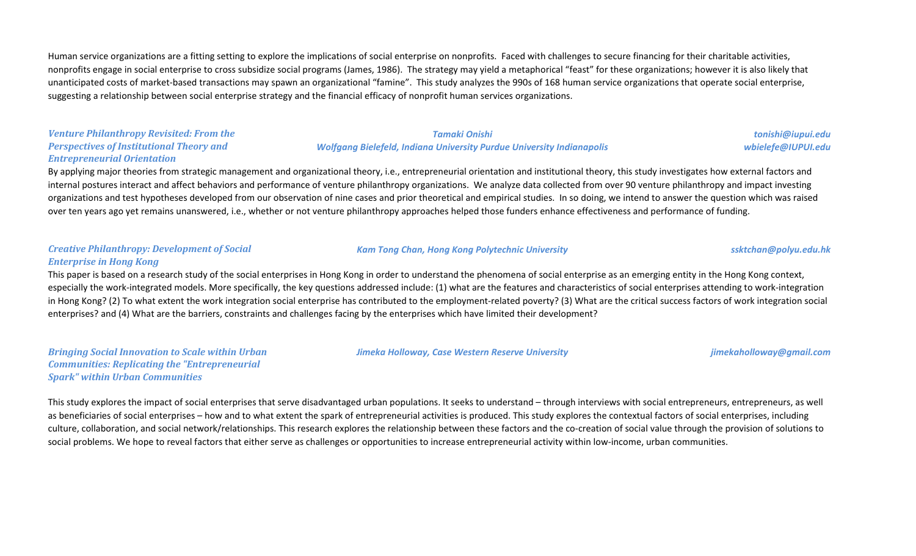Human service organizations are a fitting setting to explore the implications of social enterprise on nonprofits. Faced with challenges to secure financing for their charitable activities, nonprofits engage in social enterprise to cross subsidize social programs (James, 1986). The strategy may yield a metaphorical "feast" for these organizations; however it is also likely that unanticipated costs of market-based transactions may spawn an organizational "famine". This study analyzes the 990s of 168 human service organizations that operate social enterprise, suggesting a relationship between social enterprise strategy and the financial efficacy of nonprofit human services organizations.

#### *Venture Philanthropy Revisited: From the Perspectives of Institutional Theory and Entrepreneurial Orientation*

#### *Tamaki Onishi Wolfgang Bielefeld, Indiana University Purdue University Indianapolis*

By applying major theories from strategic management and organizational theory, i.e., entrepreneurial orientation and institutional theory, this study investigates how external factors and internal postures interact and affect behaviors and performance of venture philanthropy organizations. We analyze data collected from over 90 venture philanthropy and impact investing organizations and test hypotheses developed from our observation of nine cases and prior theoretical and empirical studies. In so doing, we intend to answer the question which was raised over ten years ago yet remains unanswered, i.e., whether or not venture philanthropy approaches helped those funders enhance effectiveness and performance of funding.

#### *Creative Philanthropy: Development of Social Enterprise in Hong Kong*

This paper is based on a research study of the social enterprises in Hong Kong in order to understand the phenomena of social enterprise as an emerging entity in the Hong Kong context, especially the work-integrated models. More specifically, the key questions addressed include: (1) what are the features and characteristics of social enterprises attending to work-integration in Hong Kong? (2) To what extent the work integration social enterprise has contributed to the employment-related poverty? (3) What are the critical success factors of work integration social enterprises? and (4) What are the barriers, constraints and challenges facing by the enterprises which have limited their development?

*Bringing Social Innovation to Scale within Urban Communities: Replicating the "Entrepreneurial Spark" within Urban Communities*

This study explores the impact of social enterprises that serve disadvantaged urban populations. It seeks to understand – through interviews with social entrepreneurs, entrepreneurs, as well as beneficiaries of social enterprises – how and to what extent the spark of entrepreneurial activities is produced. This study explores the contextual factors of social enterprises, including culture, collaboration, and social network/relationships. This research explores the relationship between these factors and the co-creation of social value through the provision of solutions to social problems. We hope to reveal factors that either serve as challenges or opportunities to increase entrepreneurial activity within low-income, urban communities.

*Kam Tong Chan, Hong Kong Polytechnic University ssktchan@polyu.edu.hk*

*Jimeka Holloway, Case Western Reserve University jimekaholloway@gmail.com*

*tonishi@iupui.edu wbielefe@IUPUI.edu*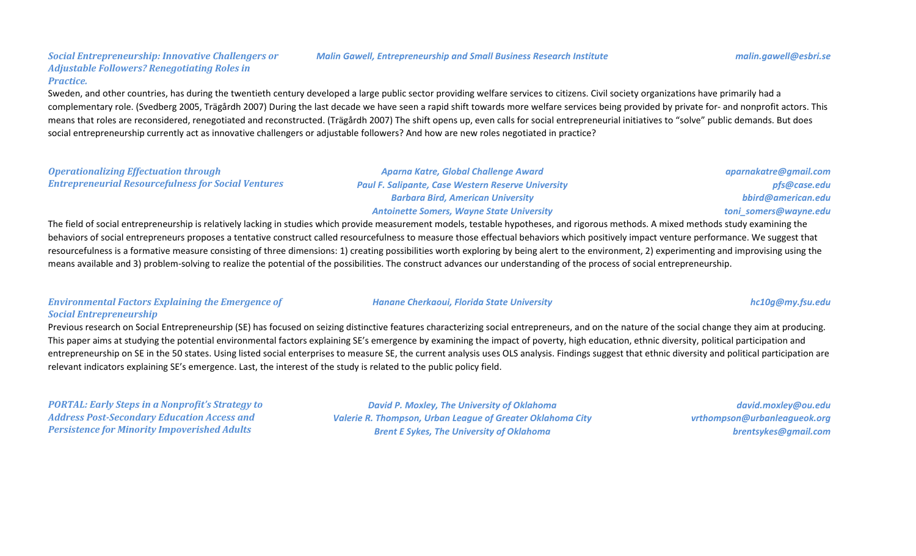#### *Malin Gawell, Entrepreneurship and Small Business Research Institute malin.gawell@esbri.se*

Sweden, and other countries, has during the twentieth century developed a large public sector providing welfare services to citizens. Civil society organizations have primarily had a complementary role. (Svedberg 2005, Trägårdh 2007) During the last decade we have seen a rapid shift towards more welfare services being provided by private for- and nonprofit actors. This means that roles are reconsidered, renegotiated and reconstructed. (Trägårdh 2007) The shift opens up, even calls for social entrepreneurial initiatives to "solve" public demands. But does social entrepreneurship currently act as innovative challengers or adjustable followers? And how are new roles negotiated in practice?

#### *Operationalizing Effectuation through Entrepreneurial Resourcefulness for Social Ventures*

*Aparna Katre, Global Challenge Award Paul F. Salipante, Case Western Reserve University Barbara Bird, American University Antoinette Somers, Wayne State University*

The field of social entrepreneurship is relatively lacking in studies which provide measurement models, testable hypotheses, and rigorous methods. A mixed methods study examining the behaviors of social entrepreneurs proposes a tentative construct called resourcefulness to measure those effectual behaviors which positively impact venture performance. We suggest that resourcefulness is a formative measure consisting of three dimensions: 1) creating possibilities worth exploring by being alert to the environment, 2) experimenting and improvising using the means available and 3) problem-solving to realize the potential of the possibilities. The construct advances our understanding of the process of social entrepreneurship.

#### *Environmental Factors Explaining the Emergence of Social Entrepreneurship*

Previous research on Social Entrepreneurship (SE) has focused on seizing distinctive features characterizing social entrepreneurs, and on the nature of the social change they aim at producing. This paper aims at studying the potential environmental factors explaining SE's emergence by examining the impact of poverty, high education, ethnic diversity, political participation and entrepreneurship on SE in the 50 states. Using listed social enterprises to measure SE, the current analysis uses OLS analysis. Findings suggest that ethnic diversity and political participation are relevant indicators explaining SE's emergence. Last, the interest of the study is related to the public policy field.

*PORTAL: Early Steps in a Nonprofit's Strategy to Address Post-Secondary Education Access and Persistence for Minority Impoverished Adults*

*David P. Moxley, The University of Oklahoma Valerie R. Thompson, Urban League of Greater Oklahoma City Brent E Sykes, The University of Oklahoma*

*david.moxley@ou.edu vrthompson@urbanleagueok.org brentsykes@gmail.com*

*aparnakatre@gmail.com pfs@case.edu bbird@american.edu toni\_somers@wayne.edu*

### *Hanane Cherkaoui, Florida State University hc10g@my.fsu.edu*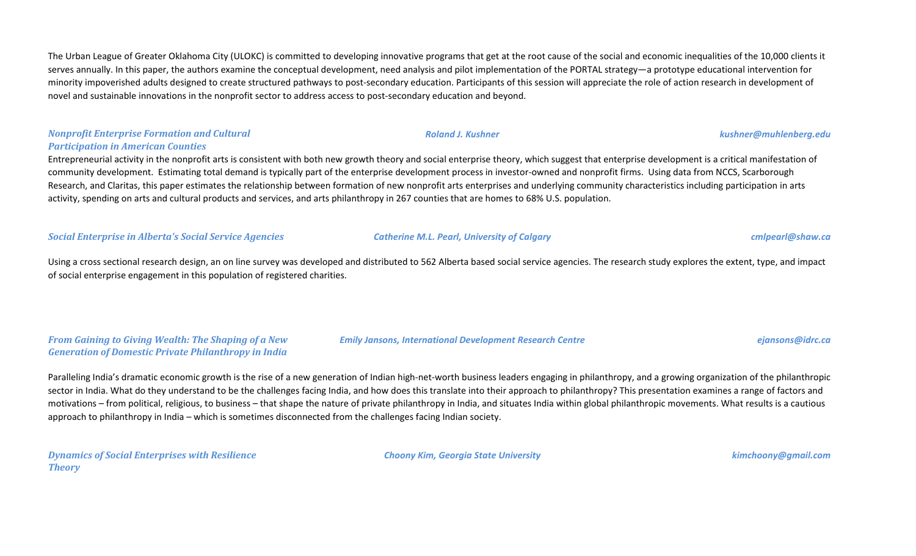The Urban League of Greater Oklahoma City (ULOKC) is committed to developing innovative programs that get at the root cause of the social and economic inequalities of the 10,000 clients it serves annually. In this paper, the authors examine the conceptual development, need analysis and pilot implementation of the PORTAL strategy—a prototype educational intervention for minority impoverished adults designed to create structured pathways to post-secondary education. Participants of this session will appreciate the role of action research in development of novel and sustainable innovations in the nonprofit sector to address access to post-secondary education and beyond.

## *Nonprofit Enterprise Formation and Cultural Participation in American Counties*

Entrepreneurial activity in the nonprofit arts is consistent with both new growth theory and social enterprise theory, which suggest that enterprise development is a critical manifestation of community development. Estimating total demand is typically part of the enterprise development process in investor-owned and nonprofit firms. Using data from NCCS, Scarborough Research, and Claritas, this paper estimates the relationship between formation of new nonprofit arts enterprises and underlying community characteristics including participation in arts activity, spending on arts and cultural products and services, and arts philanthropy in 267 counties that are homes to 68% U.S. population.

## *Social Enterprise in Alberta's Social Service Agencies Catherine M.L. Pearl, University of Calgary cmlpearl@shaw.ca*

Using a cross sectional research design, an on line survey was developed and distributed to 562 Alberta based social service agencies. The research study explores the extent, type, and impact of social enterprise engagement in this population of registered charities.

*From Gaining to Giving Wealth: The Shaping of a New Generation of Domestic Private Philanthropy in India*

Paralleling India's dramatic economic growth is the rise of a new generation of Indian high-net-worth business leaders engaging in philanthropy, and a growing organization of the philanthropic sector in India. What do they understand to be the challenges facing India, and how does this translate into their approach to philanthropy? This presentation examines a range of factors and motivations – from political, religious, to business – that shape the nature of private philanthropy in India, and situates India within global philanthropic movements. What results is a cautious approach to philanthropy in India – which is sometimes disconnected from the challenges facing Indian society.

*Dynamics of Social Enterprises with Resilience Theory*

*Choony Kim, Georgia State University kimchoony@gmail.com*

*Emily Jansons, International Development Research Centre ejansons@idrc.ca*

## *Roland J. Kushner kushner@muhlenberg.edu*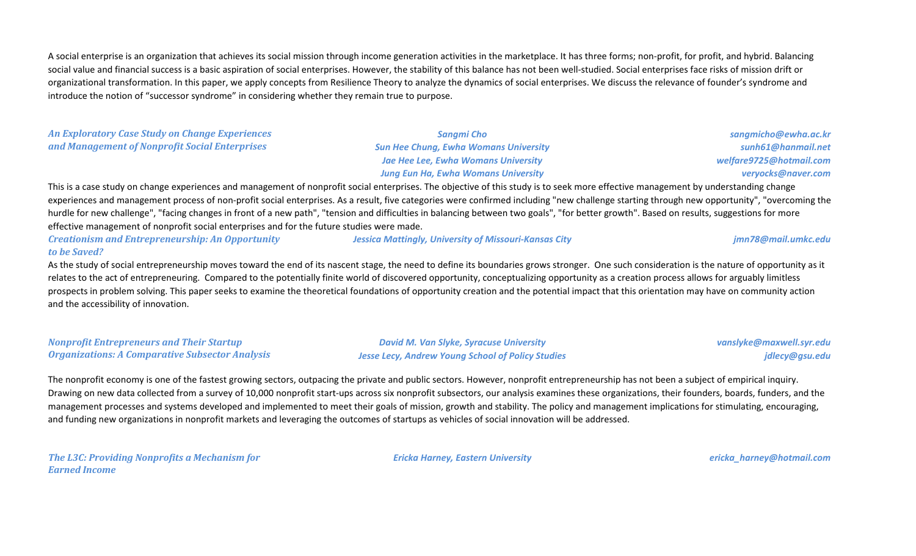A social enterprise is an organization that achieves its social mission through income generation activities in the marketplace. It has three forms; non-profit, for profit, and hybrid. Balancing social value and financial success is a basic aspiration of social enterprises. However, the stability of this balance has not been well-studied. Social enterprises face risks of mission drift or organizational transformation. In this paper, we apply concepts from Resilience Theory to analyze the dynamics of social enterprises. We discuss the relevance of founder's syndrome and introduce the notion of "successor syndrome" in considering whether they remain true to purpose.

| <b>An Exploratory Case Study on Change Experiences</b> | Sanami Cho                                                                                                                                                                            | sangmicho@ew     |
|--------------------------------------------------------|---------------------------------------------------------------------------------------------------------------------------------------------------------------------------------------|------------------|
| and Management of Nonprofit Social Enterprises         | <b>Sun Hee Chung, Ewha Womans University</b>                                                                                                                                          | sunh61@han       |
|                                                        | <b>Jae Hee Lee, Ewha Womans University</b>                                                                                                                                            | welfare9725@hotn |
|                                                        | <b>Jung Eun Ha, Ewha Womans University</b>                                                                                                                                            | veryocks@na      |
|                                                        | This is a case study on change experiences and management of nonprofit social enterprises. The objective of this study is to seek more effective management by understanding change   |                  |
|                                                        | experiences and management process of non-profit social enterprises. As a result, five categories were confirmed including "new challenge starting through new opportunity", "overcor |                  |

new opportunity", "overcoming the hurdle for new challenge", "facing changes in front of a new path", "tension and difficulties in balancing between two goals", "for better growth". Based on results, suggestions for more effective management of nonprofit social enterprises and for the future studies were made.

*Creationism and Entrepreneurship: An Opportunity to be Saved? Jessica Mattingly, University of Missouri-Kansas City jmn78@mail.umkc.edu*

As the study of social entrepreneurship moves toward the end of its nascent stage, the need to define its boundaries grows stronger. One such consideration is the nature of opportunity as it relates to the act of entrepreneuring. Compared to the potentially finite world of discovered opportunity, conceptualizing opportunity as a creation process allows for arguably limitless prospects in problem solving. This paper seeks to examine the theoretical foundations of opportunity creation and the potential impact that this orientation may have on community action and the accessibility of innovation.

| <b>Nonprofit Entrepreneurs and Their Startup</b>       |
|--------------------------------------------------------|
| <b>Organizations: A Comparative Subsector Analysis</b> |

*David M. Van Slyke, Syracuse University Jesse Lecy, Andrew Young School of Policy Studies* *vanslyke@maxwell.syr.edu jdlecy@gsu.edu*

*sangmicho@ewha.ac.kr sunh61@hanmail.net welfare9725@hotmail.com*

*veryocks@naver.com*

The nonprofit economy is one of the fastest growing sectors, outpacing the private and public sectors. However, nonprofit entrepreneurship has not been a subject of empirical inquiry. Drawing on new data collected from a survey of 10,000 nonprofit start-ups across six nonprofit subsectors, our analysis examines these organizations, their founders, boards, funders, and the management processes and systems developed and implemented to meet their goals of mission, growth and stability. The policy and management implications for stimulating, encouraging, and funding new organizations in nonprofit markets and leveraging the outcomes of startups as vehicles of social innovation will be addressed.

*The L3C: Providing Nonprofits a Mechanism for Earned Income*

*Ericka Harney, Eastern University ericka\_harney@hotmail.com*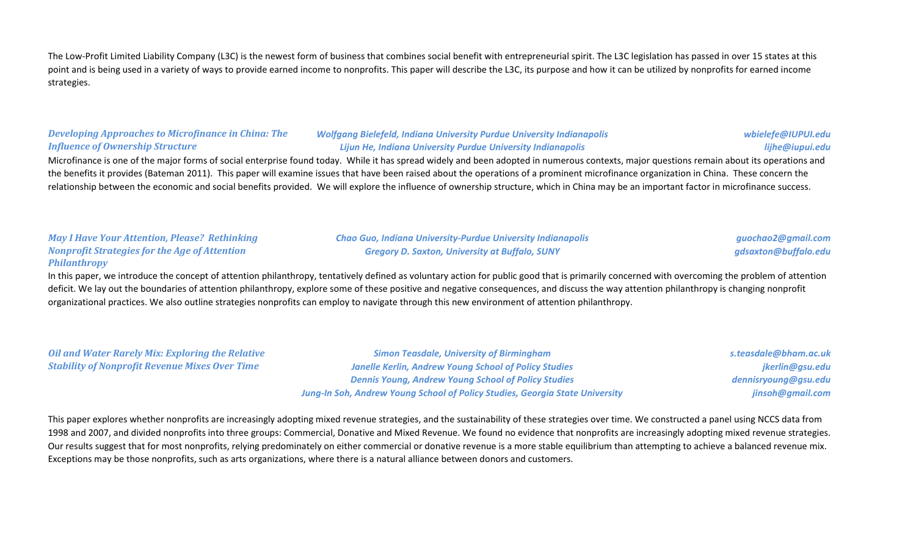The Low-Profit Limited Liability Company (L3C) is the newest form of business that combines social benefit with entrepreneurial spirit. The L3C legislation has passed in over 15 states at this point and is being used in a variety of ways to provide earned income to nonprofits. This paper will describe the L3C, its purpose and how it can be utilized by nonprofits for earned income strategies.

#### *Developing Approaches to Microfinance in China: The Influence of Ownership Structure*

### *Wolfgang Bielefeld, Indiana University Purdue University Indianapolis Lijun He, Indiana University Purdue University Indianapolis*

#### *wbielefe@IUPUI.edu lijhe@iupui.edu*

Microfinance is one of the major forms of social enterprise found today. While it has spread widely and been adopted in numerous contexts, major questions remain about its operations and the benefits it provides (Bateman 2011). This paper will examine issues that have been raised about the operations of a prominent microfinance organization in China. These concern the relationship between the economic and social benefits provided. We will explore the influence of ownership structure, which in China may be an important factor in microfinance success.

### *May I Have Your Attention, Please? Rethinking Nonprofit Strategies for the Age of Attention Philanthropy*

#### *Chao Guo, Indiana University-Purdue University Indianapolis Gregory D. Saxton, University at Buffalo, SUNY*

*guochao2@gmail.com gdsaxton@buffalo.edu*

In this paper, we introduce the concept of attention philanthropy, tentatively defined as voluntary action for public good that is primarily concerned with overcoming the problem of attention deficit. We lay out the boundaries of attention philanthropy, explore some of these positive and negative consequences, and discuss the way attention philanthropy is changing nonprofit organizational practices. We also outline strategies nonprofits can employ to navigate through this new environment of attention philanthropy.

*Oil and Water Rarely Mix: Exploring the Relative Stability of Nonprofit Revenue Mixes Over Time*

*Simon Teasdale, University of Birmingham Janelle Kerlin, Andrew Young School of Policy Studies Dennis Young, Andrew Young School of Policy Studies Jung-In Soh, Andrew Young School of Policy Studies, Georgia State University* *s.teasdale@bham.ac.uk jkerlin@gsu.edu dennisryoung@gsu.edu jinsoh@gmail.com*

This paper explores whether nonprofits are increasingly adopting mixed revenue strategies, and the sustainability of these strategies over time. We constructed a panel using NCCS data from 1998 and 2007, and divided nonprofits into three groups: Commercial, Donative and Mixed Revenue. We found no evidence that nonprofits are increasingly adopting mixed revenue strategies. Our results suggest that for most nonprofits, relying predominately on either commercial or donative revenue is a more stable equilibrium than attempting to achieve a balanced revenue mix. Exceptions may be those nonprofits, such as arts organizations, where there is a natural alliance between donors and customers.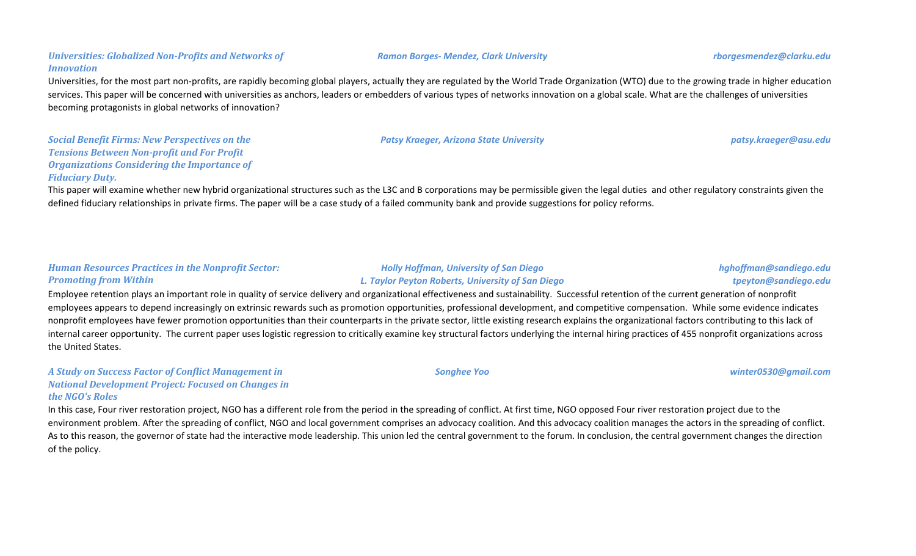## Universities, for the most part non-profits, are rapidly becoming global players, actually they are regulated by the World Trade Organization (WTO) due to the growing trade in higher education services. This paper will be concerned with universities as anchors, leaders or embedders of various types of networks innovation on a global scale. What are the challenges of universities becoming protagonists in global networks of innovation?

*Social Benefit Firms: New Perspectives on the Tensions Between Non-profit and For Profit Organizations Considering the Importance of Fiduciary Duty.*

*Universities: Globalized Non-Profits and Networks of* 

*Innovation*

This paper will examine whether new hybrid organizational structures such as the L3C and B corporations may be permissible given the legal duties and other regulatory constraints given the defined fiduciary relationships in private firms. The paper will be a case study of a failed community bank and provide suggestions for policy reforms.

## *Human Resources Practices in the Nonprofit Sector: Promoting from Within*

Employee retention plays an important role in quality of service delivery and organizational effectiveness and sustainability. Successful retention of the current generation of nonprofit employees appears to depend increasingly on extrinsic rewards such as promotion opportunities, professional development, and competitive compensation. While some evidence indicates nonprofit employees have fewer promotion opportunities than their counterparts in the private sector, little existing research explains the organizational factors contributing to this lack of internal career opportunity. The current paper uses logistic regression to critically examine key structural factors underlying the internal hiring practices of 455 nonprofit organizations across the United States.

### *A Study on Success Factor of Conflict Management in National Development Project: Focused on Changes in the NGO's Roles*

In this case, Four river restoration project, NGO has a different role from the period in the spreading of conflict. At first time, NGO opposed Four river restoration project due to the environment problem. After the spreading of conflict, NGO and local government comprises an advocacy coalition. And this advocacy coalition manages the actors in the spreading of conflict. As to this reason, the governor of state had the interactive mode leadership. This union led the central government to the forum. In conclusion, the central government changes the direction of the policy.

#### *Ramon Borges- Mendez, Clark University rborgesmendez@clarku.edu*

*Patsy Kraeger, Arizona State University patsy.kraeger@asu.edu*

*tpeyton@sandiego.edu*

*hghoffman@sandiego.edu*

*Holly Hoffman, University of San Diego L. Taylor Peyton Roberts, University of San Diego*

*Songhee Yoo winter0530@gmail.com*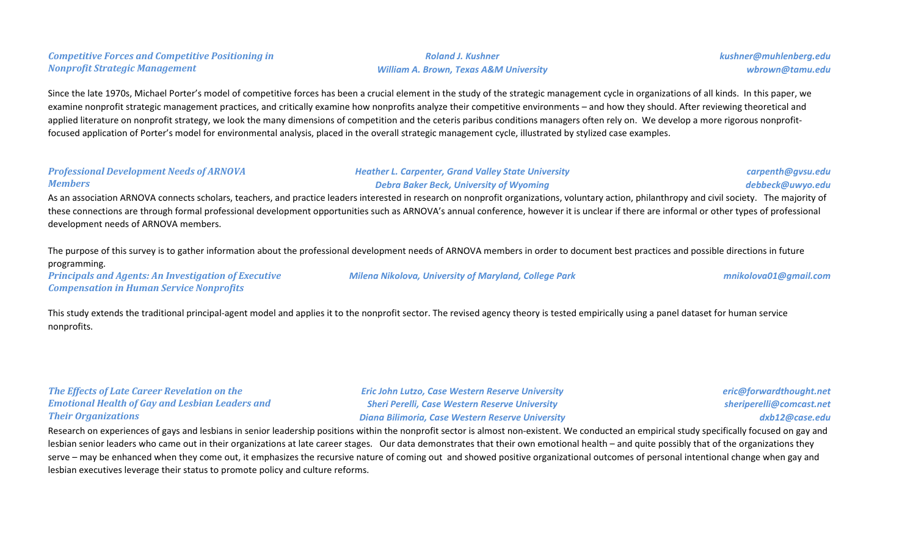| <b>Professional Development Needs of ARNOVA</b><br><b>Members</b>                                                              | <b>Heather L. Carpenter, Grand Valley State University</b><br><b>Debra Baker Beck, University of Wyoming</b><br>As an association ARNOVA connects scholars, teachers, and practice leaders interested in research on nonprofit organizations, voluntary action, philanthropy and civil society. The majority of<br>these connections are through formal professional development opportunities such as ARNOVA's annual conference, however it is unclear if there are informal or other types of professional | carpenth@gvsu.edu<br>debbeck@uwyo.edu |
|--------------------------------------------------------------------------------------------------------------------------------|---------------------------------------------------------------------------------------------------------------------------------------------------------------------------------------------------------------------------------------------------------------------------------------------------------------------------------------------------------------------------------------------------------------------------------------------------------------------------------------------------------------|---------------------------------------|
| development needs of ARNOVA members.                                                                                           | The purpose of this survey is to gather information about the professional development needs of ARNOVA members in order to document best practices and possible directions in future                                                                                                                                                                                                                                                                                                                          |                                       |
| programming.<br><b>Principals and Agents: An Investigation of Executive</b><br><b>Compensation in Human Service Nonprofits</b> | <b>Milena Nikolova, University of Maryland, College Park</b>                                                                                                                                                                                                                                                                                                                                                                                                                                                  | mnikolova01@gmail.com                 |
| nonprofits.                                                                                                                    | This study extends the traditional principal-agent model and applies it to the nonprofit sector. The revised agency theory is tested empirically using a panel dataset for human service                                                                                                                                                                                                                                                                                                                      |                                       |

*Roland J. Kushner William A. Brown, Texas A&M University*

Since the late 1970s, Michael Porter's model of competitive forces has been a crucial element in the study of the strategic management cycle in organizations of all kinds. In this paper, we examine nonprofit strategic management practices, and critically examine how nonprofits analyze their competitive environments – and how they should. After reviewing theoretical and applied literature on nonprofit strategy, we look the many dimensions of competition and the ceteris paribus conditions managers often rely on. We develop a more rigorous nonprofit-

focused application of Porter's model for environmental analysis, placed in the overall strategic management cycle, illustrated by stylized case examples.

### *The Effects of Late Career Revelation on the Emotional Health of Gay and Lesbian Leaders and Their Organizations*

*Competitive Forces and Competitive Positioning in* 

*Nonprofit Strategic Management*

*Eric John Lutzo, Case Western Reserve University Sheri Perelli, Case Western Reserve University Diana Bilimoria, Case Western Reserve University* *eric@forwardthought.net sheriperelli@comcast.net dxb12@case.edu*

*kushner@muhlenberg.edu*

*wbrown@tamu.edu*

Research on experiences of gays and lesbians in senior leadership positions within the nonprofit sector is almost non-existent. We conducted an empirical study specifically focused on gay and lesbian senior leaders who came out in their organizations at late career stages. Our data demonstrates that their own emotional health – and quite possibly that of the organizations they serve – may be enhanced when they come out, it emphasizes the recursive nature of coming out and showed positive organizational outcomes of personal intentional change when gay and lesbian executives leverage their status to promote policy and culture reforms.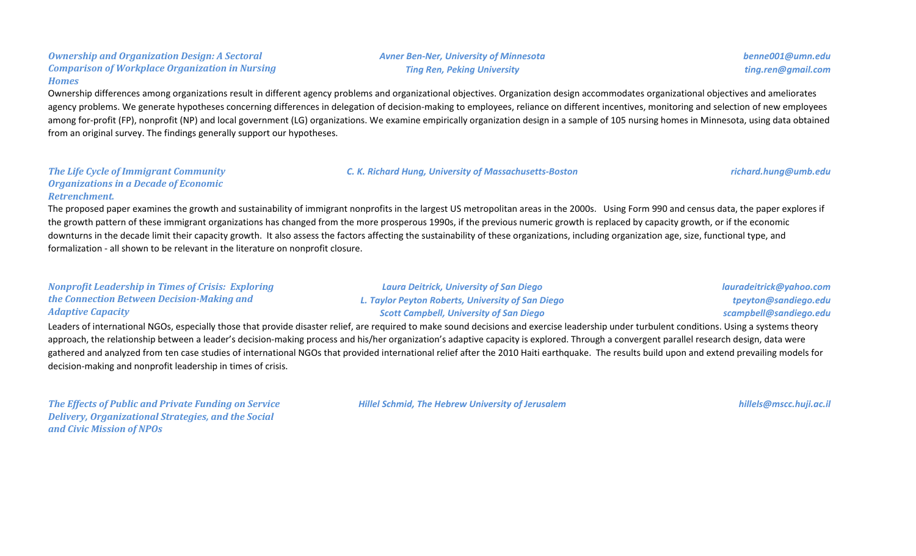#### *Ownership and Organization Design: A Sectoral Comparison of Workplace Organization in Nursing Homes*

Ownership differences among organizations result in different agency problems and organizational objectives. Organization design accommodates organizational objectives and ameliorates agency problems. We generate hypotheses concerning differences in delegation of decision-making to employees, reliance on different incentives, monitoring and selection of new employees among for-profit (FP), nonprofit (NP) and local government (LG) organizations. We examine empirically organization design in a sample of 105 nursing homes in Minnesota, using data obtained from an original survey. The findings generally support our hypotheses.

### *The Life Cycle of Immigrant Community Organizations in a Decade of Economic Retrenchment.*

The proposed paper examines the growth and sustainability of immigrant nonprofits in the largest US metropolitan areas in the 2000s. Using Form 990 and census data, the paper explores if the growth pattern of these immigrant organizations has changed from the more prosperous 1990s, if the previous numeric growth is replaced by capacity growth, or if the economic downturns in the decade limit their capacity growth. It also assess the factors affecting the sustainability of these organizations, including organization age, size, functional type, and formalization - all shown to be relevant in the literature on nonprofit closure.

#### *Nonprofit Leadership in Times of Crisis: Exploring the Connection Between Decision-Making and Adaptive Capacity*

*Laura Deitrick, University of San Diego L. Taylor Peyton Roberts, University of San Diego Scott Campbell, University of San Diego*

Leaders of international NGOs, especially those that provide disaster relief, are required to make sound decisions and exercise leadership under turbulent conditions. Using a systems theory approach, the relationship between a leader's decision-making process and his/her organization's adaptive capacity is explored. Through a convergent parallel research design, data were gathered and analyzed from ten case studies of international NGOs that provided international relief after the 2010 Haiti earthquake. The results build upon and extend prevailing models for decision-making and nonprofit leadership in times of crisis.

*The Effects of Public and Private Funding on Service Delivery, Organizational Strategies, and the Social and Civic Mission of NPOs*

*Hillel Schmid, The Hebrew University of Jerusalem hillels@mscc.huji.ac.il*

*Avner Ben-Ner, University of Minnesota Ting Ren, Peking University*

*benne001@umn.edu ting.ren@gmail.com*

*lauradeitrick@yahoo.com tpeyton@sandiego.edu scampbell@sandiego.edu*

*C. K. Richard Hung, University of Massachusetts-Boston richard.hung@umb.edu*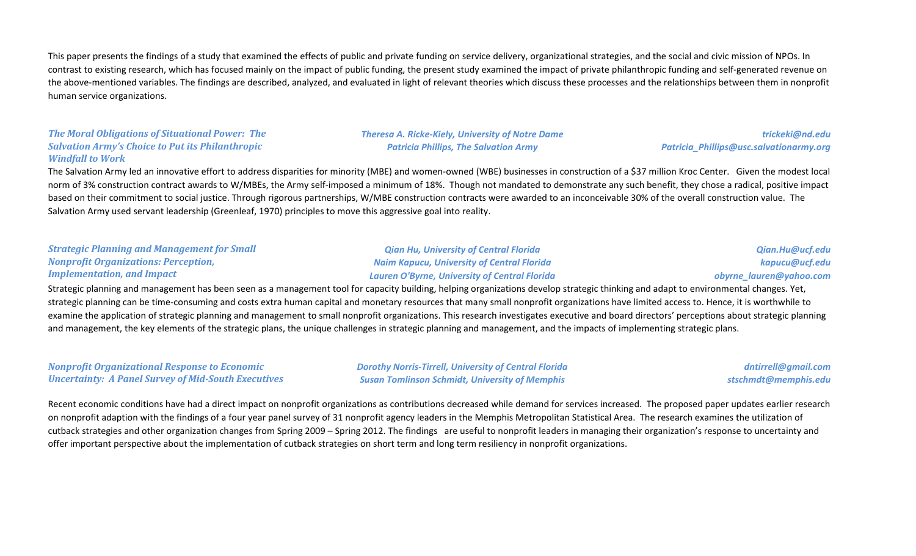This paper presents the findings of a study that examined the effects of public and private funding on service delivery, organizational strategies, and the social and civic mission of NPOs. In contrast to existing research, which has focused mainly on the impact of public funding, the present study examined the impact of private philanthropic funding and self-generated revenue on the above-mentioned variables. The findings are described, analyzed, and evaluated in light of relevant theories which discuss these processes and the relationships between them in nonprofit human service organizations.

### *The Moral Obligations of Situational Power: The Salvation Army's Choice to Put its Philanthropic Windfall to Work*

### *Theresa A. Ricke-Kiely, University of Notre Dame Patricia Phillips, The Salvation Army*

*trickeki@nd.edu Patricia\_Phillips@usc.salvationarmy.org*

The Salvation Army led an innovative effort to address disparities for minority (MBE) and women-owned (WBE) businesses in construction of a \$37 million Kroc Center. Given the modest local norm of 3% construction contract awards to W/MBEs, the Army self-imposed a minimum of 18%. Though not mandated to demonstrate any such benefit, they chose a radical, positive impact based on their commitment to social justice. Through rigorous partnerships, W/MBE construction contracts were awarded to an inconceivable 30% of the overall construction value. The Salvation Army used servant leadership (Greenleaf, 1970) principles to move this aggressive goal into reality.

| <b>Strategic Planning and Management for Small</b> | <b>Qian Hu, University of Central Florida</b>        | Qian.Hu@ucf.edu         |
|----------------------------------------------------|------------------------------------------------------|-------------------------|
| <b>Nonprofit Organizations: Perception,</b>        | <b>Naim Kapucu, University of Central Florida</b>    | kapucu@ucf.edu          |
| <b>Implementation, and Impact</b>                  | <b>Lauren O'Byrne, University of Central Florida</b> | obyrne_lauren@yahoo.com |
|                                                    |                                                      |                         |

Strategic planning and management has been seen as a management tool for capacity building, helping organizations develop strategic thinking and adapt to environmental changes. Yet, strategic planning can be time-consuming and costs extra human capital and monetary resources that many small nonprofit organizations have limited access to. Hence, it is worthwhile to examine the application of strategic planning and management to small nonprofit organizations. This research investigates executive and board directors' perceptions about strategic planning and management, the key elements of the strategic plans, the unique challenges in strategic planning and management, and the impacts of implementing strategic plans.

### *Nonprofit Organizational Response to Economic Uncertainty: A Panel Survey of Mid-South Executives*

*Dorothy Norris-Tirrell, University of Central Florida Susan Tomlinson Schmidt, University of Memphis*

*dntirrell@gmail.com stschmdt@memphis.edu*

Recent economic conditions have had a direct impact on nonprofit organizations as contributions decreased while demand for services increased. The proposed paper updates earlier research on nonprofit adaption with the findings of a four year panel survey of 31 nonprofit agency leaders in the Memphis Metropolitan Statistical Area. The research examines the utilization of cutback strategies and other organization changes from Spring 2009 – Spring 2012. The findings are useful to nonprofit leaders in managing their organization's response to uncertainty and offer important perspective about the implementation of cutback strategies on short term and long term resiliency in nonprofit organizations.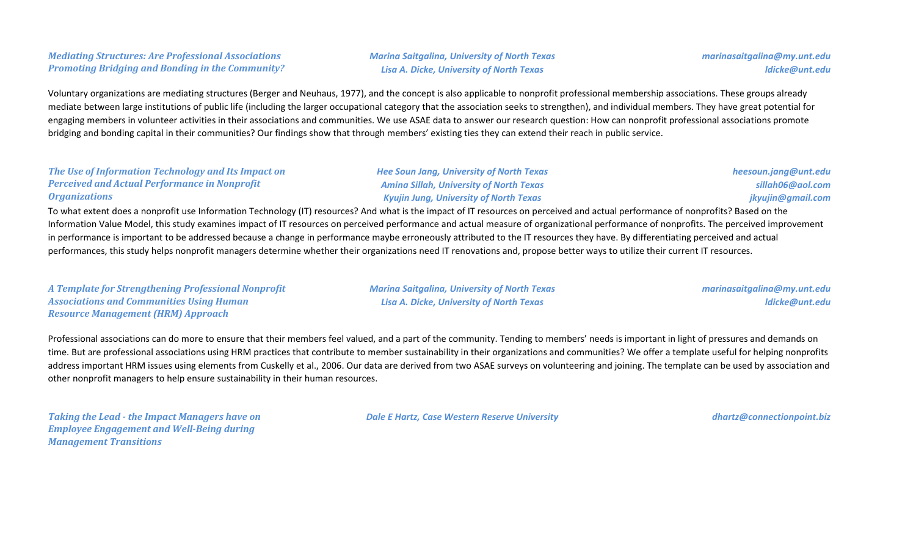## *Mediating Structures: Are Professional Associations Promoting Bridging and Bonding in the Community?*

*Marina Saitgalina, University of North Texas Lisa A. Dicke, University of North Texas*

Voluntary organizations are mediating structures (Berger and Neuhaus, 1977), and the concept is also applicable to nonprofit professional membership associations. These groups already mediate between large institutions of public life (including the larger occupational category that the association seeks to strengthen), and individual members. They have great potential for engaging members in volunteer activities in their associations and communities. We use ASAE data to answer our research question: How can nonprofit professional associations promote bridging and bonding capital in their communities? Our findings show that through members' existing ties they can extend their reach in public service.

#### *The Use of Information Technology and Its Impact on Perceived and Actual Performance in Nonprofit Organizations*

*Hee Soun Jang, University of North Texas Amina Sillah, University of North Texas Kyujin Jung, University of North Texas*

*heesoun.jang@unt.edu sillah06@aol.com jkyujin@gmail.com*

To what extent does a nonprofit use Information Technology (IT) resources? And what is the impact of IT resources on perceived and actual performance of nonprofits? Based on the Information Value Model, this study examines impact of IT resources on perceived performance and actual measure of organizational performance of nonprofits. The perceived improvement in performance is important to be addressed because a change in performance maybe erroneously attributed to the IT resources they have. By differentiating perceived and actual performances, this study helps nonprofit managers determine whether their organizations need IT renovations and, propose better ways to utilize their current IT resources.

*A Template for Strengthening Professional Nonprofit Associations and Communities Using Human Resource Management (HRM) Approach*

*Marina Saitgalina, University of North Texas Lisa A. Dicke, University of North Texas*

*marinasaitgalina@my.unt.edu ldicke@unt.edu*

Professional associations can do more to ensure that their members feel valued, and a part of the community. Tending to members' needs is important in light of pressures and demands on time. But are professional associations using HRM practices that contribute to member sustainability in their organizations and communities? We offer a template useful for helping nonprofits address important HRM issues using elements from Cuskelly et al., 2006. Our data are derived from two ASAE surveys on volunteering and joining. The template can be used by association and other nonprofit managers to help ensure sustainability in their human resources.

*Taking the Lead - the Impact Managers have on Employee Engagement and Well-Being during Management Transitions*

*Dale E Hartz, Case Western Reserve University dhartz@connectionpoint.biz*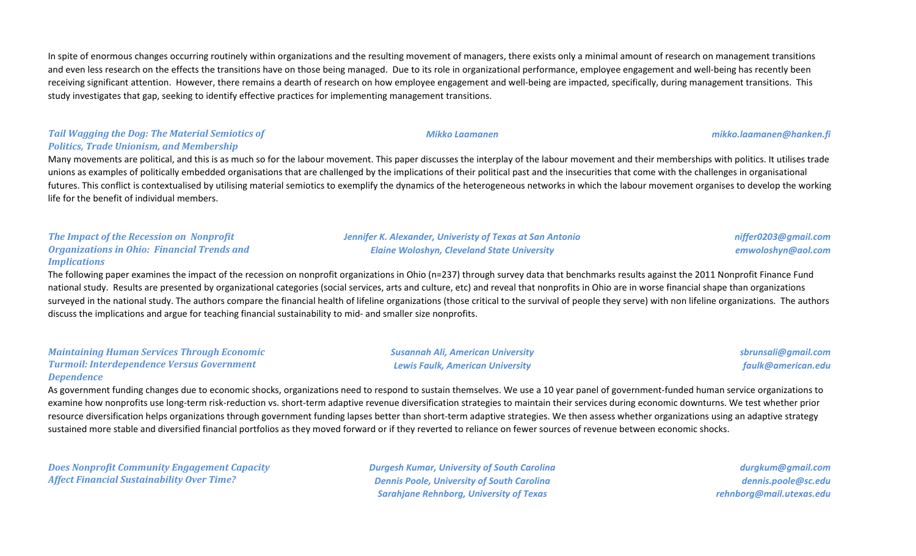In spite of enormous changes occurring routinely within organizations and the resulting movement of managers, there exists only a minimal amount of research on management transitions and even less research on the effects the transitions have on those being managed. Due to its role in organizational performance, employee engagement and well-being has recently been receiving significant attention. However, there remains a dearth of research on how employee engagement and well-being are impacted, specifically, during management transitions. This study investigates that gap, seeking to identify effective practices for implementing management transitions.

## *Tail Wagging the Dog: The Material Semiotics of Politics, Trade Unionism, and Membership*

Many movements are political, and this is as much so for the labour movement. This paper discusses the interplay of the labour movement and their memberships with politics. It utilises trade unions as examples of politically embedded organisations that are challenged by the implications of their political past and the insecurities that come with the challenges in organisational futures. This conflict is contextualised by utilising material semiotics to exemplify the dynamics of the heterogeneous networks in which the labour movement organises to develop the working life for the benefit of individual members.

> *Jennifer K. Alexander, Univeristy of Texas at San Antonio Elaine Woloshyn, Cleveland State University*

> > *Susannah Ali, American University Lewis Faulk, American University*

## *The Impact of the Recession on Nonprofit Organizations in Ohio: Financial Trends and Implications*

The following paper examines the impact of the recession on nonprofit organizations in Ohio (n=237) through survey data that benchmarks results against the 2011 Nonprofit Finance Fund national study. Results are presented by organizational categories (social services, arts and culture, etc) and reveal that nonprofits in Ohio are in worse financial shape than organizations surveyed in the national study. The authors compare the financial health of lifeline organizations (those critical to the survival of people they serve) with non lifeline organizations. The authors discuss the implications and argue for teaching financial sustainability to mid- and smaller size nonprofits.

#### *Maintaining Human Services Through Economic Turmoil: Interdependence Versus Government Dependence*

As government funding changes due to economic shocks, organizations need to respond to sustain themselves. We use a 10 year panel of government-funded human service organizations to examine how nonprofits use long-term risk-reduction vs. short-term adaptive revenue diversification strategies to maintain their services during economic downturns. We test whether prior resource diversification helps organizations through government funding lapses better than short-term adaptive strategies. We then assess whether organizations using an adaptive strategy sustained more stable and diversified financial portfolios as they moved forward or if they reverted to reliance on fewer sources of revenue between economic shocks.

*Does Nonprofit Community Engagement Capacity Affect Financial Sustainability Over Time?*

*Durgesh Kumar, University of South Carolina Dennis Poole, University of South Carolina Sarahjane Rehnborg, University of Texas*

*durgkum@gmail.com dennis.poole@sc.edu rehnborg@mail.utexas.edu*

*niffer0203@gmail.com emwoloshyn@aol.com*

*sbrunsali@gmail.com faulk@american.edu*

*Mikko Laamanen mikko.laamanen@hanken.fi*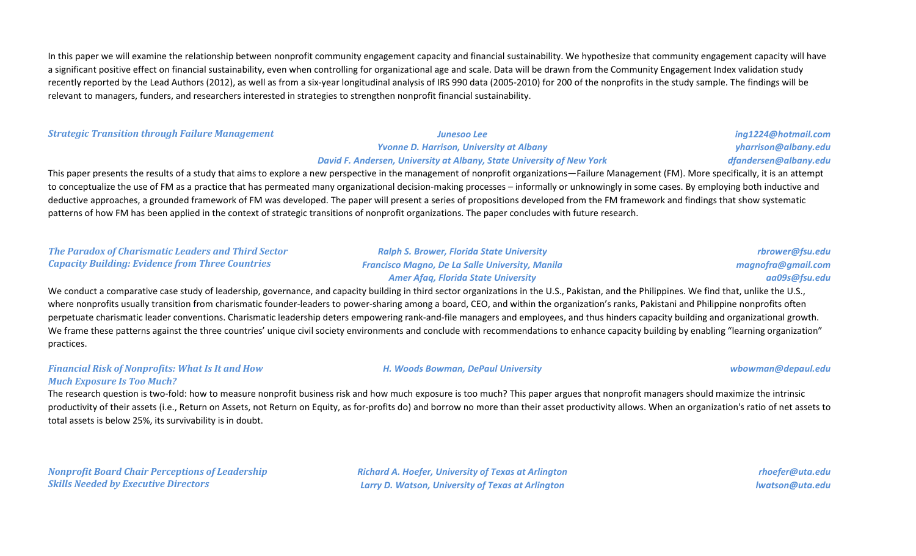In this paper we will examine the relationship between nonprofit community engagement capacity and financial sustainability. We hypothesize that community engagement capacity will have a significant positive effect on financial sustainability, even when controlling for organizational age and scale. Data will be drawn from the Community Engagement Index validation study recently reported by the Lead Authors (2012), as well as from a six-year longitudinal analysis of IRS 990 data (2005-2010) for 200 of the nonprofits in the study sample. The findings will be relevant to managers, funders, and researchers interested in strategies to strengthen nonprofit financial sustainability.

#### *Strategic Transition through Failure Management Junesoo Lee*

# *Yvonne D. Harrison, University at Albany David F. Andersen, University at Albany, State University of New York*

*ing1224@hotmail.com yharrison@albany.edu dfandersen@albany.edu*

This paper presents the results of a study that aims to explore a new perspective in the management of nonprofit organizations—Failure Management (FM). More specifically, it is an attempt to conceptualize the use of FM as a practice that has permeated many organizational decision-making processes – informally or unknowingly in some cases. By employing both inductive and deductive approaches, a grounded framework of FM was developed. The paper will present a series of propositions developed from the FM framework and findings that show systematic patterns of how FM has been applied in the context of strategic transitions of nonprofit organizations. The paper concludes with future research.

#### *The Paradox of Charismatic Leaders and Third Sector Capacity Building: Evidence from Three Countries*

### *Ralph S. Brower, Florida State University Francisco Magno, De La Salle University, Manila Amer Afaq, Florida State University*

*rbrower@fsu.edu magnofra@gmail.com aa09s@fsu.edu*

We conduct a comparative case study of leadership, governance, and capacity building in third sector organizations in the U.S., Pakistan, and the Philippines. We find that, unlike the U.S., where nonprofits usually transition from charismatic founder-leaders to power-sharing among a board, CEO, and within the organization's ranks, Pakistani and Philippine nonprofits often perpetuate charismatic leader conventions. Charismatic leadership deters empowering rank-and-file managers and employees, and thus hinders capacity building and organizational growth. We frame these patterns against the three countries' unique civil society environments and conclude with recommendations to enhance capacity building by enabling "learning organization" practices.

# *Financial Risk of Nonprofits: What Is It and How*

*H. Woods Bowman, DePaul University wbowman@depaul.edu*

## *Much Exposure Is Too Much?*

The research question is two-fold: how to measure nonprofit business risk and how much exposure is too much? This paper argues that nonprofit managers should maximize the intrinsic productivity of their assets (i.e., Return on Assets, not Return on Equity, as for-profits do) and borrow no more than their asset productivity allows. When an organization's ratio of net assets to total assets is below 25%, its survivability is in doubt.

*Nonprofit Board Chair Perceptions of Leadership Skills Needed by Executive Directors*

*Richard A. Hoefer, University of Texas at Arlington Larry D. Watson, University of Texas at Arlington*

*rhoefer@uta.edu lwatson@uta.edu*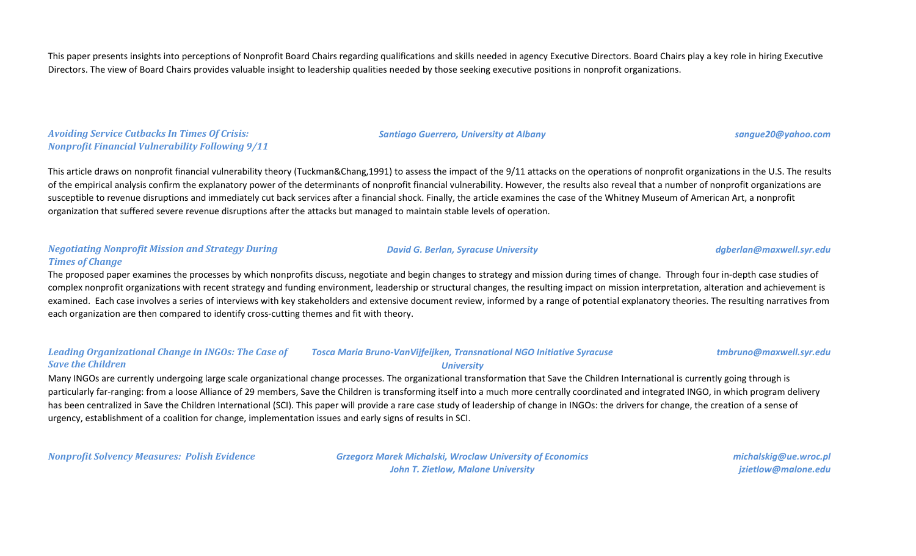This paper presents insights into perceptions of Nonprofit Board Chairs regarding qualifications and skills needed in agency Executive Directors. Board Chairs play a key role in hiring Executive Directors. The view of Board Chairs provides valuable insight to leadership qualities needed by those seeking executive positions in nonprofit organizations.

*Avoiding Service Cutbacks In Times Of Crisis: Nonprofit Financial Vulnerability Following 9/11*

This article draws on nonprofit financial vulnerability theory (Tuckman&Chang,1991) to assess the impact of the 9/11 attacks on the operations of nonprofit organizations in the U.S. The results of the empirical analysis confirm the explanatory power of the determinants of nonprofit financial vulnerability. However, the results also reveal that a number of nonprofit organizations are susceptible to revenue disruptions and immediately cut back services after a financial shock. Finally, the article examines the case of the Whitney Museum of American Art, a nonprofit organization that suffered severe revenue disruptions after the attacks but managed to maintain stable levels of operation.

#### *Negotiating Nonprofit Mission and Strategy During Times of Change*

The proposed paper examines the processes by which nonprofits discuss, negotiate and begin changes to strategy and mission during times of change. Through four in-depth case studies of complex nonprofit organizations with recent strategy and funding environment, leadership or structural changes, the resulting impact on mission interpretation, alteration and achievement is examined. Each case involves a series of interviews with key stakeholders and extensive document review, informed by a range of potential explanatory theories. The resulting narratives from each organization are then compared to identify cross-cutting themes and fit with theory.

#### *Leading Organizational Change in INGOs: The Case of Save the Children Tosca Maria Bruno-VanVijfeijken, Transnational NGO Initiative Syracuse University*

Many INGOs are currently undergoing large scale organizational change processes. The organizational transformation that Save the Children International is currently going through is particularly far-ranging: from a loose Alliance of 29 members, Save the Children is transforming itself into a much more centrally coordinated and integrated INGO, in which program delivery has been centralized in Save the Children International (SCI). This paper will provide a rare case study of leadership of change in INGOs: the drivers for change, the creation of a sense of urgency, establishment of a coalition for change, implementation issues and early signs of results in SCI.

*Nonprofit Solvency Measures: Polish Evidence Grzegorz Marek Michalski, Wroclaw University of Economics John T. Zietlow, Malone University*

*michalskig@ue.wroc.pl jzietlow@malone.edu*

#### *David G. Berlan, Syracuse University dgberlan@maxwell.syr.edu*

*tmbruno@maxwell.syr.edu*

#### *Santiago Guerrero, University at Albany sangue20@yahoo.com*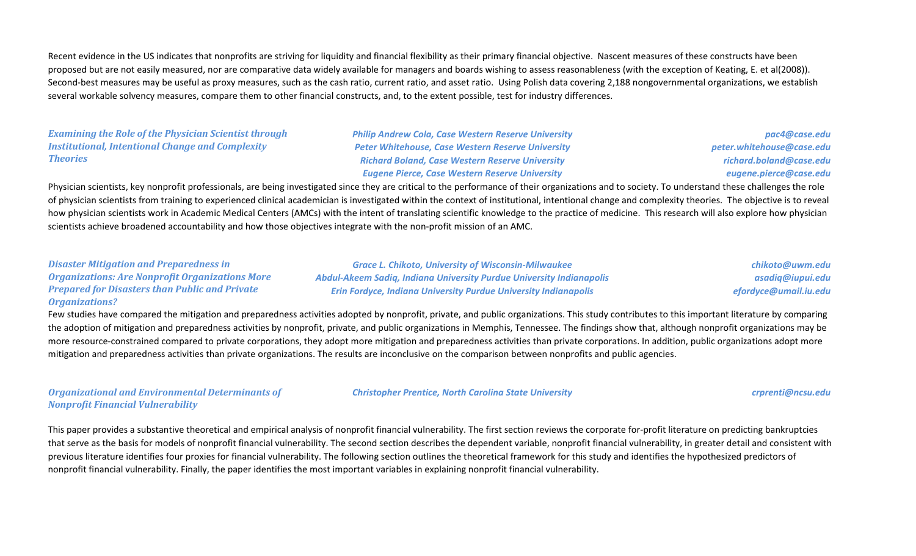Recent evidence in the US indicates that nonprofits are striving for liquidity and financial flexibility as their primary financial objective. Nascent measures of these constructs have been proposed but are not easily measured, nor are comparative data widely available for managers and boards wishing to assess reasonableness (with the exception of Keating, E. et al(2008)). Second-best measures may be useful as proxy measures, such as the cash ratio, current ratio, and asset ratio. Using Polish data covering 2,188 nongovernmental organizations, we establish several workable solvency measures, compare them to other financial constructs, and, to the extent possible, test for industry differences.

*Examining the Role of the Physician Scientist through Institutional, Intentional Change and Complexity Theories*

*Philip Andrew Cola, Case Western Reserve University Peter Whitehouse, Case Western Reserve University Richard Boland, Case Western Reserve University Eugene Pierce, Case Western Reserve University*

*pac4@case.edu peter.whitehouse@case.edu richard.boland@case.edu eugene.pierce@case.edu*

Physician scientists, key nonprofit professionals, are being investigated since they are critical to the performance of their organizations and to society. To understand these challenges the role of physician scientists from training to experienced clinical academician is investigated within the context of institutional, intentional change and complexity theories. The objective is to reveal how physician scientists work in Academic Medical Centers (AMCs) with the intent of translating scientific knowledge to the practice of medicine. This research will also explore how physician scientists achieve broadened accountability and how those objectives integrate with the non-profit mission of an AMC.

| <b>Disaster Mitigation and Preparedness in</b>         | <b>Grace L. Chikoto, University of Wisconsin-Milwaukee</b>             | chikoto@uwm.edu       |
|--------------------------------------------------------|------------------------------------------------------------------------|-----------------------|
| <b>Organizations: Are Nonprofit Organizations More</b> | Abdul-Akeem Sadig, Indiana University Purdue University Indianapolis   | asadiq@iupui.edu      |
| <b>Prepared for Disasters than Public and Private</b>  | <b>Erin Fordyce, Indiana University Purdue University Indianapolis</b> | efordyce@umail.iu.edu |
| <b>Organizations?</b>                                  |                                                                        |                       |

Few studies have compared the mitigation and preparedness activities adopted by nonprofit, private, and public organizations. This study contributes to this important literature by comparing the adoption of mitigation and preparedness activities by nonprofit, private, and public organizations in Memphis, Tennessee. The findings show that, although nonprofit organizations may be more resource-constrained compared to private corporations, they adopt more mitigation and preparedness activities than private corporations. In addition, public organizations adopt more mitigation and preparedness activities than private organizations. The results are inconclusive on the comparison between nonprofits and public agencies.

*Organizational and Environmental Determinants of Nonprofit Financial Vulnerability*

*Christopher Prentice, North Carolina State University crprenti@ncsu.edu*

This paper provides a substantive theoretical and empirical analysis of nonprofit financial vulnerability. The first section reviews the corporate for-profit literature on predicting bankruptcies that serve as the basis for models of nonprofit financial vulnerability. The second section describes the dependent variable, nonprofit financial vulnerability, in greater detail and consistent with previous literature identifies four proxies for financial vulnerability. The following section outlines the theoretical framework for this study and identifies the hypothesized predictors of nonprofit financial vulnerability. Finally, the paper identifies the most important variables in explaining nonprofit financial vulnerability.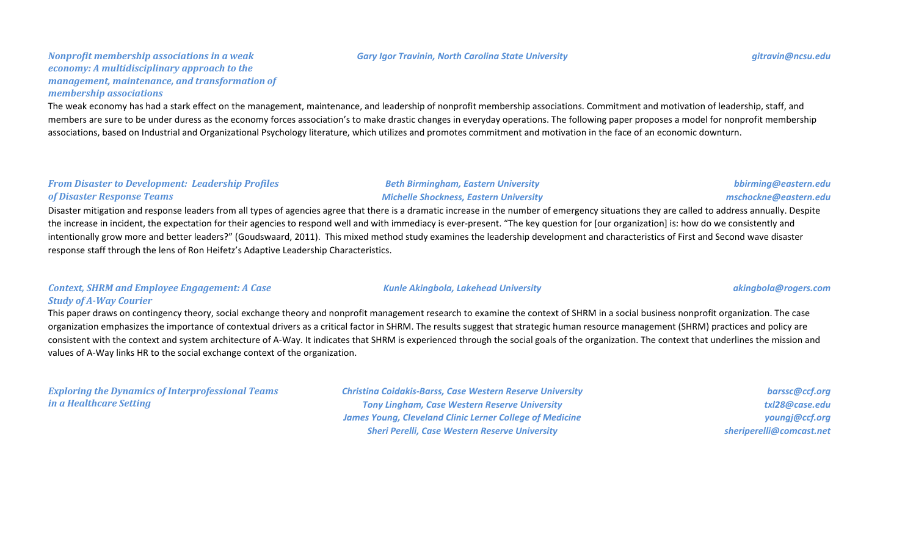#### *Gary Igor Travinin, North Carolina State University gitravin@ncsu.edu*

#### *Nonprofit membership associations in a weak economy: A multidisciplinary approach to the management, maintenance, and transformation of membership associations*

The weak economy has had a stark effect on the management, maintenance, and leadership of nonprofit membership associations. Commitment and motivation of leadership, staff, and members are sure to be under duress as the economy forces association's to make drastic changes in everyday operations. The following paper proposes a model for nonprofit membership associations, based on Industrial and Organizational Psychology literature, which utilizes and promotes commitment and motivation in the face of an economic downturn.

#### *From Disaster to Development: Leadership Profiles of Disaster Response Teams*

Disaster mitigation and response leaders from all types of agencies agree that there is a dramatic increase in the number of emergency situations they are called to address annually. Despite the increase in incident, the expectation for their agencies to respond well and with immediacy is ever-present. "The key question for [our organization] is: how do we consistently and intentionally grow more and better leaders?" (Goudswaard, 2011). This mixed method study examines the leadership development and characteristics of First and Second wave disaster response staff through the lens of Ron Heifetz's Adaptive Leadership Characteristics.

#### *Context, SHRM and Employee Engagement: A Case Study of A-Way Courier*

This paper draws on contingency theory, social exchange theory and nonprofit management research to examine the context of SHRM in a social business nonprofit organization. The case organization emphasizes the importance of contextual drivers as a critical factor in SHRM. The results suggest that strategic human resource management (SHRM) practices and policy are consistent with the context and system architecture of A-Way. It indicates that SHRM is experienced through the social goals of the organization. The context that underlines the mission and values of A-Way links HR to the social exchange context of the organization.

*Exploring the Dynamics of Interprofessional Teams in a Healthcare Setting*

*Christina Coidakis-Barss, Case Western Reserve University Tony Lingham, Case Western Reserve University James Young, Cleveland Clinic Lerner College of Medicine Sheri Perelli, Case Western Reserve University*

*barssc@ccf.org txl28@case.edu youngj@ccf.org sheriperelli@comcast.net*

*Beth Birmingham, Eastern University Michelle Shockness, Eastern University*

#### *Kunle Akingbola, Lakehead University akingbola@rogers.com*

*bbirming@eastern.edu mschockne@eastern.edu*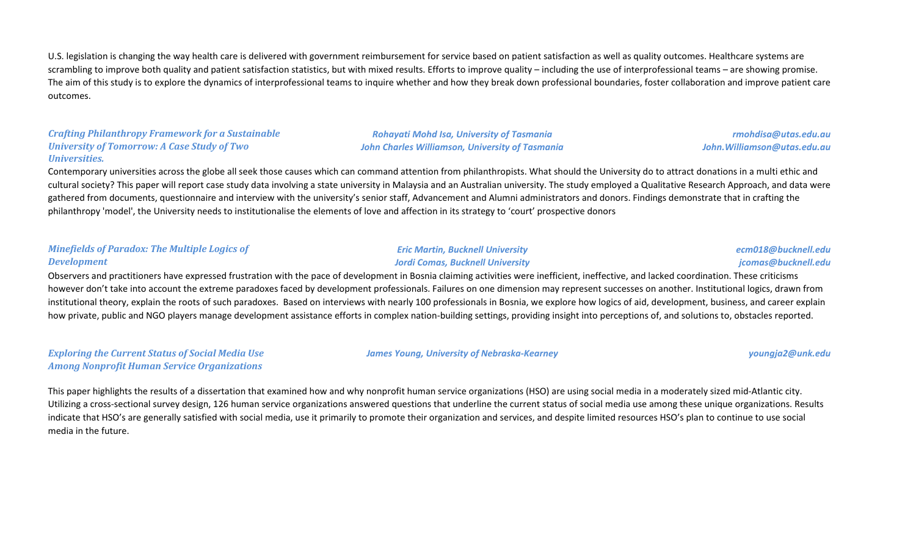U.S. legislation is changing the way health care is delivered with government reimbursement for service based on patient satisfaction as well as quality outcomes. Healthcare systems are scrambling to improve both quality and patient satisfaction statistics, but with mixed results. Efforts to improve quality – including the use of interprofessional teams – are showing promise. The aim of this study is to explore the dynamics of interprofessional teams to inquire whether and how they break down professional boundaries, foster collaboration and improve patient care outcomes.

### *Crafting Philanthropy Framework for a Sustainable University of Tomorrow: A Case Study of Two Universities.*

*Rohayati Mohd Isa, University of Tasmania John Charles Williamson, University of Tasmania*

*rmohdisa@utas.edu.au John.Williamson@utas.edu.au*

Contemporary universities across the globe all seek those causes which can command attention from philanthropists. What should the University do to attract donations in a multi ethic and cultural society? This paper will report case study data involving a state university in Malaysia and an Australian university. The study employed a Qualitative Research Approach, and data were gathered from documents, questionnaire and interview with the university's senior staff, Advancement and Alumni administrators and donors. Findings demonstrate that in crafting the philanthropy 'model', the University needs to institutionalise the elements of love and affection in its strategy to 'court' prospective donors

#### *Minefields of Paradox: The Multiple Logics of Development*

#### *Eric Martin, Bucknell University Jordi Comas, Bucknell University*

*ecm018@bucknell.edu jcomas@bucknell.edu*

Observers and practitioners have expressed frustration with the pace of development in Bosnia claiming activities were inefficient, ineffective, and lacked coordination. These criticisms however don't take into account the extreme paradoxes faced by development professionals. Failures on one dimension may represent successes on another. Institutional logics, drawn from institutional theory, explain the roots of such paradoxes. Based on interviews with nearly 100 professionals in Bosnia, we explore how logics of aid, development, business, and career explain how private, public and NGO players manage development assistance efforts in complex nation-building settings, providing insight into perceptions of, and solutions to, obstacles reported.

*Exploring the Current Status of Social Media Use Among Nonprofit Human Service Organizations*

#### *James Young, University of Nebraska-Kearney youngja2@unk.edu*

This paper highlights the results of a dissertation that examined how and why nonprofit human service organizations (HSO) are using social media in a moderately sized mid-Atlantic city. Utilizing a cross-sectional survey design, 126 human service organizations answered questions that underline the current status of social media use among these unique organizations. Results indicate that HSO's are generally satisfied with social media, use it primarily to promote their organization and services, and despite limited resources HSO's plan to continue to use social media in the future.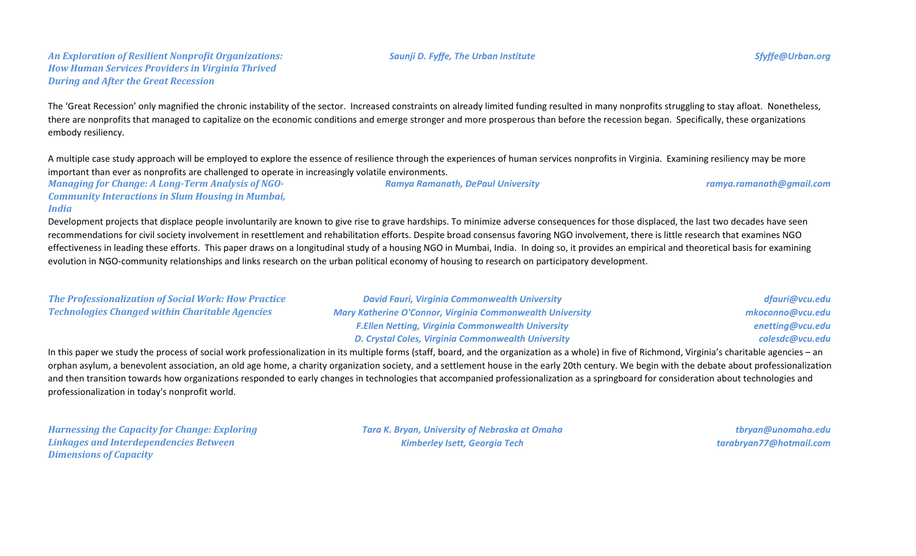### *An Exploration of Resilient Nonprofit Organizations: How Human Services Providers in Virginia Thrived During and After the Great Recession*

The 'Great Recession' only magnified the chronic instability of the sector. Increased constraints on already limited funding resulted in many nonprofits struggling to stay afloat. Nonetheless, there are nonprofits that managed to capitalize on the economic conditions and emerge stronger and more prosperous than before the recession began. Specifically, these organizations embody resiliency.

A multiple case study approach will be employed to explore the essence of resilience through the experiences of human services nonprofits in Virginia. Examining resiliency may be more important than ever as nonprofits are challenged to operate in increasingly volatile environments.

*Managing for Change: A Long-Term Analysis of NGO-Community Interactions in Slum Housing in Mumbai, Ramya Ramanath, DePaul University ramya.ramanath@gmail.com*

#### *India*

Development projects that displace people involuntarily are known to give rise to grave hardships. To minimize adverse consequences for those displaced, the last two decades have seen recommendations for civil society involvement in resettlement and rehabilitation efforts. Despite broad consensus favoring NGO involvement, there is little research that examines NGO effectiveness in leading these efforts. This paper draws on a longitudinal study of a housing NGO in Mumbai, India. In doing so, it provides an empirical and theoretical basis for examining evolution in NGO-community relationships and links research on the urban political economy of housing to research on participatory development.

| <b>The Professionalization of Social Work: How Practice</b> | <b>David Fauri, Virginia Commonwealth University</b>             | dfauri@vcu.edu   |
|-------------------------------------------------------------|------------------------------------------------------------------|------------------|
| <b>Technologies Changed within Charitable Agencies</b>      | <b>Mary Katherine O'Connor, Virginia Commonwealth University</b> | mkoconno@vcu.edu |
|                                                             | <b>F.Ellen Netting, Virginia Commonwealth University</b>         | enetting@vcu.edu |
|                                                             | D. Crystal Coles, Virginia Commonwealth University               | colesdc@vcu.edu  |

In this paper we study the process of social work professionalization in its multiple forms (staff, board, and the organization as a whole) in five of Richmond, Virginia's charitable agencies – an orphan asylum, a benevolent association, an old age home, a charity organization society, and a settlement house in the early 20th century. We begin with the debate about professionalization and then transition towards how organizations responded to early changes in technologies that accompanied professionalization as a springboard for consideration about technologies and professionalization in today's nonprofit world.

*Harnessing the Capacity for Change: Exploring Linkages and Interdependencies Between Dimensions of Capacity*

*Tara K. Bryan, University of Nebraska at Omaha Kimberley Isett, Georgia Tech*

*tbryan@unomaha.edu tarabryan77@hotmail.com*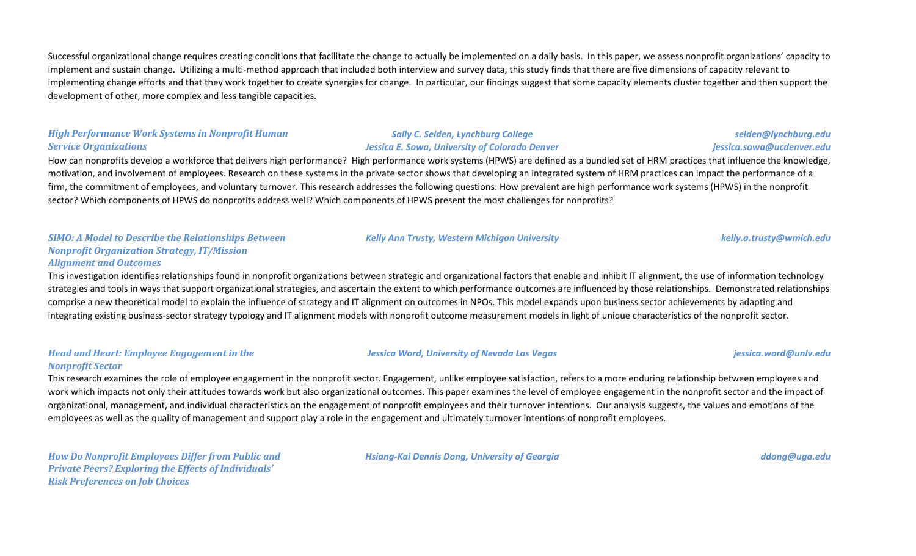Successful organizational change requires creating conditions that facilitate the change to actually be implemented on a daily basis. In this paper, we assess nonprofit organizations' capacity to implement and sustain change. Utilizing a multi-method approach that included both interview and survey data, this study finds that there are five dimensions of capacity relevant to implementing change efforts and that they work together to create synergies for change. In particular, our findings suggest that some capacity elements cluster together and then support the development of other, more complex and less tangible capacities.

#### *High Performance Work Systems in Nonprofit Human Service Organizations*

#### *Sally C. Selden, Lynchburg College Jessica E. Sowa, University of Colorado Denver*

How can nonprofits develop a workforce that delivers high performance? High performance work systems (HPWS) are defined as a bundled set of HRM practices that influence the knowledge, motivation, and involvement of employees. Research on these systems in the private sector shows that developing an integrated system of HRM practices can impact the performance of a firm, the commitment of employees, and voluntary turnover. This research addresses the following questions: How prevalent are high performance work systems (HPWS) in the nonprofit sector? Which components of HPWS do nonprofits address well? Which components of HPWS present the most challenges for nonprofits?

#### *SIMO: A Model to Describe the Relationships Between Nonprofit Organization Strategy, IT/Mission Alignment and Outcomes*

This investigation identifies relationships found in nonprofit organizations between strategic and organizational factors that enable and inhibit IT alignment, the use of information technology strategies and tools in ways that support organizational strategies, and ascertain the extent to which performance outcomes are influenced by those relationships. Demonstrated relationships comprise a new theoretical model to explain the influence of strategy and IT alignment on outcomes in NPOs. This model expands upon business sector achievements by adapting and integrating existing business-sector strategy typology and IT alignment models with nonprofit outcome measurement models in light of unique characteristics of the nonprofit sector.

### *Head and Heart: Employee Engagement in the Nonprofit Sector*

This research examines the role of employee engagement in the nonprofit sector. Engagement, unlike employee satisfaction, refers to a more enduring relationship between employees and work which impacts not only their attitudes towards work but also organizational outcomes. This paper examines the level of employee engagement in the nonprofit sector and the impact of organizational, management, and individual characteristics on the engagement of nonprofit employees and their turnover intentions. Our analysis suggests, the values and emotions of the employees as well as the quality of management and support play a role in the engagement and ultimately turnover intentions of nonprofit employees.

*How Do Nonprofit Employees Differ from Public and Private Peers? Exploring the Effects of Individuals' Risk Preferences on Job Choices*

*Hsiang-Kai Dennis Dong, University of Georgia ddong@uga.edu*

*jessica.sowa@ucdenver.edu*

*selden@lynchburg.edu*

*Jessica Word, University of Nevada Las Vegas jessica.word@unlv.edu*

*Kelly Ann Trusty, Western Michigan University kelly.a.trusty@wmich.edu*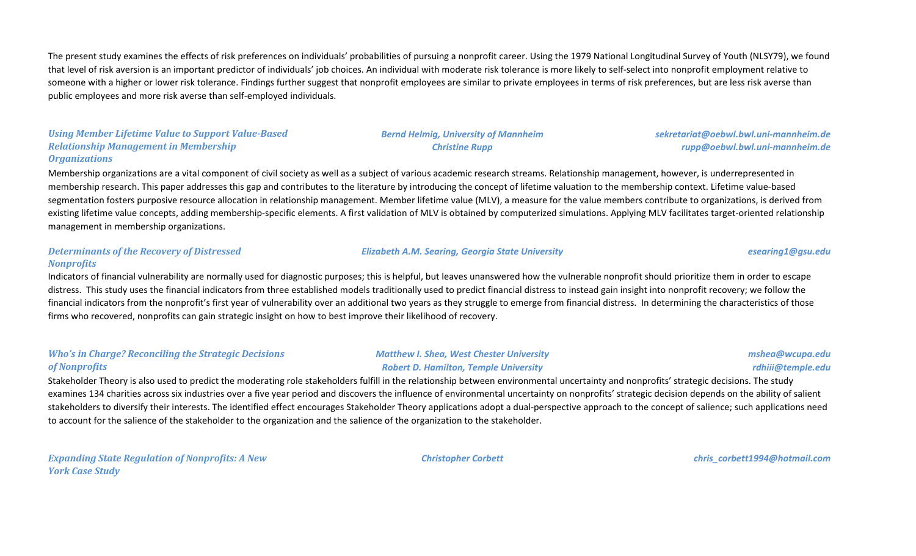The present study examines the effects of risk preferences on individuals' probabilities of pursuing a nonprofit career. Using the 1979 National Longitudinal Survey of Youth (NLSY79), we found that level of risk aversion is an important predictor of individuals' job choices. An individual with moderate risk tolerance is more likely to self-select into nonprofit employment relative to someone with a higher or lower risk tolerance. Findings further suggest that nonprofit employees are similar to private employees in terms of risk preferences, but are less risk averse than public employees and more risk averse than self-employed individuals.

## *Using Member Lifetime Value to Support Value-Based Relationship Management in Membership Organizations*

## Membership organizations are a vital component of civil society as well as a subject of various academic research streams. Relationship management, however, is underrepresented in membership research. This paper addresses this gap and contributes to the literature by introducing the concept of lifetime valuation to the membership context. Lifetime value-based segmentation fosters purposive resource allocation in relationship management. Member lifetime value (MLV), a measure for the value members contribute to organizations, is derived from existing lifetime value concepts, adding membership-specific elements. A first validation of MLV is obtained by computerized simulations. Applying MLV facilitates target-oriented relationship management in membership organizations.

#### *Determinants of the Recovery of Distressed Nonprofits*

Indicators of financial vulnerability are normally used for diagnostic purposes; this is helpful, but leaves unanswered how the vulnerable nonprofit should prioritize them in order to escape distress. This study uses the financial indicators from three established models traditionally used to predict financial distress to instead gain insight into nonprofit recovery; we follow the financial indicators from the nonprofit's first year of vulnerability over an additional two years as they struggle to emerge from financial distress. In determining the characteristics of those firms who recovered, nonprofits can gain strategic insight on how to best improve their likelihood of recovery.

### *Who's in Charge? Reconciling the Strategic Decisions of Nonprofits*

#### *Matthew I. Shea, West Chester University Robert D. Hamilton, Temple University*

*mshea@wcupa.edu rdhiii@temple.edu*

Stakeholder Theory is also used to predict the moderating role stakeholders fulfill in the relationship between environmental uncertainty and nonprofits' strategic decisions. The study examines 134 charities across six industries over a five year period and discovers the influence of environmental uncertainty on nonprofits' strategic decision depends on the ability of salient stakeholders to diversify their interests. The identified effect encourages Stakeholder Theory applications adopt a dual-perspective approach to the concept of salience; such applications need to account for the salience of the stakeholder to the organization and the salience of the organization to the stakeholder.

*Expanding State Regulation of Nonprofits: A New York Case Study*

*Christopher Corbett chris\_corbett1994@hotmail.com*

#### *Elizabeth A.M. Searing, Georgia State University esearing1@gsu.edu*

## *Bernd Helmig, University of Mannheim Christine Rupp*

*sekretariat@oebwl.bwl.uni-mannheim.de rupp@oebwl.bwl.uni-mannheim.de*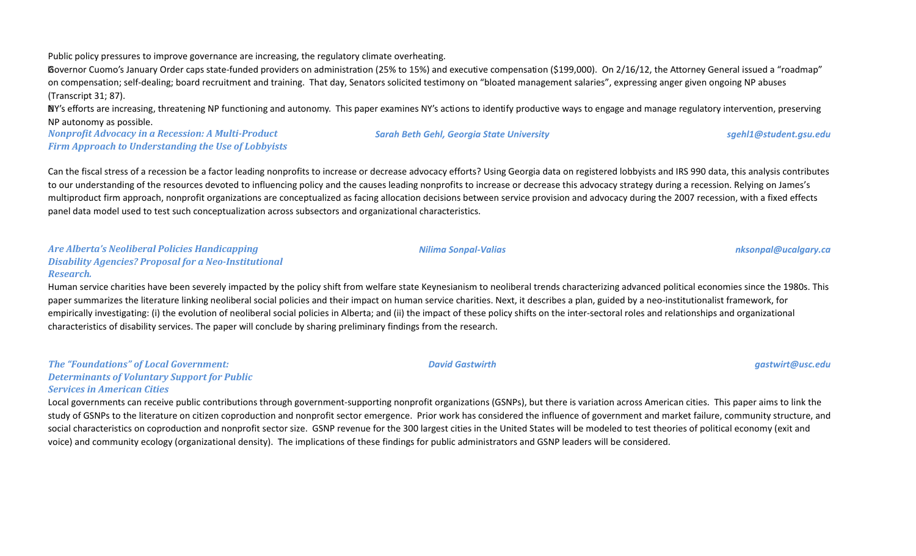Public policy pressures to improve governance are increasing, the regulatory climate overheating.

Governor Cuomo's January Order caps state-funded providers on administration (25% to 15%) and executive compensation (\$199,000). On 2/16/12, the Attorney General issued a "roadmap" on compensation; self-dealing; board recruitment and training. That day, Senators solicited testimony on "bloated management salaries", expressing anger given ongoing NP abuses (Transcript 31; 87).

**NY's efforts are increasing, threatening NP functioning and autonomy.** This paper examines NY's actions to identify productive ways to engage and manage regulatory intervention, preserving NP autonomy as possible.

*Nonprofit Advocacy in a Recession: A Multi-Product Firm Approach to Understanding the Use of Lobbyists*

Can the fiscal stress of a recession be a factor leading nonprofits to increase or decrease advocacy efforts? Using Georgia data on registered lobbyists and IRS 990 data, this analysis contributes to our understanding of the resources devoted to influencing policy and the causes leading nonprofits to increase or decrease this advocacy strategy during a recession. Relying on James's multiproduct firm approach, nonprofit organizations are conceptualized as facing allocation decisions between service provision and advocacy during the 2007 recession, with a fixed effects panel data model used to test such conceptualization across subsectors and organizational characteristics.

#### *Are Alberta's Neoliberal Policies Handicapping Disability Agencies? Proposal for a Neo-Institutional Research.*

Human service charities have been severely impacted by the policy shift from welfare state Keynesianism to neoliberal trends characterizing advanced political economies since the 1980s. This paper summarizes the literature linking neoliberal social policies and their impact on human service charities. Next, it describes a plan, guided by a neo-institutionalist framework, for empirically investigating: (i) the evolution of neoliberal social policies in Alberta; and (ii) the impact of these policy shifts on the inter-sectoral roles and relationships and organizational characteristics of disability services. The paper will conclude by sharing preliminary findings from the research.

*The "Foundations" of Local Government: Determinants of Voluntary Support for Public Services in American Cities*

Local governments can receive public contributions through government-supporting nonprofit organizations (GSNPs), but there is variation across American cities. This paper aims to link the study of GSNPs to the literature on citizen coproduction and nonprofit sector emergence. Prior work has considered the influence of government and market failure, community structure, and social characteristics on coproduction and nonprofit sector size. GSNP revenue for the 300 largest cities in the United States will be modeled to test theories of political economy (exit and voice) and community ecology (organizational density). The implications of these findings for public administrators and GSNP leaders will be considered.

*Nilima Sonpal-Valias nksonpal@ucalgary.ca*

*David Gastwirth gastwirt@usc.edu*

*Sarah Beth Gehl, Georgia State University sgehl1@student.gsu.edu*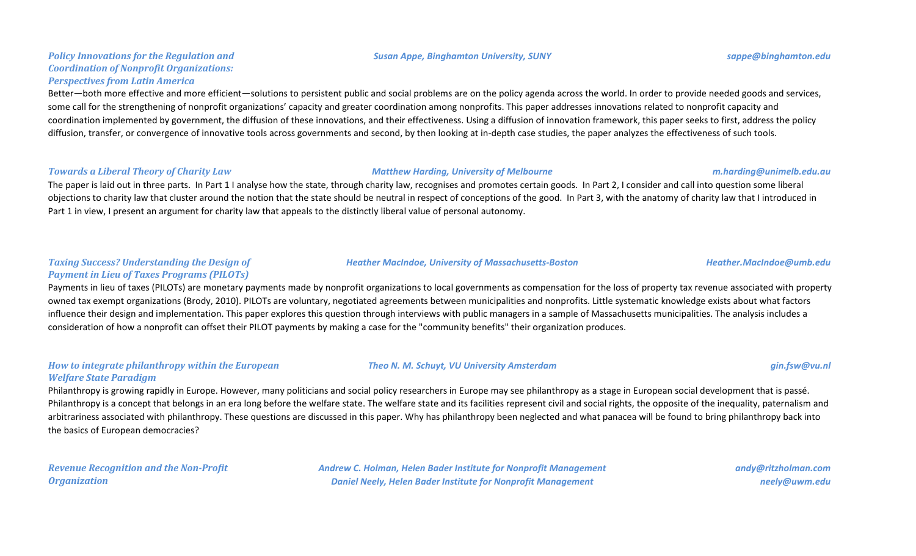#### *Susan Appe, Binghamton University, SUNY sappe@binghamton.edu*

### *Policy Innovations for the Regulation and Coordination of Nonprofit Organizations: Perspectives from Latin America*

Better—both more effective and more efficient—solutions to persistent public and social problems are on the policy agenda across the world. In order to provide needed goods and services, some call for the strengthening of nonprofit organizations' capacity and greater coordination among nonprofits. This paper addresses innovations related to nonprofit capacity and coordination implemented by government, the diffusion of these innovations, and their effectiveness. Using a diffusion of innovation framework, this paper seeks to first, address the policy diffusion, transfer, or convergence of innovative tools across governments and second, by then looking at in-depth case studies, the paper analyzes the effectiveness of such tools.

#### *Towards a Liberal Theory of Charity Law Matthew Harding, University of Melbourne m.harding@unimelb.edu.au*

The paper is laid out in three parts. In Part 1 I analyse how the state, through charity law, recognises and promotes certain goods. In Part 2, I consider and call into question some liberal objections to charity law that cluster around the notion that the state should be neutral in respect of conceptions of the good. In Part 3, with the anatomy of charity law that I introduced in Part 1 in view, I present an argument for charity law that appeals to the distinctly liberal value of personal autonomy.

## *Taxing Success? Understanding the Design of Payment in Lieu of Taxes Programs (PILOTs)*

Payments in lieu of taxes (PILOTs) are monetary payments made by nonprofit organizations to local governments as compensation for the loss of property tax revenue associated with property owned tax exempt organizations (Brody, 2010). PILOTs are voluntary, negotiated agreements between municipalities and nonprofits. Little systematic knowledge exists about what factors influence their design and implementation. This paper explores this question through interviews with public managers in a sample of Massachusetts municipalities. The analysis includes a consideration of how a nonprofit can offset their PILOT payments by making a case for the "community benefits" their organization produces.

#### *How to integrate philanthropy within the European Welfare State Paradigm*

Philanthropy is growing rapidly in Europe. However, many politicians and social policy researchers in Europe may see philanthropy as a stage in European social development that is passé. Philanthropy is a concept that belongs in an era long before the welfare state. The welfare state and its facilities represent civil and social rights, the opposite of the inequality, paternalism and arbitrariness associated with philanthropy. These questions are discussed in this paper. Why has philanthropy been neglected and what panacea will be found to bring philanthropy back into the basics of European democracies?

*Revenue Recognition and the Non-Profit Organization*

*Andrew C. Holman, Helen Bader Institute for Nonprofit Management Daniel Neely, Helen Bader Institute for Nonprofit Management*

*andy@ritzholman.com*

*neely@uwm.edu*

#### *Heather MacIndoe, University of Massachusetts-Boston Heather.MacIndoe@umb.edu*

*Theo N. M. Schuyt, VU University Amsterdam gin.fsw@vu.nl*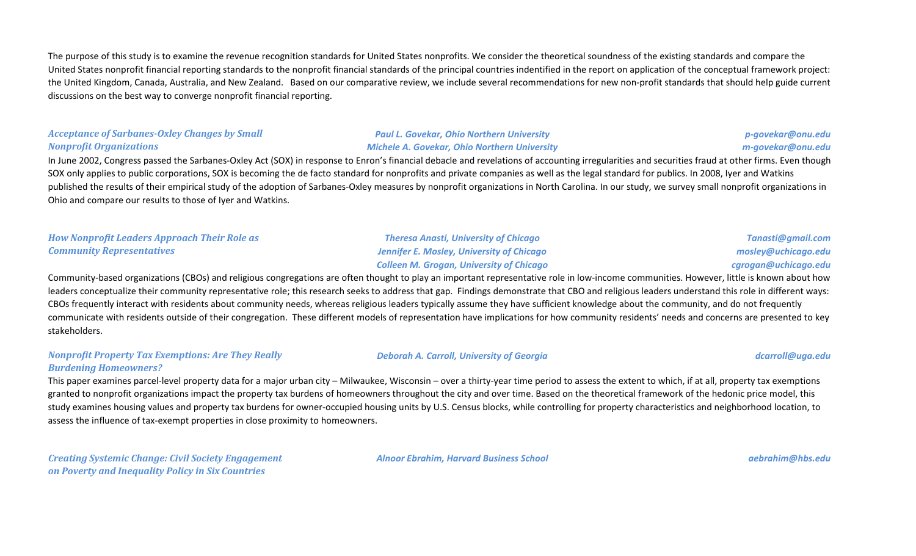The purpose of this study is to examine the revenue recognition standards for United States nonprofits. We consider the theoretical soundness of the existing standards and compare the United States nonprofit financial reporting standards to the nonprofit financial standards of the principal countries indentified in the report on application of the conceptual framework project: the United Kingdom, Canada, Australia, and New Zealand. Based on our comparative review, we include several recommendations for new non-profit standards that should help guide current discussions on the best way to converge nonprofit financial reporting.

#### *Acceptance of Sarbanes-Oxley Changes by Small Nonprofit Organizations*

#### *Paul L. Govekar, Ohio Northern University Michele A. Govekar, Ohio Northern University*

## *p-govekar@onu.edu m-govekar@onu.edu*

In June 2002, Congress passed the Sarbanes-Oxley Act (SOX) in response to Enron's financial debacle and revelations of accounting irregularities and securities fraud at other firms. Even though SOX only applies to public corporations, SOX is becoming the de facto standard for nonprofits and private companies as well as the legal standard for publics. In 2008, Iyer and Watkins published the results of their empirical study of the adoption of Sarbanes-Oxley measures by nonprofit organizations in North Carolina. In our study, we survey small nonprofit organizations in Ohio and compare our results to those of Iyer and Watkins.

## *How Nonprofit Leaders Approach Their Role as Community Representatives*

*Theresa Anasti, University of Chicago Jennifer E. Mosley, University of Chicago Colleen M. Grogan, University of Chicago*

*Tanasti@gmail.com mosley@uchicago.edu cgrogan@uchicago.edu*

Community-based organizations (CBOs) and religious congregations are often thought to play an important representative role in low-income communities. However, little is known about how leaders conceptualize their community representative role; this research seeks to address that gap. Findings demonstrate that CBO and religious leaders understand this role in different ways: CBOs frequently interact with residents about community needs, whereas religious leaders typically assume they have sufficient knowledge about the community, and do not frequently communicate with residents outside of their congregation. These different models of representation have implications for how community residents' needs and concerns are presented to key stakeholders.

#### *Nonprofit Property Tax Exemptions: Are They Really Burdening Homeowners?*

#### *Deborah A. Carroll, University of Georgia dcarroll@uga.edu*

This paper examines parcel-level property data for a major urban city – Milwaukee, Wisconsin – over a thirty-year time period to assess the extent to which, if at all, property tax exemptions granted to nonprofit organizations impact the property tax burdens of homeowners throughout the city and over time. Based on the theoretical framework of the hedonic price model, this study examines housing values and property tax burdens for owner-occupied housing units by U.S. Census blocks, while controlling for property characteristics and neighborhood location, to assess the influence of tax-exempt properties in close proximity to homeowners.

*Creating Systemic Change: Civil Society Engagement on Poverty and Inequality Policy in Six Countries*

*Alnoor Ebrahim, Harvard Business School aebrahim@hbs.edu*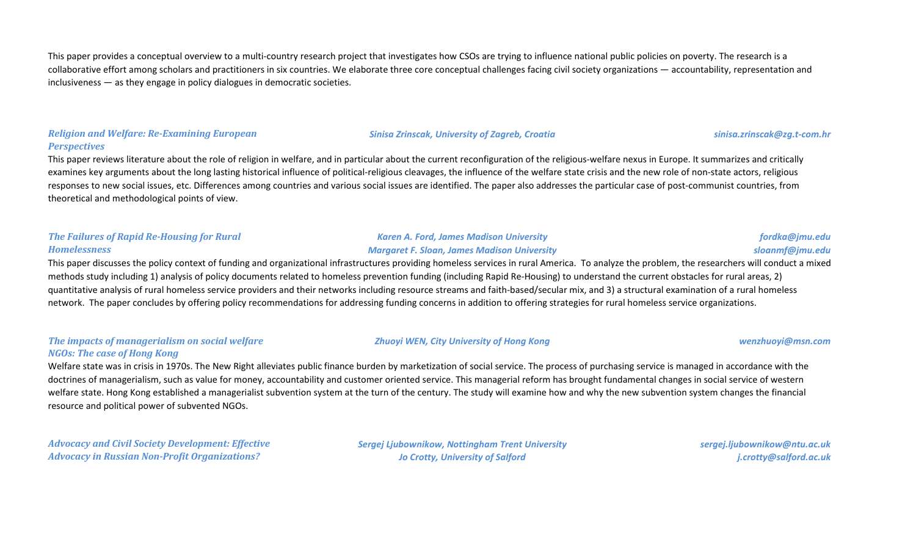This paper provides a conceptual overview to a multi-country research project that investigates how CSOs are trying to influence national public policies on poverty. The research is a collaborative effort among scholars and practitioners in six countries. We elaborate three core conceptual challenges facing civil society organizations — accountability, representation and inclusiveness — as they engage in policy dialogues in democratic societies.

#### *Religion and Welfare: Re-Examining European Perspectives*

This paper reviews literature about the role of religion in welfare, and in particular about the current reconfiguration of the religious-welfare nexus in Europe. It summarizes and critically examines key arguments about the long lasting historical influence of political-religious cleavages, the influence of the welfare state crisis and the new role of non-state actors, religious responses to new social issues, etc. Differences among countries and various social issues are identified. The paper also addresses the particular case of post-communist countries, from theoretical and methodological points of view.

### *The Failures of Rapid Re-Housing for Rural Homelessness*

### *Karen A. Ford, James Madison University Margaret F. Sloan, James Madison University*

## *fordka@jmu.edu sloanmf@jmu.edu*

This paper discusses the policy context of funding and organizational infrastructures providing homeless services in rural America. To analyze the problem, the researchers will conduct a mixed methods study including 1) analysis of policy documents related to homeless prevention funding (including Rapid Re-Housing) to understand the current obstacles for rural areas, 2) quantitative analysis of rural homeless service providers and their networks including resource streams and faith-based/secular mix, and 3) a structural examination of a rural homeless network. The paper concludes by offering policy recommendations for addressing funding concerns in addition to offering strategies for rural homeless service organizations.

#### *The impacts of managerialism on social welfare NGOs: The case of Hong Kong*

### *Zhuoyi WEN, City University of Hong Kong wenzhuoyi@msn.com*

*Sinisa Zrinscak, University of Zagreb, Croatia sinisa.zrinscak@zg.t-com.hr*

Welfare state was in crisis in 1970s. The New Right alleviates public finance burden by marketization of social service. The process of purchasing service is managed in accordance with the doctrines of managerialism, such as value for money, accountability and customer oriented service. This managerial reform has brought fundamental changes in social service of western welfare state. Hong Kong established a managerialist subvention system at the turn of the century. The study will examine how and why the new subvention system changes the financial resource and political power of subvented NGOs.

*Advocacy and Civil Society Development: Effective Advocacy in Russian Non-Profit Organizations?*

*Sergej Ljubownikow, Nottingham Trent University Jo Crotty, University of Salford*

*sergej.ljubownikow@ntu.ac.uk j.crotty@salford.ac.uk*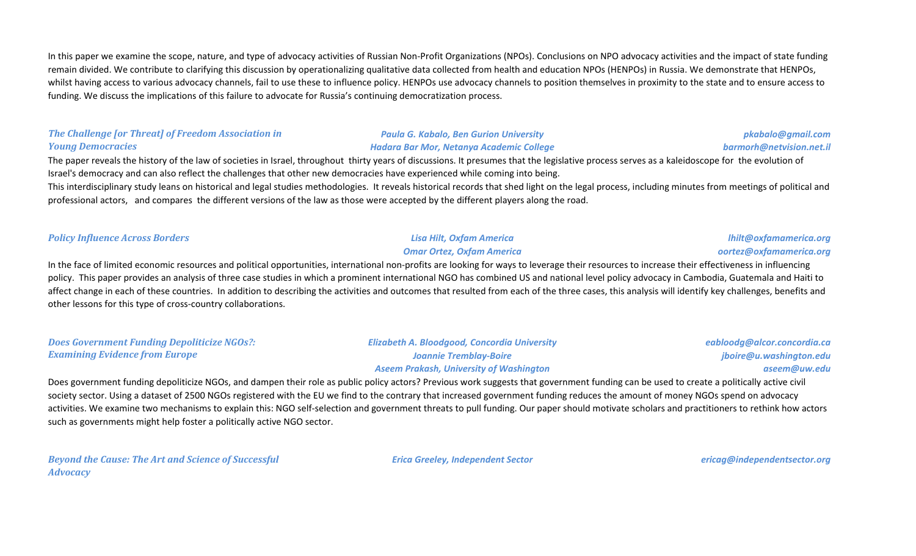In this paper we examine the scope, nature, and type of advocacy activities of Russian Non-Profit Organizations (NPOs). Conclusions on NPO advocacy activities and the impact of state funding remain divided. We contribute to clarifying this discussion by operationalizing qualitative data collected from health and education NPOs (HENPOs) in Russia. We demonstrate that HENPOs, whilst having access to various advocacy channels, fail to use these to influence policy. HENPOs use advocacy channels to position themselves in proximity to the state and to ensure access to funding. We discuss the implications of this failure to advocate for Russia's continuing democratization process.

### *The Challenge [or Threat] of Freedom Association in Young Democracies*

*Policy Influence Across Borders Lisa Hilt, Oxfam America*

### *Paula G. Kabalo, Ben Gurion University Hadara Bar Mor, Netanya Academic College*

The paper reveals the history of the law of societies in Israel, throughout thirty years of discussions. It presumes that the legislative process serves as a kaleidoscope for the evolution of Israel's democracy and can also reflect the challenges that other new democracies have experienced while coming into being.

This interdisciplinary study leans on historical and legal studies methodologies. It reveals historical records that shed light on the legal process, including minutes from meetings of political and professional actors, and compares the different versions of the law as those were accepted by the different players along the road.

In the face of limited economic resources and political opportunities, international non-profits are looking for ways to leverage their resources to increase their effectiveness in influencing policy. This paper provides an analysis of three case studies in which a prominent international NGO has combined US and national level policy advocacy in Cambodia, Guatemala and Haiti to affect change in each of these countries. In addition to describing the activities and outcomes that resulted from each of the three cases, this analysis will identify key challenges, benefits and other lessons for this type of cross-country collaborations.

*Does Government Funding Depoliticize NGOs?: Examining Evidence from Europe Elizabeth A. Bloodgood, Concordia University Joannie Tremblay-Boire Aseem Prakash, University of Washington eabloodg@alcor.concordia.ca jboire@u.washington.edu aseem@uw.edu*

Does government funding depoliticize NGOs, and dampen their role as public policy actors? Previous work suggests that government funding can be used to create a politically active civil society sector. Using a dataset of 2500 NGOs registered with the EU we find to the contrary that increased government funding reduces the amount of money NGOs spend on advocacy activities. We examine two mechanisms to explain this: NGO self-selection and government threats to pull funding. Our paper should motivate scholars and practitioners to rethink how actors such as governments might help foster a politically active NGO sector.

*Beyond the Cause: The Art and Science of Successful Advocacy*

*Erica Greeley, Independent Sector ericag@independentsector.org*

*lhilt@oxfamamerica.org oortez@oxfamamerica.org*

*pkabalo@gmail.com barmorh@netvision.net.il*

*Omar Ortez, Oxfam America*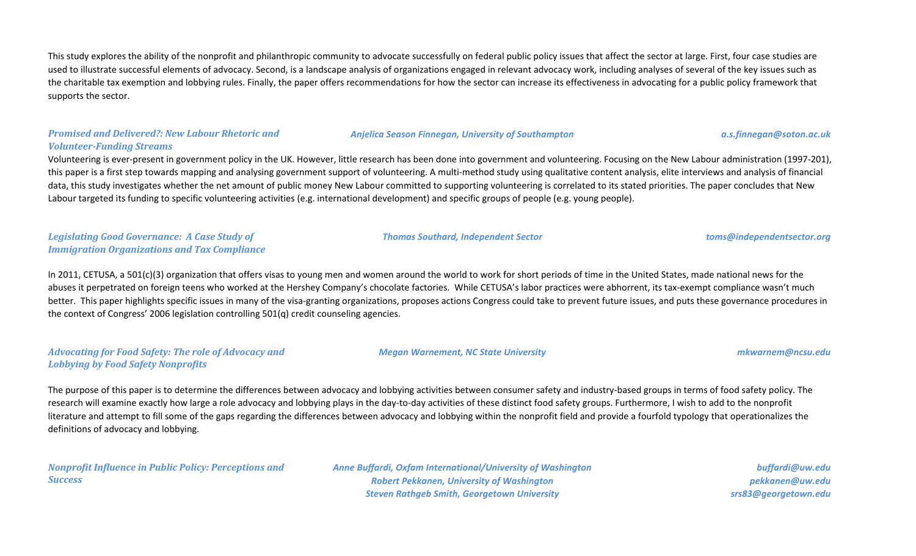This study explores the ability of the nonprofit and philanthropic community to advocate successfully on federal public policy issues that affect the sector at large. First, four case studies are used to illustrate successful elements of advocacy. Second, is a landscape analysis of organizations engaged in relevant advocacy work, including analyses of several of the key issues such as the charitable tax exemption and lobbying rules. Finally, the paper offers recommendations for how the sector can increase its effectiveness in advocating for a public policy framework that supports the sector.

#### *Promised and Delivered?: New Labour Rhetoric and Volunteer-Funding Streams*

Volunteering is ever-present in government policy in the UK. However, little research has been done into government and volunteering. Focusing on the New Labour administration (1997-201), this paper is a first step towards mapping and analysing government support of volunteering. A multi-method study using qualitative content analysis, elite interviews and analysis of financial data, this study investigates whether the net amount of public money New Labour committed to supporting volunteering is correlated to its stated priorities. The paper concludes that New Labour targeted its funding to specific volunteering activities (e.g. international development) and specific groups of people (e.g. young people).

#### *Legislating Good Governance: A Case Study of Immigration Organizations and Tax Compliance*

In 2011, CETUSA, a 501(c)(3) organization that offers visas to young men and women around the world to work for short periods of time in the United States, made national news for the abuses it perpetrated on foreign teens who worked at the Hershey Company's chocolate factories. While CETUSA's labor practices were abhorrent, its tax-exempt compliance wasn't much better. This paper highlights specific issues in many of the visa-granting organizations, proposes actions Congress could take to prevent future issues, and puts these governance procedures in the context of Congress' 2006 legislation controlling 501(q) credit counseling agencies.

#### *Advocating for Food Safety: The role of Advocacy and Lobbying by Food Safety Nonprofits*

*Megan Warnement, NC State University mkwarnem@ncsu.edu*

The purpose of this paper is to determine the differences between advocacy and lobbying activities between consumer safety and industry-based groups in terms of food safety policy. The research will examine exactly how large a role advocacy and lobbying plays in the day-to-day activities of these distinct food safety groups. Furthermore, I wish to add to the nonprofit literature and attempt to fill some of the gaps regarding the differences between advocacy and lobbying within the nonprofit field and provide a fourfold typology that operationalizes the definitions of advocacy and lobbying.

*Nonprofit Influence in Public Policy: Perceptions and Success*

*Anne Buffardi, Oxfam International/University of Washington Robert Pekkanen, University of Washington Steven Rathgeb Smith, Georgetown University*

*buffardi@uw.edu pekkanen@uw.edu srs83@georgetown.edu*

*Thomas Southard, Independent Sector toms@independentsector.org*

*Anjelica Season Finnegan, University of Southampton a.s.finnegan@soton.ac.uk*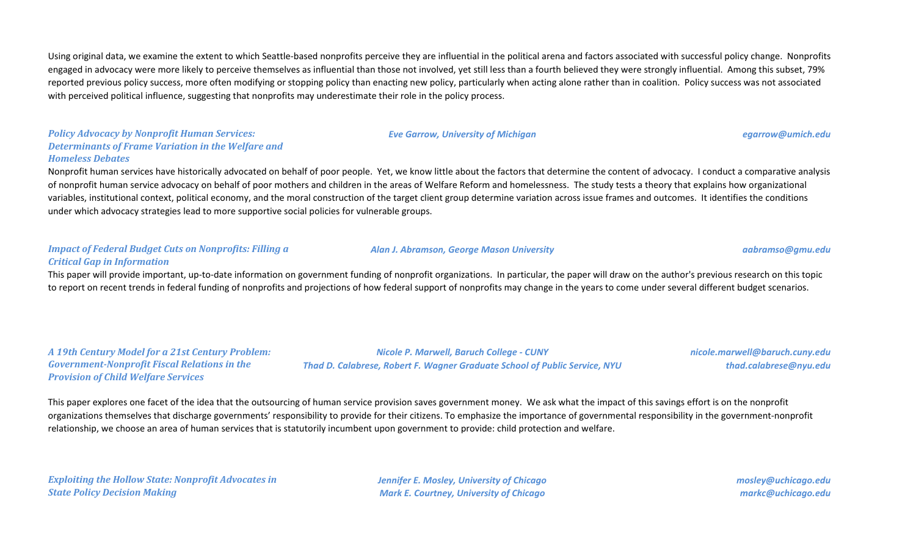Using original data, we examine the extent to which Seattle-based nonprofits perceive they are influential in the political arena and factors associated with successful policy change. Nonprofits engaged in advocacy were more likely to perceive themselves as influential than those not involved, yet still less than a fourth believed they were strongly influential. Among this subset, 79% reported previous policy success, more often modifying or stopping policy than enacting new policy, particularly when acting alone rather than in coalition. Policy success was not associated with perceived political influence, suggesting that nonprofits may underestimate their role in the policy process.

# *Policy Advocacy by Nonprofit Human Services: Determinants of Frame Variation in the Welfare and Homeless Debates*

Nonprofit human services have historically advocated on behalf of poor people. Yet, we know little about the factors that determine the content of advocacy. I conduct a comparative analysis of nonprofit human service advocacy on behalf of poor mothers and children in the areas of Welfare Reform and homelessness. The study tests a theory that explains how organizational variables, institutional context, political economy, and the moral construction of the target client group determine variation across issue frames and outcomes. It identifies the conditions under which advocacy strategies lead to more supportive social policies for vulnerable groups.

#### *Impact of Federal Budget Cuts on Nonprofits: Filling a Critical Gap in Information*

### This paper will provide important, up-to-date information on government funding of nonprofit organizations. In particular, the paper will draw on the author's previous research on this topic to report on recent trends in federal funding of nonprofits and projections of how federal support of nonprofits may change in the years to come under several different budget scenarios.

*A 19th Century Model for a 21st Century Problem: Government-Nonprofit Fiscal Relations in the Provision of Child Welfare Services*

*Nicole P. Marwell, Baruch College - CUNY Thad D. Calabrese, Robert F. Wagner Graduate School of Public Service, NYU* *nicole.marwell@baruch.cuny.edu thad.calabrese@nyu.edu*

This paper explores one facet of the idea that the outsourcing of human service provision saves government money. We ask what the impact of this savings effort is on the nonprofit organizations themselves that discharge governments' responsibility to provide for their citizens. To emphasize the importance of governmental responsibility in the government-nonprofit relationship, we choose an area of human services that is statutorily incumbent upon government to provide: child protection and welfare.

*Exploiting the Hollow State: Nonprofit Advocates in State Policy Decision Making*

*Jennifer E. Mosley, University of Chicago Mark E. Courtney, University of Chicago*

*mosley@uchicago.edu markc@uchicago.edu*

*Eve Garrow, University of Michigan egarrow@umich.edu*

*Alan J. Abramson, George Mason University aabramso@gmu.edu*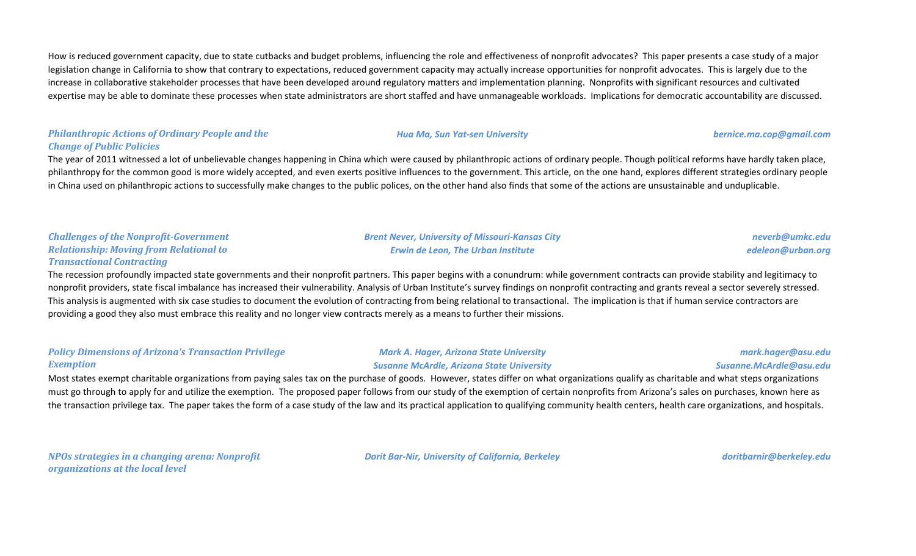How is reduced government capacity, due to state cutbacks and budget problems, influencing the role and effectiveness of nonprofit advocates? This paper presents a case study of a major legislation change in California to show that contrary to expectations, reduced government capacity may actually increase opportunities for nonprofit advocates. This is largely due to the increase in collaborative stakeholder processes that have been developed around regulatory matters and implementation planning. Nonprofits with significant resources and cultivated expertise may be able to dominate these processes when state administrators are short staffed and have unmanageable workloads. Implications for democratic accountability are discussed.

### *Philanthropic Actions of Ordinary People and the Change of Public Policies*

The year of 2011 witnessed a lot of unbelievable changes happening in China which were caused by philanthropic actions of ordinary people. Though political reforms have hardly taken place, philanthropy for the common good is more widely accepted, and even exerts positive influences to the government. This article, on the one hand, explores different strategies ordinary people in China used on philanthropic actions to successfully make changes to the public polices, on the other hand also finds that some of the actions are unsustainable and unduplicable.

#### *Challenges of the Nonprofit-Government Relationship: Moving from Relational to Transactional Contracting*

The recession profoundly impacted state governments and their nonprofit partners. This paper begins with a conundrum: while government contracts can provide stability and legitimacy to nonprofit providers, state fiscal imbalance has increased their vulnerability. Analysis of Urban Institute's survey findings on nonprofit contracting and grants reveal a sector severely stressed. This analysis is augmented with six case studies to document the evolution of contracting from being relational to transactional. The implication is that if human service contractors are providing a good they also must embrace this reality and no longer view contracts merely as a means to further their missions.

#### *Policy Dimensions of Arizona's Transaction Privilege Exemption*

*Mark A. Hager, Arizona State University Susanne McArdle, Arizona State University*

*mark.hager@asu.edu Susanne.McArdle@asu.edu*

Most states exempt charitable organizations from paying sales tax on the purchase of goods. However, states differ on what organizations qualify as charitable and what steps organizations must go through to apply for and utilize the exemption. The proposed paper follows from our study of the exemption of certain nonprofits from Arizona's sales on purchases, known here as the transaction privilege tax. The paper takes the form of a case study of the law and its practical application to qualifying community health centers, health care organizations, and hospitals.

*NPOs strategies in a changing arena: Nonprofit organizations at the local level*

*Dorit Bar-Nir, University of California, Berkeley doritbarnir@berkeley.edu*

*Brent Never, University of Missouri-Kansas City Erwin de Leon, The Urban Institute*

#### *Hua Ma, Sun Yat-sen University bernice.ma.cop@gmail.com*

*neverb@umkc.edu edeleon@urban.org*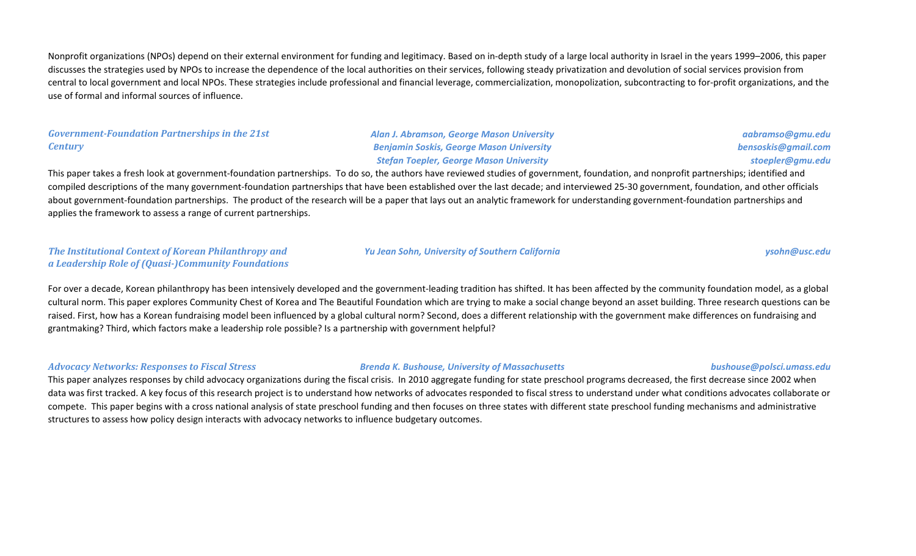Nonprofit organizations (NPOs) depend on their external environment for funding and legitimacy. Based on in-depth study of a large local authority in Israel in the years 1999–2006, this paper discusses the strategies used by NPOs to increase the dependence of the local authorities on their services, following steady privatization and devolution of social services provision from central to local government and local NPOs. These strategies include professional and financial leverage, commercialization, monopolization, subcontracting to for-profit organizations, and the use of formal and informal sources of influence.

#### *Government-Foundation Partnerships in the 21st Century*

*Alan J. Abramson, George Mason University Benjamin Soskis, George Mason University Stefan Toepler, George Mason University*

*aabramso@gmu.edu bensoskis@gmail.com stoepler@gmu.edu*

This paper takes a fresh look at government-foundation partnerships. To do so, the authors have reviewed studies of government, foundation, and nonprofit partnerships; identified and compiled descriptions of the many government-foundation partnerships that have been established over the last decade; and interviewed 25-30 government, foundation, and other officials about government-foundation partnerships. The product of the research will be a paper that lays out an analytic framework for understanding government-foundation partnerships and applies the framework to assess a range of current partnerships.

#### *The Institutional Context of Korean Philanthropy and a Leadership Role of (Quasi-)Community Foundations*

*Yu Jean Sohn, University of Southern California ysohn@usc.edu*

For over a decade, Korean philanthropy has been intensively developed and the government-leading tradition has shifted. It has been affected by the community foundation model, as a global cultural norm. This paper explores Community Chest of Korea and The Beautiful Foundation which are trying to make a social change beyond an asset building. Three research questions can be raised. First, how has a Korean fundraising model been influenced by a global cultural norm? Second, does a different relationship with the government make differences on fundraising and grantmaking? Third, which factors make a leadership role possible? Is a partnership with government helpful?

#### *Advocacy Networks: Responses to Fiscal Stress Brenda K. Bushouse, University of Massachusetts bushouse@polsci.umass.edu*

This paper analyzes responses by child advocacy organizations during the fiscal crisis. In 2010 aggregate funding for state preschool programs decreased, the first decrease since 2002 when data was first tracked. A key focus of this research project is to understand how networks of advocates responded to fiscal stress to understand under what conditions advocates collaborate or compete. This paper begins with a cross national analysis of state preschool funding and then focuses on three states with different state preschool funding mechanisms and administrative structures to assess how policy design interacts with advocacy networks to influence budgetary outcomes.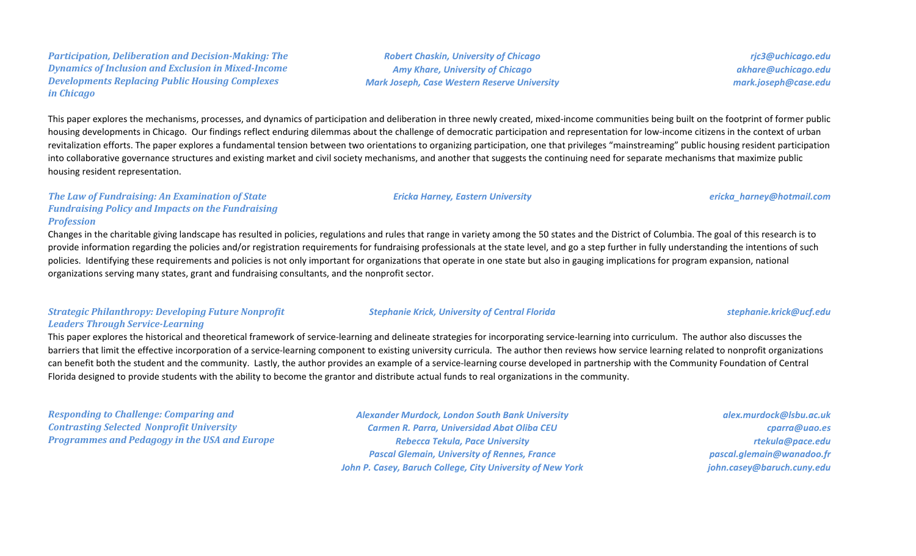*Participation, Deliberation and Decision-Making: The Dynamics of Inclusion and Exclusion in Mixed-Income Developments Replacing Public Housing Complexes in Chicago*

*Robert Chaskin, University of Chicago Amy Khare, University of Chicago Mark Joseph, Case Western Reserve University*

*rjc3@uchicago.edu akhare@uchicago.edu mark.joseph@case.edu*

This paper explores the mechanisms, processes, and dynamics of participation and deliberation in three newly created, mixed-income communities being built on the footprint of former public housing developments in Chicago. Our findings reflect enduring dilemmas about the challenge of democratic participation and representation for low-income citizens in the context of urban revitalization efforts. The paper explores a fundamental tension between two orientations to organizing participation, one that privileges "mainstreaming" public housing resident participation into collaborative governance structures and existing market and civil society mechanisms, and another that suggests the continuing need for separate mechanisms that maximize public housing resident representation.

*The Law of Fundraising: An Examination of State Fundraising Policy and Impacts on the Fundraising Profession*

Changes in the charitable giving landscape has resulted in policies, regulations and rules that range in variety among the 50 states and the District of Columbia. The goal of this research is to provide information regarding the policies and/or registration requirements for fundraising professionals at the state level, and go a step further in fully understanding the intentions of such policies. Identifying these requirements and policies is not only important for organizations that operate in one state but also in gauging implications for program expansion, national organizations serving many states, grant and fundraising consultants, and the nonprofit sector.

### *Strategic Philanthropy: Developing Future Nonprofit Leaders Through Service-Learning*

This paper explores the historical and theoretical framework of service-learning and delineate strategies for incorporating service-learning into curriculum. The author also discusses the barriers that limit the effective incorporation of a service-learning component to existing university curricula. The author then reviews how service learning related to nonprofit organizations can benefit both the student and the community. Lastly, the author provides an example of a service-learning course developed in partnership with the Community Foundation of Central Florida designed to provide students with the ability to become the grantor and distribute actual funds to real organizations in the community.

*Responding to Challenge: Comparing and Contrasting Selected Nonprofit University Programmes and Pedagogy in the USA and Europe*

*Alexander Murdock, London South Bank University Carmen R. Parra, Universidad Abat Oliba CEU Rebecca Tekula, Pace University Pascal Glemain, University of Rennes, France John P. Casey, Baruch College, City University of New York*

*alex.murdock@lsbu.ac.uk cparra@uao.es rtekula@pace.edu pascal.glemain@wanadoo.fr john.casey@baruch.cuny.edu*

#### *Ericka Harney, Eastern University ericka\_harney@hotmail.com*

*Stephanie Krick, University of Central Florida stephanie.krick@ucf.edu*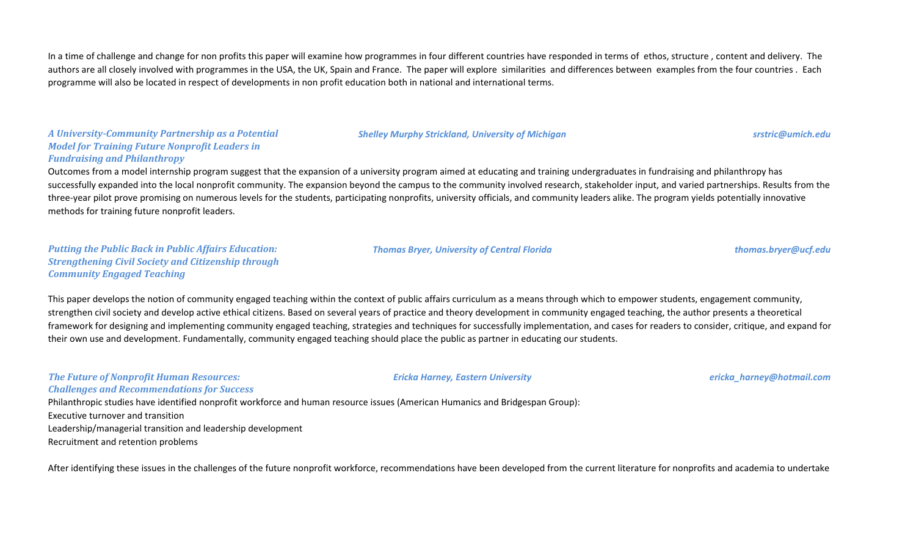In a time of challenge and change for non profits this paper will examine how programmes in four different countries have responded in terms of ethos, structure, content and delivery. The authors are all closely involved with programmes in the USA, the UK, Spain and France. The paper will explore similarities and differences between examples from the four countries. Each programme will also be located in respect of developments in non profit education both in national and international terms.

*A University-Community Partnership as a Potential Model for Training Future Nonprofit Leaders in Fundraising and Philanthropy*

Outcomes from a model internship program suggest that the expansion of a university program aimed at educating and training undergraduates in fundraising and philanthropy has successfully expanded into the local nonprofit community. The expansion beyond the campus to the community involved research, stakeholder input, and varied partnerships. Results from the three-year pilot prove promising on numerous levels for the students, participating nonprofits, university officials, and community leaders alike. The program yields potentially innovative methods for training future nonprofit leaders.

*Putting the Public Back in Public Affairs Education: Strengthening Civil Society and Citizenship through Community Engaged Teaching*

This paper develops the notion of community engaged teaching within the context of public affairs curriculum as a means through which to empower students, engagement community, strengthen civil society and develop active ethical citizens. Based on several years of practice and theory development in community engaged teaching, the author presents a theoretical framework for designing and implementing community engaged teaching, strategies and techniques for successfully implementation, and cases for readers to consider, critique, and expand for their own use and development. Fundamentally, community engaged teaching should place the public as partner in educating our students.

*The Future of Nonprofit Human Resources: Challenges and Recommendations for Success*

Philanthropic studies have identified nonprofit workforce and human resource issues (American Humanics and Bridgespan Group): Executive turnover and transition Leadership/managerial transition and leadership development Recruitment and retention problems

After identifying these issues in the challenges of the future nonprofit workforce, recommendations have been developed from the current literature for nonprofits and academia to undertake

*Thomas Bryer, University of Central Florida thomas.bryer@ucf.edu*

*Ericka Harney, Eastern University ericka\_harney@hotmail.com*

*Shelley Murphy Strickland, University of Michigan srstric@umich.edu*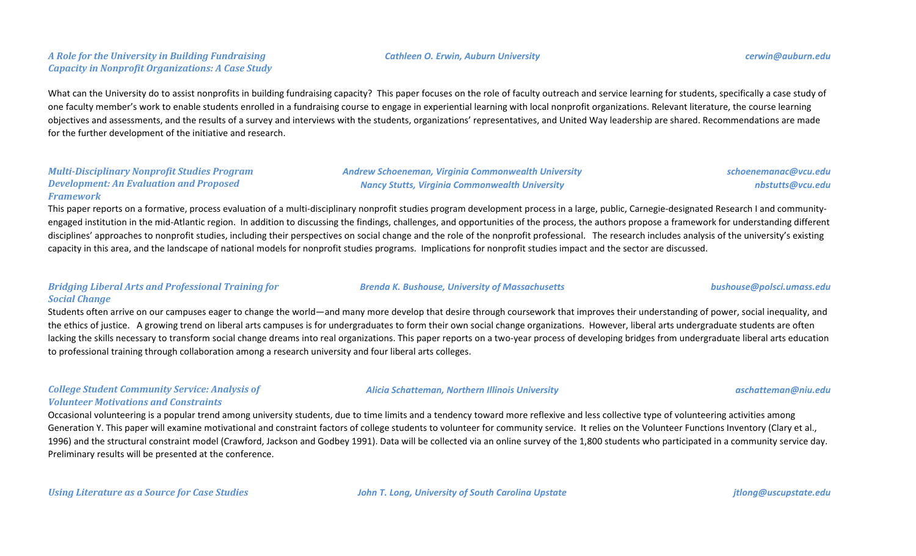# *A Role for the University in Building Fundraising Capacity in Nonprofit Organizations: A Case Study*

# What can the University do to assist nonprofits in building fundraising capacity? This paper focuses on the role of faculty outreach and service learning for students, specifically a case study of one faculty member's work to enable students enrolled in a fundraising course to engage in experiential learning with local nonprofit organizations. Relevant literature, the course learning objectives and assessments, and the results of a survey and interviews with the students, organizations' representatives, and United Way leadership are shared. Recommendations are made for the further development of the initiative and research.

#### *Multi-Disciplinary Nonprofit Studies Program Development: An Evaluation and Proposed Framework*

This paper reports on a formative, process evaluation of a multi-disciplinary nonprofit studies program development process in a large, public, Carnegie-designated Research I and communityengaged institution in the mid-Atlantic region. In addition to discussing the findings, challenges, and opportunities of the process, the authors propose a framework for understanding different disciplines' approaches to nonprofit studies, including their perspectives on social change and the role of the nonprofit professional. The research includes analysis of the university's existing capacity in this area, and the landscape of national models for nonprofit studies programs. Implications for nonprofit studies impact and the sector are discussed.

*Andrew Schoeneman, Virginia Commonwealth University Nancy Stutts, Virginia Commonwealth University*

# *Bridging Liberal Arts and Professional Training for Social Change*

Students often arrive on our campuses eager to change the world—and many more develop that desire through coursework that improves their understanding of power, social inequality, and the ethics of justice. A growing trend on liberal arts campuses is for undergraduates to form their own social change organizations. However, liberal arts undergraduate students are often lacking the skills necessary to transform social change dreams into real organizations. This paper reports on a two-year process of developing bridges from undergraduate liberal arts education to professional training through collaboration among a research university and four liberal arts colleges.

### *College Student Community Service: Analysis of Volunteer Motivations and Constraints*

Occasional volunteering is a popular trend among university students, due to time limits and a tendency toward more reflexive and less collective type of volunteering activities among Generation Y. This paper will examine motivational and constraint factors of college students to volunteer for community service. It relies on the Volunteer Functions Inventory (Clary et al., 1996) and the structural constraint model (Crawford, Jackson and Godbey 1991). Data will be collected via an online survey of the 1,800 students who participated in a community service day. Preliminary results will be presented at the conference.

*Using Literature as a Source for Case Studies John T. Long, University of South Carolina Upstate jtlong@uscupstate.edu*



*Cathleen O. Erwin, Auburn University cerwin@auburn.edu*

*schoenemanac@vcu.edu*

*nbstutts@vcu.edu*

*Brenda K. Bushouse, University of Massachusetts bushouse@polsci.umass.edu*

#### *Alicia Schatteman, Northern Illinois University aschatteman@niu.edu*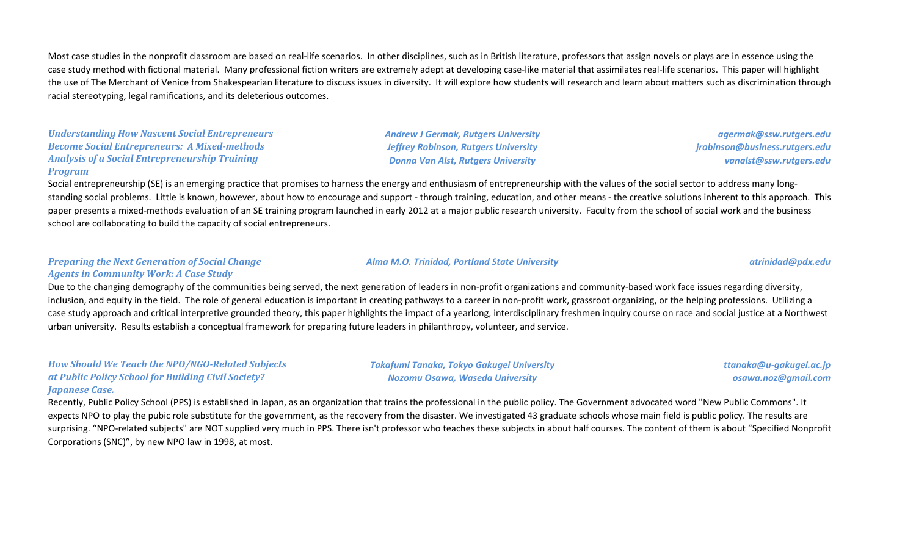Most case studies in the nonprofit classroom are based on real-life scenarios. In other disciplines, such as in British literature, professors that assign novels or plays are in essence using the case study method with fictional material. Many professional fiction writers are extremely adept at developing case-like material that assimilates real-life scenarios. This paper will highlight the use of The Merchant of Venice from Shakespearian literature to discuss issues in diversity. It will explore how students will research and learn about matters such as discrimination through racial stereotyping, legal ramifications, and its deleterious outcomes.

*Understanding How Nascent Social Entrepreneurs Become Social Entrepreneurs: A Mixed-methods Analysis of a Social Entrepreneurship Training Program*

*Andrew J Germak, Rutgers University Jeffrey Robinson, Rutgers University Donna Van Alst, Rutgers University*

*agermak@ssw.rutgers.edu jrobinson@business.rutgers.edu vanalst@ssw.rutgers.edu*

Social entrepreneurship (SE) is an emerging practice that promises to harness the energy and enthusiasm of entrepreneurship with the values of the social sector to address many longstanding social problems. Little is known, however, about how to encourage and support - through training, education, and other means - the creative solutions inherent to this approach. This paper presents a mixed-methods evaluation of an SE training program launched in early 2012 at a major public research university. Faculty from the school of social work and the business school are collaborating to build the capacity of social entrepreneurs.

#### *Preparing the Next Generation of Social Change Agents in Community Work: A Case Study*

Due to the changing demography of the communities being served, the next generation of leaders in non-profit organizations and community-based work face issues regarding diversity, inclusion, and equity in the field. The role of general education is important in creating pathways to a career in non-profit work, grassroot organizing, or the helping professions. Utilizing a case study approach and critical interpretive grounded theory, this paper highlights the impact of a yearlong, interdisciplinary freshmen inquiry course on race and social justice at a Northwest urban university. Results establish a conceptual framework for preparing future leaders in philanthropy, volunteer, and service.

*How Should We Teach the NPO/NGO-Related Subjects at Public Policy School for Building Civil Society? Japanese Case.*

*Takafumi Tanaka, Tokyo Gakugei University Nozomu Osawa, Waseda University*

*ttanaka@u-gakugei.ac.jp osawa.noz@gmail.com*

Recently, Public Policy School (PPS) is established in Japan, as an organization that trains the professional in the public policy. The Government advocated word "New Public Commons". It expects NPO to play the pubic role substitute for the government, as the recovery from the disaster. We investigated 43 graduate schools whose main field is public policy. The results are surprising. "NPO-related subjects" are NOT supplied very much in PPS. There isn't professor who teaches these subjects in about half courses. The content of them is about "Specified Nonprofit Corporations (SNC)", by new NPO law in 1998, at most.

#### *Alma M.O. Trinidad, Portland State University atrinidad@pdx.edu*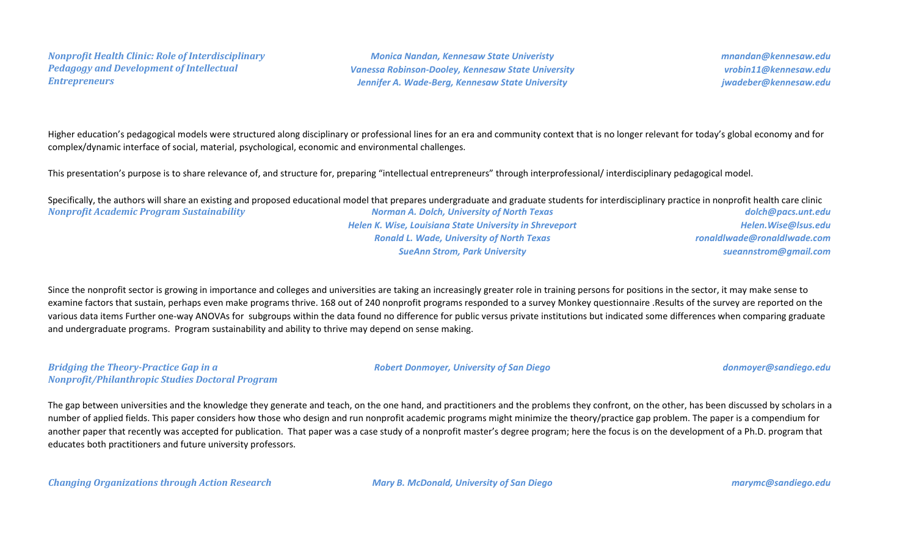*Nonprofit Health Clinic: Role of Interdisciplinary Pedagogy and Development of Intellectual Entrepreneurs*

*Monica Nandan, Kennesaw State Univeristy Vanessa Robinson-Dooley, Kennesaw State University Jennifer A. Wade-Berg, Kennesaw State University*

*mnandan@kennesaw.edu vrobin11@kennesaw.edu jwadeber@kennesaw.edu*

Higher education's pedagogical models were structured along disciplinary or professional lines for an era and community context that is no longer relevant for today's global economy and for complex/dynamic interface of social, material, psychological, economic and environmental challenges.

This presentation's purpose is to share relevance of, and structure for, preparing "intellectual entrepreneurs" through interprofessional/ interdisciplinary pedagogical model.

*Nonprofit Academic Program Sustainability Norman A. Dolch, University of North Texas Helen K. Wise, Louisiana State University in Shreveport Ronald L. Wade, University of North Texas SueAnn Strom, Park University dolch@pacs.unt.edu Helen.Wise@lsus.edu ronaldlwade@ronaldlwade.com sueannstrom@gmail.com* Specifically, the authors will share an existing and proposed educational model that prepares undergraduate and graduate students for interdisciplinary practice in nonprofit health care clinic

Since the nonprofit sector is growing in importance and colleges and universities are taking an increasingly greater role in training persons for positions in the sector, it may make sense to examine factors that sustain, perhaps even make programs thrive. 168 out of 240 nonprofit programs responded to a survey Monkey questionnaire .Results of the survey are reported on the various data items Further one-way ANOVAs for subgroups within the data found no difference for public versus private institutions but indicated some differences when comparing graduate and undergraduate programs. Program sustainability and ability to thrive may depend on sense making.

#### *Bridging the Theory-Practice Gap in a Nonprofit/Philanthropic Studies Doctoral Program*

*Robert Donmoyer, University of San Diego donmoyer@sandiego.edu*

The gap between universities and the knowledge they generate and teach, on the one hand, and practitioners and the problems they confront, on the other, has been discussed by scholars in a number of applied fields. This paper considers how those who design and run nonprofit academic programs might minimize the theory/practice gap problem. The paper is a compendium for another paper that recently was accepted for publication. That paper was a case study of a nonprofit master's degree program; here the focus is on the development of a Ph.D. program that educates both practitioners and future university professors.

*Changing Organizations through Action Research Mary B. McDonald, University of San Diego marymc@sandiego.edu*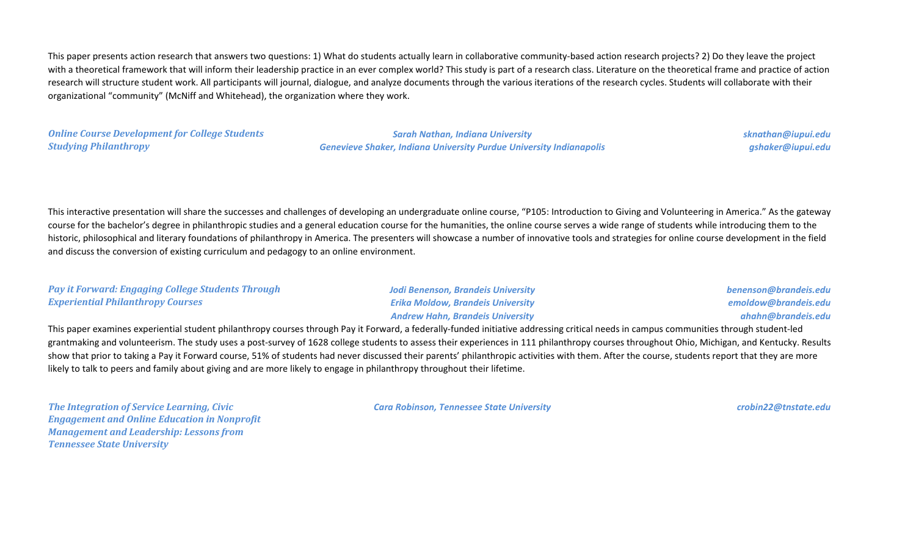This paper presents action research that answers two questions: 1) What do students actually learn in collaborative community-based action research projects? 2) Do they leave the project with a theoretical framework that will inform their leadership practice in an ever complex world? This study is part of a research class. Literature on the theoretical frame and practice of action research will structure student work. All participants will journal, dialogue, and analyze documents through the various iterations of the research cycles. Students will collaborate with their organizational "community" (McNiff and Whitehead), the organization where they work.

*Online Course Development for College Students Studying Philanthropy*

*Sarah Nathan, Indiana University Genevieve Shaker, Indiana University Purdue University Indianapolis* *sknathan@iupui.edu gshaker@iupui.edu*

This interactive presentation will share the successes and challenges of developing an undergraduate online course, "P105: Introduction to Giving and Volunteering in America." As the gateway course for the bachelor's degree in philanthropic studies and a general education course for the humanities, the online course serves a wide range of students while introducing them to the historic, philosophical and literary foundations of philanthropy in America. The presenters will showcase a number of innovative tools and strategies for online course development in the field and discuss the conversion of existing curriculum and pedagogy to an online environment.

| <b>Pay it Forward: Engaging College Students Through</b> | Jodi Benenson, Brandeis University       |
|----------------------------------------------------------|------------------------------------------|
| <b>Experiential Philanthropy Courses</b>                 | <b>Erika Moldow, Brandeis University</b> |
|                                                          | <b>Andrew Hahn, Brandeis University</b>  |

*benenson@brandeis.edu emoldow@brandeis.edu ahahn@brandeis.edu*

This paper examines experiential student philanthropy courses through Pay it Forward, a federally-funded initiative addressing critical needs in campus communities through student-led grantmaking and volunteerism. The study uses a post-survey of 1628 college students to assess their experiences in 111 philanthropy courses throughout Ohio, Michigan, and Kentucky. Results show that prior to taking a Pay it Forward course, 51% of students had never discussed their parents' philanthropic activities with them. After the course, students report that they are more likely to talk to peers and family about giving and are more likely to engage in philanthropy throughout their lifetime.

*The Integration of Service Learning, Civic Engagement and Online Education in Nonprofit Management and Leadership: Lessons from Tennessee State University*

*Cara Robinson, Tennessee State University crobin22@tnstate.edu*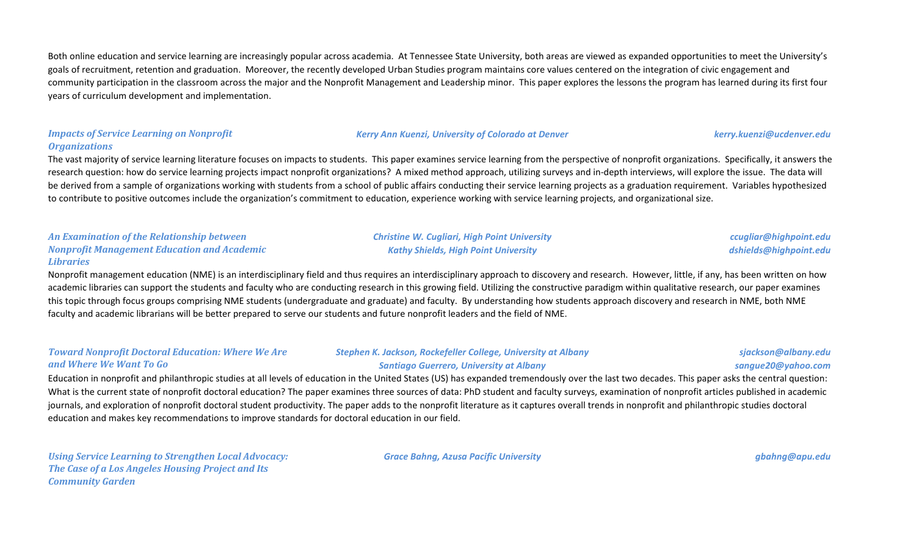Both online education and service learning are increasingly popular across academia. At Tennessee State University, both areas are viewed as expanded opportunities to meet the University's goals of recruitment, retention and graduation. Moreover, the recently developed Urban Studies program maintains core values centered on the integration of civic engagement and community participation in the classroom across the major and the Nonprofit Management and Leadership minor. This paper explores the lessons the program has learned during its first four years of curriculum development and implementation.

#### *Impacts of Service Learning on Nonprofit Organizations*

The vast majority of service learning literature focuses on impacts to students. This paper examines service learning from the perspective of nonprofit organizations. Specifically, it answers the research question: how do service learning projects impact nonprofit organizations? A mixed method approach, utilizing surveys and in-depth interviews, will explore the issue. The data will be derived from a sample of organizations working with students from a school of public affairs conducting their service learning projects as a graduation requirement. Variables hypothesized to contribute to positive outcomes include the organization's commitment to education, experience working with service learning projects, and organizational size.

> *Christine W. Cugliari, High Point University Kathy Shields, High Point University*

#### *An Examination of the Relationship between Nonprofit Management Education and Academic Libraries*

Nonprofit management education (NME) is an interdisciplinary field and thus requires an interdisciplinary approach to discovery and research. However, little, if any, has been written on how academic libraries can support the students and faculty who are conducting research in this growing field. Utilizing the constructive paradigm within qualitative research, our paper examines this topic through focus groups comprising NME students (undergraduate and graduate) and faculty. By understanding how students approach discovery and research in NME, both NME faculty and academic librarians will be better prepared to serve our students and future nonprofit leaders and the field of NME.

| <b>Toward Nonprofit Doctoral Education: Where We Are</b> | Stephen K. Jackson, Rockefeller College, University at Albany | sjackson@albany.edu |
|----------------------------------------------------------|---------------------------------------------------------------|---------------------|
| and Where We Want To Go                                  | <b>Santiago Guerrero, University at Albany</b>                | sangue20@yahoo.com  |

Education in nonprofit and philanthropic studies at all levels of education in the United States (US) has expanded tremendously over the last two decades. This paper asks the central question: What is the current state of nonprofit doctoral education? The paper examines three sources of data: PhD student and faculty surveys, examination of nonprofit articles published in academic journals, and exploration of nonprofit doctoral student productivity. The paper adds to the nonprofit literature as it captures overall trends in nonprofit and philanthropic studies doctoral education and makes key recommendations to improve standards for doctoral education in our field.

*Using Service Learning to Strengthen Local Advocacy: The Case of a Los Angeles Housing Project and Its Community Garden*

*Grace Bahng, Azusa Pacific University gbahng@apu.edu*

*ccugliar@highpoint.edu dshields@highpoint.edu*

*Kerry Ann Kuenzi, University of Colorado at Denver kerry.kuenzi@ucdenver.edu*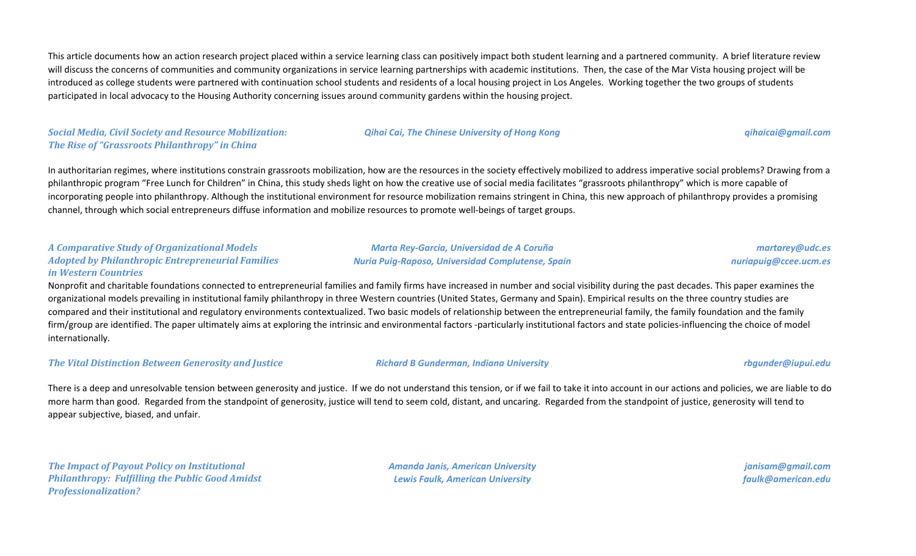This article documents how an action research project placed within a service learning class can positively impact both student learning and a partnered community. A brief literature review will discuss the concerns of communities and community organizations in service learning partnerships with academic institutions. Then, the case of the Mar Vista housing project will be introduced as college students were partnered with continuation school students and residents of a local housing project in Los Angeles. Working together the two groups of students participated in local advocacy to the Housing Authority concerning issues around community gardens within the housing project.

*Social Media, Civil Society and Resource Mobilization: The Rise of "Grassroots Philanthropy" in China*

*Qihai Cai, The Chinese University of Hong Kong qihaicai@gmail.com*

In authoritarian regimes, where institutions constrain grassroots mobilization, how are the resources in the society effectively mobilized to address imperative social problems? Drawing from a philanthropic program "Free Lunch for Children" in China, this study sheds light on how the creative use of social media facilitates "grassroots philanthropy" which is more capable of incorporating people into philanthropy. Although the institutional environment for resource mobilization remains stringent in China, this new approach of philanthropy provides a promising channel, through which social entrepreneurs diffuse information and mobilize resources to promote well-beings of target groups.

### *A Comparative Study of Organizational Models Adopted by Philanthropic Entrepreneurial Families in Western Countries*

Nonprofit and charitable foundations connected to entrepreneurial families and family firms have increased in number and social visibility during the past decades. This paper examines the organizational models prevailing in institutional family philanthropy in three Western countries (United States, Germany and Spain). Empirical results on the three country studies are compared and their institutional and regulatory environments contextualized. Two basic models of relationship between the entrepreneurial family, the family foundation and the family firm/group are identified. The paper ultimately aims at exploring the intrinsic and environmental factors -particularly institutional factors and state policies-influencing the choice of model internationally.

*The Vital Distinction Between Generosity and Justice Richard B Gunderman, Indiana University rbgunder@iupui.edu*

There is a deep and unresolvable tension between generosity and justice. If we do not understand this tension, or if we fail to take it into account in our actions and policies, we are liable to do more harm than good. Regarded from the standpoint of generosity, justice will tend to seem cold, distant, and uncaring. Regarded from the standpoint of justice, generosity will tend to appear subjective, biased, and unfair.

*The Impact of Payout Policy on Institutional Philanthropy: Fulfilling the Public Good Amidst Professionalization?*

*Amanda Janis, American University Lewis Faulk, American University*

*janisam@gmail.com faulk@american.edu*

*Marta Rey-Garcia, Universidad de A Coruña Nuria Puig-Raposo, Universidad Complutense, Spain*

*martarey@udc.es nuriapuig@ccee.ucm.es*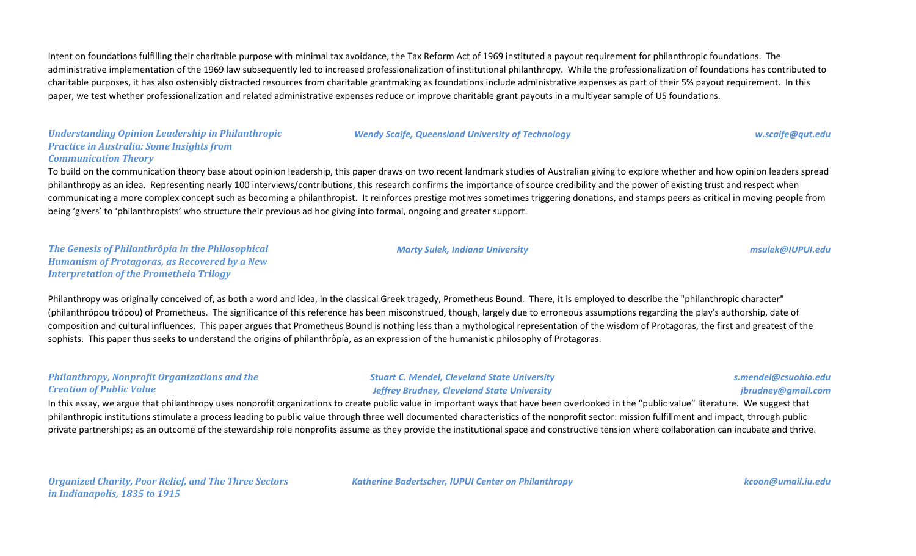Intent on foundations fulfilling their charitable purpose with minimal tax avoidance, the Tax Reform Act of 1969 instituted a payout requirement for philanthropic foundations. The administrative implementation of the 1969 law subsequently led to increased professionalization of institutional philanthropy. While the professionalization of foundations has contributed to charitable purposes, it has also ostensibly distracted resources from charitable grantmaking as foundations include administrative expenses as part of their 5% payout requirement. In this paper, we test whether professionalization and related administrative expenses reduce or improve charitable grant payouts in a multiyear sample of US foundations.

# *Understanding Opinion Leadership in Philanthropic Practice in Australia: Some Insights from Communication Theory*

# To build on the communication theory base about opinion leadership, this paper draws on two recent landmark studies of Australian giving to explore whether and how opinion leaders spread philanthropy as an idea. Representing nearly 100 interviews/contributions, this research confirms the importance of source credibility and the power of existing trust and respect when communicating a more complex concept such as becoming a philanthropist. It reinforces prestige motives sometimes triggering donations, and stamps peers as critical in moving people from being 'givers' to 'philanthropists' who structure their previous ad hoc giving into formal, ongoing and greater support.

### *The Genesis of Philanthrôpía in the Philosophical Humanism of Protagoras, as Recovered by a New Interpretation of the Prometheia Trilogy*

#### *Marty Sulek, Indiana University msulek@IUPUI.edu*

*Wendy Scaife, Queensland University of Technology w.scaife@qut.edu*

Philanthropy was originally conceived of, as both a word and idea, in the classical Greek tragedy, Prometheus Bound. There, it is employed to describe the "philanthropic character" (philanthrôpou trópou) of Prometheus. The significance of this reference has been misconstrued, though, largely due to erroneous assumptions regarding the play's authorship, date of composition and cultural influences. This paper argues that Prometheus Bound is nothing less than a mythological representation of the wisdom of Protagoras, the first and greatest of the sophists. This paper thus seeks to understand the origins of philanthrôpía, as an expression of the humanistic philosophy of Protagoras.

# *Philanthropy, Nonprofit Organizations and the Creation of Public Value*

# *Stuart C. Mendel, Cleveland State University Jeffrey Brudney, Cleveland State University*

#### *s.mendel@csuohio.edu jbrudney@gmail.com*

In this essay, we argue that philanthropy uses nonprofit organizations to create public value in important ways that have been overlooked in the "public value" literature. We suggest that philanthropic institutions stimulate a process leading to public value through three well documented characteristics of the nonprofit sector: mission fulfillment and impact, through public private partnerships; as an outcome of the stewardship role nonprofits assume as they provide the institutional space and constructive tension where collaboration can incubate and thrive.

*Katherine Badertscher, IUPUI Center on Philanthropy kcoon@umail.iu.edu*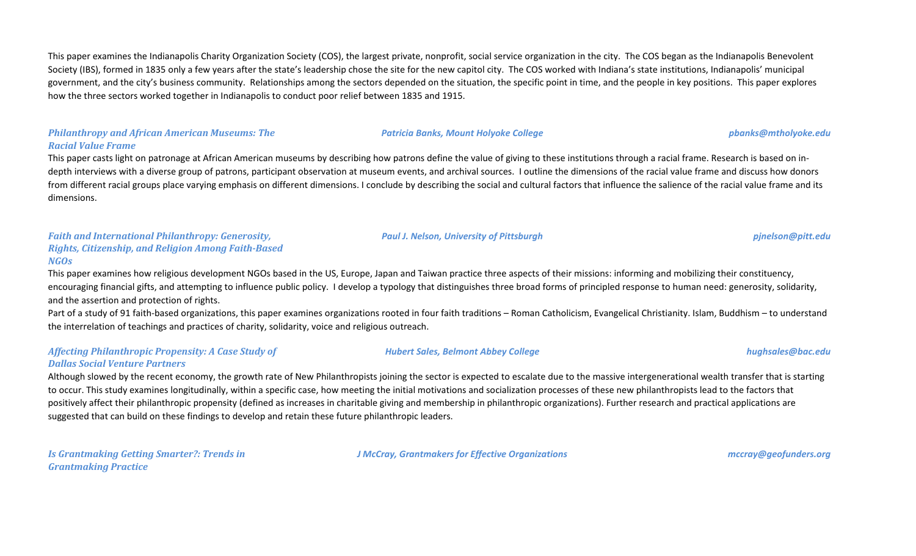This paper examines the Indianapolis Charity Organization Society (COS), the largest private, nonprofit, social service organization in the city. The COS began as the Indianapolis Benevolent Society (IBS), formed in 1835 only a few years after the state's leadership chose the site for the new capitol city. The COS worked with Indiana's state institutions, Indianapolis' municipal government, and the city's business community. Relationships among the sectors depended on the situation, the specific point in time, and the people in key positions. This paper explores how the three sectors worked together in Indianapolis to conduct poor relief between 1835 and 1915.

## *Philanthropy and African American Museums: The Racial Value Frame*

This paper casts light on patronage at African American museums by describing how patrons define the value of giving to these institutions through a racial frame. Research is based on indepth interviews with a diverse group of patrons, participant observation at museum events, and archival sources. I outline the dimensions of the racial value frame and discuss how donors from different racial groups place varying emphasis on different dimensions. I conclude by describing the social and cultural factors that influence the salience of the racial value frame and its dimensions.

# *Faith and International Philanthropy: Generosity, Rights, Citizenship, and Religion Among Faith-Based NGOs*

This paper examines how religious development NGOs based in the US, Europe, Japan and Taiwan practice three aspects of their missions: informing and mobilizing their constituency, encouraging financial gifts, and attempting to influence public policy. I develop a typology that distinguishes three broad forms of principled response to human need: generosity, solidarity, and the assertion and protection of rights.

Part of a study of 91 faith-based organizations, this paper examines organizations rooted in four faith traditions – Roman Catholicism, Evangelical Christianity. Islam, Buddhism – to understand the interrelation of teachings and practices of charity, solidarity, voice and religious outreach.

#### *Affecting Philanthropic Propensity: A Case Study of Dallas Social Venture Partners*

Although slowed by the recent economy, the growth rate of New Philanthropists joining the sector is expected to escalate due to the massive intergenerational wealth transfer that is starting to occur. This study examines longitudinally, within a specific case, how meeting the initial motivations and socialization processes of these new philanthropists lead to the factors that positively affect their philanthropic propensity (defined as increases in charitable giving and membership in philanthropic organizations). Further research and practical applications are suggested that can build on these findings to develop and retain these future philanthropic leaders.

*Is Grantmaking Getting Smarter?: Trends in Grantmaking Practice*

*J McCray, Grantmakers for Effective Organizations mccray@geofunders.org*

*Paul J. Nelson, University of Pittsburgh pjnelson@pitt.edu*

*Hubert Sales, Belmont Abbey College hughsales@bac.edu*

# *Patricia Banks, Mount Holyoke College pbanks@mtholyoke.edu*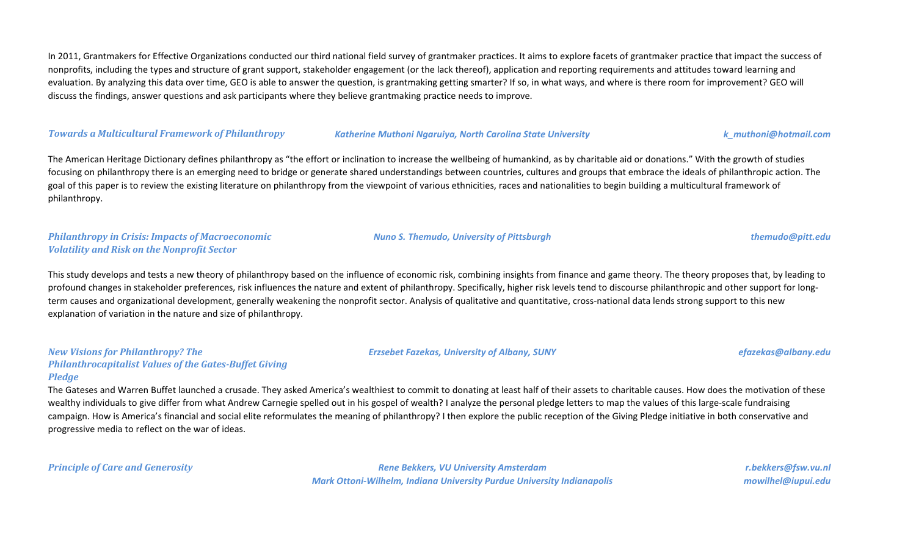In 2011, Grantmakers for Effective Organizations conducted our third national field survey of grantmaker practices. It aims to explore facets of grantmaker practice that impact the success of nonprofits, including the types and structure of grant support, stakeholder engagement (or the lack thereof), application and reporting requirements and attitudes toward learning and evaluation. By analyzing this data over time, GEO is able to answer the question, is grantmaking getting smarter? If so, in what ways, and where is there room for improvement? GEO will discuss the findings, answer questions and ask participants where they believe grantmaking practice needs to improve.

#### *Towards a Multicultural Framework of Philanthropy Katherine Muthoni Ngaruiya, North Carolina State University k\_muthoni@hotmail.com*

The American Heritage Dictionary defines philanthropy as "the effort or inclination to increase the wellbeing of humankind, as by charitable aid or donations." With the growth of studies focusing on philanthropy there is an emerging need to bridge or generate shared understandings between countries, cultures and groups that embrace the ideals of philanthropic action. The goal of this paper is to review the existing literature on philanthropy from the viewpoint of various ethnicities, races and nationalities to begin building a multicultural framework of philanthropy.

#### *Philanthropy in Crisis: Impacts of Macroeconomic Volatility and Risk on the Nonprofit Sector*

This study develops and tests a new theory of philanthropy based on the influence of economic risk, combining insights from finance and game theory. The theory proposes that, by leading to profound changes in stakeholder preferences, risk influences the nature and extent of philanthropy. Specifically, higher risk levels tend to discourse philanthropic and other support for longterm causes and organizational development, generally weakening the nonprofit sector. Analysis of qualitative and quantitative, cross-national data lends strong support to this new explanation of variation in the nature and size of philanthropy.

#### *New Visions for Philanthropy? The Philanthrocapitalist Values of the Gates-Buffet Giving Pledge*

The Gateses and Warren Buffet launched a crusade. They asked America's wealthiest to commit to donating at least half of their assets to charitable causes. How does the motivation of these wealthy individuals to give differ from what Andrew Carnegie spelled out in his gospel of wealth? I analyze the personal pledge letters to map the values of this large-scale fundraising campaign. How is America's financial and social elite reformulates the meaning of philanthropy? I then explore the public reception of the Giving Pledge initiative in both conservative and progressive media to reflect on the war of ideas.

*Principle of Care and Generosity Rene Bekkers, VU University Amsterdam Mark Ottoni-Wilhelm, Indiana University Purdue University Indianapolis*

*r.bekkers@fsw.vu.nl mowilhel@iupui.edu*

#### *Erzsebet Fazekas, University of Albany, SUNY efazekas@albany.edu*

*Nuno S. Themudo, University of Pittsburgh themudo@pitt.edu*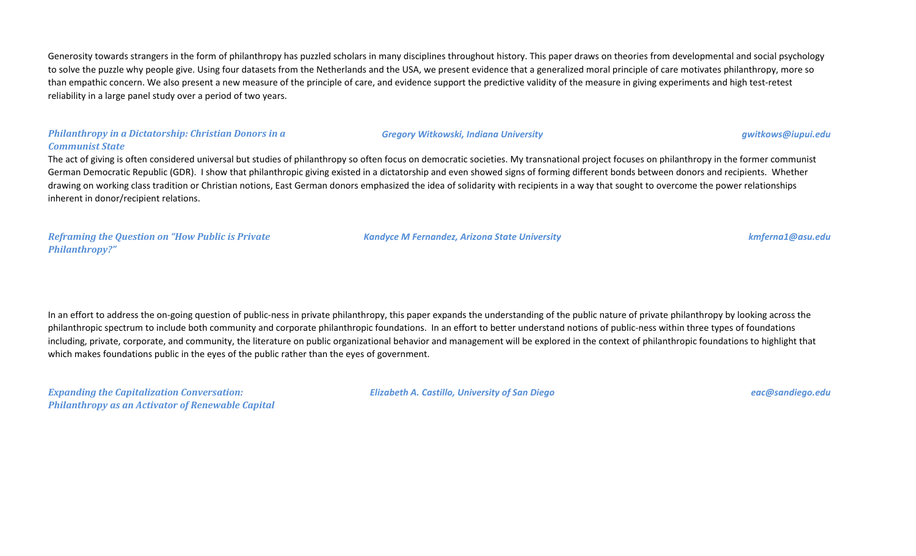Generosity towards strangers in the form of philanthropy has puzzled scholars in many disciplines throughout history. This paper draws on theories from developmental and social psychology to solve the puzzle why people give. Using four datasets from the Netherlands and the USA, we present evidence that a generalized moral principle of care motivates philanthropy, more so than empathic concern. We also present a new measure of the principle of care, and evidence support the predictive validity of the measure in giving experiments and high test-retest reliability in a large panel study over a period of two years.

#### *Philanthropy in a Dictatorship: Christian Donors in a Communist State*

The act of giving is often considered universal but studies of philanthropy so often focus on democratic societies. My transnational project focuses on philanthropy in the former communist German Democratic Republic (GDR). I show that philanthropic giving existed in a dictatorship and even showed signs of forming different bonds between donors and recipients. Whether drawing on working class tradition or Christian notions, East German donors emphasized the idea of solidarity with recipients in a way that sought to overcome the power relationships inherent in donor/recipient relations.

*Reframing the Question on "How Public is Private Philanthropy?"*

#### *Kandyce M Fernandez, Arizona State University kmferna1@asu.edu*

In an effort to address the on-going question of public-ness in private philanthropy, this paper expands the understanding of the public nature of private philanthropy by looking across the philanthropic spectrum to include both community and corporate philanthropic foundations. In an effort to better understand notions of public-ness within three types of foundations including, private, corporate, and community, the literature on public organizational behavior and management will be explored in the context of philanthropic foundations to highlight that which makes foundations public in the eyes of the public rather than the eyes of government.

*Expanding the Capitalization Conversation: Philanthropy as an Activator of Renewable Capital* *Elizabeth A. Castillo, University of San Diego eac@sandiego.edu*

#### *Gregory Witkowski, Indiana University gwitkows@iupui.edu*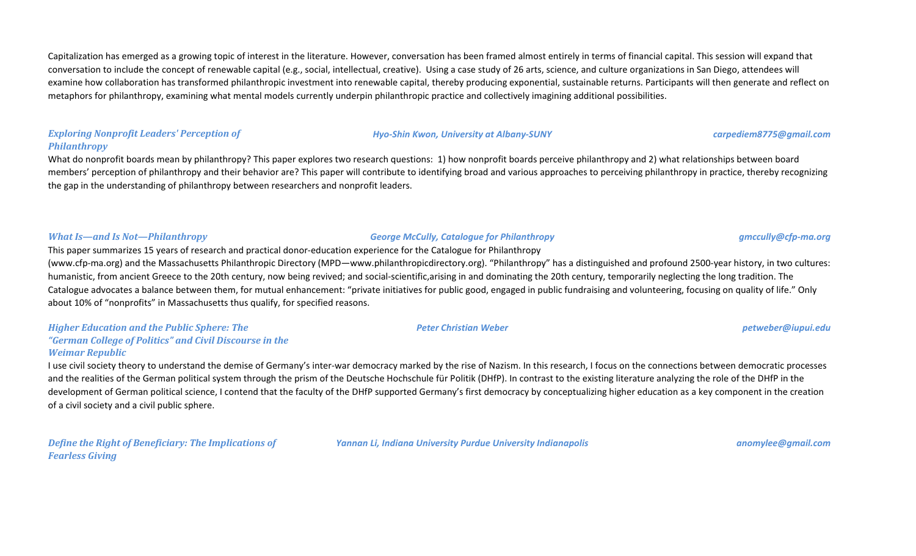Capitalization has emerged as a growing topic of interest in the literature. However, conversation has been framed almost entirely in terms of financial capital. This session will expand that conversation to include the concept of renewable capital (e.g., social, intellectual, creative). Using a case study of 26 arts, science, and culture organizations in San Diego, attendees will examine how collaboration has transformed philanthropic investment into renewable capital, thereby producing exponential, sustainable returns. Participants will then generate and reflect on metaphors for philanthropy, examining what mental models currently underpin philanthropic practice and collectively imagining additional possibilities.

## *Exploring Nonprofit Leaders' Perception of Philanthropy*

What do nonprofit boards mean by philanthropy? This paper explores two research questions: 1) how nonprofit boards perceive philanthropy and 2) what relationships between board members' perception of philanthropy and their behavior are? This paper will contribute to identifying broad and various approaches to perceiving philanthropy in practice, thereby recognizing the gap in the understanding of philanthropy between researchers and nonprofit leaders.

# *What Is—and Is Not—Philanthropy George McCully, Catalogue for Philanthropy gmccully@cfp-ma.org*

(www.cfp-ma.org) and the Massachusetts Philanthropic Directory (MPD—www.philanthropicdirectory.org). "Philanthropy" has a distinguished and profound 2500-year history, in two cultures: humanistic, from ancient Greece to the 20th century, now being revived; and social-scientific,arising in and dominating the 20th century, temporarily neglecting the long tradition. The Catalogue advocates a balance between them, for mutual enhancement: "private initiatives for public good, engaged in public fundraising and volunteering, focusing on quality of life." Only about 10% of "nonprofits" in Massachusetts thus qualify, for specified reasons.

# *Higher Education and the Public Sphere: The "German College of Politics" and Civil Discourse in the*

This paper summarizes 15 years of research and practical donor-education experience for the Catalogue for Philanthropy

#### *Weimar Republic*

I use civil society theory to understand the demise of Germany's inter-war democracy marked by the rise of Nazism. In this research, I focus on the connections between democratic processes and the realities of the German political system through the prism of the Deutsche Hochschule für Politik (DHfP). In contrast to the existing literature analyzing the role of the DHfP in the development of German political science, I contend that the faculty of the DHfP supported Germany's first democracy by conceptualizing higher education as a key component in the creation of a civil society and a civil public sphere.

*Define the Right of Beneficiary: The Implications of Fearless Giving*

*Yannan Li, Indiana University Purdue University Indianapolis anomylee@gmail.com*

#### *Peter Christian Weber petweber@iupui.edu*

# *Hyo-Shin Kwon, University at Albany-SUNY carpediem8775@gmail.com*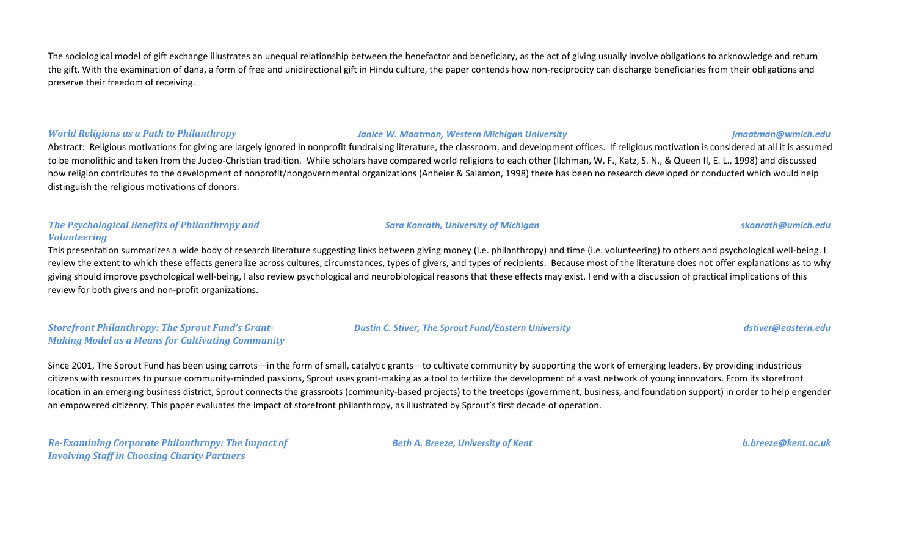The sociological model of gift exchange illustrates an unequal relationship between the benefactor and beneficiary, as the act of giving usually involve obligations to acknowledge and return the gift. With the examination of dana, a form of free and unidirectional gift in Hindu culture, the paper contends how non-reciprocity can discharge beneficiaries from their obligations and preserve their freedom of receiving.

*World Religions as a Path to Philanthropy Janice W. Maatman, Western Michigan University jmaatman@wmich.edu*

Abstract: Religious motivations for giving are largely ignored in nonprofit fundraising literature, the classroom, and development offices. If religious motivation is considered at all it is assumed to be monolithic and taken from the Judeo-Christian tradition. While scholars have compared world religions to each other (Ilchman, W. F., Katz, S. N., & Queen II, E. L., 1998) and discussed how religion contributes to the development of nonprofit/nongovernmental organizations (Anheier & Salamon, 1998) there has been no research developed or conducted which would help distinguish the religious motivations of donors.

## *The Psychological Benefits of Philanthropy and Volunteering*

This presentation summarizes a wide body of research literature suggesting links between giving money (i.e. philanthropy) and time (i.e. volunteering) to others and psychological well-being. I review the extent to which these effects generalize across cultures, circumstances, types of givers, and types of recipients. Because most of the literature does not offer explanations as to why giving should improve psychological well-being, I also review psychological and neurobiological reasons that these effects may exist. I end with a discussion of practical implications of this review for both givers and non-profit organizations.

*Storefront Philanthropy: The Sprout Fund's Grant-Making Model as a Means for Cultivating Community* *Dustin C. Stiver, The Sprout Fund/Eastern University dstiver@eastern.edu*

Since 2001, The Sprout Fund has been using carrots—in the form of small, catalytic grants—to cultivate community by supporting the work of emerging leaders. By providing industrious citizens with resources to pursue community-minded passions, Sprout uses grant-making as a tool to fertilize the development of a vast network of young innovators. From its storefront location in an emerging business district, Sprout connects the grassroots (community-based projects) to the treetops (government, business, and foundation support) in order to help engender an empowered citizenry. This paper evaluates the impact of storefront philanthropy, as illustrated by Sprout's first decade of operation.

*Re-Examining Corporate Philanthropy: The Impact of Involving Staff in Choosing Charity Partners*

*Beth A. Breeze, University of Kent b.breeze@kent.ac.uk*

*Sara Konrath, University of Michigan skonrath@umich.edu*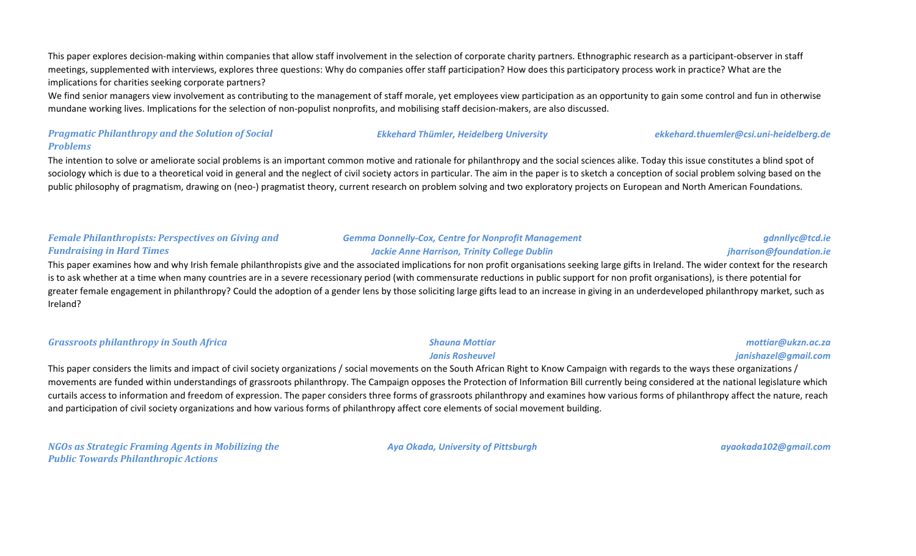This paper explores decision-making within companies that allow staff involvement in the selection of corporate charity partners. Ethnographic research as a participant-observer in staff meetings, supplemented with interviews, explores three questions: Why do companies offer staff participation? How does this participatory process work in practice? What are the implications for charities seeking corporate partners?

We find senior managers view involvement as contributing to the management of staff morale, yet employees view participation as an opportunity to gain some control and fun in otherwise mundane working lives. Implications for the selection of non-populist nonprofits, and mobilising staff decision-makers, are also discussed.

#### *Pragmatic Philanthropy and the Solution of Social Problems*

The intention to solve or ameliorate social problems is an important common motive and rationale for philanthropy and the social sciences alike. Today this issue constitutes a blind spot of sociology which is due to a theoretical void in general and the neglect of civil society actors in particular. The aim in the paper is to sketch a conception of social problem solving based on the public philosophy of pragmatism, drawing on (neo-) pragmatist theory, current research on problem solving and two exploratory projects on European and North American Foundations.

# *Female Philanthropists: Perspectives on Giving and Fundraising in Hard Times*

#### *Gemma Donnelly-Cox, Centre for Nonprofit Management Jackie Anne Harrison, Trinity College Dublin*

*Ekkehard Thümler, Heidelberg University ekkehard.thuemler@csi.uni-heidelberg.de*

# *jharrison@foundation.ie*

This paper examines how and why Irish female philanthropists give and the associated implications for non profit organisations seeking large gifts in Ireland. The wider context for the research is to ask whether at a time when many countries are in a severe recessionary period (with commensurate reductions in public support for non profit organisations), is there potential for greater female engagement in philanthropy? Could the adoption of a gender lens by those soliciting large gifts lead to an increase in giving in an underdeveloped philanthropy market, such as Ireland?

*Grassroots philanthropy in South Africa Shauna Mottiar*

#### *Janis Rosheuvel*

This paper considers the limits and impact of civil society organizations / social movements on the South African Right to Know Campaign with regards to the ways these organizations / movements are funded within understandings of grassroots philanthropy. The Campaign opposes the Protection of Information Bill currently being considered at the national legislature which curtails access to information and freedom of expression. The paper considers three forms of grassroots philanthropy and examines how various forms of philanthropy affect the nature, reach and participation of civil society organizations and how various forms of philanthropy affect core elements of social movement building.

*NGOs as Strategic Framing Agents in Mobilizing the Public Towards Philanthropic Actions*

*Aya Okada, University of Pittsburgh ayaokada102@gmail.com*

*gdnnllyc@tcd.ie*

*mottiar@ukzn.ac.za janishazel@gmail.com*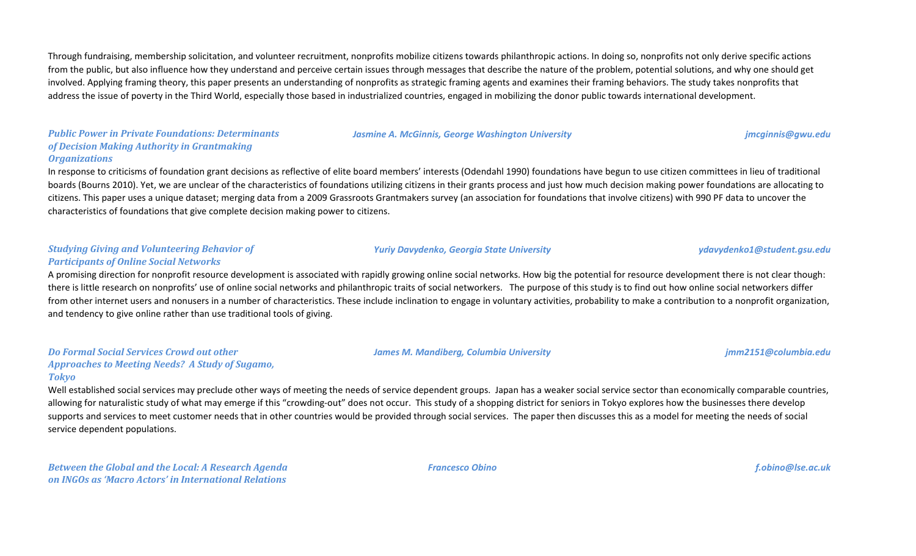Through fundraising, membership solicitation, and volunteer recruitment, nonprofits mobilize citizens towards philanthropic actions. In doing so, nonprofits not only derive specific actions from the public, but also influence how they understand and perceive certain issues through messages that describe the nature of the problem, potential solutions, and why one should get involved. Applying framing theory, this paper presents an understanding of nonprofits as strategic framing agents and examines their framing behaviors. The study takes nonprofits that address the issue of poverty in the Third World, especially those based in industrialized countries, engaged in mobilizing the donor public towards international development.

#### *Public Power in Private Foundations: Determinants of Decision Making Authority in Grantmaking Organizations*

In response to criticisms of foundation grant decisions as reflective of elite board members' interests (Odendahl 1990) foundations have begun to use citizen committees in lieu of traditional boards (Bourns 2010). Yet, we are unclear of the characteristics of foundations utilizing citizens in their grants process and just how much decision making power foundations are allocating to citizens. This paper uses a unique dataset; merging data from a 2009 Grassroots Grantmakers survey (an association for foundations that involve citizens) with 990 PF data to uncover the characteristics of foundations that give complete decision making power to citizens.

#### *Studying Giving and Volunteering Behavior of Participants of Online Social Networks*

# A promising direction for nonprofit resource development is associated with rapidly growing online social networks. How big the potential for resource development there is not clear though: there is little research on nonprofits' use of online social networks and philanthropic traits of social networkers. The purpose of this study is to find out how online social networkers differ from other internet users and nonusers in a number of characteristics. These include inclination to engage in voluntary activities, probability to make a contribution to a nonprofit organization, and tendency to give online rather than use traditional tools of giving.

#### *Do Formal Social Services Crowd out other Approaches to Meeting Needs? A Study of Sugamo, Tokyo*

Well established social services may preclude other ways of meeting the needs of service dependent groups. Japan has a weaker social service sector than economically comparable countries, allowing for naturalistic study of what may emerge if this "crowding-out" does not occur. This study of a shopping district for seniors in Tokyo explores how the businesses there develop supports and services to meet customer needs that in other countries would be provided through social services. The paper then discusses this as a model for meeting the needs of social service dependent populations.

*Francesco Obino f.obino@lse.ac.uk*

*Yuriy Davydenko, Georgia State University ydavydenko1@student.gsu.edu*

*James M. Mandiberg, Columbia University jmm2151@columbia.edu*

#### *Jasmine A. McGinnis, George Washington University jmcginnis@gwu.edu*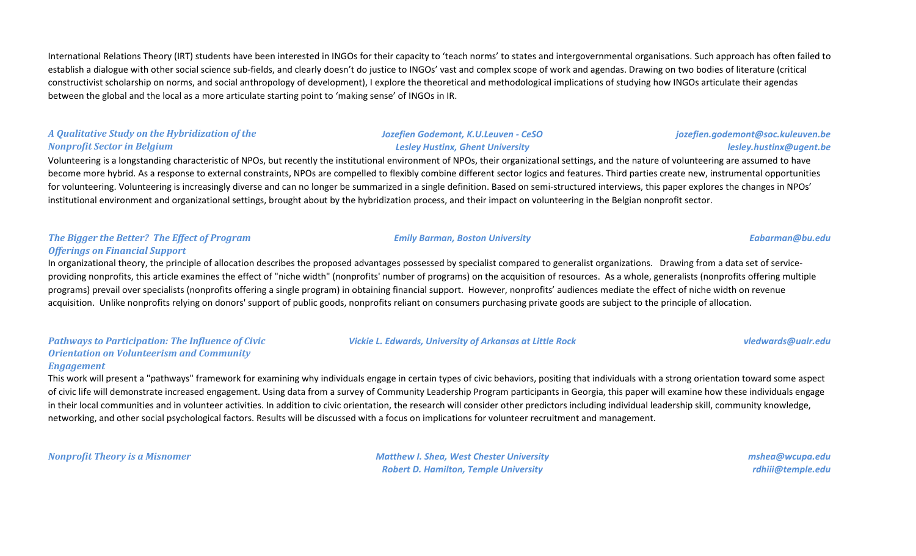International Relations Theory (IRT) students have been interested in INGOs for their capacity to 'teach norms' to states and intergovernmental organisations. Such approach has often failed to establish a dialogue with other social science sub-fields, and clearly doesn't do justice to INGOs' vast and complex scope of work and agendas. Drawing on two bodies of literature (critical constructivist scholarship on norms, and social anthropology of development), I explore the theoretical and methodological implications of studying how INGOs articulate their agendas between the global and the local as a more articulate starting point to 'making sense' of INGOs in IR.

# *A Qualitative Study on the Hybridization of the Nonprofit Sector in Belgium*

# Volunteering is a longstanding characteristic of NPOs, but recently the institutional environment of NPOs, their organizational settings, and the nature of volunteering are assumed to have become more hybrid. As a response to external constraints, NPOs are compelled to flexibly combine different sector logics and features. Third parties create new, instrumental opportunities for volunteering. Volunteering is increasingly diverse and can no longer be summarized in a single definition. Based on semi-structured interviews, this paper explores the changes in NPOs' institutional environment and organizational settings, brought about by the hybridization process, and their impact on volunteering in the Belgian nonprofit sector.

# *The Bigger the Better? The Effect of Program Offerings on Financial Support*

# In organizational theory, the principle of allocation describes the proposed advantages possessed by specialist compared to generalist organizations. Drawing from a data set of serviceproviding nonprofits, this article examines the effect of "niche width" (nonprofits' number of programs) on the acquisition of resources. As a whole, generalists (nonprofits offering multiple programs) prevail over specialists (nonprofits offering a single program) in obtaining financial support. However, nonprofits' audiences mediate the effect of niche width on revenue acquisition. Unlike nonprofits relying on donors' support of public goods, nonprofits reliant on consumers purchasing private goods are subject to the principle of allocation.

#### *Pathways to Participation: The Influence of Civic Orientation on Volunteerism and Community Engagement*

This work will present a "pathways" framework for examining why individuals engage in certain types of civic behaviors, positing that individuals with a strong orientation toward some aspect of civic life will demonstrate increased engagement. Using data from a survey of Community Leadership Program participants in Georgia, this paper will examine how these individuals engage in their local communities and in volunteer activities. In addition to civic orientation, the research will consider other predictors including individual leadership skill, community knowledge, networking, and other social psychological factors. Results will be discussed with a focus on implications for volunteer recruitment and management.

*Nonprofit Theory is a Misnomer Matthew I. Shea, West Chester University Robert D. Hamilton, Temple University*

*mshea@wcupa.edu rdhiii@temple.edu*

### *Vickie L. Edwards, University of Arkansas at Little Rock vledwards@ualr.edu*

*Emily Barman, Boston University Eabarman@bu.edu*

*jozefien.godemont@soc.kuleuven.be*

*lesley.hustinx@ugent.be*

*Jozefien Godemont, K.U.Leuven - CeSO Lesley Hustinx, Ghent University*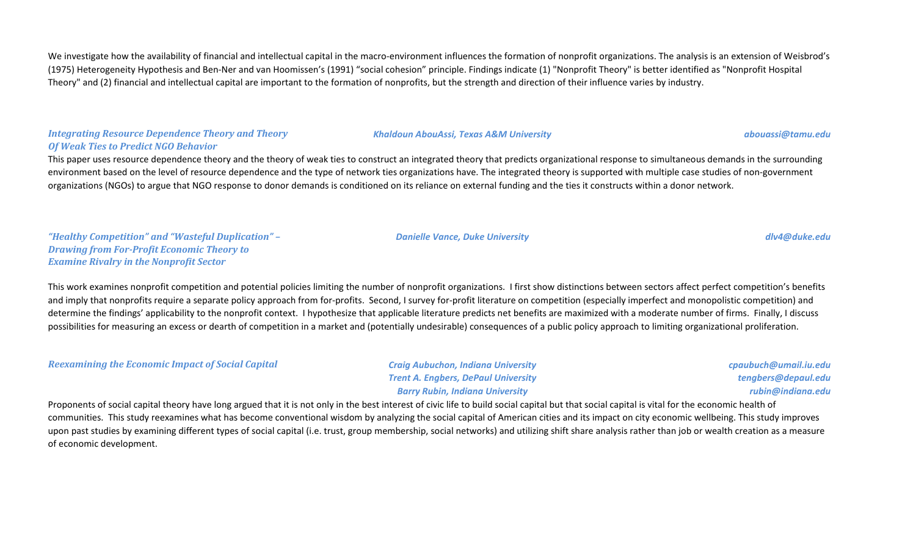We investigate how the availability of financial and intellectual capital in the macro-environment influences the formation of nonprofit organizations. The analysis is an extension of Weisbrod's (1975) Heterogeneity Hypothesis and Ben-Ner and van Hoomissen's (1991) "social cohesion" principle. Findings indicate (1) "Nonprofit Theory" is better identified as "Nonprofit Hospital Theory" and (2) financial and intellectual capital are important to the formation of nonprofits, but the strength and direction of their influence varies by industry.

### *Integrating Resource Dependence Theory and Theory Of Weak Ties to Predict NGO Behavior*

This paper uses resource dependence theory and the theory of weak ties to construct an integrated theory that predicts organizational response to simultaneous demands in the surrounding environment based on the level of resource dependence and the type of network ties organizations have. The integrated theory is supported with multiple case studies of non-government organizations (NGOs) to argue that NGO response to donor demands is conditioned on its reliance on external funding and the ties it constructs within a donor network.

*"Healthy Competition" and "Wasteful Duplication" – Drawing from For-Profit Economic Theory to Examine Rivalry in the Nonprofit Sector*

This work examines nonprofit competition and potential policies limiting the number of nonprofit organizations. I first show distinctions between sectors affect perfect competition's benefits and imply that nonprofits require a separate policy approach from for-profits. Second, I survey for-profit literature on competition (especially imperfect and monopolistic competition) and determine the findings' applicability to the nonprofit context. I hypothesize that applicable literature predicts net benefits are maximized with a moderate number of firms. Finally, I discuss possibilities for measuring an excess or dearth of competition in a market and (potentially undesirable) consequences of a public policy approach to limiting organizational proliferation.

*Reexamining the Economic Impact of Social Capital Craig Aubuchon, Indiana University*

*Trent A. Engbers, DePaul University Barry Rubin, Indiana University*

*cpaubuch@umail.iu.edu tengbers@depaul.edu rubin@indiana.edu*

Proponents of social capital theory have long argued that it is not only in the best interest of civic life to build social capital but that social capital is vital for the economic health of communities. This study reexamines what has become conventional wisdom by analyzing the social capital of American cities and its impact on city economic wellbeing. This study improves upon past studies by examining different types of social capital (i.e. trust, group membership, social networks) and utilizing shift share analysis rather than job or wealth creation as a measure of economic development.

#### *Danielle Vance, Duke University dlv4@duke.edu*

*Khaldoun AbouAssi, Texas A&M University abouassi@tamu.edu*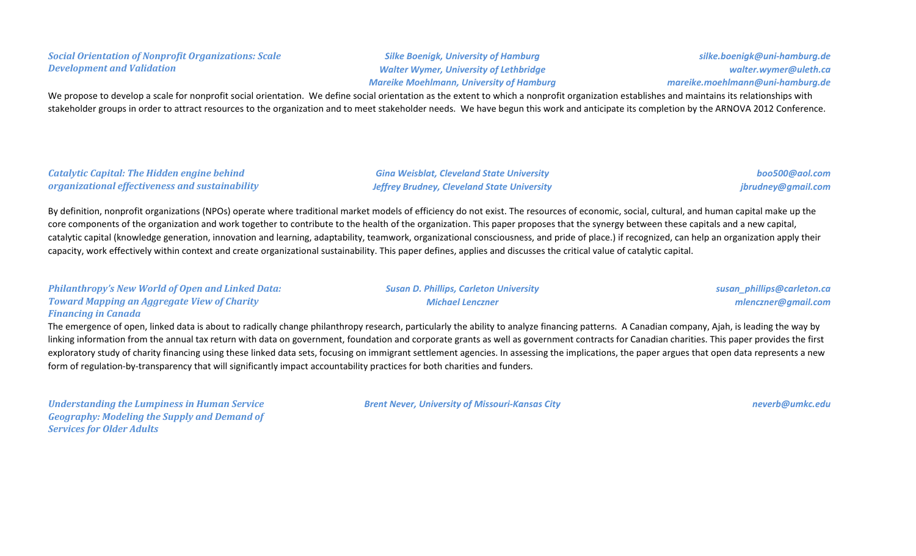## *Social Orientation of Nonprofit Organizations: Scale Development and Validation*

*Silke Boenigk, University of Hamburg Walter Wymer, University of Lethbridge Mareike Moehlmann, University of Hamburg*

*silke.boenigk@uni-hamburg.de walter.wymer@uleth.ca mareike.moehlmann@uni-hamburg.de*

We propose to develop a scale for nonprofit social orientation. We define social orientation as the extent to which a nonprofit organization establishes and maintains its relationships with stakeholder groups in order to attract resources to the organization and to meet stakeholder needs. We have begun this work and anticipate its completion by the ARNOVA 2012 Conference.

### *Catalytic Capital: The Hidden engine behind organizational effectiveness and sustainability*

*Gina Weisblat, Cleveland State University Jeffrey Brudney, Cleveland State University*

*Susan D. Phillips, Carleton University Michael Lenczner*

*boo500@aol.com jbrudney@gmail.com*

By definition, nonprofit organizations (NPOs) operate where traditional market models of efficiency do not exist. The resources of economic, social, cultural, and human capital make up the core components of the organization and work together to contribute to the health of the organization. This paper proposes that the synergy between these capitals and a new capital, catalytic capital (knowledge generation, innovation and learning, adaptability, teamwork, organizational consciousness, and pride of place.) if recognized, can help an organization apply their capacity, work effectively within context and create organizational sustainability. This paper defines, applies and discusses the critical value of catalytic capital.

| <b>Philanthropy's New World of Open and Linked Data:</b> |
|----------------------------------------------------------|
| <b>Toward Mapping an Aggregate View of Charity</b>       |
| <b>Financing in Canada</b>                               |

The emergence of open, linked data is about to radically change philanthropy research, particularly the ability to analyze financing patterns. A Canadian company, Ajah, is leading the way by linking information from the annual tax return with data on government, foundation and corporate grants as well as government contracts for Canadian charities. This paper provides the first exploratory study of charity financing using these linked data sets, focusing on immigrant settlement agencies. In assessing the implications, the paper argues that open data represents a new form of regulation-by-transparency that will significantly impact accountability practices for both charities and funders.

*Understanding the Lumpiness in Human Service Geography: Modeling the Supply and Demand of Services for Older Adults*

*Brent Never, University of Missouri-Kansas City neverb@umkc.edu*

*mlenczner@gmail.com*

*susan\_phillips@carleton.ca*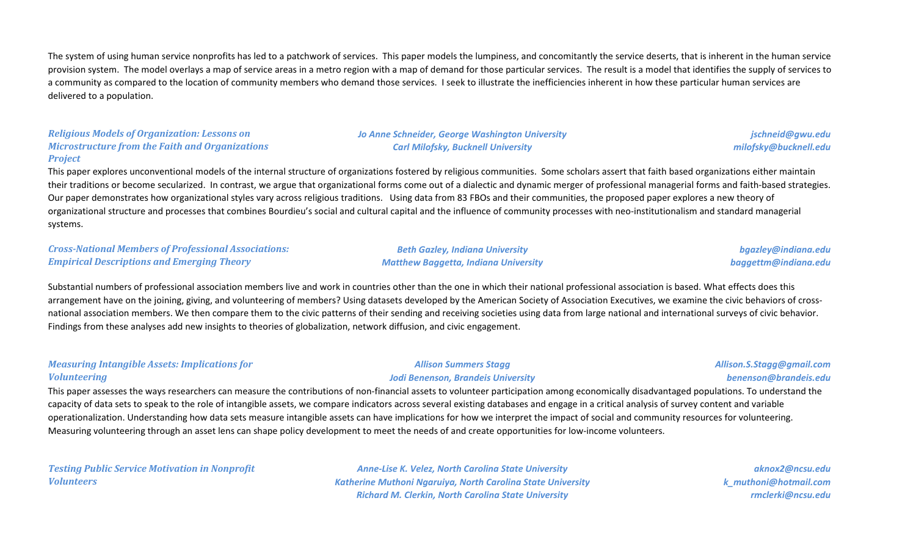The system of using human service nonprofits has led to a patchwork of services. This paper models the lumpiness, and concomitantly the service deserts, that is inherent in the human service provision system. The model overlays a map of service areas in a metro region with a map of demand for those particular services. The result is a model that identifies the supply of services to a community as compared to the location of community members who demand those services. I seek to illustrate the inefficiencies inherent in how these particular human services are delivered to a population.

#### *Religious Models of Organization: Lessons on Microstructure from the Faith and Organizations Project*

*Jo Anne Schneider, George Washington University Carl Milofsky, Bucknell University*

*jschneid@gwu.edu milofsky@bucknell.edu*

This paper explores unconventional models of the internal structure of organizations fostered by religious communities. Some scholars assert that faith based organizations either maintain their traditions or become secularized. In contrast, we argue that organizational forms come out of a dialectic and dynamic merger of professional managerial forms and faith-based strategies. Our paper demonstrates how organizational styles vary across religious traditions. Using data from 83 FBOs and their communities, the proposed paper explores a new theory of organizational structure and processes that combines Bourdieu's social and cultural capital and the influence of community processes with neo-institutionalism and standard managerial systems.

*Cross-National Members of Professional Associations: Empirical Descriptions and Emerging Theory*

*Beth Gazley, Indiana University Matthew Baggetta, Indiana University*

*bgazley@indiana.edu baggettm@indiana.edu*

Substantial numbers of professional association members live and work in countries other than the one in which their national professional association is based. What effects does this arrangement have on the joining, giving, and volunteering of members? Using datasets developed by the American Society of Association Executives, we examine the civic behaviors of crossnational association members. We then compare them to the civic patterns of their sending and receiving societies using data from large national and international surveys of civic behavior. Findings from these analyses add new insights to theories of globalization, network diffusion, and civic engagement.

#### *Measuring Intangible Assets: Implications for Volunteering*

#### *Allison Summers Stagg Jodi Benenson, Brandeis University*

#### *Allison.S.Stagg@gmail.com benenson@brandeis.edu*

This paper assesses the ways researchers can measure the contributions of non-financial assets to volunteer participation among economically disadvantaged populations. To understand the capacity of data sets to speak to the role of intangible assets, we compare indicators across several existing databases and engage in a critical analysis of survey content and variable operationalization. Understanding how data sets measure intangible assets can have implications for how we interpret the impact of social and community resources for volunteering. Measuring volunteering through an asset lens can shape policy development to meet the needs of and create opportunities for low-income volunteers.

*Testing Public Service Motivation in Nonprofit Volunteers*

*Anne-Lise K. Velez, North Carolina State University Katherine Muthoni Ngaruiya, North Carolina State University Richard M. Clerkin, North Carolina State University*

*aknox2@ncsu.edu k\_muthoni@hotmail.com rmclerki@ncsu.edu*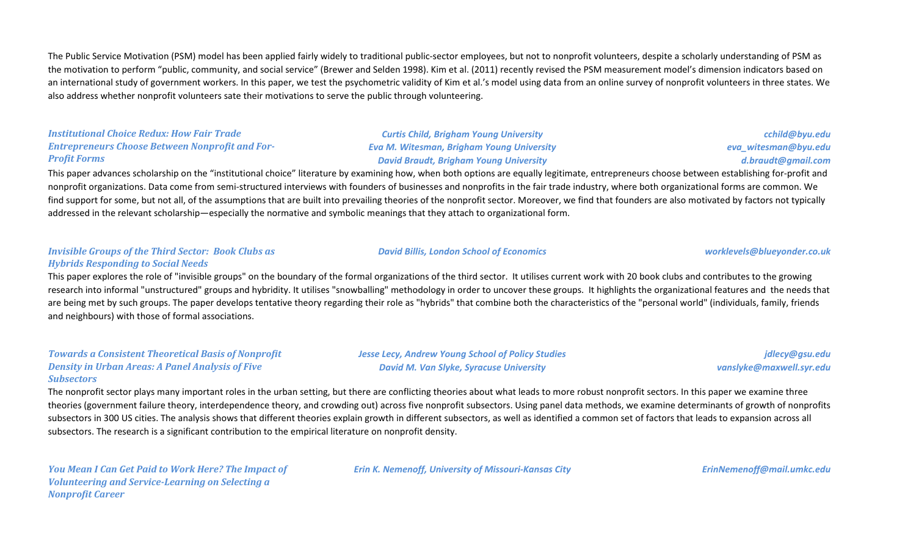The Public Service Motivation (PSM) model has been applied fairly widely to traditional public-sector employees, but not to nonprofit volunteers, despite a scholarly understanding of PSM as the motivation to perform "public, community, and social service" (Brewer and Selden 1998). Kim et al. (2011) recently revised the PSM measurement model's dimension indicators based on an international study of government workers. In this paper, we test the psychometric validity of Kim et al.'s model using data from an online survey of nonprofit volunteers in three states. We also address whether nonprofit volunteers sate their motivations to serve the public through volunteering.

#### *Institutional Choice Redux: How Fair Trade Entrepreneurs Choose Between Nonprofit and For-Profit Forms*

*Curtis Child, Brigham Young University Eva M. Witesman, Brigham Young University David Braudt, Brigham Young University*

*cchild@byu.edu eva\_witesman@byu.edu d.braudt@gmail.com*

This paper advances scholarship on the "institutional choice" literature by examining how, when both options are equally legitimate, entrepreneurs choose between establishing for-profit and nonprofit organizations. Data come from semi-structured interviews with founders of businesses and nonprofits in the fair trade industry, where both organizational forms are common. We find support for some, but not all, of the assumptions that are built into prevailing theories of the nonprofit sector. Moreover, we find that founders are also motivated by factors not typically addressed in the relevant scholarship—especially the normative and symbolic meanings that they attach to organizational form.

#### *Invisible Groups of the Third Sector: Book Clubs as Hybrids Responding to Social Needs*

This paper explores the role of "invisible groups" on the boundary of the formal organizations of the third sector. It utilises current work with 20 book clubs and contributes to the growing research into informal "unstructured" groups and hybridity. It utilises "snowballing" methodology in order to uncover these groups. It highlights the organizational features and the needs that are being met by such groups. The paper develops tentative theory regarding their role as "hybrids" that combine both the characteristics of the "personal world" (individuals, family, friends and neighbours) with those of formal associations.

#### *Towards a Consistent Theoretical Basis of Nonprofit Density in Urban Areas: A Panel Analysis of Five Subsectors*

*Jesse Lecy, Andrew Young School of Policy Studies David M. Van Slyke, Syracuse University*

*jdlecy@gsu.edu vanslyke@maxwell.syr.edu*

The nonprofit sector plays many important roles in the urban setting, but there are conflicting theories about what leads to more robust nonprofit sectors. In this paper we examine three theories (government failure theory, interdependence theory, and crowding out) across five nonprofit subsectors. Using panel data methods, we examine determinants of growth of nonprofits subsectors in 300 US cities. The analysis shows that different theories explain growth in different subsectors, as well as identified a common set of factors that leads to expansion across all subsectors. The research is a significant contribution to the empirical literature on nonprofit density.

*You Mean I Can Get Paid to Work Here? The Impact of Volunteering and Service-Learning on Selecting a Nonprofit Career*

*Erin K. Nemenoff, University of Missouri-Kansas City ErinNemenoff@mail.umkc.edu*

#### *David Billis, London School of Economics worklevels@blueyonder.co.uk*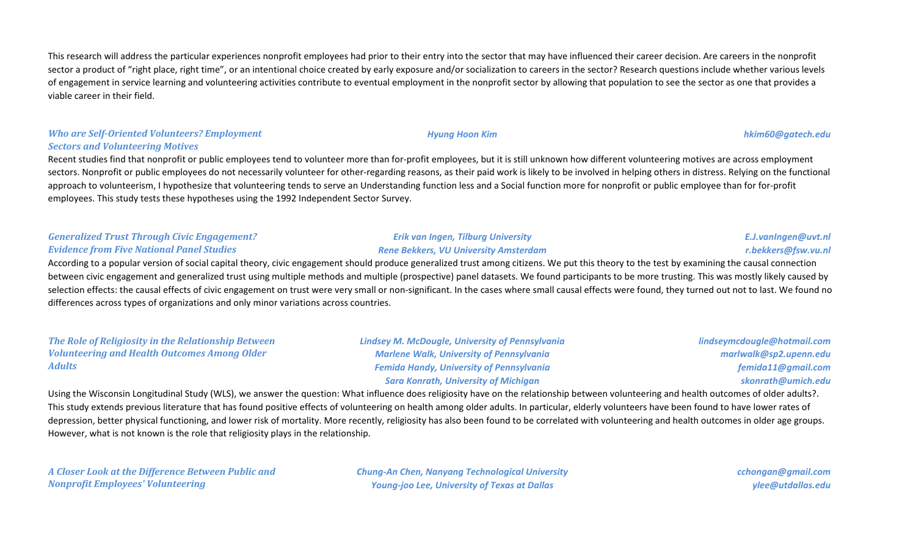This research will address the particular experiences nonprofit employees had prior to their entry into the sector that may have influenced their career decision. Are careers in the nonprofit sector a product of "right place, right time", or an intentional choice created by early exposure and/or socialization to careers in the sector? Research questions include whether various levels of engagement in service learning and volunteering activities contribute to eventual employment in the nonprofit sector by allowing that population to see the sector as one that provides a viable career in their field.

# *Who are Self-Oriented Volunteers? Employment Sectors and Volunteering Motives*

Recent studies find that nonprofit or public employees tend to volunteer more than for-profit employees, but it is still unknown how different volunteering motives are across employment sectors. Nonprofit or public employees do not necessarily volunteer for other-regarding reasons, as their paid work is likely to be involved in helping others in distress. Relying on the functional approach to volunteerism, I hypothesize that volunteering tends to serve an Understanding function less and a Social function more for nonprofit or public employee than for for-profit employees. This study tests these hypotheses using the 1992 Independent Sector Survey.

### *Generalized Trust Through Civic Engagement? Evidence from Five National Panel Studies*

# *Erik van Ingen, Tilburg University Rene Bekkers, VU University Amsterdam*

# *E.J.vanIngen@uvt.nl r.bekkers@fsw.vu.nl*

According to a popular version of social capital theory, civic engagement should produce generalized trust among citizens. We put this theory to the test by examining the causal connection between civic engagement and generalized trust using multiple methods and multiple (prospective) panel datasets. We found participants to be more trusting. This was mostly likely caused by selection effects: the causal effects of civic engagement on trust were very small or non-significant. In the cases where small causal effects were found, they turned out not to last. We found no differences across types of organizations and only minor variations across countries.

#### *The Role of Religiosity in the Relationship Between Volunteering and Health Outcomes Among Older Adults*

*Lindsey M. McDougle, University of Pennsylvania Marlene Walk, University of Pennsylvania Femida Handy, University of Pennsylvania Sara Konrath, University of Michigan*

*lindseymcdougle@hotmail.com marlwalk@sp2.upenn.edu femida11@gmail.com skonrath@umich.edu*

Using the Wisconsin Longitudinal Study (WLS), we answer the question: What influence does religiosity have on the relationship between volunteering and health outcomes of older adults?. This study extends previous literature that has found positive effects of volunteering on health among older adults. In particular, elderly volunteers have been found to have lower rates of depression, better physical functioning, and lower risk of mortality. More recently, religiosity has also been found to be correlated with volunteering and health outcomes in older age groups. However, what is not known is the role that religiosity plays in the relationship.

*A Closer Look at the Difference Between Public and Nonprofit Employees' Volunteering*

*Chung-An Chen, Nanyang Technological University Young-joo Lee, University of Texas at Dallas*

*cchongan@gmail.com ylee@utdallas.edu*

#### *Hyung Hoon Kim hkim60@gatech.edu*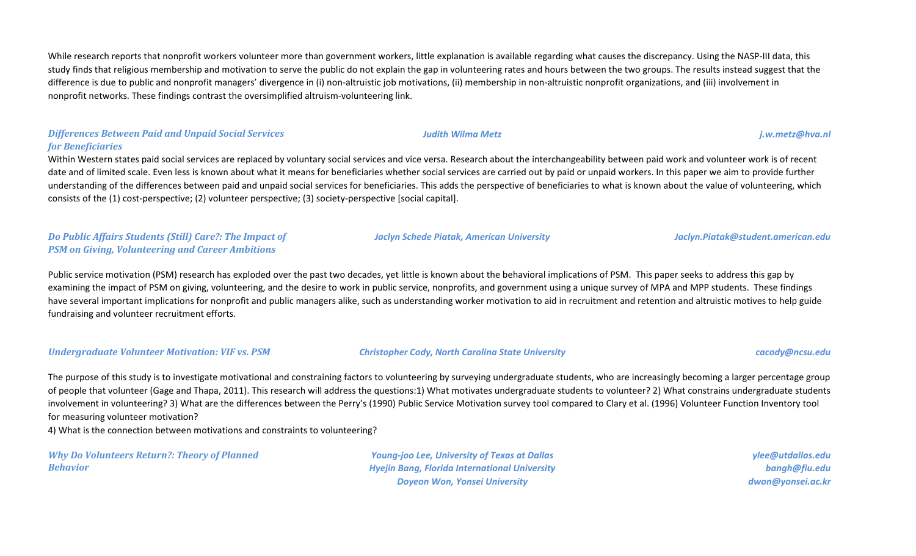While research reports that nonprofit workers volunteer more than government workers, little explanation is available regarding what causes the discrepancy. Using the NASP-III data, this study finds that religious membership and motivation to serve the public do not explain the gap in volunteering rates and hours between the two groups. The results instead suggest that the difference is due to public and nonprofit managers' divergence in (i) non-altruistic job motivations, (ii) membership in non-altruistic nonprofit organizations, and (iii) involvement in nonprofit networks. These findings contrast the oversimplified altruism-volunteering link.

# *Differences Between Paid and Unpaid Social Services for Beneficiaries*

Within Western states paid social services are replaced by voluntary social services and vice versa. Research about the interchangeability between paid work and volunteer work is of recent date and of limited scale. Even less is known about what it means for beneficiaries whether social services are carried out by paid or unpaid workers. In this paper we aim to provide further understanding of the differences between paid and unpaid social services for beneficiaries. This adds the perspective of beneficiaries to what is known about the value of volunteering, which consists of the (1) cost-perspective; (2) volunteer perspective; (3) society-perspective [social capital].

# *Do Public Affairs Students (Still) Care?: The Impact of PSM on Giving, Volunteering and Career Ambitions*

Public service motivation (PSM) research has exploded over the past two decades, yet little is known about the behavioral implications of PSM. This paper seeks to address this gap by examining the impact of PSM on giving, volunteering, and the desire to work in public service, nonprofits, and government using a unique survey of MPA and MPP students. These findings have several important implications for nonprofit and public managers alike, such as understanding worker motivation to aid in recruitment and retention and altruistic motives to help guide fundraising and volunteer recruitment efforts.

*Undergraduate Volunteer Motivation: VIF vs. PSM Christopher Cody, North Carolina State University cacody@ncsu.edu*

The purpose of this study is to investigate motivational and constraining factors to volunteering by surveying undergraduate students, who are increasingly becoming a larger percentage group of people that volunteer (Gage and Thapa, 2011). This research will address the questions:1) What motivates undergraduate students to volunteer? 2) What constrains undergraduate students involvement in volunteering? 3) What are the differences between the Perry's (1990) Public Service Motivation survey tool compared to Clary et al. (1996) Volunteer Function Inventory tool for measuring volunteer motivation?

4) What is the connection between motivations and constraints to volunteering?

*Why Do Volunteers Return?: Theory of Planned Behavior*

*Young-joo Lee, University of Texas at Dallas Hyejin Bang, Florida International University Doyeon Won, Yonsei University*

*ylee@utdallas.edu bangh@fiu.edu dwon@yonsei.ac.kr*

*Jaclyn Schede Piatak, American University Jaclyn.Piatak@student.american.edu*

*Judith Wilma Metz j.w.metz@hva.nl*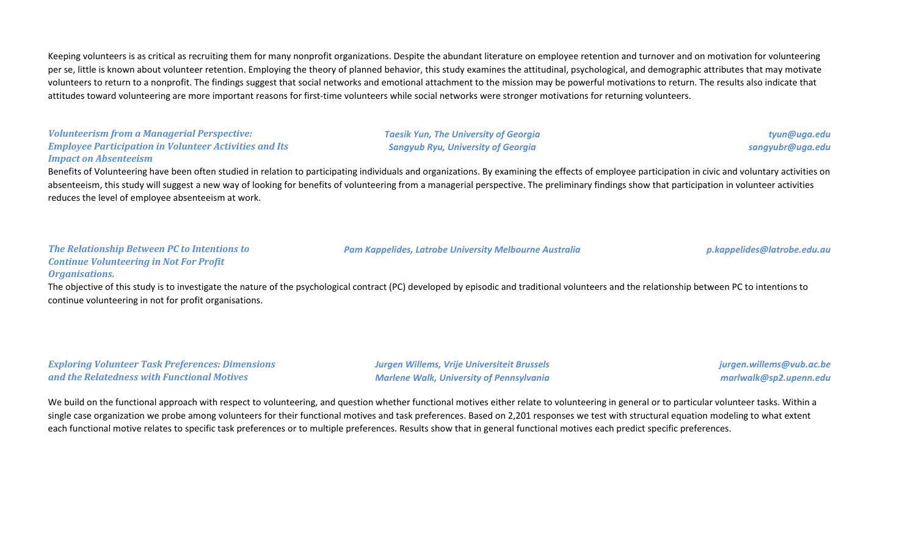Keeping volunteers is as critical as recruiting them for many nonprofit organizations. Despite the abundant literature on employee retention and turnover and on motivation for volunteering per se, little is known about volunteer retention. Employing the theory of planned behavior, this study examines the attitudinal, psychological, and demographic attributes that may motivate volunteers to return to a nonprofit. The findings suggest that social networks and emotional attachment to the mission may be powerful motivations to return. The results also indicate that attitudes toward volunteering are more important reasons for first-time volunteers while social networks were stronger motivations for returning volunteers.

#### *Volunteerism from a Managerial Perspective: Employee Participation in Volunteer Activities and Its Impact on Absenteeism*

*Taesik Yun, The University of Georgia Sangyub Ryu, University of Georgia*

*tyun@uga.edu sangyubr@uga.edu*

Benefits of Volunteering have been often studied in relation to participating individuals and organizations. By examining the effects of employee participation in civic and voluntary activities on absenteeism, this study will suggest a new way of looking for benefits of volunteering from a managerial perspective. The preliminary findings show that participation in volunteer activities reduces the level of employee absenteeism at work.

*Pam Kappelides, Latrobe University Melbourne Australia p.kappelides@latrobe.edu.au*

#### *The Relationship Between PC to Intentions to Continue Volunteering in Not For Profit Organisations.*

The objective of this study is to investigate the nature of the psychological contract (PC) developed by episodic and traditional volunteers and the relationship between PC to intentions to continue volunteering in not for profit organisations.

*Exploring Volunteer Task Preferences: Dimensions and the Relatedness with Functional Motives*

*Jurgen Willems, Vrije Universiteit Brussels Marlene Walk, University of Pennsylvania* *jurgen.willems@vub.ac.be marlwalk@sp2.upenn.edu*

We build on the functional approach with respect to volunteering, and question whether functional motives either relate to volunteering in general or to particular volunteer tasks. Within a single case organization we probe among volunteers for their functional motives and task preferences. Based on 2,201 responses we test with structural equation modeling to what extent each functional motive relates to specific task preferences or to multiple preferences. Results show that in general functional motives each predict specific preferences.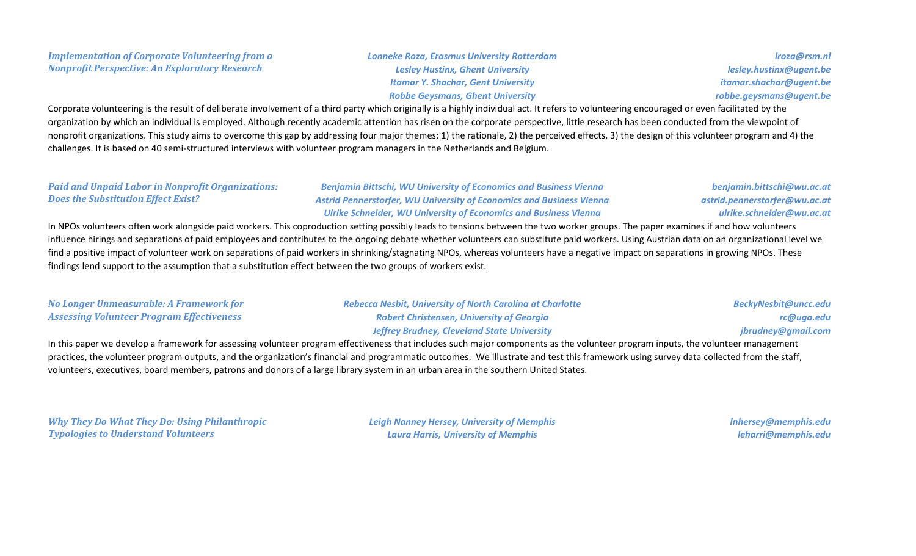### *Implementation of Corporate Volunteering from a Nonprofit Perspective: An Exploratory Research*

### *Lonneke Roza, Erasmus University Rotterdam Lesley Hustinx, Ghent University Itamar Y. Shachar, Gent University Robbe Geysmans, Ghent University*

*lroza@rsm.nl lesley.hustinx@ugent.be itamar.shachar@ugent.be robbe.geysmans@ugent.be*

Corporate volunteering is the result of deliberate involvement of a third party which originally is a highly individual act. It refers to volunteering encouraged or even facilitated by the organization by which an individual is employed. Although recently academic attention has risen on the corporate perspective, little research has been conducted from the viewpoint of nonprofit organizations. This study aims to overcome this gap by addressing four major themes: 1) the rationale, 2) the perceived effects, 3) the design of this volunteer program and 4) the challenges. It is based on 40 semi-structured interviews with volunteer program managers in the Netherlands and Belgium.

## *Paid and Unpaid Labor in Nonprofit Organizations: Does the Substitution Effect Exist?*

*Benjamin Bittschi, WU University of Economics and Business Vienna Astrid Pennerstorfer, WU University of Economics and Business Vienna Ulrike Schneider, WU University of Economics and Business Vienna*

*benjamin.bittschi@wu.ac.at astrid.pennerstorfer@wu.ac.at ulrike.schneider@wu.ac.at*

In NPOs volunteers often work alongside paid workers. This coproduction setting possibly leads to tensions between the two worker groups. The paper examines if and how volunteers influence hirings and separations of paid employees and contributes to the ongoing debate whether volunteers can substitute paid workers. Using Austrian data on an organizational level we find a positive impact of volunteer work on separations of paid workers in shrinking/stagnating NPOs, whereas volunteers have a negative impact on separations in growing NPOs. These findings lend support to the assumption that a substitution effect between the two groups of workers exist.

| No Longer Unmeasurable: A Framework for          | <b>Rebecca Nesbit, University of North Carolina at Charlotte</b> | BeckyNesbit@uncc.edu |
|--------------------------------------------------|------------------------------------------------------------------|----------------------|
| <b>Assessing Volunteer Program Effectiveness</b> | <b>Robert Christensen, University of Georgia</b>                 | rc@uga.edu           |
|                                                  | <b>Jeffrey Brudney, Cleveland State University</b>               | jbrudney@gmail.com   |

In this paper we develop a framework for assessing volunteer program effectiveness that includes such major components as the volunteer program inputs, the volunteer management practices, the volunteer program outputs, and the organization's financial and programmatic outcomes. We illustrate and test this framework using survey data collected from the staff, volunteers, executives, board members, patrons and donors of a large library system in an urban area in the southern United States.

*Why They Do What They Do: Using Philanthropic Typologies to Understand Volunteers*

*Leigh Nanney Hersey, University of Memphis Laura Harris, University of Memphis*

*lnhersey@memphis.edu leharri@memphis.edu*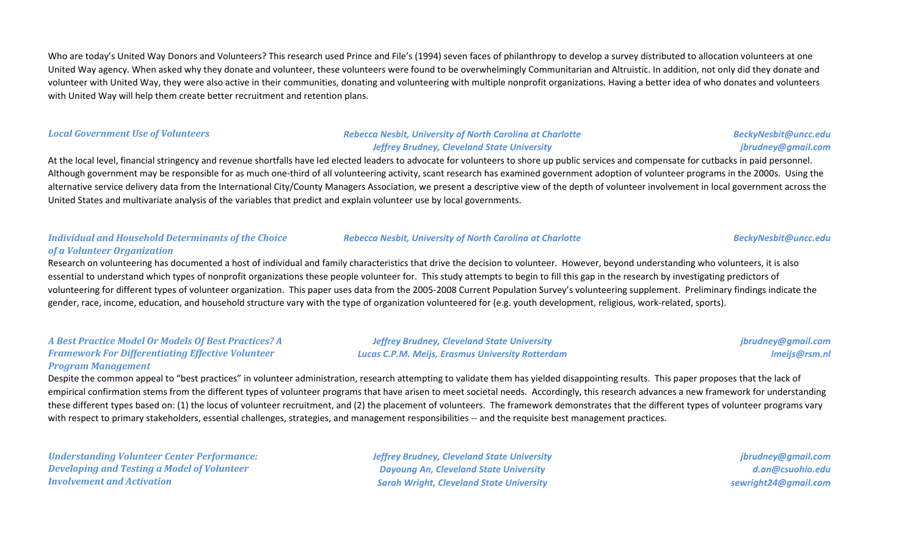Who are today's United Way Donors and Volunteers? This research used Prince and File's (1994) seven faces of philanthropy to develop a survey distributed to allocation volunteers at one United Way agency. When asked why they donate and volunteer, these volunteers were found to be overwhelmingly Communitarian and Altruistic. In addition, not only did they donate and volunteer with United Way, they were also active in their communities, donating and volunteering with multiple nonprofit organizations. Having a better idea of who donates and volunteers with United Way will help them create better recruitment and retention plans.

#### *Local Government Use of Volunteers Rebecca Nesbit, University of North Carolina at Charlotte Jeffrey Brudney, Cleveland State University*

At the local level, financial stringency and revenue shortfalls have led elected leaders to advocate for volunteers to shore up public services and compensate for cutbacks in paid personnel. Although government may be responsible for as much one-third of all volunteering activity, scant research has examined government adoption of volunteer programs in the 2000s. Using the alternative service delivery data from the International City/County Managers Association, we present a descriptive view of the depth of volunteer involvement in local government across the United States and multivariate analysis of the variables that predict and explain volunteer use by local governments.

### *Individual and Household Determinants of the Choice of a Volunteer Organization*

Research on volunteering has documented a host of individual and family characteristics that drive the decision to volunteer. However, beyond understanding who volunteers, it is also essential to understand which types of nonprofit organizations these people volunteer for. This study attempts to begin to fill this gap in the research by investigating predictors of volunteering for different types of volunteer organization. This paper uses data from the 2005-2008 Current Population Survey's volunteering supplement. Preliminary findings indicate the gender, race, income, education, and household structure vary with the type of organization volunteered for (e.g. youth development, religious, work-related, sports).

#### *A Best Practice Model Or Models Of Best Practices? A Framework For Differentiating Effective Volunteer Program Management*

*Jeffrey Brudney, Cleveland State University Lucas C.P.M. Meijs, Erasmus University Rotterdam*

Despite the common appeal to "best practices" in volunteer administration, research attempting to validate them has yielded disappointing results. This paper proposes that the lack of empirical confirmation stems from the different types of volunteer programs that have arisen to meet societal needs. Accordingly, this research advances a new framework for understanding these different types based on: (1) the locus of volunteer recruitment, and (2) the placement of volunteers. The framework demonstrates that the different types of volunteer programs vary with respect to primary stakeholders, essential challenges, strategies, and management responsibilities -- and the requisite best management practices.

*Understanding Volunteer Center Performance: Developing and Testing a Model of Volunteer Involvement and Activation*

*Jeffrey Brudney, Cleveland State University Dayoung An, Cleveland State University Sarah Wright, Cleveland State University*

*jbrudney@gmail.com d.an@csuohio.edu sewright24@gmail.com*

*Rebecca Nesbit, University of North Carolina at Charlotte BeckyNesbit@uncc.edu*

*jbrudney@gmail.com lmeijs@rsm.nl*

# *BeckyNesbit@uncc.edu jbrudney@gmail.com*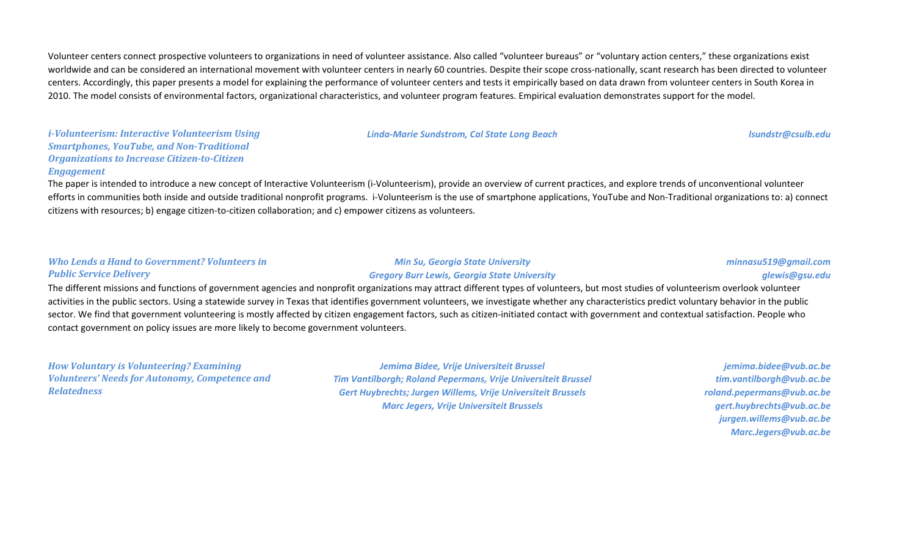Volunteer centers connect prospective volunteers to organizations in need of volunteer assistance. Also called "volunteer bureaus" or "voluntary action centers," these organizations exist worldwide and can be considered an international movement with volunteer centers in nearly 60 countries. Despite their scope cross-nationally, scant research has been directed to volunteer centers. Accordingly, this paper presents a model for explaining the performance of volunteer centers and tests it empirically based on data drawn from volunteer centers in South Korea in 2010. The model consists of environmental factors, organizational characteristics, and volunteer program features. Empirical evaluation demonstrates support for the model.

### *i-Volunteerism: Interactive Volunteerism Using Smartphones, YouTube, and Non-Traditional Organizations to Increase Citizen-to-Citizen Engagement*

# *Linda-Marie Sundstrom, Cal State Long Beach lsundstr@csulb.edu*

## The paper is intended to introduce a new concept of Interactive Volunteerism (i-Volunteerism), provide an overview of current practices, and explore trends of unconventional volunteer efforts in communities both inside and outside traditional nonprofit programs. i-Volunteerism is the use of smartphone applications, YouTube and Non-Traditional organizations to: a) connect citizens with resources; b) engage citizen-to-citizen collaboration; and c) empower citizens as volunteers.

#### *Who Lends a Hand to Government? Volunteers in Public Service Delivery*

#### *Min Su, Georgia State University Gregory Burr Lewis, Georgia State University*

#### *minnasu519@gmail.com glewis@gsu.edu*

The different missions and functions of government agencies and nonprofit organizations may attract different types of volunteers, but most studies of volunteerism overlook volunteer activities in the public sectors. Using a statewide survey in Texas that identifies government volunteers, we investigate whether any characteristics predict voluntary behavior in the public sector. We find that government volunteering is mostly affected by citizen engagement factors, such as citizen-initiated contact with government and contextual satisfaction. People who contact government on policy issues are more likely to become government volunteers.

*How Voluntary is Volunteering? Examining Volunteers' Needs for Autonomy, Competence and Relatedness*

*Jemima Bidee, Vrije Universiteit Brussel Tim Vantilborgh; Roland Pepermans, Vrije Universiteit Brussel Gert Huybrechts; Jurgen Willems, Vrije Universiteit Brussels Marc Jegers, Vrije Universiteit Brussels*

*jemima.bidee@vub.ac.be tim.vantilborgh@vub.ac.be roland.pepermans@vub.ac.be gert.huybrechts@vub.ac.be jurgen.willems@vub.ac.be Marc.Jegers@vub.ac.be*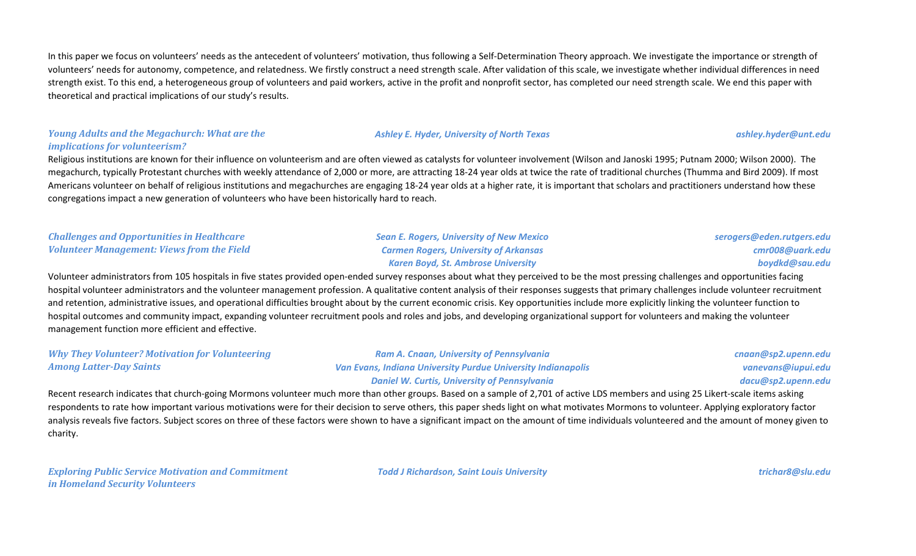In this paper we focus on volunteers' needs as the antecedent of volunteers' motivation, thus following a Self-Determination Theory approach. We investigate the importance or strength of volunteers' needs for autonomy, competence, and relatedness. We firstly construct a need strength scale. After validation of this scale, we investigate whether individual differences in need strength exist. To this end, a heterogeneous group of volunteers and paid workers, active in the profit and nonprofit sector, has completed our need strength scale. We end this paper with theoretical and practical implications of our study's results.

#### *Young Adults and the Megachurch: What are the implications for volunteerism?*

Religious institutions are known for their influence on volunteerism and are often viewed as catalysts for volunteer involvement (Wilson and Janoski 1995; Putnam 2000; Wilson 2000). The megachurch, typically Protestant churches with weekly attendance of 2,000 or more, are attracting 18-24 year olds at twice the rate of traditional churches (Thumma and Bird 2009). If most Americans volunteer on behalf of religious institutions and megachurches are engaging 18-24 year olds at a higher rate, it is important that scholars and practitioners understand how these congregations impact a new generation of volunteers who have been historically hard to reach.

#### *Challenges and Opportunities in Healthcare Volunteer Management: Views from the Field*

*Sean E. Rogers, University of New Mexico Carmen Rogers, University of Arkansas Karen Boyd, St. Ambrose University*

*serogers@eden.rutgers.edu cmr008@uark.edu boydkd@sau.edu*

Volunteer administrators from 105 hospitals in five states provided open-ended survey responses about what they perceived to be the most pressing challenges and opportunities facing hospital volunteer administrators and the volunteer management profession. A qualitative content analysis of their responses suggests that primary challenges include volunteer recruitment and retention, administrative issues, and operational difficulties brought about by the current economic crisis. Key opportunities include more explicitly linking the volunteer function to hospital outcomes and community impact, expanding volunteer recruitment pools and roles and jobs, and developing organizational support for volunteers and making the volunteer management function more efficient and effective.

*Why They Volunteer? Motivation for Volunteering Among Latter-Day Saints*

*Ram A. Cnaan, University of Pennsylvania Van Evans, Indiana University Purdue University Indianapolis Daniel W. Curtis, University of Pennsylvania*

*cnaan@sp2.upenn.edu vanevans@iupui.edu dacu@sp2.upenn.edu*

Recent research indicates that church-going Mormons volunteer much more than other groups. Based on a sample of 2,701 of active LDS members and using 25 Likert-scale items asking respondents to rate how important various motivations were for their decision to serve others, this paper sheds light on what motivates Mormons to volunteer. Applying exploratory factor analysis reveals five factors. Subject scores on three of these factors were shown to have a significant impact on the amount of time individuals volunteered and the amount of money given to charity.

*Exploring Public Service Motivation and Commitment in Homeland Security Volunteers*

*Todd J Richardson, Saint Louis University trichar8@slu.edu*

*Ashley E. Hyder, University of North Texas ashley.hyder@unt.edu*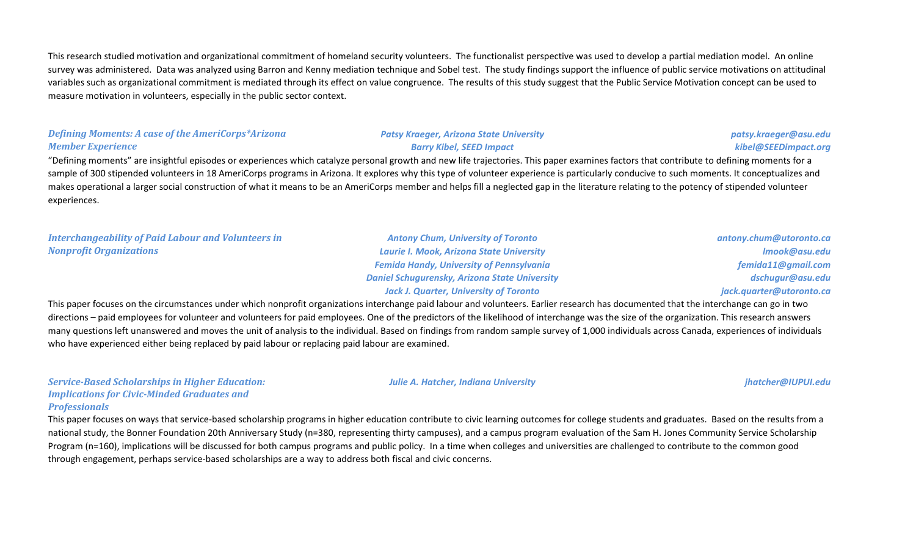This research studied motivation and organizational commitment of homeland security volunteers. The functionalist perspective was used to develop a partial mediation model. An online survey was administered. Data was analyzed using Barron and Kenny mediation technique and Sobel test. The study findings support the influence of public service motivations on attitudinal variables such as organizational commitment is mediated through its effect on value congruence. The results of this study suggest that the Public Service Motivation concept can be used to measure motivation in volunteers, especially in the public sector context.

## *Defining Moments: A case of the AmeriCorps\*Arizona Member Experience*

#### *Patsy Kraeger, Arizona State University Barry Kibel, SEED Impact*

### *patsy.kraeger@asu.edu kibel@SEEDimpact.org*

"Defining moments" are insightful episodes or experiences which catalyze personal growth and new life trajectories. This paper examines factors that contribute to defining moments for a sample of 300 stipended volunteers in 18 AmeriCorps programs in Arizona. It explores why this type of volunteer experience is particularly conducive to such moments. It conceptualizes and makes operational a larger social construction of what it means to be an AmeriCorps member and helps fill a neglected gap in the literature relating to the potency of stipended volunteer experiences.

### *Interchangeability of Paid Labour and Volunteers in Nonprofit Organizations*

*Antony Chum, University of Toronto Laurie I. Mook, Arizona State University Femida Handy, University of Pennsylvania Daniel Schugurensky, Arizona State University Jack J. Quarter, University of Toronto*

*antony.chum@utoronto.ca lmook@asu.edu femida11@gmail.com dschugur@asu.edu jack.quarter@utoronto.ca*

This paper focuses on the circumstances under which nonprofit organizations interchange paid labour and volunteers. Earlier research has documented that the interchange can go in two directions – paid employees for volunteer and volunteers for paid employees. One of the predictors of the likelihood of interchange was the size of the organization. This research answers many questions left unanswered and moves the unit of analysis to the individual. Based on findings from random sample survey of 1,000 individuals across Canada, experiences of individuals who have experienced either being replaced by paid labour or replacing paid labour are examined.

*Service-Based Scholarships in Higher Education: Implications for Civic-Minded Graduates and Professionals*

This paper focuses on ways that service-based scholarship programs in higher education contribute to civic learning outcomes for college students and graduates. Based on the results from a national study, the Bonner Foundation 20th Anniversary Study (n=380, representing thirty campuses), and a campus program evaluation of the Sam H. Jones Community Service Scholarship Program (n=160), implications will be discussed for both campus programs and public policy. In a time when colleges and universities are challenged to contribute to the common good through engagement, perhaps service-based scholarships are a way to address both fiscal and civic concerns.

*Julie A. Hatcher, Indiana University jhatcher@IUPUI.edu*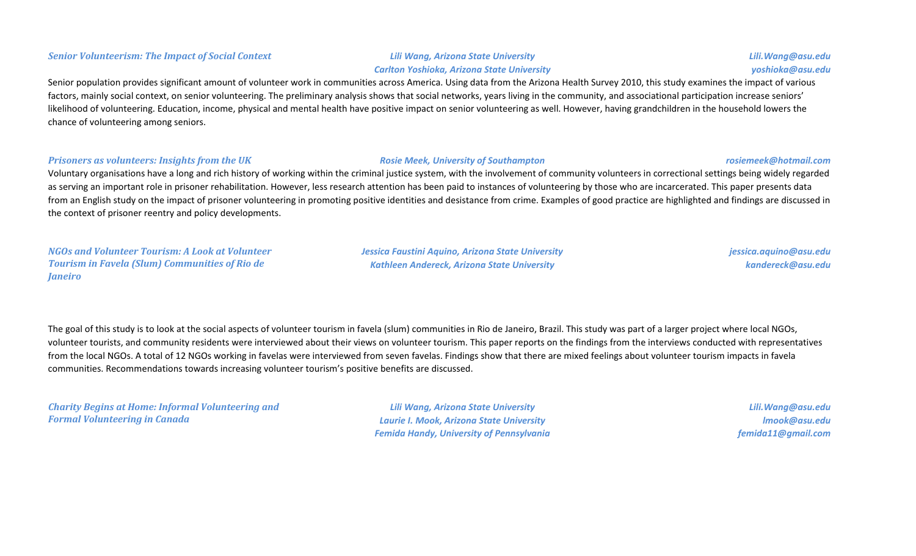#### *Senior Volunteerism: The Impact of Social Context Lili Wang, Arizona State University*

# *Carlton Yoshioka, Arizona State University*

Senior population provides significant amount of volunteer work in communities across America. Using data from the Arizona Health Survey 2010, this study examines the impact of various factors, mainly social context, on senior volunteering. The preliminary analysis shows that social networks, years living in the community, and associational participation increase seniors' likelihood of volunteering. Education, income, physical and mental health have positive impact on senior volunteering as well. However, having grandchildren in the household lowers the chance of volunteering among seniors.

#### *Prisoners as volunteers: Insights from the UK Rosie Meek, University of Southampton rosiemeek@hotmail.com*

# Voluntary organisations have a long and rich history of working within the criminal justice system, with the involvement of community volunteers in correctional settings being widely regarded as serving an important role in prisoner rehabilitation. However, less research attention has been paid to instances of volunteering by those who are incarcerated. This paper presents data from an English study on the impact of prisoner volunteering in promoting positive identities and desistance from crime. Examples of good practice are highlighted and findings are discussed in the context of prisoner reentry and policy developments.

*NGOs and Volunteer Tourism: A Look at Volunteer Tourism in Favela (Slum) Communities of Rio de Janeiro*

*Jessica Faustini Aquino, Arizona State University Kathleen Andereck, Arizona State University*

*jessica.aquino@asu.edu kandereck@asu.edu*

The goal of this study is to look at the social aspects of volunteer tourism in favela (slum) communities in Rio de Janeiro, Brazil. This study was part of a larger project where local NGOs, volunteer tourists, and community residents were interviewed about their views on volunteer tourism. This paper reports on the findings from the interviews conducted with representatives from the local NGOs. A total of 12 NGOs working in favelas were interviewed from seven favelas. Findings show that there are mixed feelings about volunteer tourism impacts in favela communities. Recommendations towards increasing volunteer tourism's positive benefits are discussed.

*Charity Begins at Home: Informal Volunteering and Formal Volunteering in Canada*

*Lili Wang, Arizona State University Laurie I. Mook, Arizona State University Femida Handy, University of Pennsylvania*

*Lili.Wang@asu.edu lmook@asu.edu femida11@gmail.com*

#### *Lili.Wang@asu.edu yoshioka@asu.edu*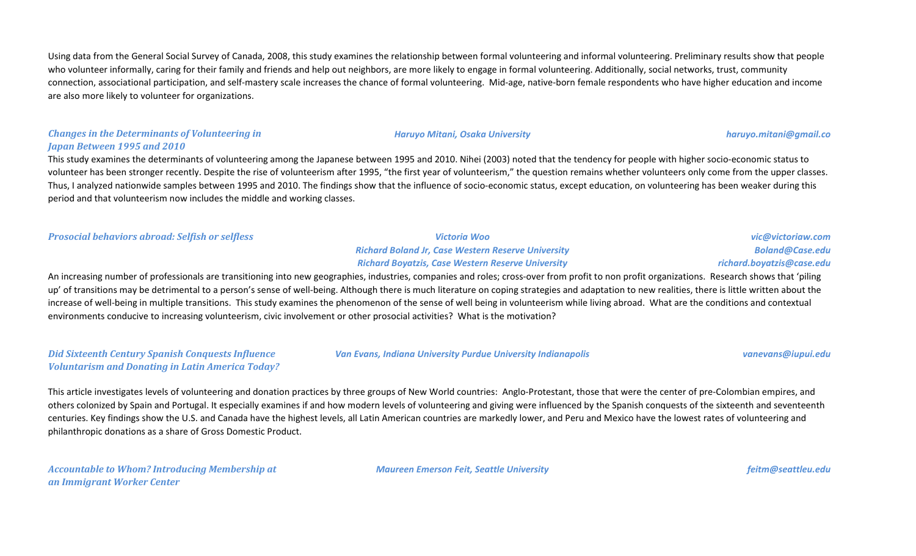Using data from the General Social Survey of Canada, 2008, this study examines the relationship between formal volunteering and informal volunteering. Preliminary results show that people who volunteer informally, caring for their family and friends and help out neighbors, are more likely to engage in formal volunteering. Additionally, social networks, trust, community connection, associational participation, and self-mastery scale increases the chance of formal volunteering. Mid-age, native-born female respondents who have higher education and income are also more likely to volunteer for organizations.

#### *Changes in the Determinants of Volunteering in Japan Between 1995 and 2010*

This study examines the determinants of volunteering among the Japanese between 1995 and 2010. Nihei (2003) noted that the tendency for people with higher socio-economic status to volunteer has been stronger recently. Despite the rise of volunteerism after 1995, "the first year of volunteerism," the question remains whether volunteers only come from the upper classes. Thus, I analyzed nationwide samples between 1995 and 2010. The findings show that the influence of socio-economic status, except education, on volunteering has been weaker during this period and that volunteerism now includes the middle and working classes.

*Prosocial behaviors abroad: Selfish or selfless Victoria Woo*

*Richard Boland Jr, Case Western Reserve University Richard Boyatzis, Case Western Reserve University* 

*vic@victoriaw.com Boland@Case.edu richard.boyatzis@case.edu*

An increasing number of professionals are transitioning into new geographies, industries, companies and roles; cross-over from profit to non profit organizations. Research shows that 'piling up' of transitions may be detrimental to a person's sense of well-being. Although there is much literature on coping strategies and adaptation to new realities, there is little written about the increase of well-being in multiple transitions. This study examines the phenomenon of the sense of well being in volunteerism while living abroad. What are the conditions and contextual environments conducive to increasing volunteerism, civic involvement or other prosocial activities? What is the motivation?

*Did Sixteenth Century Spanish Conquests Influence Voluntarism and Donating in Latin America Today?* *Van Evans, Indiana University Purdue University Indianapolis vanevans@iupui.edu*

This article investigates levels of volunteering and donation practices by three groups of New World countries: Anglo-Protestant, those that were the center of pre-Colombian empires, and others colonized by Spain and Portugal. It especially examines if and how modern levels of volunteering and giving were influenced by the Spanish conquests of the sixteenth and seventeenth centuries. Key findings show the U.S. and Canada have the highest levels, all Latin American countries are markedly lower, and Peru and Mexico have the lowest rates of volunteering and philanthropic donations as a share of Gross Domestic Product.

*Accountable to Whom? Introducing Membership at an Immigrant Worker Center*

*Maureen Emerson Feit, Seattle University feitm@seattleu.edu*

*Haruyo Mitani, Osaka University haruyo.mitani@gmail.co*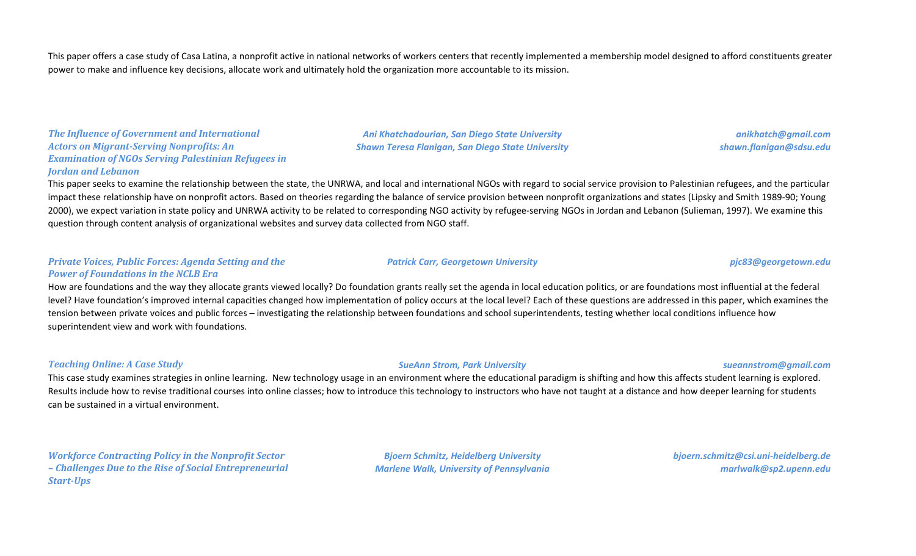This paper offers a case study of Casa Latina, a nonprofit active in national networks of workers centers that recently implemented a membership model designed to afford constituents greater power to make and influence key decisions, allocate work and ultimately hold the organization more accountable to its mission.

*The Influence of Government and International Actors on Migrant-Serving Nonprofits: An Examination of NGOs Serving Palestinian Refugees in Jordan and Lebanon*

*Ani Khatchadourian, San Diego State University Shawn Teresa Flanigan, San Diego State University*

*anikhatch@gmail.com shawn.flanigan@sdsu.edu*

This paper seeks to examine the relationship between the state, the UNRWA, and local and international NGOs with regard to social service provision to Palestinian refugees, and the particular impact these relationship have on nonprofit actors. Based on theories regarding the balance of service provision between nonprofit organizations and states (Lipsky and Smith 1989-90; Young 2000), we expect variation in state policy and UNRWA activity to be related to corresponding NGO activity by refugee-serving NGOs in Jordan and Lebanon (Sulieman, 1997). We examine this question through content analysis of organizational websites and survey data collected from NGO staff.

#### *Private Voices, Public Forces: Agenda Setting and the Power of Foundations in the NCLB Era*

How are foundations and the way they allocate grants viewed locally? Do foundation grants really set the agenda in local education politics, or are foundations most influential at the federal level? Have foundation's improved internal capacities changed how implementation of policy occurs at the local level? Each of these questions are addressed in this paper, which examines the tension between private voices and public forces – investigating the relationship between foundations and school superintendents, testing whether local conditions influence how superintendent view and work with foundations.

#### *Teaching Online: A Case Study SueAnn Strom, Park University sueannstrom@gmail.com*

This case study examines strategies in online learning. New technology usage in an environment where the educational paradigm is shifting and how this affects student learning is explored. Results include how to revise traditional courses into online classes; how to introduce this technology to instructors who have not taught at a distance and how deeper learning for students can be sustained in a virtual environment.

*Workforce Contracting Policy in the Nonprofit Sector – Challenges Due to the Rise of Social Entrepreneurial Start-Ups*

*Bjoern Schmitz, Heidelberg University Marlene Walk, University of Pennsylvania* *bjoern.schmitz@csi.uni-heidelberg.de marlwalk@sp2.upenn.edu*

#### *Patrick Carr, Georgetown University pjc83@georgetown.edu*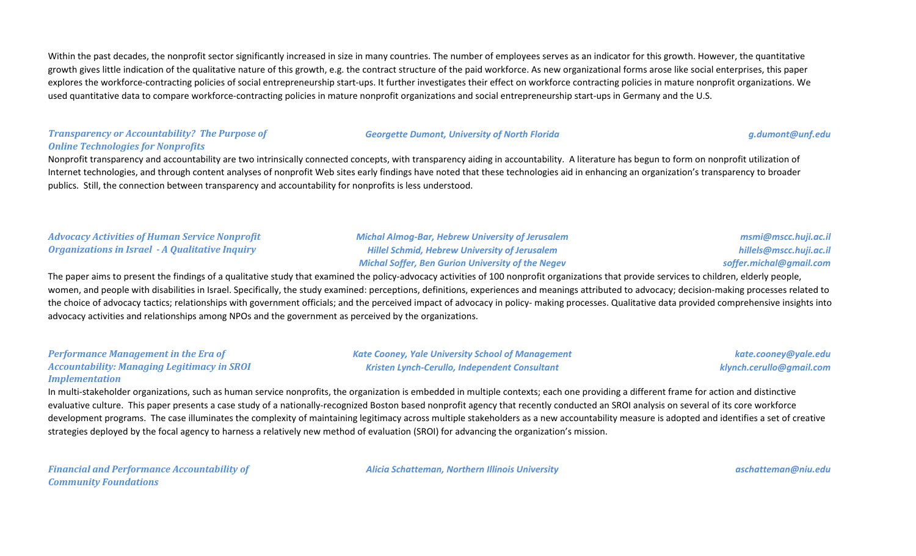Within the past decades, the nonprofit sector significantly increased in size in many countries. The number of employees serves as an indicator for this growth. However, the quantitative growth gives little indication of the qualitative nature of this growth, e.g. the contract structure of the paid workforce. As new organizational forms arose like social enterprises, this paper explores the workforce-contracting policies of social entrepreneurship start-ups. It further investigates their effect on workforce contracting policies in mature nonprofit organizations. We used quantitative data to compare workforce-contracting policies in mature nonprofit organizations and social entrepreneurship start-ups in Germany and the U.S.

#### *Transparency or Accountability? The Purpose of Online Technologies for Nonprofits*

#### *Georgette Dumont, University of North Florida g.dumont@unf.edu*

Nonprofit transparency and accountability are two intrinsically connected concepts, with transparency aiding in accountability. A literature has begun to form on nonprofit utilization of Internet technologies, and through content analyses of nonprofit Web sites early findings have noted that these technologies aid in enhancing an organization's transparency to broader publics. Still, the connection between transparency and accountability for nonprofits is less understood.

### *Advocacy Activities of Human Service Nonprofit Organizations in Israel - A Qualitative Inquiry*

*Michal Almog-Bar, Hebrew University of Jerusalem Hillel Schmid, Hebrew University of Jerusalem Michal Soffer, Ben Gurion University of the Negev*

*msmi@mscc.huji.ac.il hillels@mscc.huji.ac.il soffer.michal@gmail.com*

The paper aims to present the findings of a qualitative study that examined the policy-advocacy activities of 100 nonprofit organizations that provide services to children, elderly people, women, and people with disabilities in Israel. Specifically, the study examined: perceptions, definitions, experiences and meanings attributed to advocacy; decision-making processes related to the choice of advocacy tactics; relationships with government officials; and the perceived impact of advocacy in policy- making processes. Qualitative data provided comprehensive insights into advocacy activities and relationships among NPOs and the government as perceived by the organizations.

#### *Performance Management in the Era of Accountability: Managing Legitimacy in SROI Implementation*

*Kate Cooney, Yale University School of Management Kristen Lynch-Cerullo, Independent Consultant*

*kate.cooney@yale.edu klynch.cerullo@gmail.com*

In multi-stakeholder organizations, such as human service nonprofits, the organization is embedded in multiple contexts; each one providing a different frame for action and distinctive evaluative culture. This paper presents a case study of a nationally-recognized Boston based nonprofit agency that recently conducted an SROI analysis on several of its core workforce development programs. The case illuminates the complexity of maintaining legitimacy across multiple stakeholders as a new accountability measure is adopted and identifies a set of creative strategies deployed by the focal agency to harness a relatively new method of evaluation (SROI) for advancing the organization's mission.

*Financial and Performance Accountability of Community Foundations*

*Alicia Schatteman, Northern Illinois University aschatteman@niu.edu*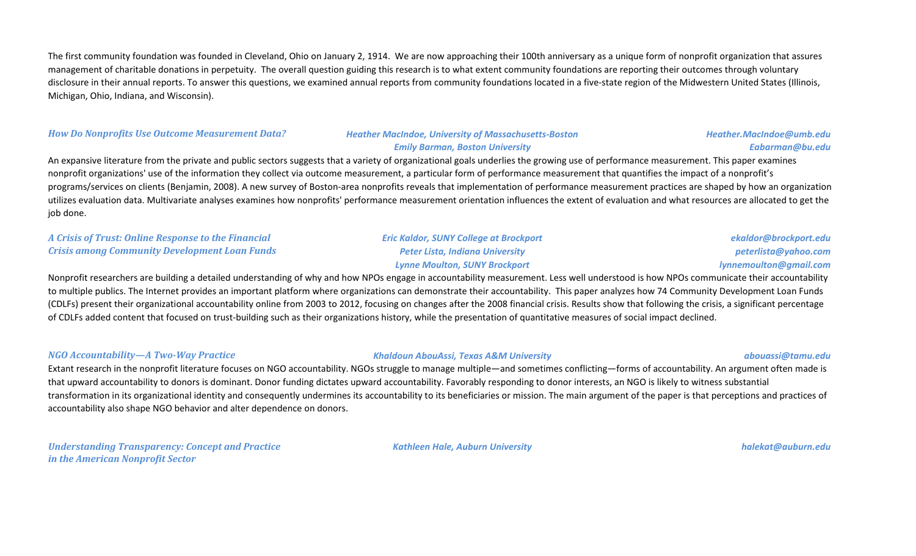The first community foundation was founded in Cleveland, Ohio on January 2, 1914. We are now approaching their 100th anniversary as a unique form of nonprofit organization that assures management of charitable donations in perpetuity. The overall question guiding this research is to what extent community foundations are reporting their outcomes through voluntary disclosure in their annual reports. To answer this questions, we examined annual reports from community foundations located in a five-state region of the Midwestern United States (Illinois, Michigan, Ohio, Indiana, and Wisconsin).

#### *How Do Nonprofits Use Outcome Measurement Data? Heather MacIndoe, University of Massachusetts-Boston*

# *Emily Barman, Boston University*

*Heather.MacIndoe@umb.edu Eabarman@bu.edu*

An expansive literature from the private and public sectors suggests that a variety of organizational goals underlies the growing use of performance measurement. This paper examines nonprofit organizations' use of the information they collect via outcome measurement, a particular form of performance measurement that quantifies the impact of a nonprofit's programs/services on clients (Benjamin, 2008). A new survey of Boston-area nonprofits reveals that implementation of performance measurement practices are shaped by how an organization utilizes evaluation data. Multivariate analyses examines how nonprofits' performance measurement orientation influences the extent of evaluation and what resources are allocated to get the job done.

#### *A Crisis of Trust: Online Response to the Financial Crisis among Community Development Loan Funds*

### *Eric Kaldor, SUNY College at Brockport Peter Lista, Indiana University Lynne Moulton, SUNY Brockport*

*ekaldor@brockport.edu peterlista@yahoo.com lynnemoulton@gmail.com*

Nonprofit researchers are building a detailed understanding of why and how NPOs engage in accountability measurement. Less well understood is how NPOs communicate their accountability to multiple publics. The Internet provides an important platform where organizations can demonstrate their accountability. This paper analyzes how 74 Community Development Loan Funds (CDLFs) present their organizational accountability online from 2003 to 2012, focusing on changes after the 2008 financial crisis. Results show that following the crisis, a significant percentage of CDLFs added content that focused on trust-building such as their organizations history, while the presentation of quantitative measures of social impact declined.

#### *NGO Accountability—A Two-Way Practice Khaldoun AbouAssi, Texas A&M University abouassi@tamu.edu*

Extant research in the nonprofit literature focuses on NGO accountability. NGOs struggle to manage multiple—and sometimes conflicting—forms of accountability. An argument often made is that upward accountability to donors is dominant. Donor funding dictates upward accountability. Favorably responding to donor interests, an NGO is likely to witness substantial transformation in its organizational identity and consequently undermines its accountability to its beneficiaries or mission. The main argument of the paper is that perceptions and practices of accountability also shape NGO behavior and alter dependence on donors.

*Understanding Transparency: Concept and Practice in the American Nonprofit Sector*

*Kathleen Hale, Auburn University halekat@auburn.edu*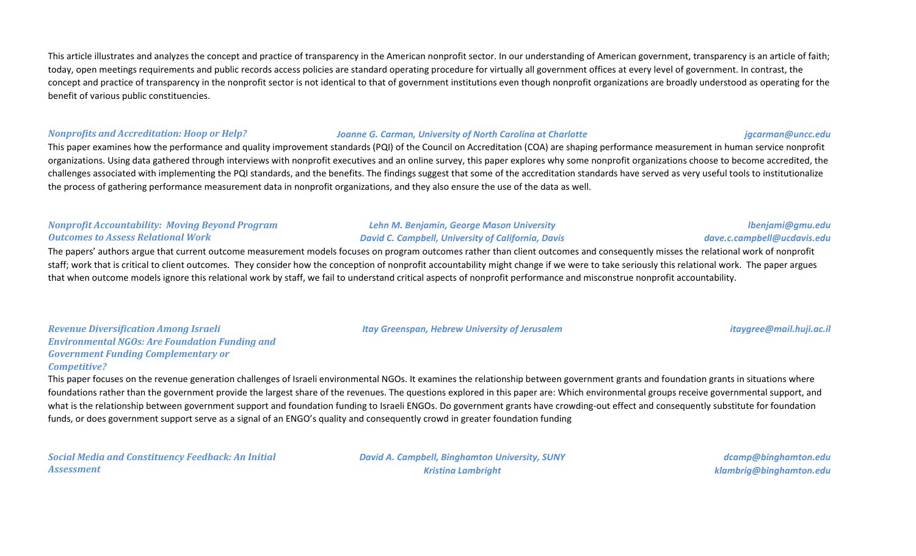This article illustrates and analyzes the concept and practice of transparency in the American nonprofit sector. In our understanding of American government, transparency is an article of faith; today, open meetings requirements and public records access policies are standard operating procedure for virtually all government offices at every level of government. In contrast, the concept and practice of transparency in the nonprofit sector is not identical to that of government institutions even though nonprofit organizations are broadly understood as operating for the benefit of various public constituencies.

#### *Nonprofits and Accreditation: Hoop or Help? Joanne G. Carman, University of North Carolina at Charlotte jgcarman@uncc.edu*

This paper examines how the performance and quality improvement standards (PQI) of the Council on Accreditation (COA) are shaping performance measurement in human service nonprofit organizations. Using data gathered through interviews with nonprofit executives and an online survey, this paper explores why some nonprofit organizations choose to become accredited, the challenges associated with implementing the PQI standards, and the benefits. The findings suggest that some of the accreditation standards have served as very useful tools to institutionalize the process of gathering performance measurement data in nonprofit organizations, and they also ensure the use of the data as well.

### *Nonprofit Accountability: Moving Beyond Program Outcomes to Assess Relational Work*

# *David C. Campbell, University of California, Davis*

*Lehn M. Benjamin, George Mason University*

The papers' authors argue that current outcome measurement models focuses on program outcomes rather than client outcomes and consequently misses the relational work of nonprofit staff; work that is critical to client outcomes. They consider how the conception of nonprofit accountability might change if we were to take seriously this relational work. The paper argues that when outcome models ignore this relational work by staff, we fail to understand critical aspects of nonprofit performance and misconstrue nonprofit accountability.

*Revenue Diversification Among Israeli Environmental NGOs: Are Foundation Funding and Government Funding Complementary or Competitive?*

This paper focuses on the revenue generation challenges of Israeli environmental NGOs. It examines the relationship between government grants and foundation grants in situations where foundations rather than the government provide the largest share of the revenues. The questions explored in this paper are: Which environmental groups receive governmental support, and what is the relationship between government support and foundation funding to Israeli ENGOs. Do government grants have crowding-out effect and consequently substitute for foundation funds, or does government support serve as a signal of an ENGO's quality and consequently crowd in greater foundation funding

*Social Media and Constituency Feedback: An Initial Assessment*

*David A. Campbell, Binghamton University, SUNY Kristina Lambright*

*dcamp@binghamton.edu klambrig@binghamton.edu*

*lbenjami@gmu.edu dave.c.campbell@ucdavis.edu*

*Itay Greenspan, Hebrew University of Jerusalem itaygree@mail.huji.ac.il*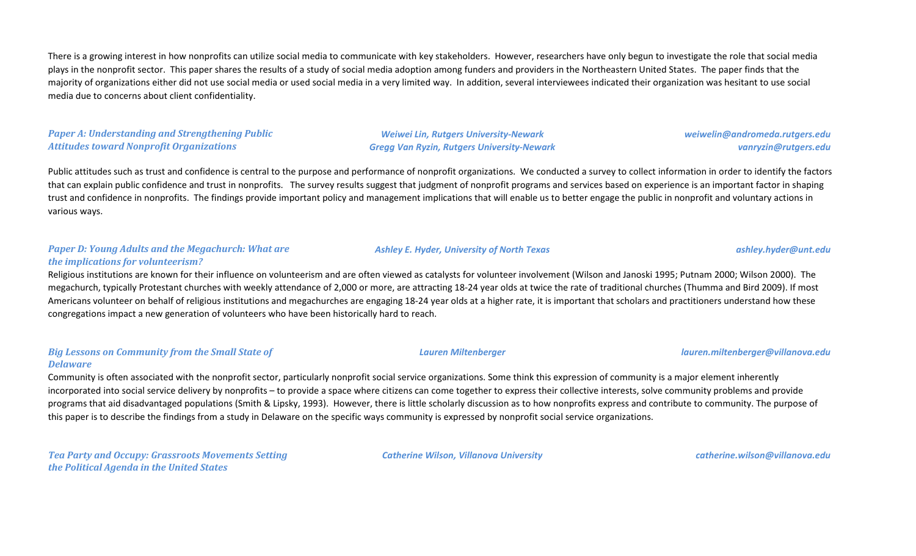There is a growing interest in how nonprofits can utilize social media to communicate with key stakeholders. However, researchers have only begun to investigate the role that social media plays in the nonprofit sector. This paper shares the results of a study of social media adoption among funders and providers in the Northeastern United States. The paper finds that the majority of organizations either did not use social media or used social media in a very limited way. In addition, several interviewees indicated their organization was hesitant to use social media due to concerns about client confidentiality.

#### *Paper A: Understanding and Strengthening Public Attitudes toward Nonprofit Organizations*

*Weiwei Lin, Rutgers University-Newark Gregg Van Ryzin, Rutgers University-Newark* *weiwelin@andromeda.rutgers.edu vanryzin@rutgers.edu*

Public attitudes such as trust and confidence is central to the purpose and performance of nonprofit organizations. We conducted a survey to collect information in order to identify the factors that can explain public confidence and trust in nonprofits. The survey results suggest that judgment of nonprofit programs and services based on experience is an important factor in shaping trust and confidence in nonprofits. The findings provide important policy and management implications that will enable us to better engage the public in nonprofit and voluntary actions in various ways.

#### *Paper D: Young Adults and the Megachurch: What are the implications for volunteerism?*

Religious institutions are known for their influence on volunteerism and are often viewed as catalysts for volunteer involvement (Wilson and Janoski 1995; Putnam 2000; Wilson 2000). The megachurch, typically Protestant churches with weekly attendance of 2,000 or more, are attracting 18-24 year olds at twice the rate of traditional churches (Thumma and Bird 2009). If most Americans volunteer on behalf of religious institutions and megachurches are engaging 18-24 year olds at a higher rate, it is important that scholars and practitioners understand how these congregations impact a new generation of volunteers who have been historically hard to reach.

#### *Big Lessons on Community from the Small State of Delaware*

Community is often associated with the nonprofit sector, particularly nonprofit social service organizations. Some think this expression of community is a major element inherently incorporated into social service delivery by nonprofits – to provide a space where citizens can come together to express their collective interests, solve community problems and provide programs that aid disadvantaged populations (Smith & Lipsky, 1993). However, there is little scholarly discussion as to how nonprofits express and contribute to community. The purpose of this paper is to describe the findings from a study in Delaware on the specific ways community is expressed by nonprofit social service organizations.

*Tea Party and Occupy: Grassroots Movements Setting the Political Agenda in the United States*

*Catherine Wilson, Villanova University catherine.wilson@villanova.edu*

#### *Ashley E. Hyder, University of North Texas ashley.hyder@unt.edu*

*Lauren Miltenberger lauren.miltenberger@villanova.edu*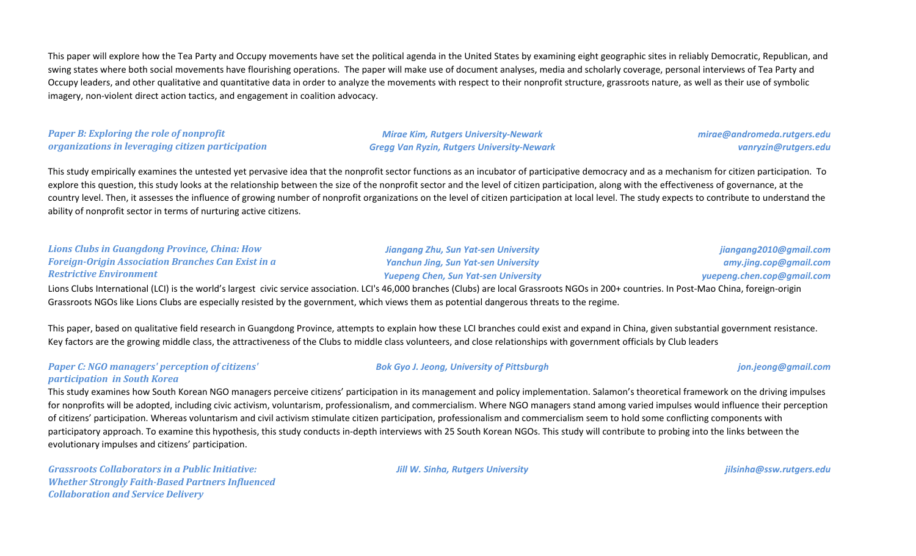This paper will explore how the Tea Party and Occupy movements have set the political agenda in the United States by examining eight geographic sites in reliably Democratic, Republican, and swing states where both social movements have flourishing operations. The paper will make use of document analyses, media and scholarly coverage, personal interviews of Tea Party and Occupy leaders, and other qualitative and quantitative data in order to analyze the movements with respect to their nonprofit structure, grassroots nature, as well as their use of symbolic imagery, non-violent direct action tactics, and engagement in coalition advocacy.

#### *Paper B: Exploring the role of nonprofit organizations in leveraging citizen participation*

*Mirae Kim, Rutgers University-Newark Gregg Van Ryzin, Rutgers University-Newark*

### *mirae@andromeda.rutgers.edu vanryzin@rutgers.edu*

This study empirically examines the untested yet pervasive idea that the nonprofit sector functions as an incubator of participative democracy and as a mechanism for citizen participation. To explore this question, this study looks at the relationship between the size of the nonprofit sector and the level of citizen participation, along with the effectiveness of governance, at the country level. Then, it assesses the influence of growing number of nonprofit organizations on the level of citizen participation at local level. The study expects to contribute to understand the ability of nonprofit sector in terms of nurturing active citizens.

#### *Lions Clubs in Guangdong Province, China: How Foreign-Origin Association Branches Can Exist in a Restrictive Environment*

*Jiangang Zhu, Sun Yat-sen University Yanchun Jing, Sun Yat-sen University Yuepeng Chen, Sun Yat-sen University*

*jiangang2010@gmail.com amy.jing.cop@gmail.com yuepeng.chen.cop@gmail.com*

Lions Clubs International (LCI) is the world's largest civic service association. LCI's 46,000 branches (Clubs) are local Grassroots NGOs in 200+ countries. In Post-Mao China, foreign-origin Grassroots NGOs like Lions Clubs are especially resisted by the government, which views them as potential dangerous threats to the regime.

This paper, based on qualitative field research in Guangdong Province, attempts to explain how these LCI branches could exist and expand in China, given substantial government resistance. Key factors are the growing middle class, the attractiveness of the Clubs to middle class volunteers, and close relationships with government officials by Club leaders

#### *Paper C: NGO managers' perception of citizens' participation in South Korea*

This study examines how South Korean NGO managers perceive citizens' participation in its management and policy implementation. Salamon's theoretical framework on the driving impulses for nonprofits will be adopted, including civic activism, voluntarism, professionalism, and commercialism. Where NGO managers stand among varied impulses would influence their perception of citizens' participation. Whereas voluntarism and civil activism stimulate citizen participation, professionalism and commercialism seem to hold some conflicting components with participatory approach. To examine this hypothesis, this study conducts in-depth interviews with 25 South Korean NGOs. This study will contribute to probing into the links between the evolutionary impulses and citizens' participation.

*Grassroots Collaborators in a Public Initiative: Whether Strongly Faith-Based Partners Influenced Collaboration and Service Delivery*

*Jill W. Sinha, Rutgers University jilsinha@ssw.rutgers.edu*

*Bok Gyo J. Jeong, University of Pittsburgh jon.jeong@gmail.com*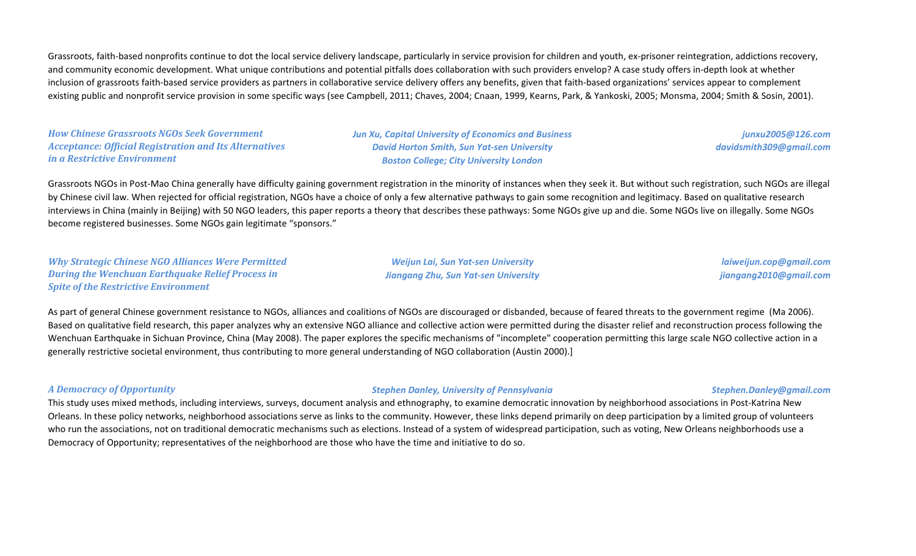Grassroots, faith-based nonprofits continue to dot the local service delivery landscape, particularly in service provision for children and youth, ex-prisoner reintegration, addictions recovery, and community economic development. What unique contributions and potential pitfalls does collaboration with such providers envelop? A case study offers in-depth look at whether inclusion of grassroots faith-based service providers as partners in collaborative service delivery offers any benefits, given that faith-based organizations' services appear to complement existing public and nonprofit service provision in some specific ways (see Campbell, 2011; Chaves, 2004; Cnaan, 1999, Kearns, Park, & Yankoski, 2005; Monsma, 2004; Smith & Sosin, 2001).

*How Chinese Grassroots NGOs Seek Government Acceptance: Official Registration and Its Alternatives in a Restrictive Environment*

*Jun Xu, Capital University of Economics and Business David Horton Smith, Sun Yat-sen University Boston College; City University London*

*junxu2005@126.com davidsmith309@gmail.com*

Grassroots NGOs in Post-Mao China generally have difficulty gaining government registration in the minority of instances when they seek it. But without such registration, such NGOs are illegal by Chinese civil law. When rejected for official registration, NGOs have a choice of only a few alternative pathways to gain some recognition and legitimacy. Based on qualitative research interviews in China (mainly in Beijing) with 50 NGO leaders, this paper reports a theory that describes these pathways: Some NGOs give up and die. Some NGOs live on illegally. Some NGOs become registered businesses. Some NGOs gain legitimate "sponsors."

*Why Strategic Chinese NGO Alliances Were Permitted During the Wenchuan Earthquake Relief Process in Spite of the Restrictive Environment*

*Weijun Lai, Sun Yat-sen University Jiangang Zhu, Sun Yat-sen University*

*laiweijun.cop@gmail.com jiangang2010@gmail.com*

As part of general Chinese government resistance to NGOs, alliances and coalitions of NGOs are discouraged or disbanded, because of feared threats to the government regime (Ma 2006). Based on qualitative field research, this paper analyzes why an extensive NGO alliance and collective action were permitted during the disaster relief and reconstruction process following the Wenchuan Earthquake in Sichuan Province, China (May 2008). The paper explores the specific mechanisms of "incomplete" cooperation permitting this large scale NGO collective action in a generally restrictive societal environment, thus contributing to more general understanding of NGO collaboration (Austin 2000).]

#### *A Democracy of Opportunity Stephen Danley, University of Pennsylvania Stephen.Danley@gmail.com*

This study uses mixed methods, including interviews, surveys, document analysis and ethnography, to examine democratic innovation by neighborhood associations in Post-Katrina New Orleans. In these policy networks, neighborhood associations serve as links to the community. However, these links depend primarily on deep participation by a limited group of volunteers who run the associations, not on traditional democratic mechanisms such as elections. Instead of a system of widespread participation, such as voting, New Orleans neighborhoods use a Democracy of Opportunity; representatives of the neighborhood are those who have the time and initiative to do so.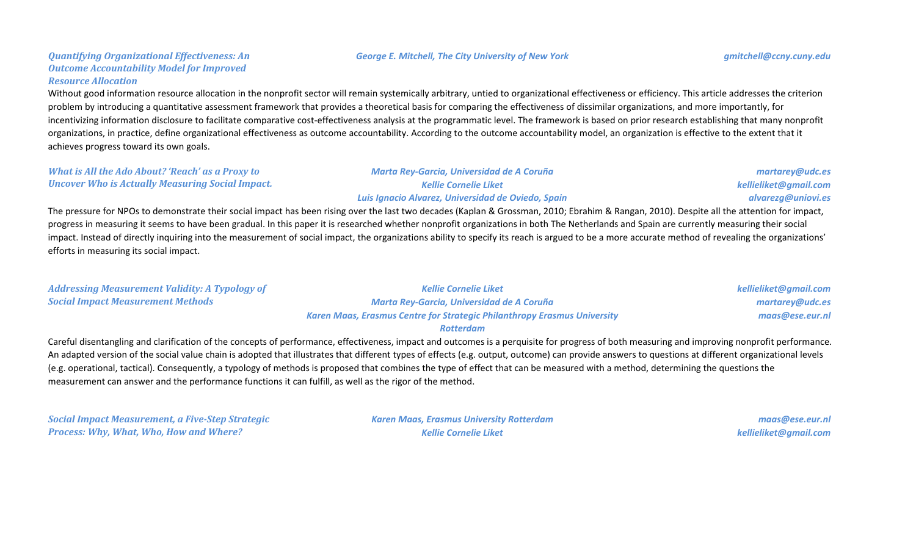#### *George E. Mitchell, The City University of New York gmitchell@ccny.cuny.edu*

### *Quantifying Organizational Effectiveness: An Outcome Accountability Model for Improved Resource Allocation*

Without good information resource allocation in the nonprofit sector will remain systemically arbitrary, untied to organizational effectiveness or efficiency. This article addresses the criterion problem by introducing a quantitative assessment framework that provides a theoretical basis for comparing the effectiveness of dissimilar organizations, and more importantly, for incentivizing information disclosure to facilitate comparative cost-effectiveness analysis at the programmatic level. The framework is based on prior research establishing that many nonprofit organizations, in practice, define organizational effectiveness as outcome accountability. According to the outcome accountability model, an organization is effective to the extent that it achieves progress toward its own goals.

#### *What is All the Ado About? 'Reach' as a Proxy to Uncover Who is Actually Measuring Social Impact.*

#### *Marta Rey-Garcia, Universidad de A Coruña Kellie Cornelie Liket Luis Ignacio Alvarez, Universidad de Oviedo, Spain*

*martarey@udc.es kellieliket@gmail.com alvarezg@uniovi.es*

The pressure for NPOs to demonstrate their social impact has been rising over the last two decades (Kaplan & Grossman, 2010; Ebrahim & Rangan, 2010). Despite all the attention for impact, progress in measuring it seems to have been gradual. In this paper it is researched whether nonprofit organizations in both The Netherlands and Spain are currently measuring their social impact. Instead of directly inquiring into the measurement of social impact, the organizations ability to specify its reach is argued to be a more accurate method of revealing the organizations' efforts in measuring its social impact.

| <b>Addressing Measurement Validity: A Typology of</b> | <b>Kellie Cornelie Liket</b>                                                    | kellieliket@gmail.com |
|-------------------------------------------------------|---------------------------------------------------------------------------------|-----------------------|
| <b>Social Impact Measurement Methods</b>              | Marta Rey-Garcia, Universidad de A Coruña                                       | martarey@udc.es       |
|                                                       | <b>Karen Maas, Erasmus Centre for Strategic Philanthropy Erasmus University</b> | maas@ese.eur.nl       |

#### *Rotterdam*

Careful disentangling and clarification of the concepts of performance, effectiveness, impact and outcomes is a perquisite for progress of both measuring and improving nonprofit performance. An adapted version of the social value chain is adopted that illustrates that different types of effects (e.g. output, outcome) can provide answers to questions at different organizational levels (e.g. operational, tactical). Consequently, a typology of methods is proposed that combines the type of effect that can be measured with a method, determining the questions the measurement can answer and the performance functions it can fulfill, as well as the rigor of the method.

*Social Impact Measurement, a Five-Step Strategic Process: Why, What, Who, How and Where?*

*Karen Maas, Erasmus University Rotterdam Kellie Cornelie Liket*

*maas@ese.eur.nl kellieliket@gmail.com*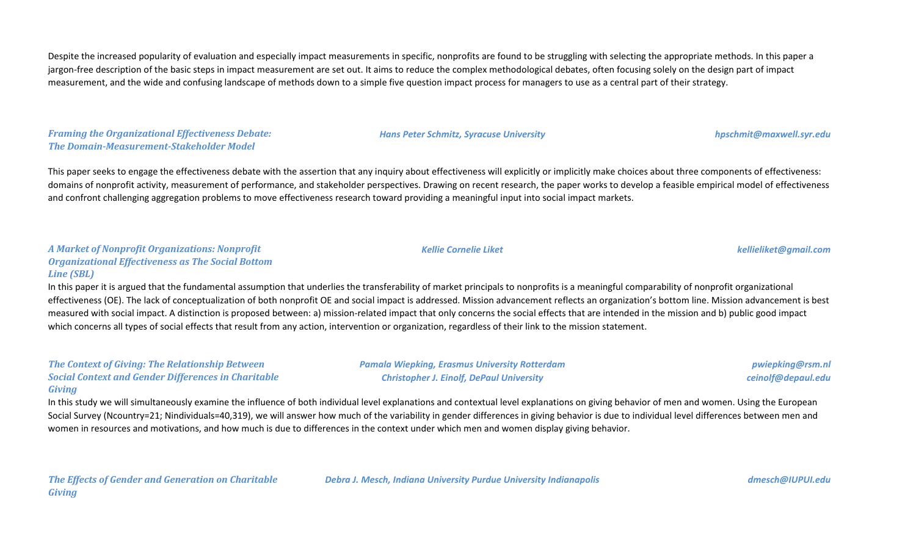Despite the increased popularity of evaluation and especially impact measurements in specific, nonprofits are found to be struggling with selecting the appropriate methods. In this paper a jargon-free description of the basic steps in impact measurement are set out. It aims to reduce the complex methodological debates, often focusing solely on the design part of impact measurement, and the wide and confusing landscape of methods down to a simple five question impact process for managers to use as a central part of their strategy.

*Framing the Organizational Effectiveness Debate: The Domain-Measurement-Stakeholder Model*

This paper seeks to engage the effectiveness debate with the assertion that any inquiry about effectiveness will explicitly or implicitly make choices about three components of effectiveness: domains of nonprofit activity, measurement of performance, and stakeholder perspectives. Drawing on recent research, the paper works to develop a feasible empirical model of effectiveness and confront challenging aggregation problems to move effectiveness research toward providing a meaningful input into social impact markets.

#### *A Market of Nonprofit Organizations: Nonprofit Organizational Effectiveness as The Social Bottom Line (SBL)*

In this paper it is argued that the fundamental assumption that underlies the transferability of market principals to nonprofits is a meaningful comparability of nonprofit organizational effectiveness (OE). The lack of conceptualization of both nonprofit OE and social impact is addressed. Mission advancement reflects an organization's bottom line. Mission advancement is best measured with social impact. A distinction is proposed between: a) mission-related impact that only concerns the social effects that are intended in the mission and b) public good impact which concerns all types of social effects that result from any action, intervention or organization, regardless of their link to the mission statement.

#### *The Context of Giving: The Relationship Between Social Context and Gender Differences in Charitable Giving*

In this study we will simultaneously examine the influence of both individual level explanations and contextual level explanations on giving behavior of men and women. Using the European Social Survey (Ncountry=21; Nindividuals=40,319), we will answer how much of the variability in gender differences in giving behavior is due to individual level differences between men and women in resources and motivations, and how much is due to differences in the context under which men and women display giving behavior.

*The Effects of Gender and Generation on Charitable Giving*

*Debra J. Mesch, Indiana University Purdue University Indianapolis dmesch@IUPUI.edu*

*pwiepking@rsm.nl ceinolf@depaul.edu*

*Kellie Cornelie Liket kellieliket@gmail.com*

*Hans Peter Schmitz, Syracuse University hpschmit@maxwell.syr.edu*

*Pamala Wiepking, Erasmus University Rotterdam Christopher J. Einolf, DePaul University*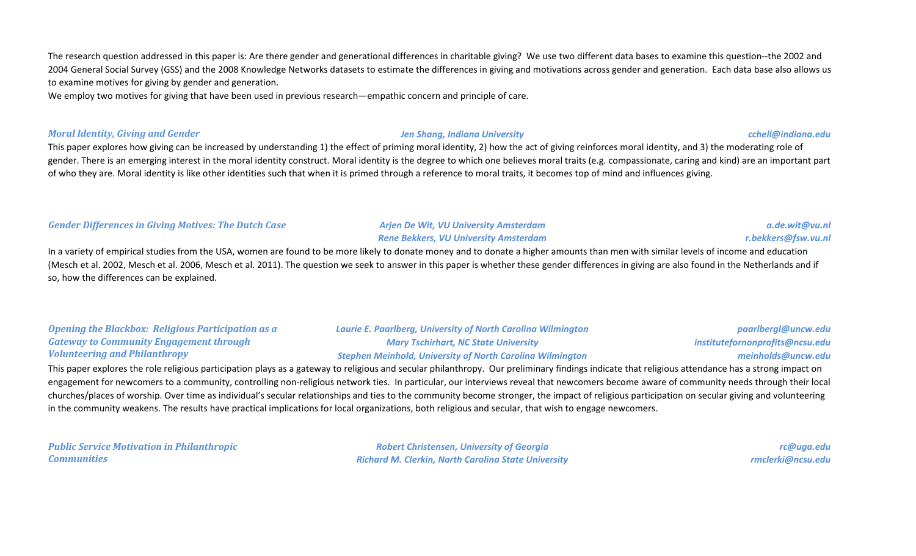The research question addressed in this paper is: Are there gender and generational differences in charitable giving? We use two different data bases to examine this question--the 2002 and 2004 General Social Survey (GSS) and the 2008 Knowledge Networks datasets to estimate the differences in giving and motivations across gender and generation. Each data base also allows us to examine motives for giving by gender and generation.

We employ two motives for giving that have been used in previous research—empathic concern and principle of care.

#### *Moral Identity, Giving and Gender Jen Shang, Indiana University cchell@indiana.edu*

*a.de.wit@vu.nl r.bekkers@fsw.vu.nl*

This paper explores how giving can be increased by understanding 1) the effect of priming moral identity, 2) how the act of giving reinforces moral identity, and 3) the moderating role of gender. There is an emerging interest in the moral identity construct. Moral identity is the degree to which one believes moral traits (e.g. compassionate, caring and kind) are an important part of who they are. Moral identity is like other identities such that when it is primed through a reference to moral traits, it becomes top of mind and influences giving.

#### *Gender Differences in Giving Motives: The Dutch Case Arjen De Wit, VU University Amsterdam*

*Rene Bekkers, VU University Amsterdam*

In a variety of empirical studies from the USA, women are found to be more likely to donate money and to donate a higher amounts than men with similar levels of income and education (Mesch et al. 2002, Mesch et al. 2006, Mesch et al. 2011). The question we seek to answer in this paper is whether these gender differences in giving are also found in the Netherlands and if so, how the differences can be explained.

#### *Opening the Blackbox: Religious Participation as a Gateway to Community Engagement through Volunteering and Philanthropy*

*Laurie E. Paarlberg, University of North Carolina Wilmington Mary Tschirhart, NC State University Stephen Meinhold, University of North Carolina Wilmington*

*paarlbergl@uncw.edu institutefornonprofits@ncsu.edu meinholds@uncw.edu*

This paper explores the role religious participation plays as a gateway to religious and secular philanthropy. Our preliminary findings indicate that religious attendance has a strong impact on engagement for newcomers to a community, controlling non-religious network ties. In particular, our interviews reveal that newcomers become aware of community needs through their local churches/places of worship. Over time as individual's secular relationships and ties to the community become stronger, the impact of religious participation on secular giving and volunteering in the community weakens. The results have practical implications for local organizations, both religious and secular, that wish to engage newcomers.

*Public Service Motivation in Philanthropic Communities*

*Robert Christensen, University of Georgia Richard M. Clerkin, North Carolina State University*

*rc@uga.edu rmclerki@ncsu.edu*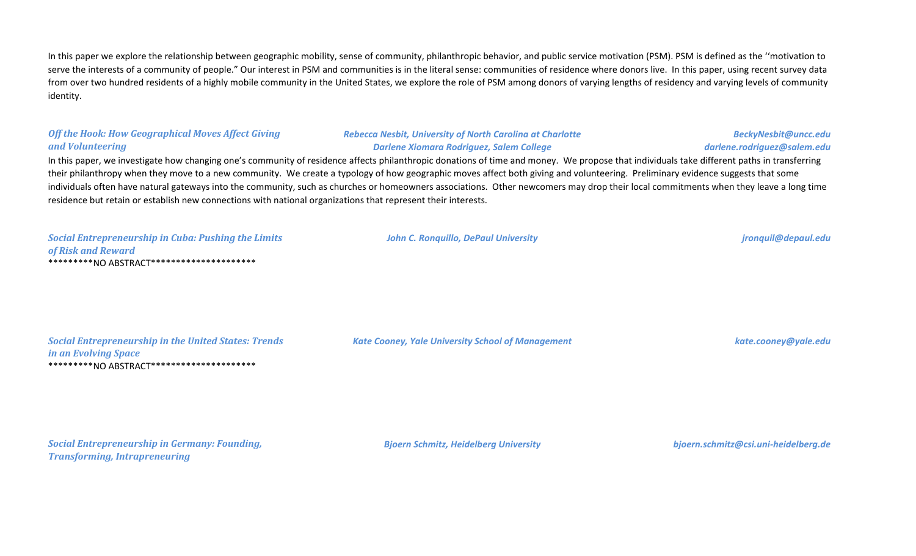In this paper we explore the relationship between geographic mobility, sense of community, philanthropic behavior, and public service motivation (PSM). PSM is defined as the "motivation to serve the interests of a community of people." Our interest in PSM and communities is in the literal sense: communities of residence where donors live. In this paper, using recent survey data from over two hundred residents of a highly mobile community in the United States, we explore the role of PSM among donors of varying lengths of residency and varying levels of community identity.

#### *Off the Hook: How Geographical Moves Affect Giving and Volunteering*

#### *Rebecca Nesbit, University of North Carolina at Charlotte Darlene Xiomara Rodriguez, Salem College*

### *darlene.rodriguez@salem.edu* In this paper, we investigate how changing one's community of residence affects philanthropic donations of time and money. We propose that individuals take different paths in transferring their philanthropy when they move to a new community. We create a typology of how geographic moves affect both giving and volunteering. Preliminary evidence suggests that some individuals often have natural gateways into the community, such as churches or homeowners associations. Other newcomers may drop their local commitments when they leave a long time residence but retain or establish new connections with national organizations that represent their interests.

*Social Entrepreneurship in Cuba: Pushing the Limits of Risk and Reward* \*\*\*\*\*\*\*\*\*NO ABSTRACT\*\*\*\*\*\*\*\*\*\*\*\*\*\*\*\*\*\*\*\*\*

*John C. Ronquillo, DePaul University jronquil@depaul.edu*

*BeckyNesbit@uncc.edu*

*Social Entrepreneurship in the United States: Trends in an Evolving Space* \*\*\*\*\*\*\*\*\*NO ABSTRACT\*\*\*\*\*\*\*\*\*\*\*\*\*\*\*\*\*\*\*\*\*

*Kate Cooney, Yale University School of Management kate.cooney@yale.edu*

*Social Entrepreneurship in Germany: Founding, Transforming, Intrapreneuring*

*Bjoern Schmitz, Heidelberg University bjoern.schmitz@csi.uni-heidelberg.de*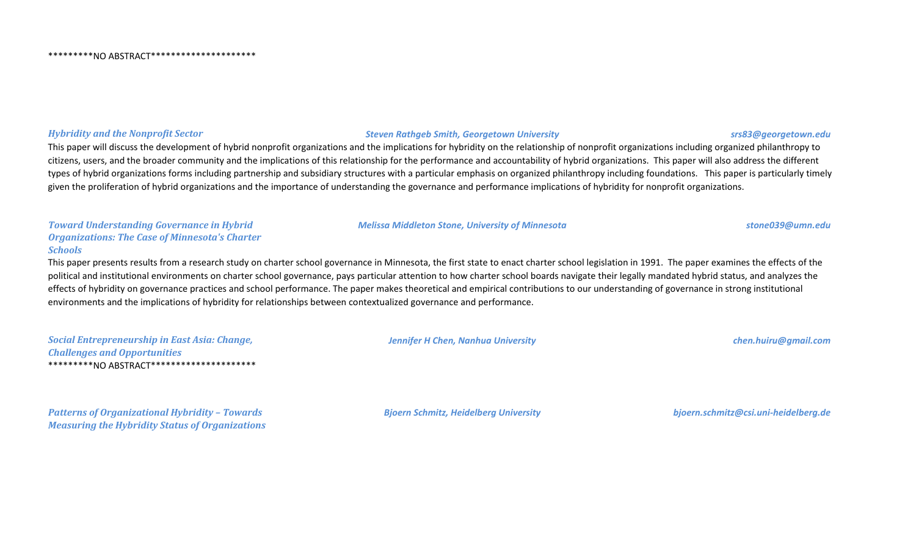#### *Hybridity and the Nonprofit Sector Steven Rathgeb Smith, Georgetown University srs83@georgetown.edu*

This paper will discuss the development of hybrid nonprofit organizations and the implications for hybridity on the relationship of nonprofit organizations including organized philanthropy to citizens, users, and the broader community and the implications of this relationship for the performance and accountability of hybrid organizations. This paper will also address the different types of hybrid organizations forms including partnership and subsidiary structures with a particular emphasis on organized philanthropy including foundations. This paper is particularly timely given the proliferation of hybrid organizations and the importance of understanding the governance and performance implications of hybridity for nonprofit organizations.

*Toward Understanding Governance in Hybrid Organizations: The Case of Minnesota's Charter Schools*

This paper presents results from a research study on charter school governance in Minnesota, the first state to enact charter school legislation in 1991. The paper examines the effects of the political and institutional environments on charter school governance, pays particular attention to how charter school boards navigate their legally mandated hybrid status, and analyzes the effects of hybridity on governance practices and school performance. The paper makes theoretical and empirical contributions to our understanding of governance in strong institutional environments and the implications of hybridity for relationships between contextualized governance and performance.

| <b>Social Entrepreneurship in East Asia: Change,</b> |
|------------------------------------------------------|
| <b>Challenges and Opportunities</b>                  |
|                                                      |

#### *Jennifer H Chen, Nanhua University chen.huiru@gmail.com*

*Melissa Middleton Stone, University of Minnesota stone039@umn.edu*

*Patterns of Organizational Hybridity – Towards Measuring the Hybridity Status of Organizations* *Bjoern Schmitz, Heidelberg University bjoern.schmitz@csi.uni-heidelberg.de*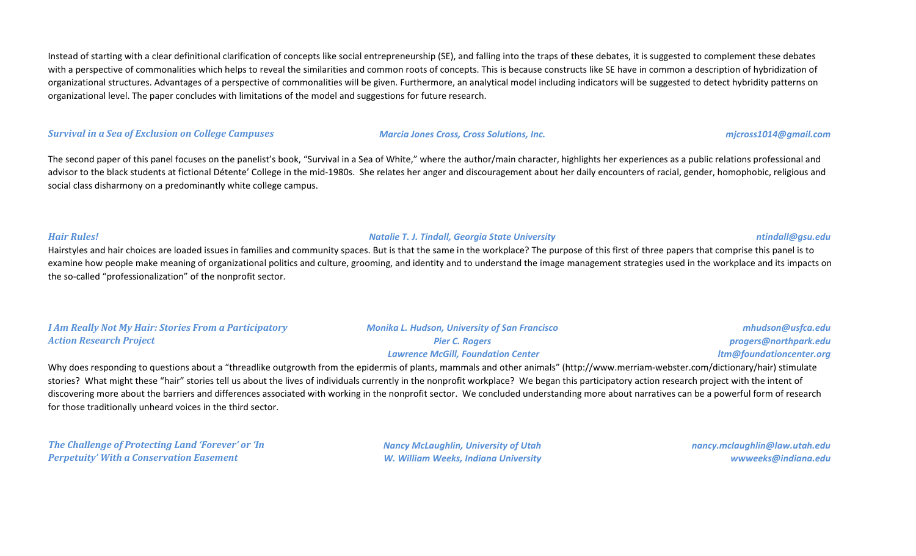Instead of starting with a clear definitional clarification of concepts like social entrepreneurship (SE), and falling into the traps of these debates, it is suggested to complement these debates with a perspective of commonalities which helps to reveal the similarities and common roots of concepts. This is because constructs like SE have in common a description of hybridization of organizational structures. Advantages of a perspective of commonalities will be given. Furthermore, an analytical model including indicators will be suggested to detect hybridity patterns on organizational level. The paper concludes with limitations of the model and suggestions for future research.

#### *Survival in a Sea of Exclusion on College Campuses Marcia Jones Cross, Cross Solutions, Inc. mjcross1014@gmail.com*

The second paper of this panel focuses on the panelist's book, "Survival in a Sea of White," where the author/main character, highlights her experiences as a public relations professional and advisor to the black students at fictional Détente' College in the mid-1980s. She relates her anger and discouragement about her daily encounters of racial, gender, homophobic, religious and social class disharmony on a predominantly white college campus.

*Hair Rules! Natalie T. J. Tindall, Georgia State University ntindall@gsu.edu*

Hairstyles and hair choices are loaded issues in families and community spaces. But is that the same in the workplace? The purpose of this first of three papers that comprise this panel is to examine how people make meaning of organizational politics and culture, grooming, and identity and to understand the image management strategies used in the workplace and its impacts on the so-called "professionalization" of the nonprofit sector.

| <b>I Am Really Not My Hair: Stories From a Participatory</b> | <b>Monika L. Hudson, University of San Francisco</b> | mhudson@usfca.edu        |
|--------------------------------------------------------------|------------------------------------------------------|--------------------------|
| <b>Action Research Project</b>                               | <b>Pier C. Rogers</b>                                | progers@northpark.edu    |
|                                                              | <b>Lawrence McGill, Foundation Center</b>            | ltm@foundationcenter.org |

Why does responding to questions about a "threadlike outgrowth from the epidermis of plants, mammals and other animals" (http://www.merriam-webster.com/dictionary/hair) stimulate stories? What might these "hair" stories tell us about the lives of individuals currently in the nonprofit workplace? We began this participatory action research project with the intent of discovering more about the barriers and differences associated with working in the nonprofit sector. We concluded understanding more about narratives can be a powerful form of research for those traditionally unheard voices in the third sector.

*The Challenge of Protecting Land 'Forever' or 'In Perpetuity' With a Conservation Easement*

*Nancy McLaughlin, University of Utah W. William Weeks, Indiana University*

*nancy.mclaughlin@law.utah.edu wwweeks@indiana.edu*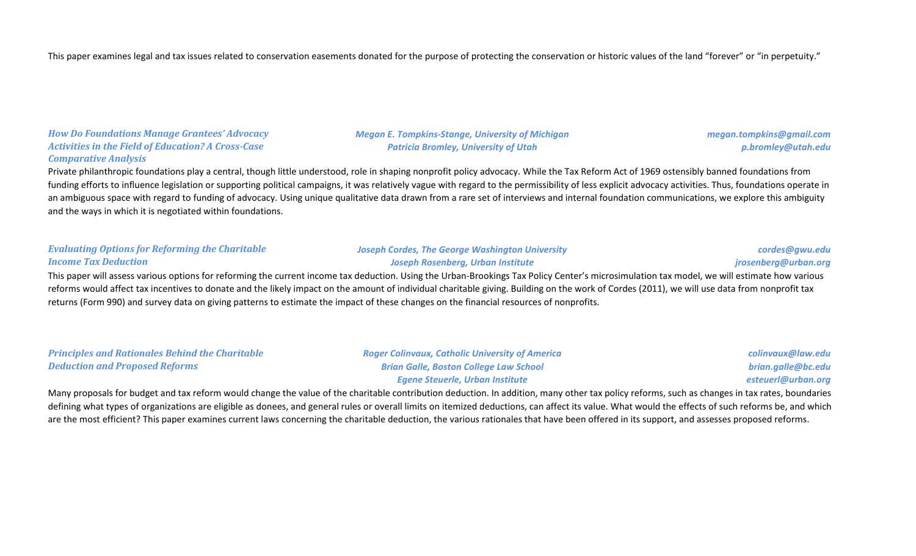This paper examines legal and tax issues related to conservation easements donated for the purpose of protecting the conservation or historic values of the land "forever" or "in perpetuity."

*How Do Foundations Manage Grantees' Advocacy Activities in the Field of Education? A Cross-Case Comparative Analysis*

*Megan E. Tompkins-Stange, University of Michigan Patricia Bromley, University of Utah*

*megan.tompkins@gmail.com p.bromley@utah.edu*

Private philanthropic foundations play a central, though little understood, role in shaping nonprofit policy advocacy. While the Tax Reform Act of 1969 ostensibly banned foundations from funding efforts to influence legislation or supporting political campaigns, it was relatively vague with regard to the permissibility of less explicit advocacy activities. Thus, foundations operate in an ambiguous space with regard to funding of advocacy. Using unique qualitative data drawn from a rare set of interviews and internal foundation communications, we explore this ambiguity and the ways in which it is negotiated within foundations.

|                                                        | This popularity assessment and contain formation the current income tour deduction. Using the Ushan Dreadings Toy Delian Contain misroscaled inconsided use will estimate boundary |                      |
|--------------------------------------------------------|------------------------------------------------------------------------------------------------------------------------------------------------------------------------------------|----------------------|
| <b>Income Tax Deduction</b>                            | Joseph Rosenberg, Urban Institute                                                                                                                                                  | jrosenberg@urban.org |
| <b>Evaluating Options for Reforming the Charitable</b> | <b>Joseph Cordes, The George Washington University</b>                                                                                                                             | cordes@gwu.edu       |

This paper will assess various options for reforming the current income tax deduction. Using the Urban-Brookings Tax Policy Center's microsimulation tax model, we will estimate how various reforms would affect tax incentives to donate and the likely impact on the amount of individual charitable giving. Building on the work of Cordes (2011), we will use data from nonprofit tax returns (Form 990) and survey data on giving patterns to estimate the impact of these changes on the financial resources of nonprofits.

| <b>Principles and Rationales Behind the Charitable</b> | <b>Roger Colinvaux, Catholic University of America</b> | colinvaux@law.edu  |
|--------------------------------------------------------|--------------------------------------------------------|--------------------|
| <b>Deduction and Proposed Reforms</b>                  | <b>Brian Galle, Boston College Law School</b>          | brian.galle@bc.edu |
|                                                        | <b>Egene Steuerle, Urban Institute</b>                 | esteuerl@urban.org |

Many proposals for budget and tax reform would change the value of the charitable contribution deduction. In addition, many other tax policy reforms, such as changes in tax rates, boundaries defining what types of organizations are eligible as donees, and general rules or overall limits on itemized deductions, can affect its value. What would the effects of such reforms be, and which are the most efficient? This paper examines current laws concerning the charitable deduction, the various rationales that have been offered in its support, and assesses proposed reforms.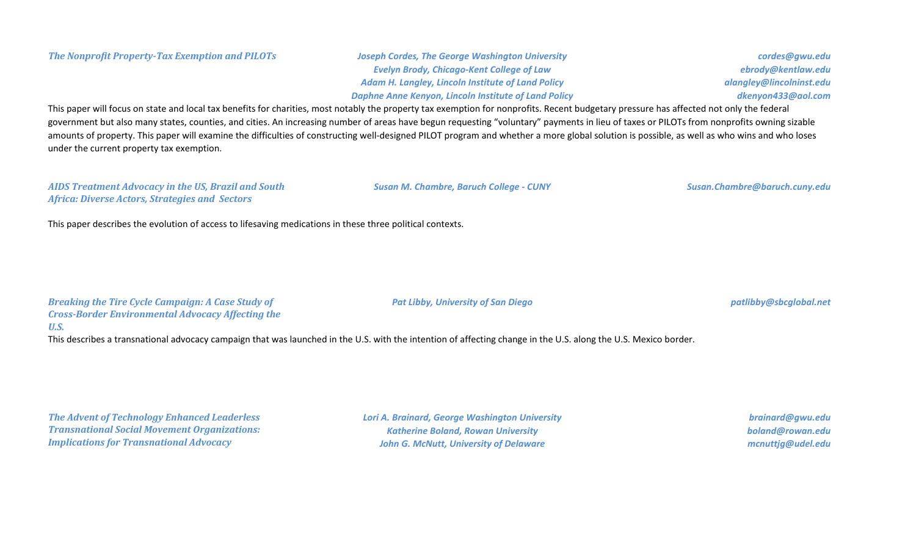# *Evelyn Brody, Chicago-Kent College of Law Adam H. Langley, Lincoln Institute of Land Policy Daphne Anne Kenyon, Lincoln Institute of Land Policy*

*cordes@gwu.edu ebrody@kentlaw.edu alangley@lincolninst.edu dkenyon433@aol.com*

This paper will focus on state and local tax benefits for charities, most notably the property tax exemption for nonprofits. Recent budgetary pressure has affected not only the federal government but also many states, counties, and cities. An increasing number of areas have begun requesting "voluntary" payments in lieu of taxes or PILOTs from nonprofits owning sizable amounts of property. This paper will examine the difficulties of constructing well-designed PILOT program and whether a more global solution is possible, as well as who wins and who loses under the current property tax exemption.

#### *AIDS Treatment Advocacy in the US, Brazil and South Africa: Diverse Actors, Strategies and Sectors*

*Susan M. Chambre, Baruch College - CUNY Susan.Chambre@baruch.cuny.edu*

This paper describes the evolution of access to lifesaving medications in these three political contexts.

*Breaking the Tire Cycle Campaign: A Case Study of Cross-Border Environmental Advocacy Affecting the U.S.*

This describes a transnational advocacy campaign that was launched in the U.S. with the intention of affecting change in the U.S. along the U.S. Mexico border.

*The Advent of Technology Enhanced Leaderless Transnational Social Movement Organizations: Implications for Transnational Advocacy*

*Lori A. Brainard, George Washington University Katherine Boland, Rowan University John G. McNutt, University of Delaware*

*brainard@gwu.edu boland@rowan.edu mcnuttjg@udel.edu*

## *Pat Libby, University of San Diego patlibby@sbcglobal.net*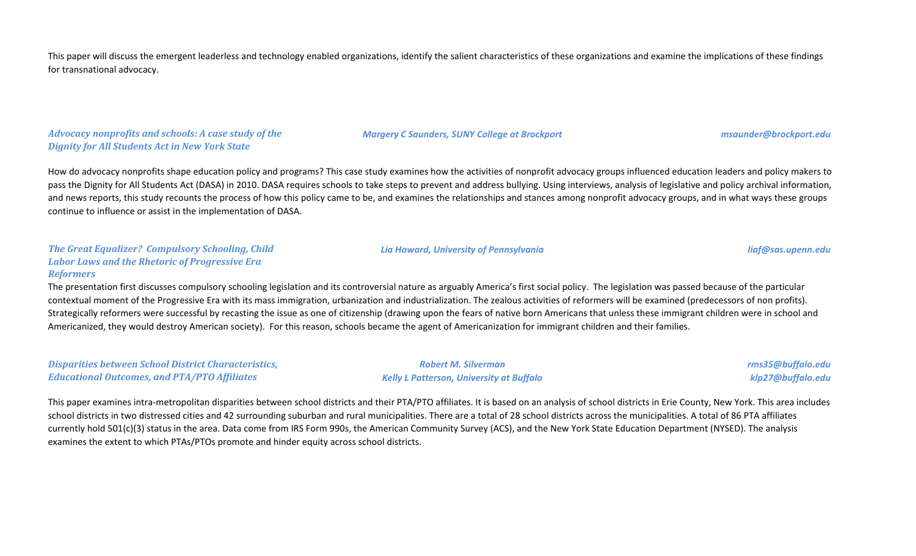This paper will discuss the emergent leaderless and technology enabled organizations, identify the salient characteristics of these organizations and examine the implications of these findings for transnational advocacy.

#### *Advocacy nonprofits and schools: A case study of the Dignity for All Students Act in New York State*

*Margery C Saunders, SUNY College at Brockport msaunder@brockport.edu*

How do advocacy nonprofits shape education policy and programs? This case study examines how the activities of nonprofit advocacy groups influenced education leaders and policy makers to pass the Dignity for All Students Act (DASA) in 2010. DASA requires schools to take steps to prevent and address bullying. Using interviews, analysis of legislative and policy archival information, and news reports, this study recounts the process of how this policy came to be, and examines the relationships and stances among nonprofit advocacy groups, and in what ways these groups continue to influence or assist in the implementation of DASA.

#### *The Great Equalizer? Compulsory Schooling, Child Labor Laws and the Rhetoric of Progressive Era Reformers*

The presentation first discusses compulsory schooling legislation and its controversial nature as arguably America's first social policy. The legislation was passed because of the particular contextual moment of the Progressive Era with its mass immigration, urbanization and industrialization. The zealous activities of reformers will be examined (predecessors of non profits). Strategically reformers were successful by recasting the issue as one of citizenship (drawing upon the fears of native born Americans that unless these immigrant children were in school and Americanized, they would destroy American society). For this reason, schools became the agent of Americanization for immigrant children and their families.

*Disparities between School District Characteristics, Educational Outcomes, and PTA/PTO Affiliates*

*Robert M. Silverman Kelly L Patterson, University at Buffalo* *rms35@buffalo.edu klp27@buffalo.edu*

This paper examines intra-metropolitan disparities between school districts and their PTA/PTO affiliates. It is based on an analysis of school districts in Erie County, New York. This area includes school districts in two distressed cities and 42 surrounding suburban and rural municipalities. There are a total of 28 school districts across the municipalities. A total of 86 PTA affiliates currently hold 501(c)(3) status in the area. Data come from IRS Form 990s, the American Community Survey (ACS), and the New York State Education Department (NYSED). The analysis examines the extent to which PTAs/PTOs promote and hinder equity across school districts.

#### *Lia Howard, University of Pennsylvania liaf@sas.upenn.edu*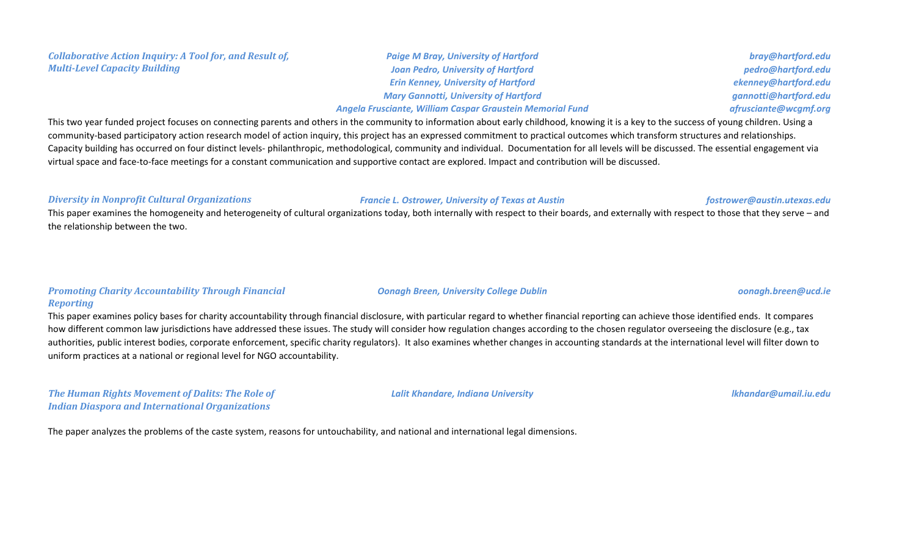#### *Collaborative Action Inquiry: A Tool for, and Result of, Multi-Level Capacity Building*

*Paige M Bray, University of Hartford Joan Pedro, University of Hartford Erin Kenney, University of Hartford Mary Gannotti, University of Hartford*

#### *Angela Frusciante, William Caspar Graustein Memorial Fund*

This two year funded project focuses on connecting parents and others in the community to information about early childhood, knowing it is a key to the success of young children. Using a community-based participatory action research model of action inquiry, this project has an expressed commitment to practical outcomes which transform structures and relationships. Capacity building has occurred on four distinct levels- philanthropic, methodological, community and individual. Documentation for all levels will be discussed. The essential engagement via virtual space and face-to-face meetings for a constant communication and supportive contact are explored. Impact and contribution will be discussed.

#### *Diversity in Nonprofit Cultural Organizations Francie L. Ostrower, University of Texas at Austin fostrower@austin.utexas.edu*

This paper examines the homogeneity and heterogeneity of cultural organizations today, both internally with respect to their boards, and externally with respect to those that they serve – and the relationship between the two.

### *Promoting Charity Accountability Through Financial Reporting*

This paper examines policy bases for charity accountability through financial disclosure, with particular regard to whether financial reporting can achieve those identified ends. It compares how different common law jurisdictions have addressed these issues. The study will consider how regulation changes according to the chosen regulator overseeing the disclosure (e.g., tax authorities, public interest bodies, corporate enforcement, specific charity regulators). It also examines whether changes in accounting standards at the international level will filter down to uniform practices at a national or regional level for NGO accountability.

*The Human Rights Movement of Dalits: The Role of Indian Diaspora and International Organizations*

*Lalit Khandare, Indiana University lkhandar@umail.iu.edu*

The paper analyzes the problems of the caste system, reasons for untouchability, and national and international legal dimensions.

*bray@hartford.edu pedro@hartford.edu ekenney@hartford.edu gannotti@hartford.edu afrusciante@wcgmf.org*

*Oonagh Breen, University College Dublin oonagh.breen@ucd.ie*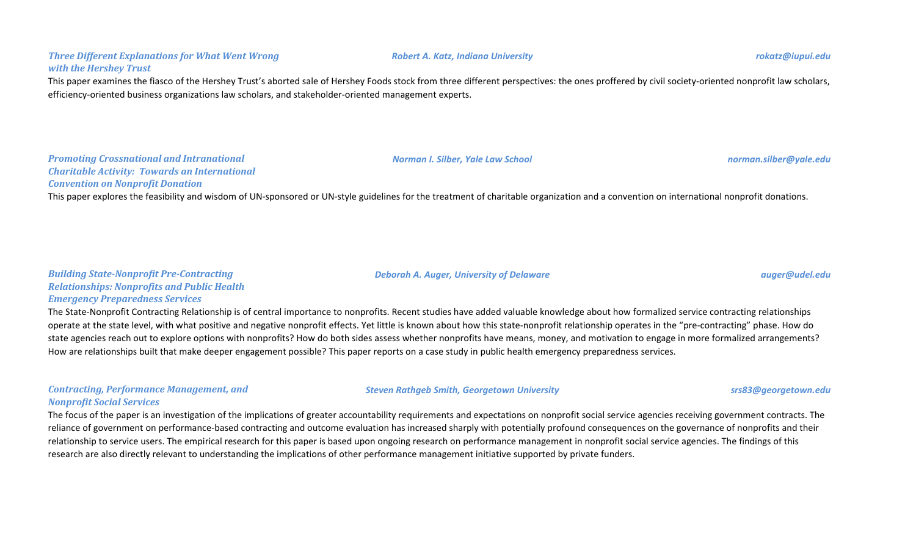#### *Three Different Explanations for What Went Wrong with the Hershey Trust*

This paper examines the fiasco of the Hershey Trust's aborted sale of Hershey Foods stock from three different perspectives: the ones proffered by civil society-oriented nonprofit law scholars, efficiency-oriented business organizations law scholars, and stakeholder-oriented management experts.

#### *Promoting Crossnational and Intranational Charitable Activity: Towards an International Convention on Nonprofit Donation*

This paper explores the feasibility and wisdom of UN-sponsored or UN-style guidelines for the treatment of charitable organization and a convention on international nonprofit donations.

*Deborah A. Auger, University of Delaware auger@udel.edu*

#### *Building State-Nonprofit Pre-Contracting Relationships: Nonprofits and Public Health Emergency Preparedness Services*

The State-Nonprofit Contracting Relationship is of central importance to nonprofits. Recent studies have added valuable knowledge about how formalized service contracting relationships operate at the state level, with what positive and negative nonprofit effects. Yet little is known about how this state-nonprofit relationship operates in the "pre-contracting" phase. How do state agencies reach out to explore options with nonprofits? How do both sides assess whether nonprofits have means, money, and motivation to engage in more formalized arrangements? How are relationships built that make deeper engagement possible? This paper reports on a case study in public health emergency preparedness services.

### *Contracting, Performance Management, and Nonprofit Social Services*

The focus of the paper is an investigation of the implications of greater accountability requirements and expectations on nonprofit social service agencies receiving government contracts. The reliance of government on performance-based contracting and outcome evaluation has increased sharply with potentially profound consequences on the governance of nonprofits and their relationship to service users. The empirical research for this paper is based upon ongoing research on performance management in nonprofit social service agencies. The findings of this research are also directly relevant to understanding the implications of other performance management initiative supported by private funders.

*Steven Rathgeb Smith, Georgetown University srs83@georgetown.edu*

*Norman I. Silber, Yale Law School norman.silber@yale.edu*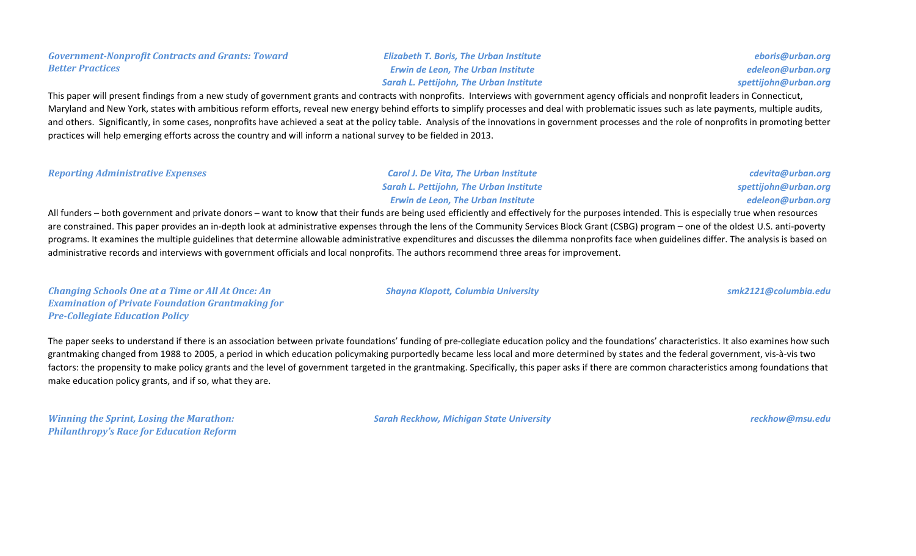### *Government-Nonprofit Contracts and Grants: Toward Better Practices*

*Elizabeth T. Boris, The Urban Institute Erwin de Leon, The Urban Institute Sarah L. Pettijohn, The Urban Institute*

*eboris@urban.org edeleon@urban.org spettijohn@urban.org*

This paper will present findings from a new study of government grants and contracts with nonprofits. Interviews with government agency officials and nonprofit leaders in Connecticut, Maryland and New York, states with ambitious reform efforts, reveal new energy behind efforts to simplify processes and deal with problematic issues such as late payments, multiple audits, and others. Significantly, in some cases, nonprofits have achieved a seat at the policy table. Analysis of the innovations in government processes and the role of nonprofits in promoting better practices will help emerging efforts across the country and will inform a national survey to be fielded in 2013.

*Reporting Administrative Expenses Carol J. De Vita, The Urban Institute*

*Sarah L. Pettijohn, The Urban Institute Erwin de Leon, The Urban Institute*

*cdevita@urban.org spettijohn@urban.org edeleon@urban.org*

All funders – both government and private donors – want to know that their funds are being used efficiently and effectively for the purposes intended. This is especially true when resources are constrained. This paper provides an in-depth look at administrative expenses through the lens of the Community Services Block Grant (CSBG) program – one of the oldest U.S. anti-poverty programs. It examines the multiple guidelines that determine allowable administrative expenditures and discusses the dilemma nonprofits face when guidelines differ. The analysis is based on administrative records and interviews with government officials and local nonprofits. The authors recommend three areas for improvement.

*Changing Schools One at a Time or All At Once: An Examination of Private Foundation Grantmaking for Pre-Collegiate Education Policy*

The paper seeks to understand if there is an association between private foundations' funding of pre-collegiate education policy and the foundations' characteristics. It also examines how such grantmaking changed from 1988 to 2005, a period in which education policymaking purportedly became less local and more determined by states and the federal government, vis-à-vis two factors: the propensity to make policy grants and the level of government targeted in the grantmaking. Specifically, this paper asks if there are common characteristics among foundations that make education policy grants, and if so, what they are.

*Winning the Sprint, Losing the Marathon: Philanthropy's Race for Education Reform*

*Sarah Reckhow, Michigan State University reckhow@msu.edu*

*Shayna Klopott, Columbia University smk2121@columbia.edu*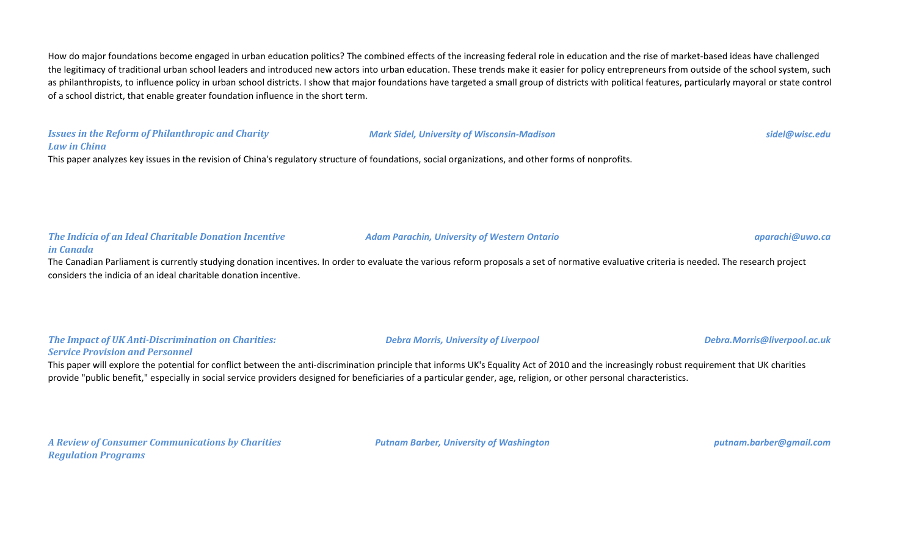How do major foundations become engaged in urban education politics? The combined effects of the increasing federal role in education and the rise of market-based ideas have challenged the legitimacy of traditional urban school leaders and introduced new actors into urban education. These trends make it easier for policy entrepreneurs from outside of the school system, such as philanthropists, to influence policy in urban school districts. I show that major foundations have targeted a small group of districts with political features, particularly mayoral or state control of a school district, that enable greater foundation influence in the short term.

# *Issues in the Reform of Philanthropic and Charity*

#### *Mark Sidel, University of Wisconsin-Madison sidel@wisc.edu*

#### *Law in China*

This paper analyzes key issues in the revision of China's regulatory structure of foundations, social organizations, and other forms of nonprofits.

*The Indicia of an Ideal Charitable Donation Incentive in Canada*

The Canadian Parliament is currently studying donation incentives. In order to evaluate the various reform proposals a set of normative evaluative criteria is needed. The research project considers the indicia of an ideal charitable donation incentive.

#### *The Impact of UK Anti-Discrimination on Charities: Service Provision and Personnel*

This paper will explore the potential for conflict between the anti-discrimination principle that informs UK's Equality Act of 2010 and the increasingly robust requirement that UK charities provide "public benefit," especially in social service providers designed for beneficiaries of a particular gender, age, religion, or other personal characteristics.

*A Review of Consumer Communications by Charities Regulation Programs*

*Putnam Barber, University of Washington putnam.barber@gmail.com*

*Adam Parachin, University of Western Ontario aparachi@uwo.ca*

*Debra Morris, University of Liverpool Debra.Morris@liverpool.ac.uk*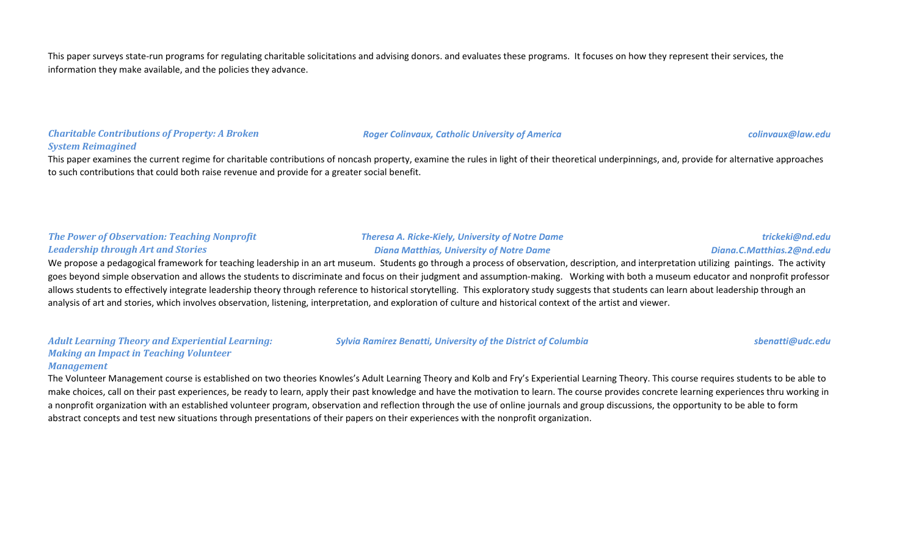This paper surveys state-run programs for regulating charitable solicitations and advising donors. and evaluates these programs. It focuses on how they represent their services, the information they make available, and the policies they advance.

#### *Charitable Contributions of Property: A Broken System Reimagined*

This paper examines the current regime for charitable contributions of noncash property, examine the rules in light of their theoretical underpinnings, and, provide for alternative approaches to such contributions that could both raise revenue and provide for a greater social benefit.

#### *The Power of Observation: Teaching Nonprofit Leadership through Art and Stories*

#### *Theresa A. Ricke-Kiely, University of Notre Dame Diana Matthias, University of Notre Dame*

*Sylvia Ramirez Benatti, University of the District of Columbia sbenatti@udc.edu*

#### *trickeki@nd.edu Diana.C.Matthias.2@nd.edu*

We propose a pedagogical framework for teaching leadership in an art museum. Students go through a process of observation, description, and interpretation utilizing paintings. The activity goes beyond simple observation and allows the students to discriminate and focus on their judgment and assumption-making. Working with both a museum educator and nonprofit professor allows students to effectively integrate leadership theory through reference to historical storytelling. This exploratory study suggests that students can learn about leadership through an analysis of art and stories, which involves observation, listening, interpretation, and exploration of culture and historical context of the artist and viewer.

*Adult Learning Theory and Experiential Learning: Making an Impact in Teaching Volunteer Management*

The Volunteer Management course is established on two theories Knowles's Adult Learning Theory and Kolb and Fry's Experiential Learning Theory. This course requires students to be able to make choices, call on their past experiences, be ready to learn, apply their past knowledge and have the motivation to learn. The course provides concrete learning experiences thru working in a nonprofit organization with an established volunteer program, observation and reflection through the use of online journals and group discussions, the opportunity to be able to form abstract concepts and test new situations through presentations of their papers on their experiences with the nonprofit organization.

*Roger Colinvaux, Catholic University of America colinvaux@law.edu*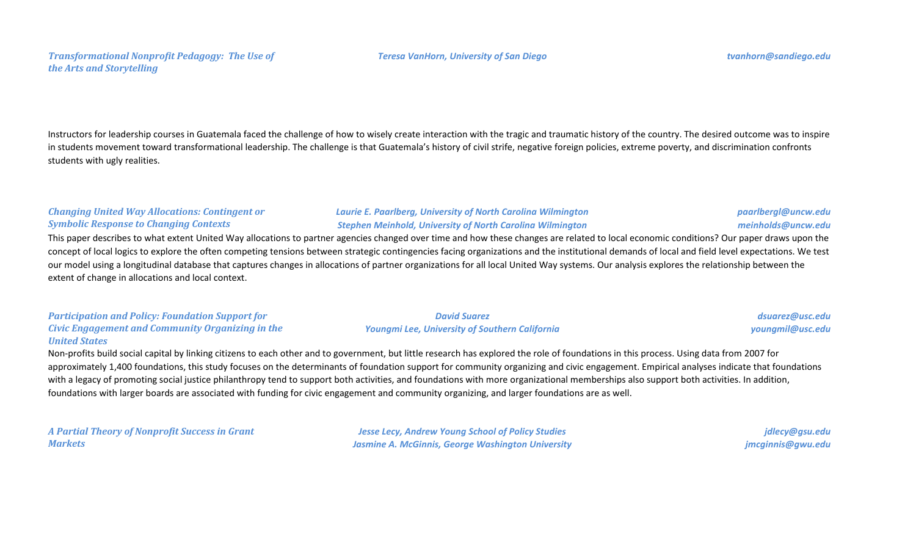### *Transformational Nonprofit Pedagogy: The Use of the Arts and Storytelling*

Instructors for leadership courses in Guatemala faced the challenge of how to wisely create interaction with the tragic and traumatic history of the country. The desired outcome was to inspire in students movement toward transformational leadership. The challenge is that Guatemala's history of civil strife, negative foreign policies, extreme poverty, and discrimination confronts students with ugly realities.

### *Changing United Way Allocations: Contingent or Symbolic Response to Changing Contexts*

#### *Laurie E. Paarlberg, University of North Carolina Wilmington Stephen Meinhold, University of North Carolina Wilmington*

This paper describes to what extent United Way allocations to partner agencies changed over time and how these changes are related to local economic conditions? Our paper draws upon the concept of local logics to explore the often competing tensions between strategic contingencies facing organizations and the institutional demands of local and field level expectations. We test our model using a longitudinal database that captures changes in allocations of partner organizations for all local United Way systems. Our analysis explores the relationship between the extent of change in allocations and local context.

*Participation and Policy: Foundation Support for Civic Engagement and Community Organizing in the United States*

*David Suarez Youngmi Lee, University of Southern California*

*dsuarez@usc.edu youngmil@usc.edu*

*paarlbergl@uncw.edu meinholds@uncw.edu*

Non-profits build social capital by linking citizens to each other and to government, but little research has explored the role of foundations in this process. Using data from 2007 for approximately 1,400 foundations, this study focuses on the determinants of foundation support for community organizing and civic engagement. Empirical analyses indicate that foundations with a legacy of promoting social justice philanthropy tend to support both activities, and foundations with more organizational memberships also support both activities. In addition, foundations with larger boards are associated with funding for civic engagement and community organizing, and larger foundations are as well.

*A Partial Theory of Nonprofit Success in Grant Markets*

*Jesse Lecy, Andrew Young School of Policy Studies Jasmine A. McGinnis, George Washington University*

*jdlecy@gsu.edu jmcginnis@gwu.edu*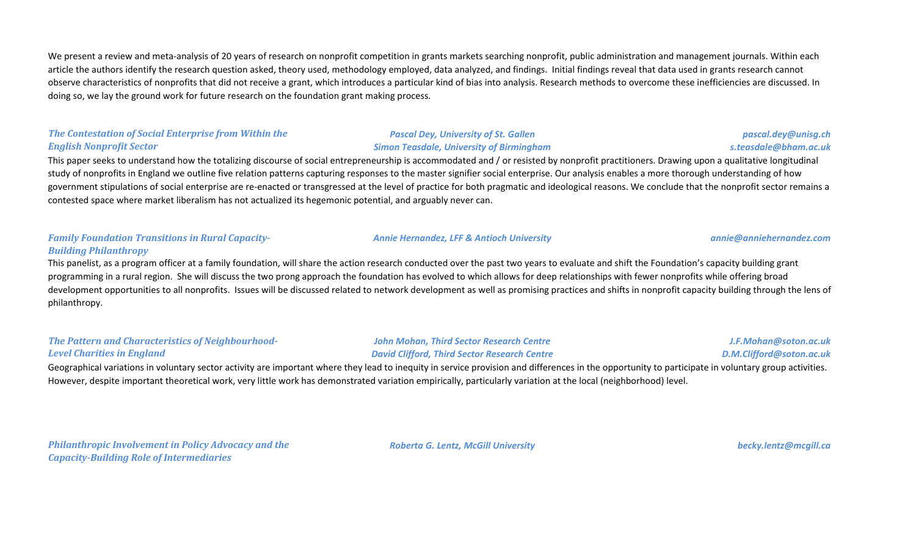We present a review and meta-analysis of 20 years of research on nonprofit competition in grants markets searching nonprofit, public administration and management journals. Within each article the authors identify the research question asked, theory used, methodology employed, data analyzed, and findings. Initial findings reveal that data used in grants research cannot observe characteristics of nonprofits that did not receive a grant, which introduces a particular kind of bias into analysis. Research methods to overcome these inefficiencies are discussed. In doing so, we lay the ground work for future research on the foundation grant making process.

### *The Contestation of Social Enterprise from Within the English Nonprofit Sector*

*Pascal Dey, University of St. Gallen Simon Teasdale, University of Birmingham*

This paper seeks to understand how the totalizing discourse of social entrepreneurship is accommodated and / or resisted by nonprofit practitioners. Drawing upon a qualitative longitudinal study of nonprofits in England we outline five relation patterns capturing responses to the master signifier social enterprise. Our analysis enables a more thorough understanding of how government stipulations of social enterprise are re-enacted or transgressed at the level of practice for both pragmatic and ideological reasons. We conclude that the nonprofit sector remains a contested space where market liberalism has not actualized its hegemonic potential, and arguably never can.

### *Family Foundation Transitions in Rural Capacity-Building Philanthropy*

This panelist, as a program officer at a family foundation, will share the action research conducted over the past two years to evaluate and shift the Foundation's capacity building grant programming in a rural region. She will discuss the two prong approach the foundation has evolved to which allows for deep relationships with fewer nonprofits while offering broad development opportunities to all nonprofits. Issues will be discussed related to network development as well as promising practices and shifts in nonprofit capacity building through the lens of philanthropy.

### *The Pattern and Characteristics of Neighbourhood-Level Charities in England*

### *John Mohan, Third Sector Research Centre David Clifford, Third Sector Research Centre*

*D.M.Clifford@soton.ac.uk* Geographical variations in voluntary sector activity are important where they lead to inequity in service provision and differences in the opportunity to participate in voluntary group activities. However, despite important theoretical work, very little work has demonstrated variation empirically, particularly variation at the local (neighborhood) level.

*Philanthropic Involvement in Policy Advocacy and the Capacity-Building Role of Intermediaries*

*Roberta G. Lentz, McGill University becky.lentz@mcgill.ca*

*J.F.Mohan@soton.ac.uk*

*Annie Hernandez, LFF & Antioch University annie@anniehernandez.com*

*pascal.dey@unisg.ch s.teasdale@bham.ac.uk*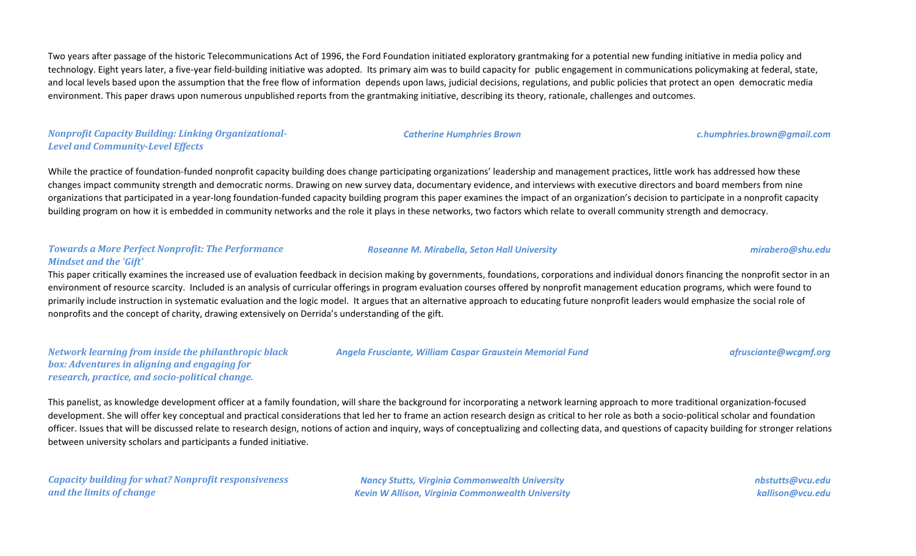Two years after passage of the historic Telecommunications Act of 1996, the Ford Foundation initiated exploratory grantmaking for a potential new funding initiative in media policy and technology. Eight years later, a five-year field-building initiative was adopted. Its primary aim was to build capacity for public engagement in communications policymaking at federal, state, and local levels based upon the assumption that the free flow of information depends upon laws, judicial decisions, regulations, and public policies that protect an open democratic media environment. This paper draws upon numerous unpublished reports from the grantmaking initiative, describing its theory, rationale, challenges and outcomes.

*Nonprofit Capacity Building: Linking Organizational-Level and Community-Level Effects*

While the practice of foundation-funded nonprofit capacity building does change participating organizations' leadership and management practices, little work has addressed how these changes impact community strength and democratic norms. Drawing on new survey data, documentary evidence, and interviews with executive directors and board members from nine organizations that participated in a year-long foundation-funded capacity building program this paper examines the impact of an organization's decision to participate in a nonprofit capacity building program on how it is embedded in community networks and the role it plays in these networks, two factors which relate to overall community strength and democracy.

#### *Towards a More Perfect Nonprofit: The Performance Mindset and the 'Gift'*

This paper critically examines the increased use of evaluation feedback in decision making by governments, foundations, corporations and individual donors financing the nonprofit sector in an environment of resource scarcity. Included is an analysis of curricular offerings in program evaluation courses offered by nonprofit management education programs, which were found to primarily include instruction in systematic evaluation and the logic model. It argues that an alternative approach to educating future nonprofit leaders would emphasize the social role of nonprofits and the concept of charity, drawing extensively on Derrida's understanding of the gift.

*Network learning from inside the philanthropic black box: Adventures in aligning and engaging for research, practice, and socio-political change.*

This panelist, as knowledge development officer at a family foundation, will share the background for incorporating a network learning approach to more traditional organization-focused development. She will offer key conceptual and practical considerations that led her to frame an action research design as critical to her role as both a socio-political scholar and foundation officer. Issues that will be discussed relate to research design, notions of action and inquiry, ways of conceptualizing and collecting data, and questions of capacity building for stronger relations between university scholars and participants a funded initiative.

*Capacity building for what? Nonprofit responsiveness and the limits of change*

*Nancy Stutts, Virginia Commonwealth University Kevin W Allison, Virginia Commonwealth University* *nbstutts@vcu.edu kallison@vcu.edu*

*Roseanne M. Mirabella, Seton Hall University mirabero@shu.edu*

*Catherine Humphries Brown c.humphries.brown@gmail.com*

*Angela Frusciante, William Caspar Graustein Memorial Fund afrusciante@wcgmf.org*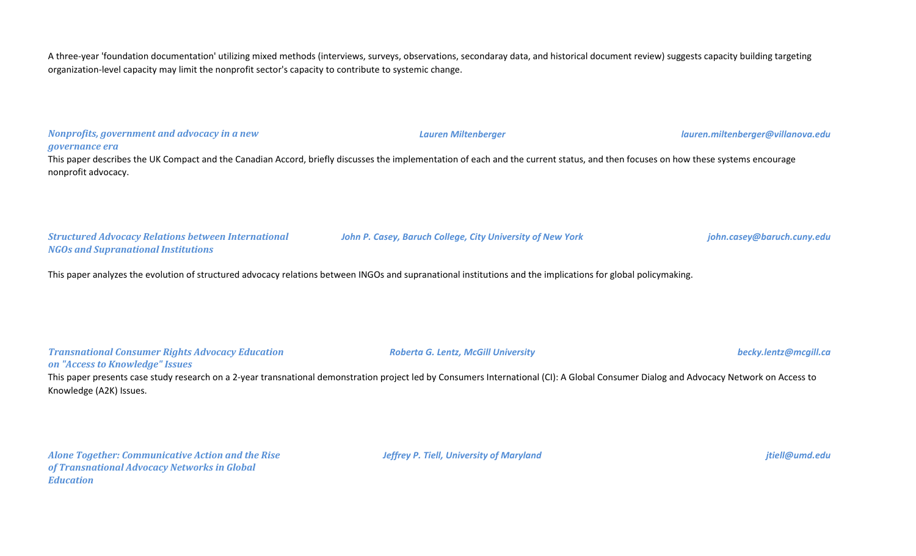A three-year 'foundation documentation' utilizing mixed methods (interviews, surveys, observations, secondaray data, and historical document review) suggests capacity building targeting organization-level capacity may limit the nonprofit sector's capacity to contribute to systemic change.

# *Nonprofits, government and advocacy in a new governance era Lauren Miltenberger lauren.miltenberger@villanova.edu Structured Advocacy Relations between International NGOs and Supranational Institutions John P. Casey, Baruch College, City University of New York john.casey@baruch.cuny.edu* This paper describes the UK Compact and the Canadian Accord, briefly discusses the implementation of each and the current status, and then focuses on how these systems encourage nonprofit advocacy.

This paper analyzes the evolution of structured advocacy relations between INGOs and supranational institutions and the implications for global policymaking.

#### *Transnational Consumer Rights Advocacy Education on "Access to Knowledge" Issues*

This paper presents case study research on a 2-year transnational demonstration project led by Consumers International (CI): A Global Consumer Dialog and Advocacy Network on Access to Knowledge (A2K) Issues.

*Alone Together: Communicative Action and the Rise of Transnational Advocacy Networks in Global Education*

*Jeffrey P. Tiell, University of Maryland jtiell@umd.edu*

#### *Roberta G. Lentz, McGill University becky.lentz@mcgill.ca*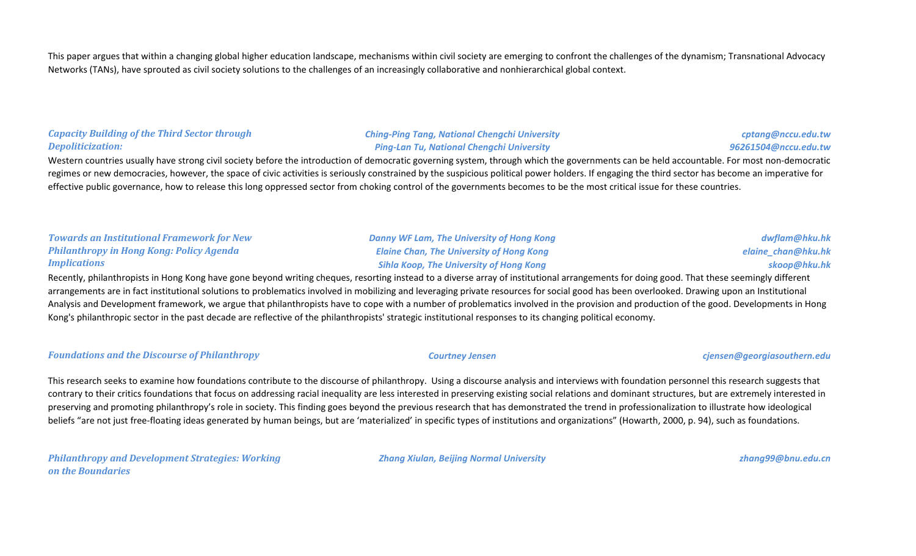This paper argues that within a changing global higher education landscape, mechanisms within civil society are emerging to confront the challenges of the dynamism; Transnational Advocacy Networks (TANs), have sprouted as civil society solutions to the challenges of an increasingly collaborative and nonhierarchical global context.

#### *Capacity Building of the Third Sector through Depoliticization:*

*Ching-Ping Tang, National Chengchi University Ping-Lan Tu, National Chengchi University*

*cptang@nccu.edu.tw 96261504@nccu.edu.tw*

Western countries usually have strong civil society before the introduction of democratic governing system, through which the governments can be held accountable. For most non-democratic regimes or new democracies, however, the space of civic activities is seriously constrained by the suspicious political power holders. If engaging the third sector has become an imperative for effective public governance, how to release this long oppressed sector from choking control of the governments becomes to be the most critical issue for these countries.

#### *Towards an Institutional Framework for New Philanthropy in Hong Kong: Policy Agenda Implications*

*Danny WF Lam, The University of Hong Kong Elaine Chan, The University of Hong Kong Sihla Koop, The University of Hong Kong*

*dwflam@hku.hk elaine\_chan@hku.hk skoop@hku.hk*

Recently, philanthropists in Hong Kong have gone beyond writing cheques, resorting instead to a diverse array of institutional arrangements for doing good. That these seemingly different arrangements are in fact institutional solutions to problematics involved in mobilizing and leveraging private resources for social good has been overlooked. Drawing upon an Institutional Analysis and Development framework, we argue that philanthropists have to cope with a number of problematics involved in the provision and production of the good. Developments in Hong Kong's philanthropic sector in the past decade are reflective of the philanthropists' strategic institutional responses to its changing political economy.

#### *Foundations and the Discourse of Philanthropy Courtney Jensen cjensen@georgiasouthern.edu*

This research seeks to examine how foundations contribute to the discourse of philanthropy. Using a discourse analysis and interviews with foundation personnel this research suggests that contrary to their critics foundations that focus on addressing racial inequality are less interested in preserving existing social relations and dominant structures, but are extremely interested in preserving and promoting philanthropy's role in society. This finding goes beyond the previous research that has demonstrated the trend in professionalization to illustrate how ideological beliefs "are not just free-floating ideas generated by human beings, but are 'materialized' in specific types of institutions and organizations" (Howarth, 2000, p. 94), such as foundations.

*Philanthropy and Development Strategies: Working on the Boundaries*

*Zhang Xiulan, Beijing Normal University zhang99@bnu.edu.cn*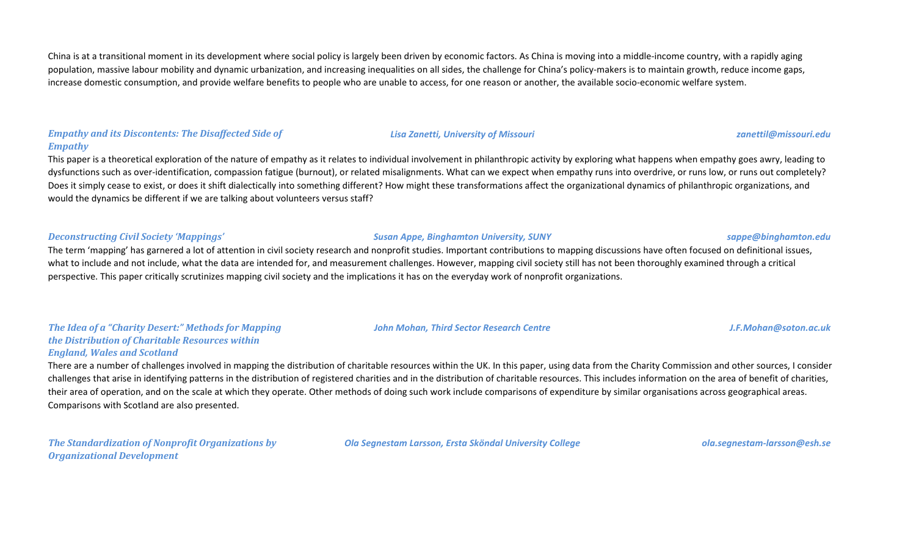China is at a transitional moment in its development where social policy is largely been driven by economic factors. As China is moving into a middle-income country, with a rapidly aging population, massive labour mobility and dynamic urbanization, and increasing inequalities on all sides, the challenge for China's policy-makers is to maintain growth, reduce income gaps, increase domestic consumption, and provide welfare benefits to people who are unable to access, for one reason or another, the available socio-economic welfare system.

#### *Empathy and its Discontents: The Disaffected Side of Empathy*

This paper is a theoretical exploration of the nature of empathy as it relates to individual involvement in philanthropic activity by exploring what happens when empathy goes awry, leading to dysfunctions such as over-identification, compassion fatigue (burnout), or related misalignments. What can we expect when empathy runs into overdrive, or runs low, or runs out completely? Does it simply cease to exist, or does it shift dialectically into something different? How might these transformations affect the organizational dynamics of philanthropic organizations, and would the dynamics be different if we are talking about volunteers versus staff?

#### *Deconstructing Civil Society 'Mappings' Susan Appe, Binghamton University, SUNY sappe@binghamton.edu*

The term 'mapping' has garnered a lot of attention in civil society research and nonprofit studies. Important contributions to mapping discussions have often focused on definitional issues, what to include and not include, what the data are intended for, and measurement challenges. However, mapping civil society still has not been thoroughly examined through a critical perspective. This paper critically scrutinizes mapping civil society and the implications it has on the everyday work of nonprofit organizations.

#### *The Idea of a "Charity Desert:" Methods for Mapping the Distribution of Charitable Resources within England, Wales and Scotland*

There are a number of challenges involved in mapping the distribution of charitable resources within the UK. In this paper, using data from the Charity Commission and other sources, I consider challenges that arise in identifying patterns in the distribution of registered charities and in the distribution of charitable resources. This includes information on the area of benefit of charities, their area of operation, and on the scale at which they operate. Other methods of doing such work include comparisons of expenditure by similar organisations across geographical areas. Comparisons with Scotland are also presented.

*The Standardization of Nonprofit Organizations by Organizational Development*

*Ola Segnestam Larsson, Ersta Sköndal University College ola.segnestam-larsson@esh.se*

*John Mohan, Third Sector Research Centre J.F.Mohan@soton.ac.uk*

*Lisa Zanetti, University of Missouri zanettil@missouri.edu*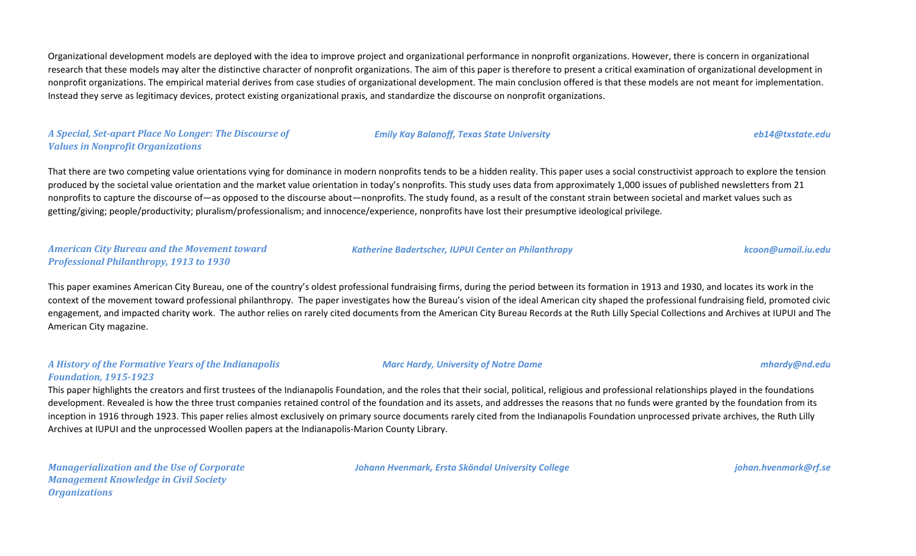Organizational development models are deployed with the idea to improve project and organizational performance in nonprofit organizations. However, there is concern in organizational research that these models may alter the distinctive character of nonprofit organizations. The aim of this paper is therefore to present a critical examination of organizational development in nonprofit organizations. The empirical material derives from case studies of organizational development. The main conclusion offered is that these models are not meant for implementation. Instead they serve as legitimacy devices, protect existing organizational praxis, and standardize the discourse on nonprofit organizations.

### *A Special, Set-apart Place No Longer: The Discourse of Values in Nonprofit Organizations*

That there are two competing value orientations vying for dominance in modern nonprofits tends to be a hidden reality. This paper uses a social constructivist approach to explore the tension produced by the societal value orientation and the market value orientation in today's nonprofits. This study uses data from approximately 1,000 issues of published newsletters from 21 nonprofits to capture the discourse of—as opposed to the discourse about—nonprofits. The study found, as a result of the constant strain between societal and market values such as getting/giving; people/productivity; pluralism/professionalism; and innocence/experience, nonprofits have lost their presumptive ideological privilege.

#### *American City Bureau and the Movement toward Professional Philanthropy, 1913 to 1930*

This paper examines American City Bureau, one of the country's oldest professional fundraising firms, during the period between its formation in 1913 and 1930, and locates its work in the context of the movement toward professional philanthropy. The paper investigates how the Bureau's vision of the ideal American city shaped the professional fundraising field, promoted civic engagement, and impacted charity work. The author relies on rarely cited documents from the American City Bureau Records at the Ruth Lilly Special Collections and Archives at IUPUI and The American City magazine.

#### *A History of the Formative Years of the Indianapolis Foundation, 1915-1923*

This paper highlights the creators and first trustees of the Indianapolis Foundation, and the roles that their social, political, religious and professional relationships played in the foundations development. Revealed is how the three trust companies retained control of the foundation and its assets, and addresses the reasons that no funds were granted by the foundation from its inception in 1916 through 1923. This paper relies almost exclusively on primary source documents rarely cited from the Indianapolis Foundation unprocessed private archives, the Ruth Lilly Archives at IUPUI and the unprocessed Woollen papers at the Indianapolis-Marion County Library.

*Managerialization and the Use of Corporate Management Knowledge in Civil Society Organizations*

*Johann Hvenmark, Ersta Sköndal University College johan.hvenmark@rf.se*

*Katherine Badertscher, IUPUI Center on Philanthropy kcoon@umail.iu.edu*

*Marc Hardy, University of Notre Dame mhardy@nd.edu*

## *Emily Kay Balanoff, Texas State University eb14@txstate.edu*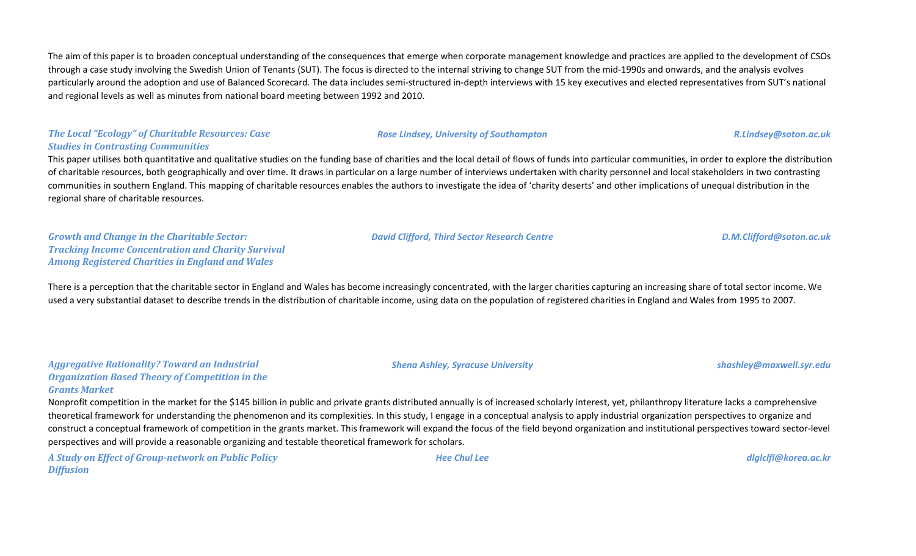The aim of this paper is to broaden conceptual understanding of the consequences that emerge when corporate management knowledge and practices are applied to the development of CSOs through a case study involving the Swedish Union of Tenants (SUT). The focus is directed to the internal striving to change SUT from the mid-1990s and onwards, and the analysis evolves particularly around the adoption and use of Balanced Scorecard. The data includes semi-structured in-depth interviews with 15 key executives and elected representatives from SUT's national and regional levels as well as minutes from national board meeting between 1992 and 2010.

### *The Local "Ecology" of Charitable Resources: Case Studies in Contrasting Communities*

This paper utilises both quantitative and qualitative studies on the funding base of charities and the local detail of flows of funds into particular communities, in order to explore the distribution of charitable resources, both geographically and over time. It draws in particular on a large number of interviews undertaken with charity personnel and local stakeholders in two contrasting communities in southern England. This mapping of charitable resources enables the authors to investigate the idea of 'charity deserts' and other implications of unequal distribution in the regional share of charitable resources.

*Growth and Change in the Charitable Sector: Tracking Income Concentration and Charity Survival Among Registered Charities in England and Wales*

There is a perception that the charitable sector in England and Wales has become increasingly concentrated, with the larger charities capturing an increasing share of total sector income. We used a very substantial dataset to describe trends in the distribution of charitable income, using data on the population of registered charities in England and Wales from 1995 to 2007.

| <b>Aggregative Rationality? Toward an Industrial</b>   |
|--------------------------------------------------------|
| <b>Organization Based Theory of Competition in the</b> |
| <b>Grants Market</b>                                   |

Nonprofit competition in the market for the \$145 billion in public and private grants distributed annually is of increased scholarly interest, yet, philanthropy literature lacks a comprehensive theoretical framework for understanding the phenomenon and its complexities. In this study, I engage in a conceptual analysis to apply industrial organization perspectives to organize and construct a conceptual framework of competition in the grants market. This framework will expand the focus of the field beyond organization and institutional perspectives toward sector-level perspectives and will provide a reasonable organizing and testable theoretical framework for scholars.

*A Study on Effect of Group-network on Public Policy Diffusion*

*Hee Chul Lee dlglclfl@korea.ac.kr*

*David Clifford, Third Sector Research Centre D.M.Clifford@soton.ac.uk*

*Shena Ashley, Syracuse University shashley@maxwell.syr.edu*

*Rose Lindsey, University of Southampton R.Lindsey@soton.ac.uk*